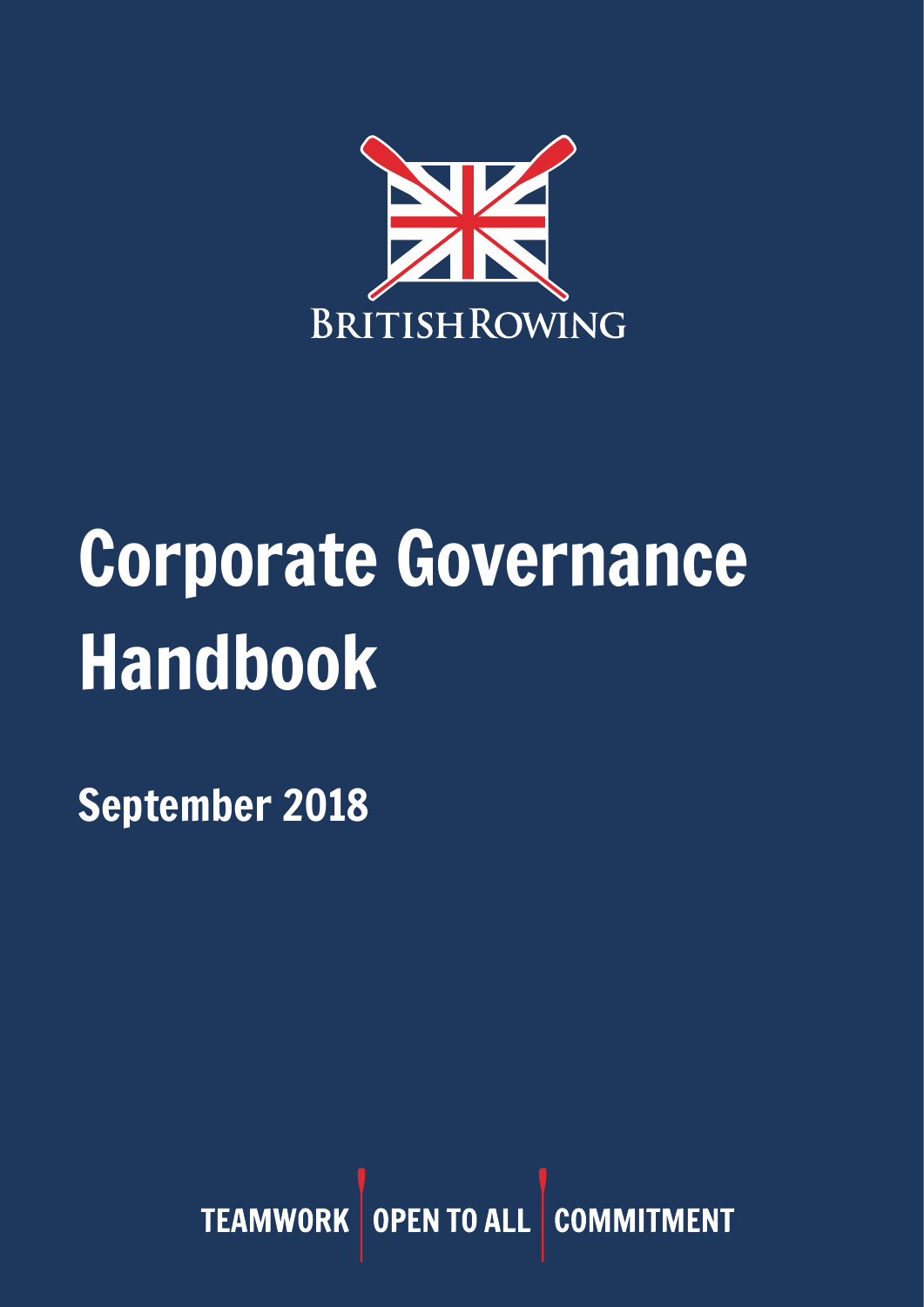

# Corporate Governance Handbook

September 2018

TEAMWORK OPEN TO ALL COMM ENT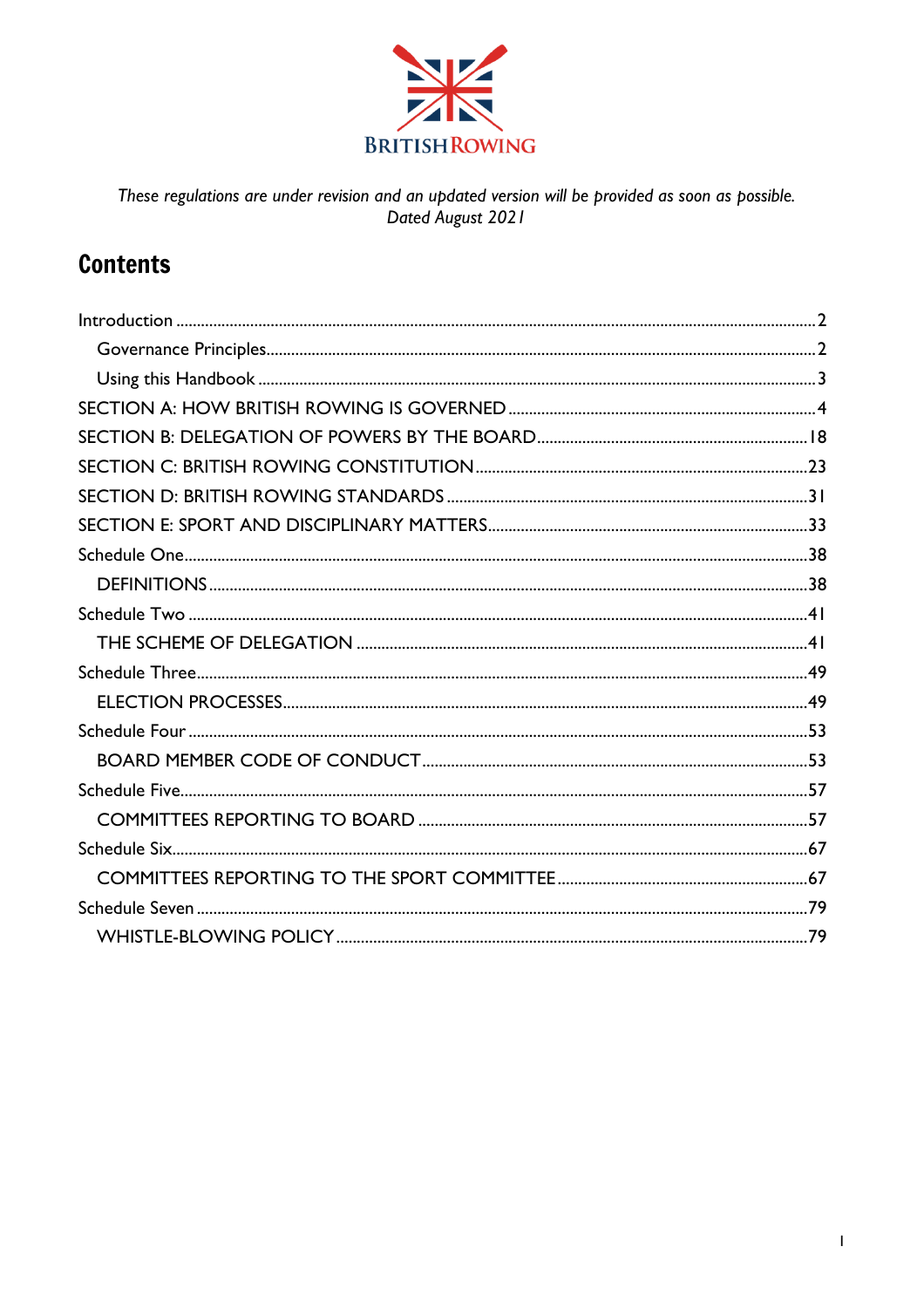

These regulations are under revision and an updated version will be provided as soon as possible.<br>Dated August 2021

# **Contents**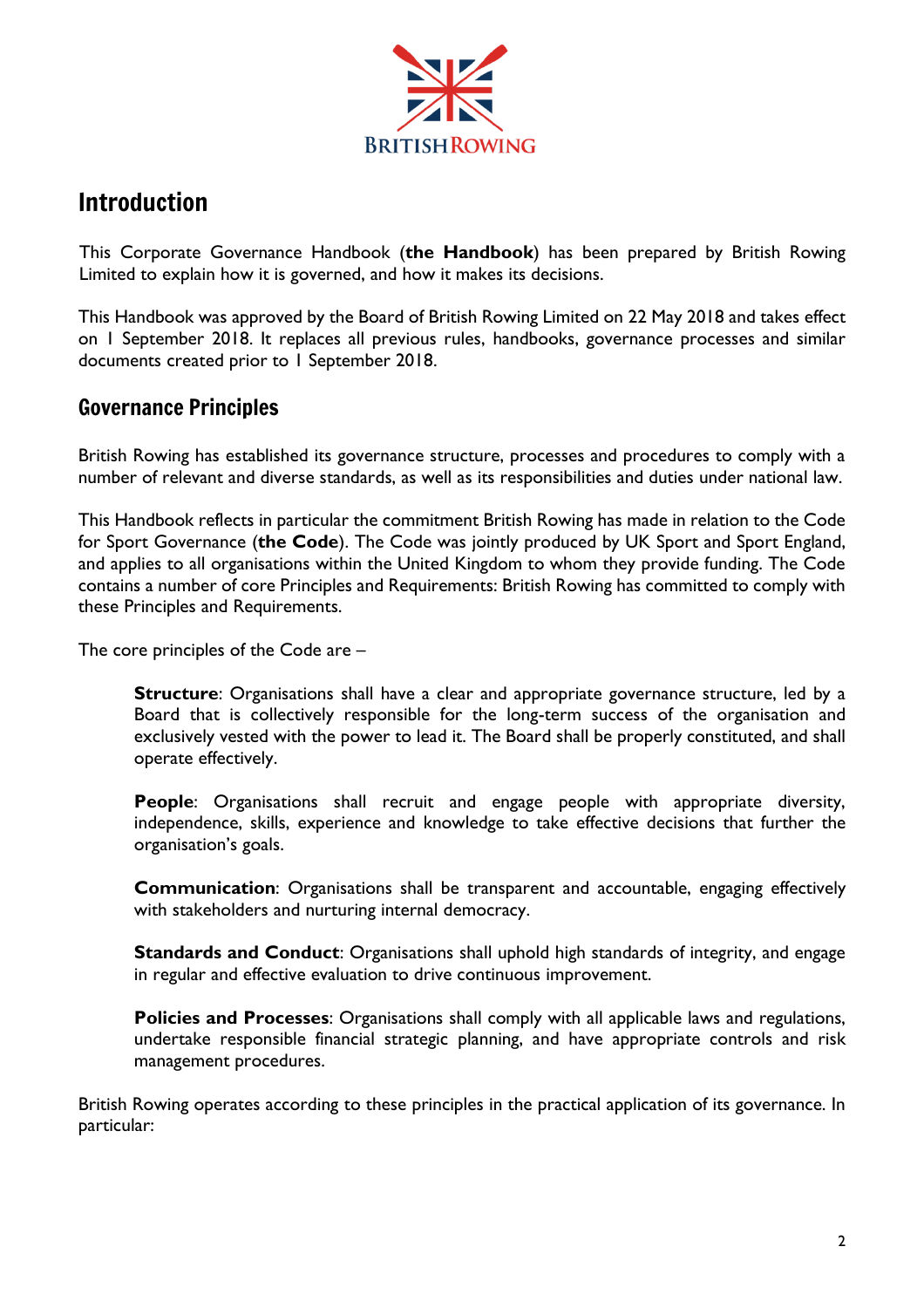

# <span id="page-2-0"></span>Introduction

This Corporate Governance Handbook (**the Handbook**) has been prepared by British Rowing Limited to explain how it is governed, and how it makes its decisions.

This Handbook was approved by the Board of British Rowing Limited on 22 May 2018 and takes effect on 1 September 2018. It replaces all previous rules, handbooks, governance processes and similar documents created prior to 1 September 2018.

# <span id="page-2-1"></span>Governance Principles

British Rowing has established its governance structure, processes and procedures to comply with a number of relevant and diverse standards, as well as its responsibilities and duties under national law.

This Handbook reflects in particular the commitment British Rowing has made in relation to the Code for Sport Governance (**the Code**). The Code was jointly produced by UK Sport and Sport England, and applies to all organisations within the United Kingdom to whom they provide funding. The Code contains a number of core Principles and Requirements: British Rowing has committed to comply with these Principles and Requirements.

The core principles of the Code are –

**Structure**: Organisations shall have a clear and appropriate governance structure, led by a Board that is collectively responsible for the long-term success of the organisation and exclusively vested with the power to lead it. The Board shall be properly constituted, and shall operate effectively.

**People**: Organisations shall recruit and engage people with appropriate diversity, independence, skills, experience and knowledge to take effective decisions that further the organisation's goals.

**Communication**: Organisations shall be transparent and accountable, engaging effectively with stakeholders and nurturing internal democracy.

**Standards and Conduct**: Organisations shall uphold high standards of integrity, and engage in regular and effective evaluation to drive continuous improvement.

**Policies and Processes**: Organisations shall comply with all applicable laws and regulations, undertake responsible financial strategic planning, and have appropriate controls and risk management procedures.

British Rowing operates according to these principles in the practical application of its governance. In particular: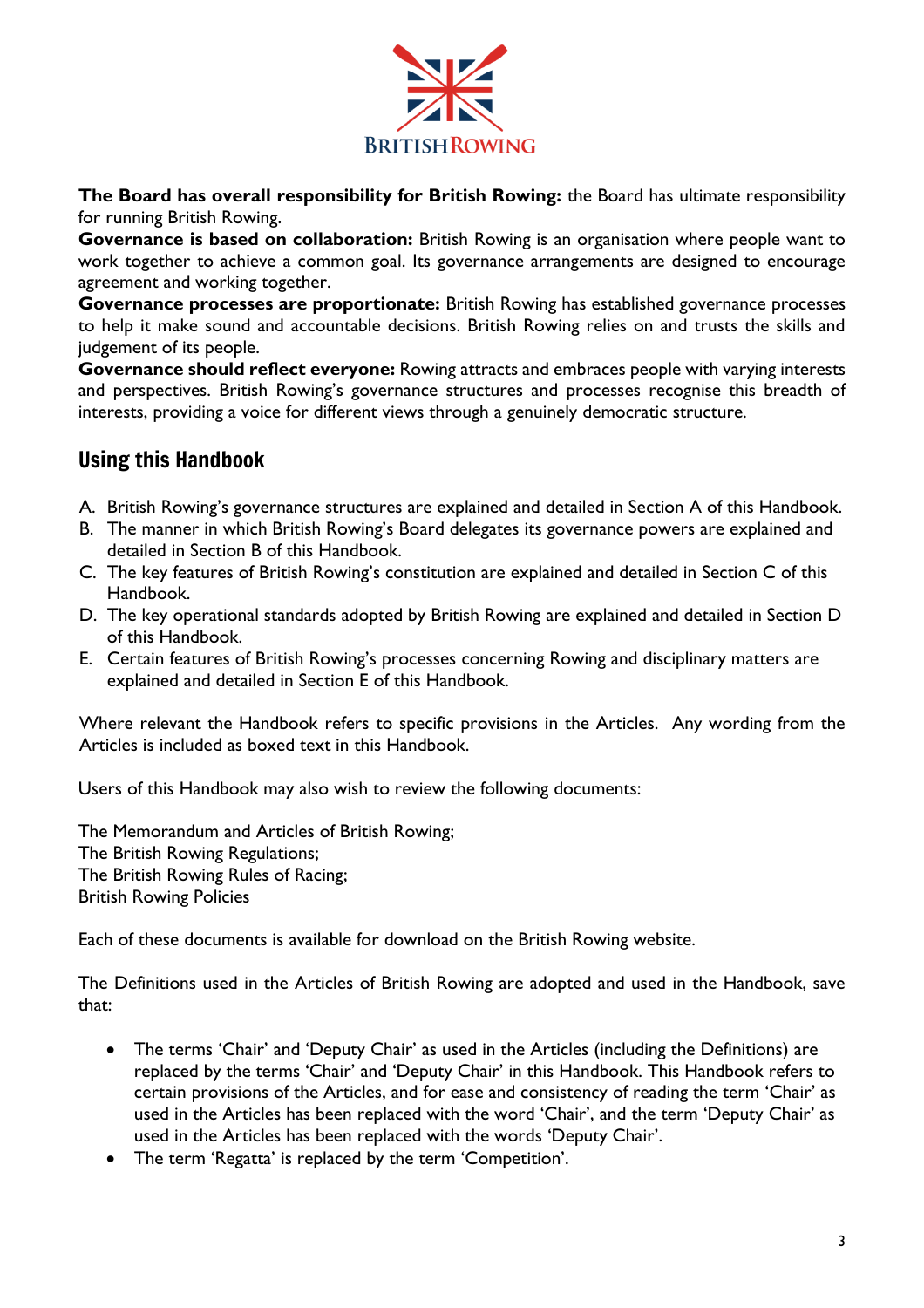

**The Board has overall responsibility for British Rowing:** the Board has ultimate responsibility for running British Rowing.

**Governance is based on collaboration:** British Rowing is an organisation where people want to work together to achieve a common goal. Its governance arrangements are designed to encourage agreement and working together.

**Governance processes are proportionate:** British Rowing has established governance processes to help it make sound and accountable decisions. British Rowing relies on and trusts the skills and judgement of its people.

**Governance should reflect everyone:** Rowing attracts and embraces people with varying interests and perspectives. British Rowing's governance structures and processes recognise this breadth of interests, providing a voice for different views through a genuinely democratic structure.

# <span id="page-3-0"></span>Using this Handbook

- A. British Rowing's governance structures are explained and detailed in Section A of this Handbook.
- B. The manner in which British Rowing's Board delegates its governance powers are explained and detailed in Section B of this Handbook.
- C. The key features of British Rowing's constitution are explained and detailed in Section C of this Handbook.
- D. The key operational standards adopted by British Rowing are explained and detailed in Section D of this Handbook.
- E. Certain features of British Rowing's processes concerning Rowing and disciplinary matters are explained and detailed in Section E of this Handbook.

Where relevant the Handbook refers to specific provisions in the Articles. Any wording from the Articles is included as boxed text in this Handbook.

Users of this Handbook may also wish to review the following documents:

The Memorandum and Articles of British Rowing; The British Rowing Regulations; The British Rowing Rules of Racing; British Rowing Policies

Each of these documents is available for download on the British Rowing website.

The Definitions used in the Articles of British Rowing are adopted and used in the Handbook, save that:

- The terms 'Chair' and 'Deputy Chair' as used in the Articles (including the Definitions) are replaced by the terms 'Chair' and 'Deputy Chair' in this Handbook. This Handbook refers to certain provisions of the Articles, and for ease and consistency of reading the term 'Chair' as used in the Articles has been replaced with the word 'Chair', and the term 'Deputy Chair' as used in the Articles has been replaced with the words 'Deputy Chair'.
- The term 'Regatta' is replaced by the term 'Competition'.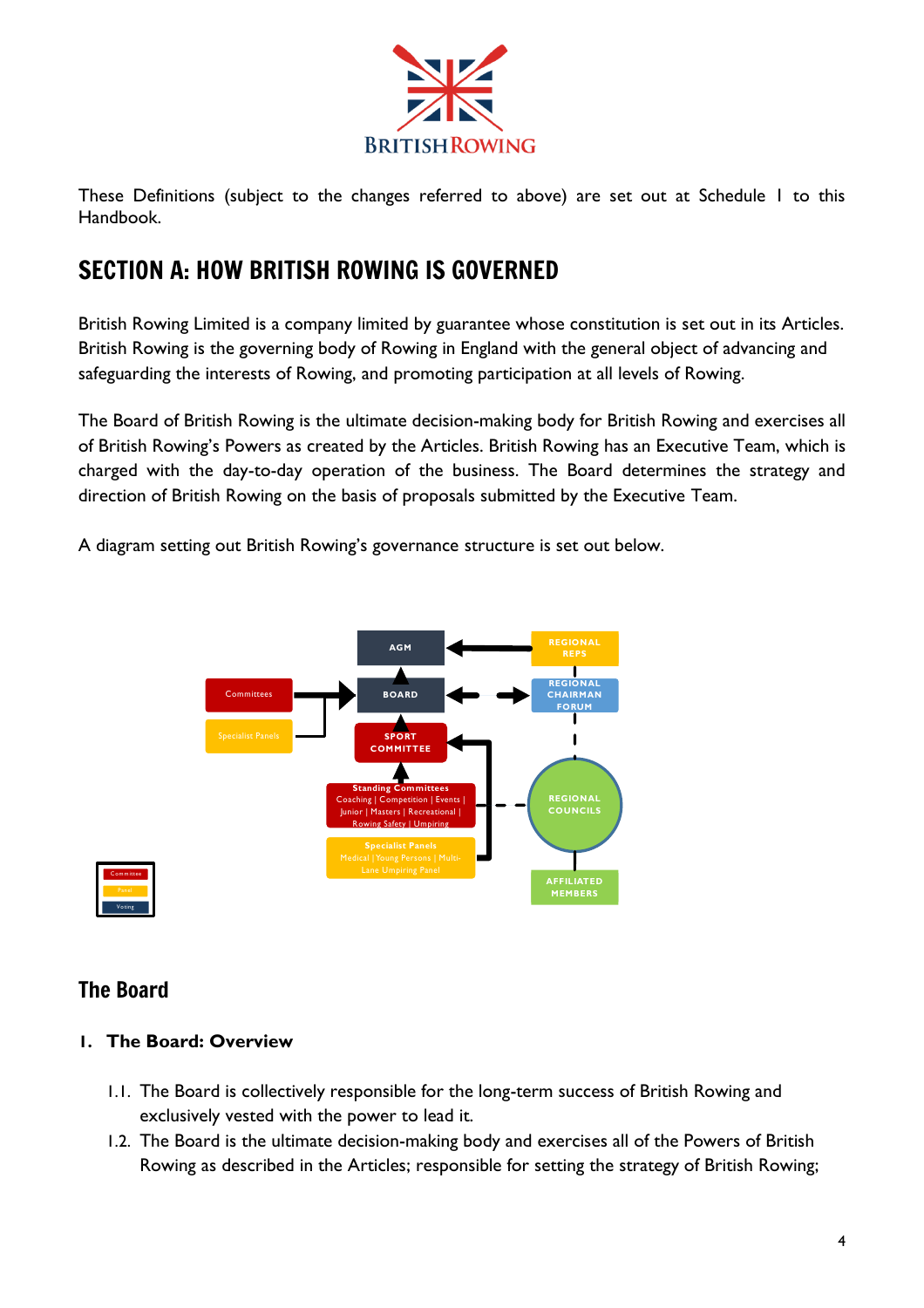

These Definitions (subject to the changes referred to above) are set out at Schedule 1 to this Handbook.

# <span id="page-4-0"></span>SECTION A: HOW BRITISH ROWING IS GOVERNED

British Rowing Limited is a company limited by guarantee whose constitution is set out in its Articles. British Rowing is the governing body of Rowing in England with the general object of advancing and safeguarding the interests of Rowing, and promoting participation at all levels of Rowing.

The Board of British Rowing is the ultimate decision-making body for British Rowing and exercises all of British Rowing's Powers as created by the Articles. British Rowing has an Executive Team, which is charged with the day-to-day operation of the business. The Board determines the strategy and direction of British Rowing on the basis of proposals submitted by the Executive Team.

A diagram setting out British Rowing's governance structure is set out below.



# Committee<br>Panal m<br>Panel<br>Coting ommiti<br>Panel<br>Voting

# The Board

# **1. The Board: Overview**

- 1.1. The Board is collectively responsible for the long-term success of British Rowing and exclusively vested with the power to lead it.
- 1.2. The Board is the ultimate decision-making body and exercises all of the Powers of British Rowing as described in the Articles; responsible for setting the strategy of British Rowing;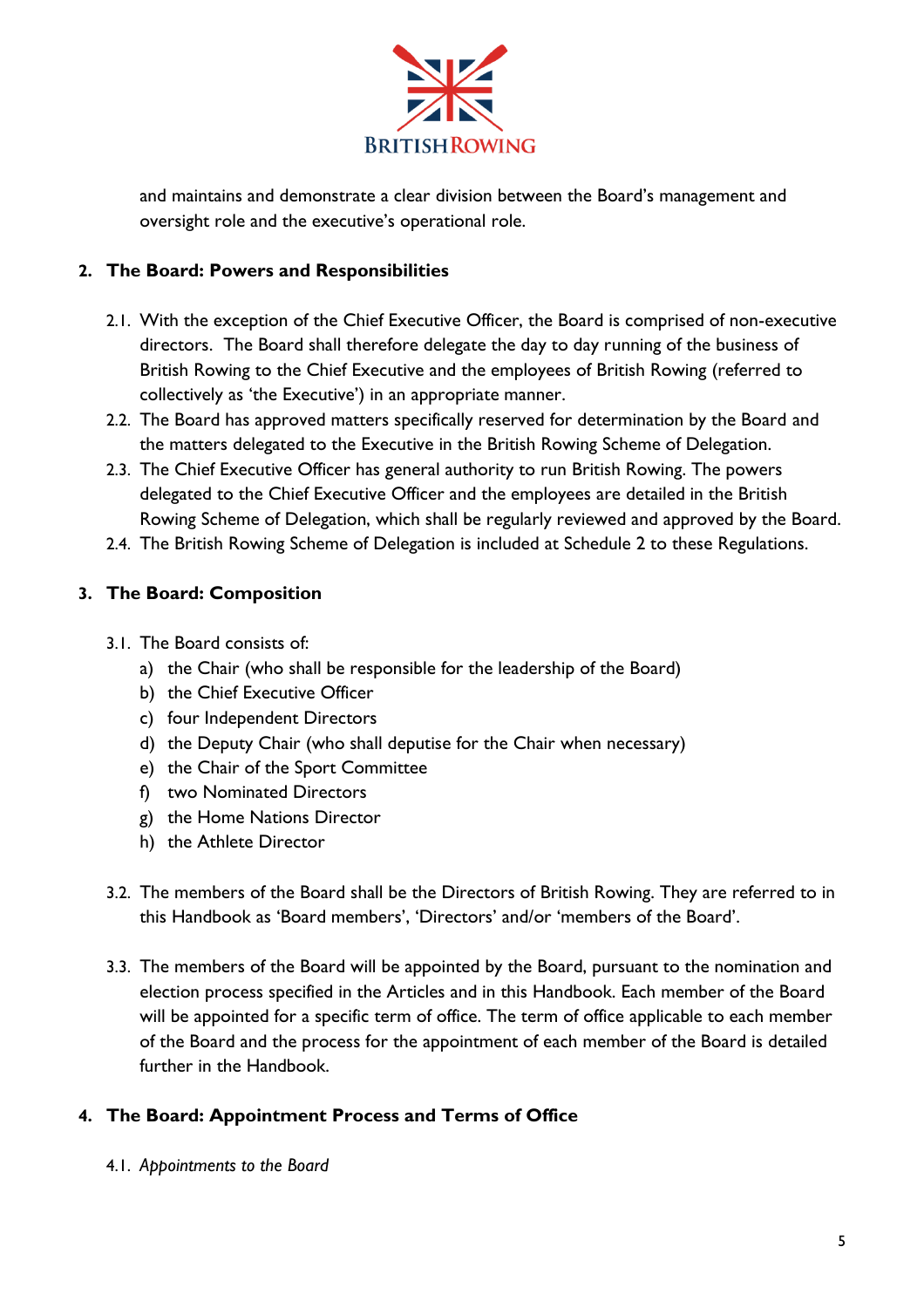

and maintains and demonstrate a clear division between the Board's management and oversight role and the executive's operational role.

# **2. The Board: Powers and Responsibilities**

- 2.1. With the exception of the Chief Executive Officer, the Board is comprised of non-executive directors. The Board shall therefore delegate the day to day running of the business of British Rowing to the Chief Executive and the employees of British Rowing (referred to collectively as 'the Executive') in an appropriate manner.
- 2.2. The Board has approved matters specifically reserved for determination by the Board and the matters delegated to the Executive in the British Rowing Scheme of Delegation.
- 2.3. The Chief Executive Officer has general authority to run British Rowing. The powers delegated to the Chief Executive Officer and the employees are detailed in the British Rowing Scheme of Delegation, which shall be regularly reviewed and approved by the Board.
- 2.4. The British Rowing Scheme of Delegation is included at Schedule 2 to these Regulations.

# **3. The Board: Composition**

- 3.1. The Board consists of:
	- a) the Chair (who shall be responsible for the leadership of the Board)
	- b) the Chief Executive Officer
	- c) four Independent Directors
	- d) the Deputy Chair (who shall deputise for the Chair when necessary)
	- e) the Chair of the Sport Committee
	- f) two Nominated Directors
	- g) the Home Nations Director
	- h) the Athlete Director
- 3.2. The members of the Board shall be the Directors of British Rowing. They are referred to in this Handbook as 'Board members', 'Directors' and/or 'members of the Board'.
- 3.3. The members of the Board will be appointed by the Board, pursuant to the nomination and election process specified in the Articles and in this Handbook. Each member of the Board will be appointed for a specific term of office. The term of office applicable to each member of the Board and the process for the appointment of each member of the Board is detailed further in the Handbook.

# **4. The Board: Appointment Process and Terms of Office**

4.1. *Appointments to the Board*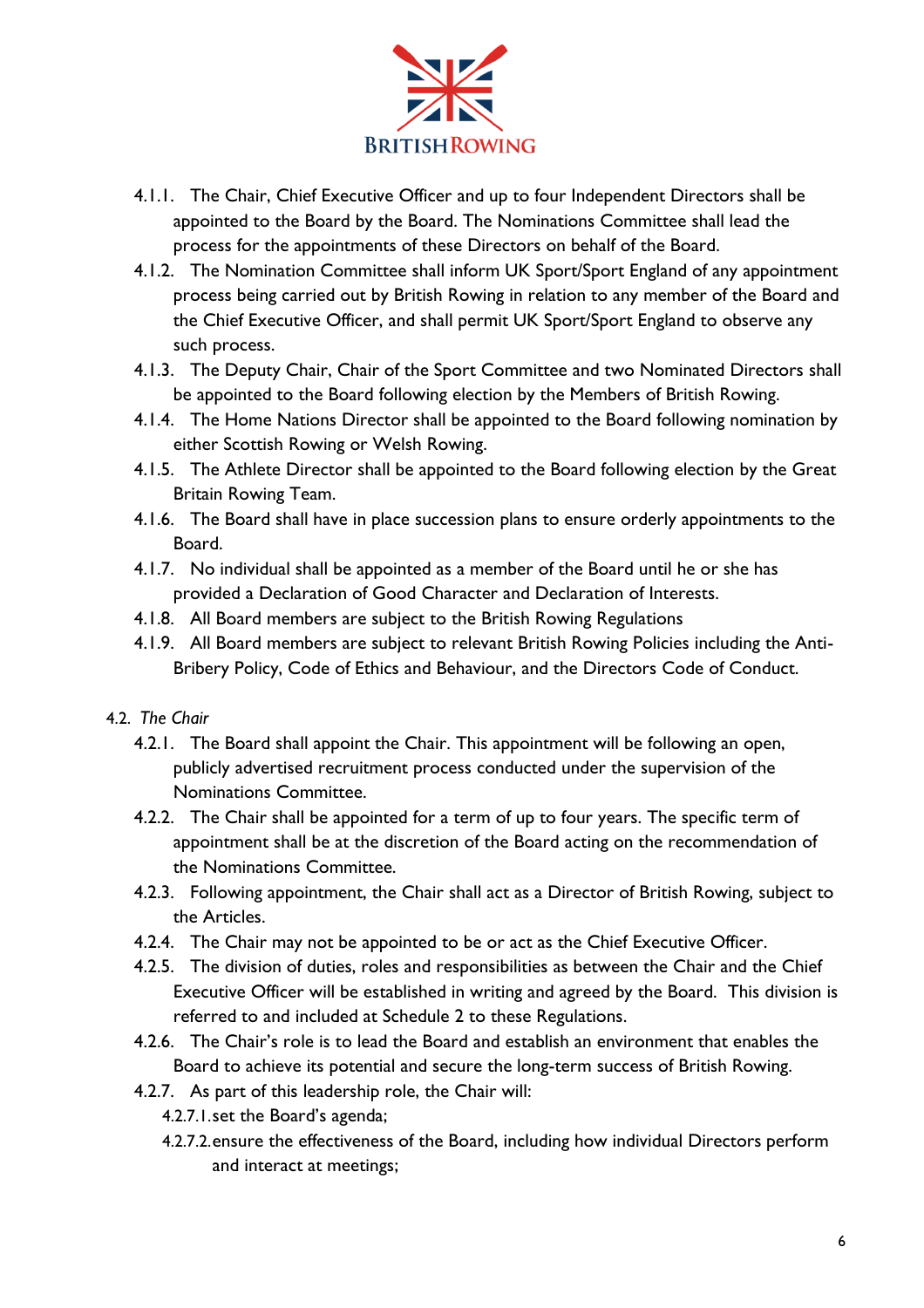

- 4.1.1. The Chair, Chief Executive Officer and up to four Independent Directors shall be appointed to the Board by the Board. The Nominations Committee shall lead the process for the appointments of these Directors on behalf of the Board.
- 4.1.2. The Nomination Committee shall inform UK Sport/Sport England of any appointment process being carried out by British Rowing in relation to any member of the Board and the Chief Executive Officer, and shall permit UK Sport/Sport England to observe any such process.
- 4.1.3. The Deputy Chair, Chair of the Sport Committee and two Nominated Directors shall be appointed to the Board following election by the Members of British Rowing.
- 4.1.4. The Home Nations Director shall be appointed to the Board following nomination by either Scottish Rowing or Welsh Rowing.
- 4.1.5. The Athlete Director shall be appointed to the Board following election by the Great Britain Rowing Team.
- 4.1.6. The Board shall have in place succession plans to ensure orderly appointments to the Board.
- 4.1.7. No individual shall be appointed as a member of the Board until he or she has provided a Declaration of Good Character and Declaration of Interests.
- 4.1.8. All Board members are subject to the British Rowing Regulations
- 4.1.9. All Board members are subject to relevant British Rowing Policies including the Anti-Bribery Policy, Code of Ethics and Behaviour, and the Directors Code of Conduct.

# 4.2. *The Chair*

- 4.2.1. The Board shall appoint the Chair. This appointment will be following an open, publicly advertised recruitment process conducted under the supervision of the Nominations Committee.
- 4.2.2. The Chair shall be appointed for a term of up to four years. The specific term of appointment shall be at the discretion of the Board acting on the recommendation of the Nominations Committee.
- 4.2.3. Following appointment, the Chair shall act as a Director of British Rowing, subject to the Articles.
- 4.2.4. The Chair may not be appointed to be or act as the Chief Executive Officer.
- 4.2.5. The division of duties, roles and responsibilities as between the Chair and the Chief Executive Officer will be established in writing and agreed by the Board. This division is referred to and included at Schedule 2 to these Regulations.
- 4.2.6. The Chair's role is to lead the Board and establish an environment that enables the Board to achieve its potential and secure the long-term success of British Rowing.
- 4.2.7. As part of this leadership role, the Chair will:
	- 4.2.7.1.set the Board's agenda;
	- 4.2.7.2.ensure the effectiveness of the Board, including how individual Directors perform and interact at meetings;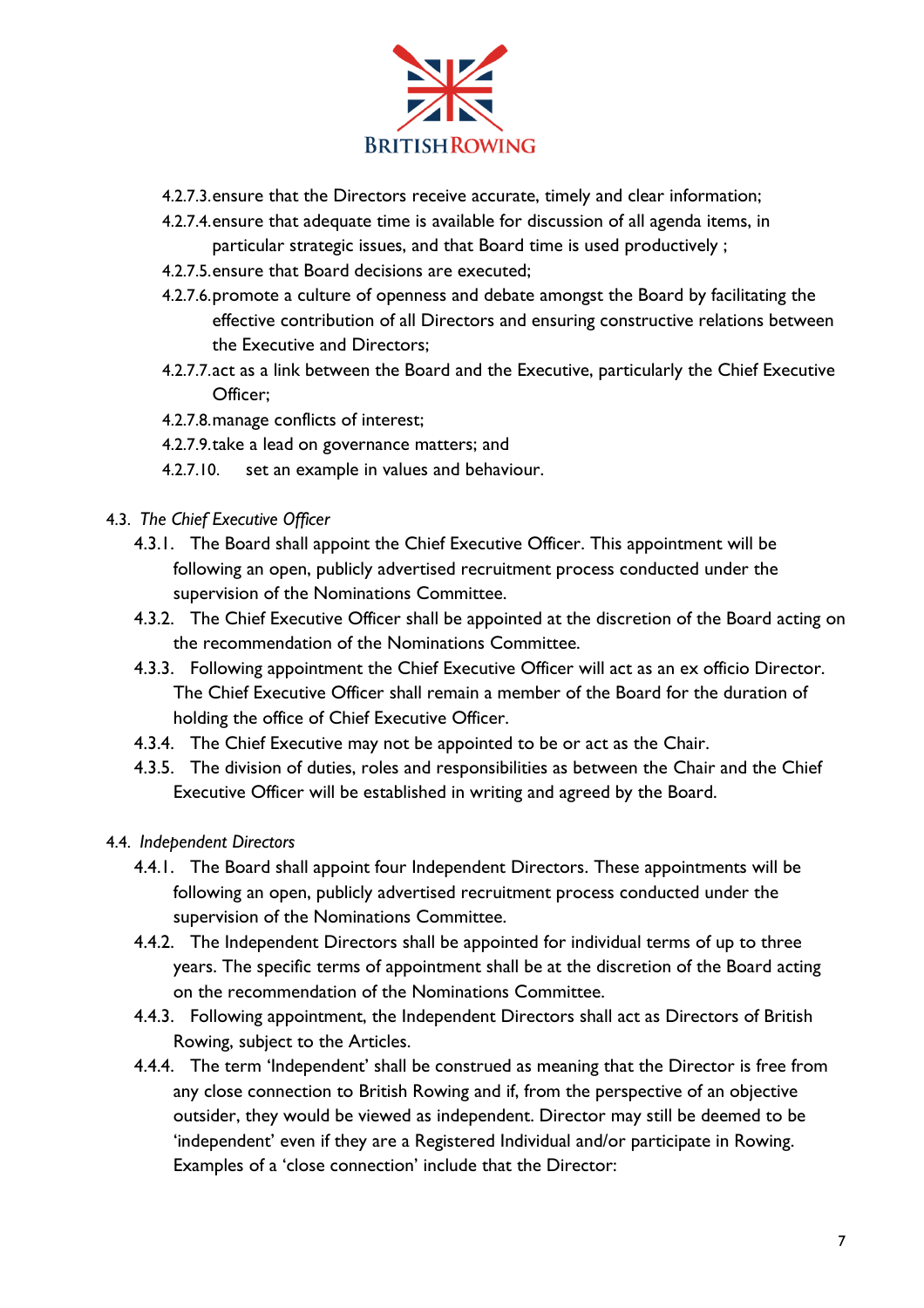

- 4.2.7.3.ensure that the Directors receive accurate, timely and clear information;
- 4.2.7.4.ensure that adequate time is available for discussion of all agenda items, in particular strategic issues, and that Board time is used productively ;
- 4.2.7.5.ensure that Board decisions are executed;
- 4.2.7.6.promote a culture of openness and debate amongst the Board by facilitating the effective contribution of all Directors and ensuring constructive relations between the Executive and Directors;
- 4.2.7.7.act as a link between the Board and the Executive, particularly the Chief Executive Officer;
- 4.2.7.8.manage conflicts of interest;
- 4.2.7.9.take a lead on governance matters; and
- 4.2.7.10. set an example in values and behaviour.
- 4.3. *The Chief Executive Officer*
	- 4.3.1. The Board shall appoint the Chief Executive Officer. This appointment will be following an open, publicly advertised recruitment process conducted under the supervision of the Nominations Committee.
	- 4.3.2. The Chief Executive Officer shall be appointed at the discretion of the Board acting on the recommendation of the Nominations Committee.
	- 4.3.3. Following appointment the Chief Executive Officer will act as an ex officio Director. The Chief Executive Officer shall remain a member of the Board for the duration of holding the office of Chief Executive Officer.
	- 4.3.4. The Chief Executive may not be appointed to be or act as the Chair.
	- 4.3.5. The division of duties, roles and responsibilities as between the Chair and the Chief Executive Officer will be established in writing and agreed by the Board.

# 4.4. *Independent Directors*

- 4.4.1. The Board shall appoint four Independent Directors. These appointments will be following an open, publicly advertised recruitment process conducted under the supervision of the Nominations Committee.
- 4.4.2. The Independent Directors shall be appointed for individual terms of up to three years. The specific terms of appointment shall be at the discretion of the Board acting on the recommendation of the Nominations Committee.
- 4.4.3. Following appointment, the Independent Directors shall act as Directors of British Rowing, subject to the Articles.
- 4.4.4. The term 'Independent' shall be construed as meaning that the Director is free from any close connection to British Rowing and if, from the perspective of an objective outsider, they would be viewed as independent. Director may still be deemed to be 'independent' even if they are a Registered Individual and/or participate in Rowing. Examples of a 'close connection' include that the Director: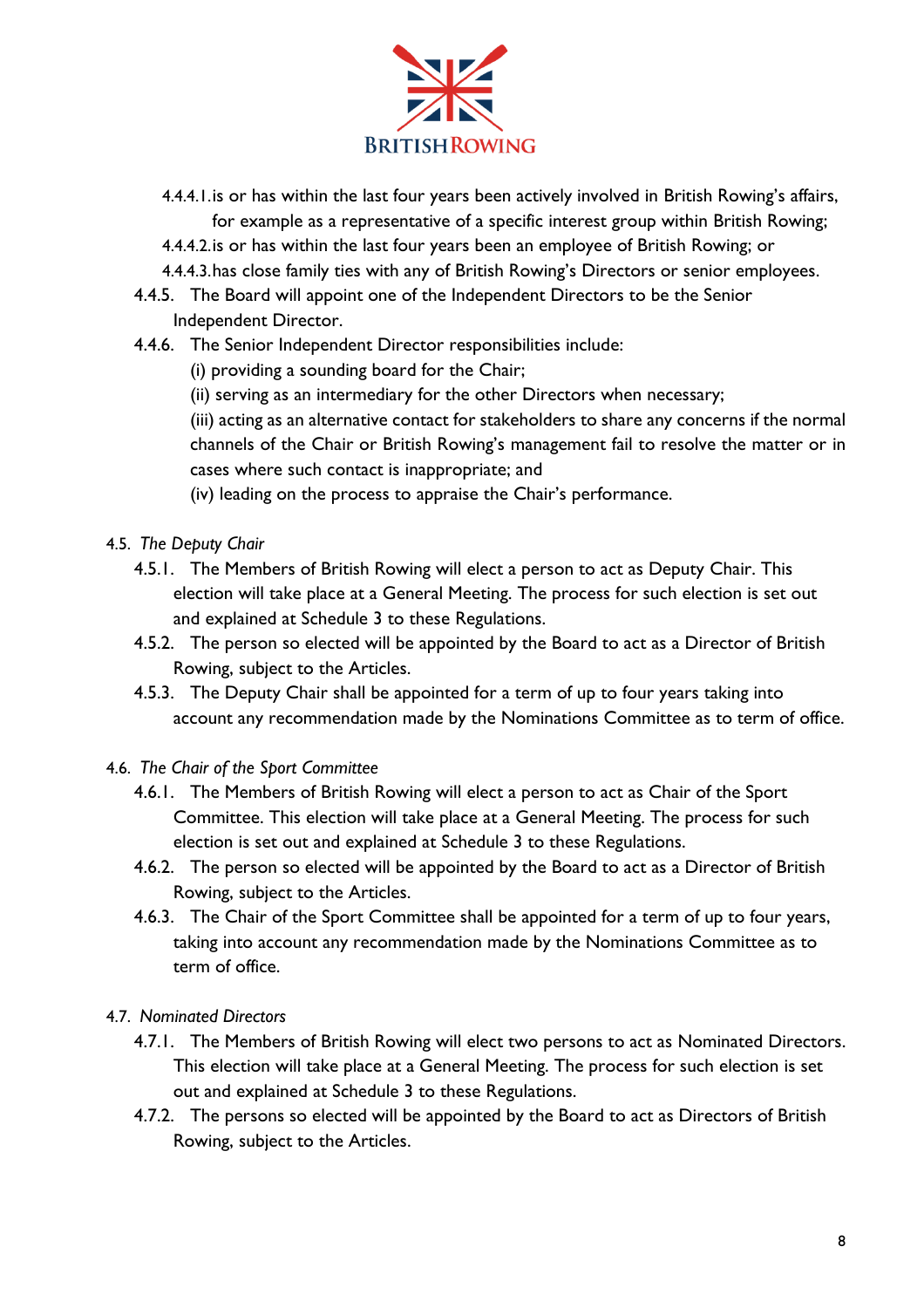

- 4.4.4.1.is or has within the last four years been actively involved in British Rowing's affairs, for example as a representative of a specific interest group within British Rowing;
- 4.4.4.2.is or has within the last four years been an employee of British Rowing; or
- 4.4.4.3.has close family ties with any of British Rowing's Directors or senior employees.
- 4.4.5. The Board will appoint one of the Independent Directors to be the Senior Independent Director.
- 4.4.6. The Senior Independent Director responsibilities include:
	- (i) providing a sounding board for the Chair;
	- (ii) serving as an intermediary for the other Directors when necessary;

(iii) acting as an alternative contact for stakeholders to share any concerns if the normal channels of the Chair or British Rowing's management fail to resolve the matter or in cases where such contact is inappropriate; and

- (iv) leading on the process to appraise the Chair's performance.
- 4.5. *The Deputy Chair*
	- 4.5.1. The Members of British Rowing will elect a person to act as Deputy Chair. This election will take place at a General Meeting. The process for such election is set out and explained at Schedule 3 to these Regulations.
	- 4.5.2. The person so elected will be appointed by the Board to act as a Director of British Rowing, subject to the Articles.
	- 4.5.3. The Deputy Chair shall be appointed for a term of up to four years taking into account any recommendation made by the Nominations Committee as to term of office.
- 4.6. *The Chair of the Sport Committee*
	- 4.6.1. The Members of British Rowing will elect a person to act as Chair of the Sport Committee. This election will take place at a General Meeting. The process for such election is set out and explained at Schedule 3 to these Regulations.
	- 4.6.2. The person so elected will be appointed by the Board to act as a Director of British Rowing, subject to the Articles.
	- 4.6.3. The Chair of the Sport Committee shall be appointed for a term of up to four years, taking into account any recommendation made by the Nominations Committee as to term of office.
- 4.7. *Nominated Directors*
	- 4.7.1. The Members of British Rowing will elect two persons to act as Nominated Directors. This election will take place at a General Meeting. The process for such election is set out and explained at Schedule 3 to these Regulations.
	- 4.7.2. The persons so elected will be appointed by the Board to act as Directors of British Rowing, subject to the Articles.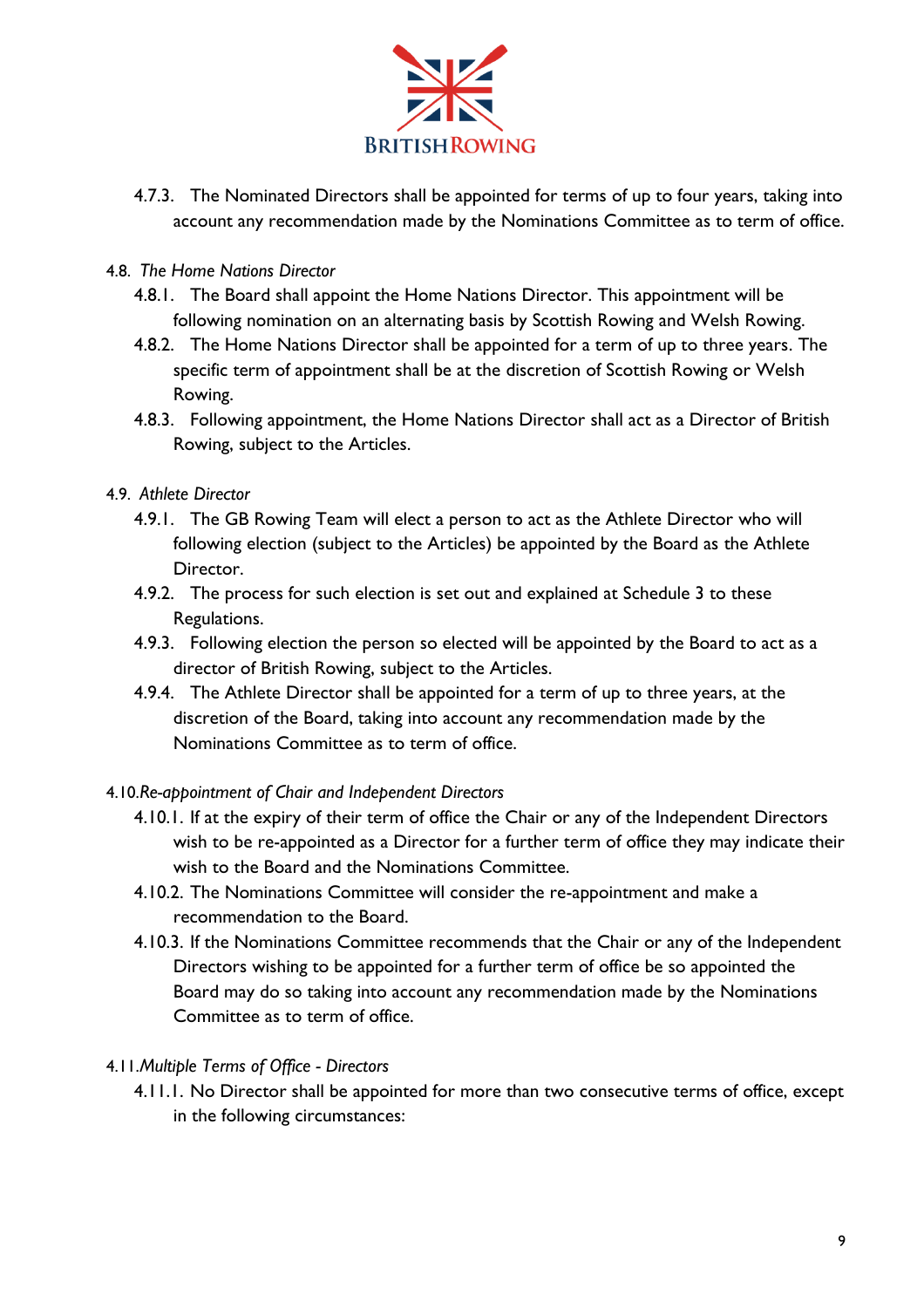

- 4.7.3. The Nominated Directors shall be appointed for terms of up to four years, taking into account any recommendation made by the Nominations Committee as to term of office.
- 4.8. *The Home Nations Director* 
	- 4.8.1. The Board shall appoint the Home Nations Director. This appointment will be following nomination on an alternating basis by Scottish Rowing and Welsh Rowing.
	- 4.8.2. The Home Nations Director shall be appointed for a term of up to three years. The specific term of appointment shall be at the discretion of Scottish Rowing or Welsh Rowing.
	- 4.8.3. Following appointment, the Home Nations Director shall act as a Director of British Rowing, subject to the Articles.
- 4.9. *Athlete Director*
	- 4.9.1. The GB Rowing Team will elect a person to act as the Athlete Director who will following election (subject to the Articles) be appointed by the Board as the Athlete Director.
	- 4.9.2. The process for such election is set out and explained at Schedule 3 to these Regulations.
	- 4.9.3. Following election the person so elected will be appointed by the Board to act as a director of British Rowing, subject to the Articles.
	- 4.9.4. The Athlete Director shall be appointed for a term of up to three years, at the discretion of the Board, taking into account any recommendation made by the Nominations Committee as to term of office.

# 4.10.*Re-appointment of Chair and Independent Directors*

- 4.10.1. If at the expiry of their term of office the Chair or any of the Independent Directors wish to be re-appointed as a Director for a further term of office they may indicate their wish to the Board and the Nominations Committee.
- 4.10.2. The Nominations Committee will consider the re-appointment and make a recommendation to the Board.
- 4.10.3. If the Nominations Committee recommends that the Chair or any of the Independent Directors wishing to be appointed for a further term of office be so appointed the Board may do so taking into account any recommendation made by the Nominations Committee as to term of office.

# 4.11.*Multiple Terms of Office - Directors*

4.11.1. No Director shall be appointed for more than two consecutive terms of office, except in the following circumstances: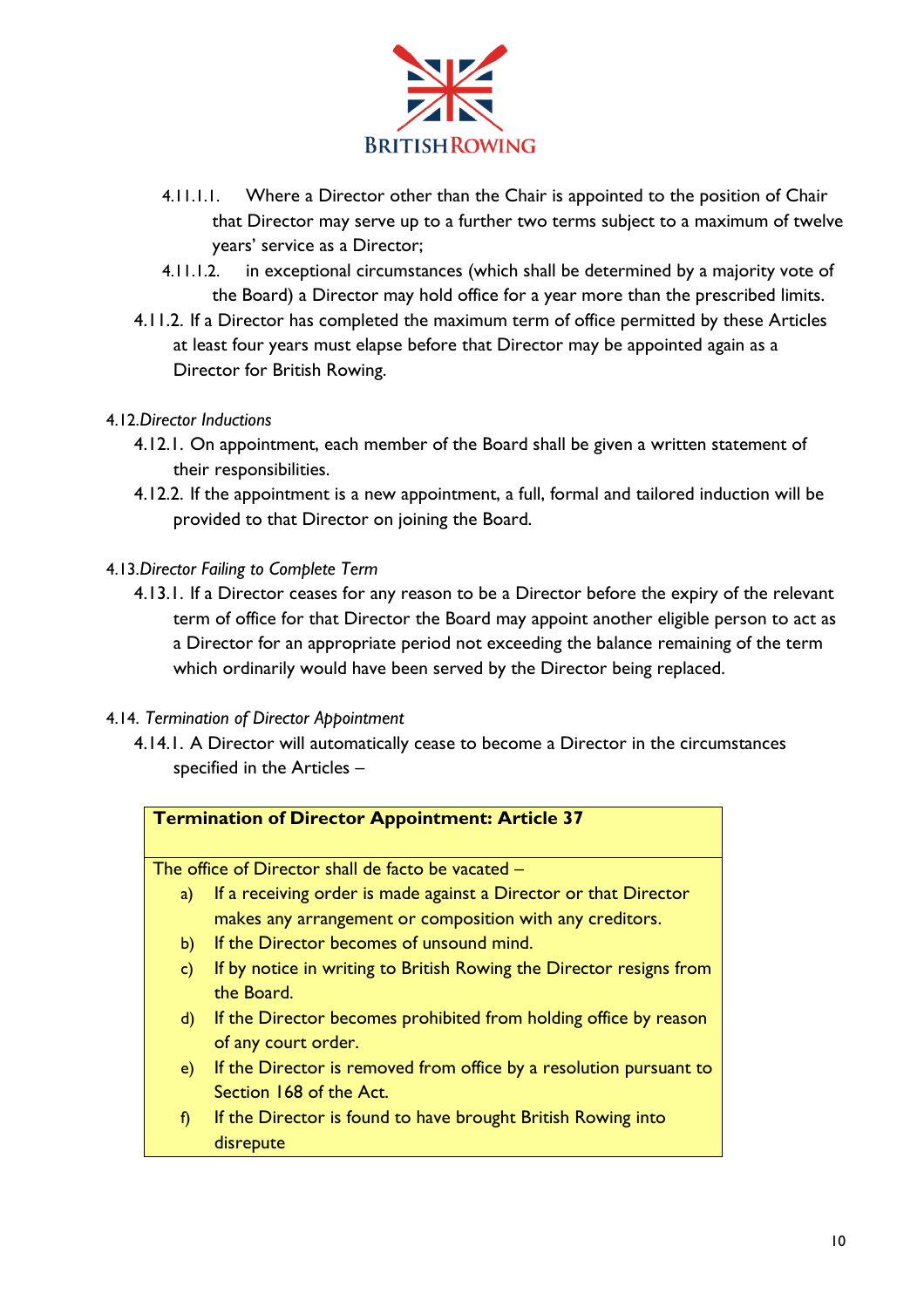

- 4.11.1.1. Where a Director other than the Chair is appointed to the position of Chair that Director may serve up to a further two terms subject to a maximum of twelve years' service as a Director;
- 4.11.1.2. in exceptional circumstances (which shall be determined by a majority vote of the Board) a Director may hold office for a year more than the prescribed limits.
- 4.11.2. If a Director has completed the maximum term of office permitted by these Articles at least four years must elapse before that Director may be appointed again as a Director for British Rowing.

# 4.12.*Director Inductions*

- 4.12.1. On appointment, each member of the Board shall be given a written statement of their responsibilities.
- 4.12.2. If the appointment is a new appointment, a full, formal and tailored induction will be provided to that Director on joining the Board.

#### 4.13.*Director Failing to Complete Term*

4.13.1. If a Director ceases for any reason to be a Director before the expiry of the relevant term of office for that Director the Board may appoint another eligible person to act as a Director for an appropriate period not exceeding the balance remaining of the term which ordinarily would have been served by the Director being replaced.

# 4.14. *Termination of Director Appointment*

4.14.1. A Director will automatically cease to become a Director in the circumstances specified in the Articles –

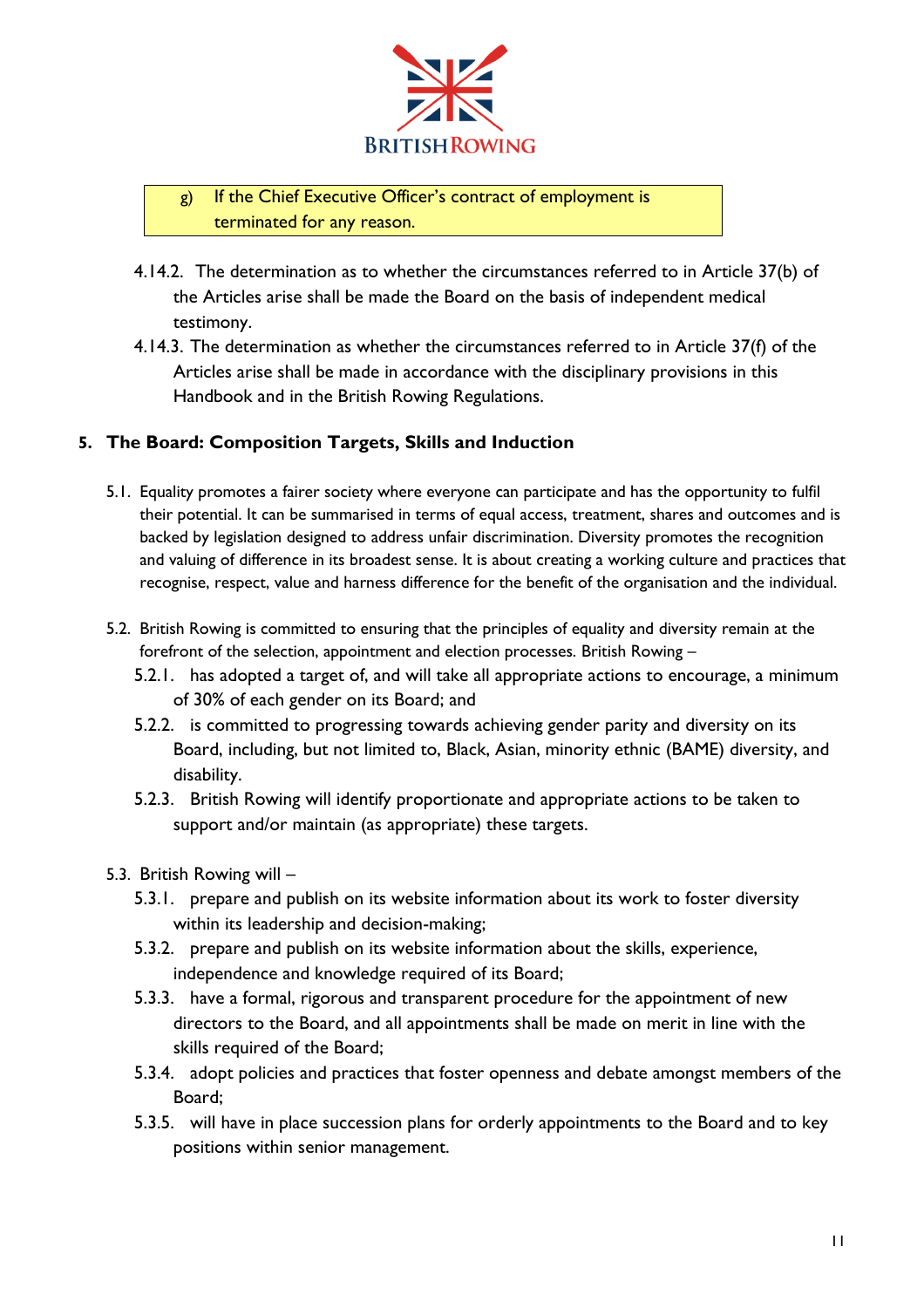

# g) If the Chief Executive Officer's contract of employment is terminated for any reason.

- 4.14.2. The determination as to whether the circumstances referred to in Article 37(b) of the Articles arise shall be made the Board on the basis of independent medical testimony.
- 4.14.3. The determination as whether the circumstances referred to in Article 37(f) of the Articles arise shall be made in accordance with the disciplinary provisions in this Handbook and in the British Rowing Regulations.

# **5. The Board: Composition Targets, Skills and Induction**

- 5.1. Equality promotes a fairer society where everyone can participate and has the opportunity to fulfil their potential. It can be summarised in terms of equal access, treatment, shares and outcomes and is backed by legislation designed to address unfair discrimination. Diversity promotes the recognition and valuing of difference in its broadest sense. It is about creating a working culture and practices that recognise, respect, value and harness difference for the benefit of the organisation and the individual.
- 5.2. British Rowing is committed to ensuring that the principles of equality and diversity remain at the forefront of the selection, appointment and election processes. British Rowing –
	- 5.2.1. has adopted a target of, and will take all appropriate actions to encourage, a minimum of 30% of each gender on its Board; and
	- 5.2.2. is committed to progressing towards achieving gender parity and diversity on its Board, including, but not limited to, Black, Asian, minority ethnic (BAME) diversity, and disability.
	- 5.2.3. British Rowing will identify proportionate and appropriate actions to be taken to support and/or maintain (as appropriate) these targets.
- 5.3. British Rowing will
	- 5.3.1. prepare and publish on its website information about its work to foster diversity within its leadership and decision-making;
	- 5.3.2. prepare and publish on its website information about the skills, experience, independence and knowledge required of its Board;
	- 5.3.3. have a formal, rigorous and transparent procedure for the appointment of new directors to the Board, and all appointments shall be made on merit in line with the skills required of the Board;
	- 5.3.4. adopt policies and practices that foster openness and debate amongst members of the Board;
	- 5.3.5. will have in place succession plans for orderly appointments to the Board and to key positions within senior management.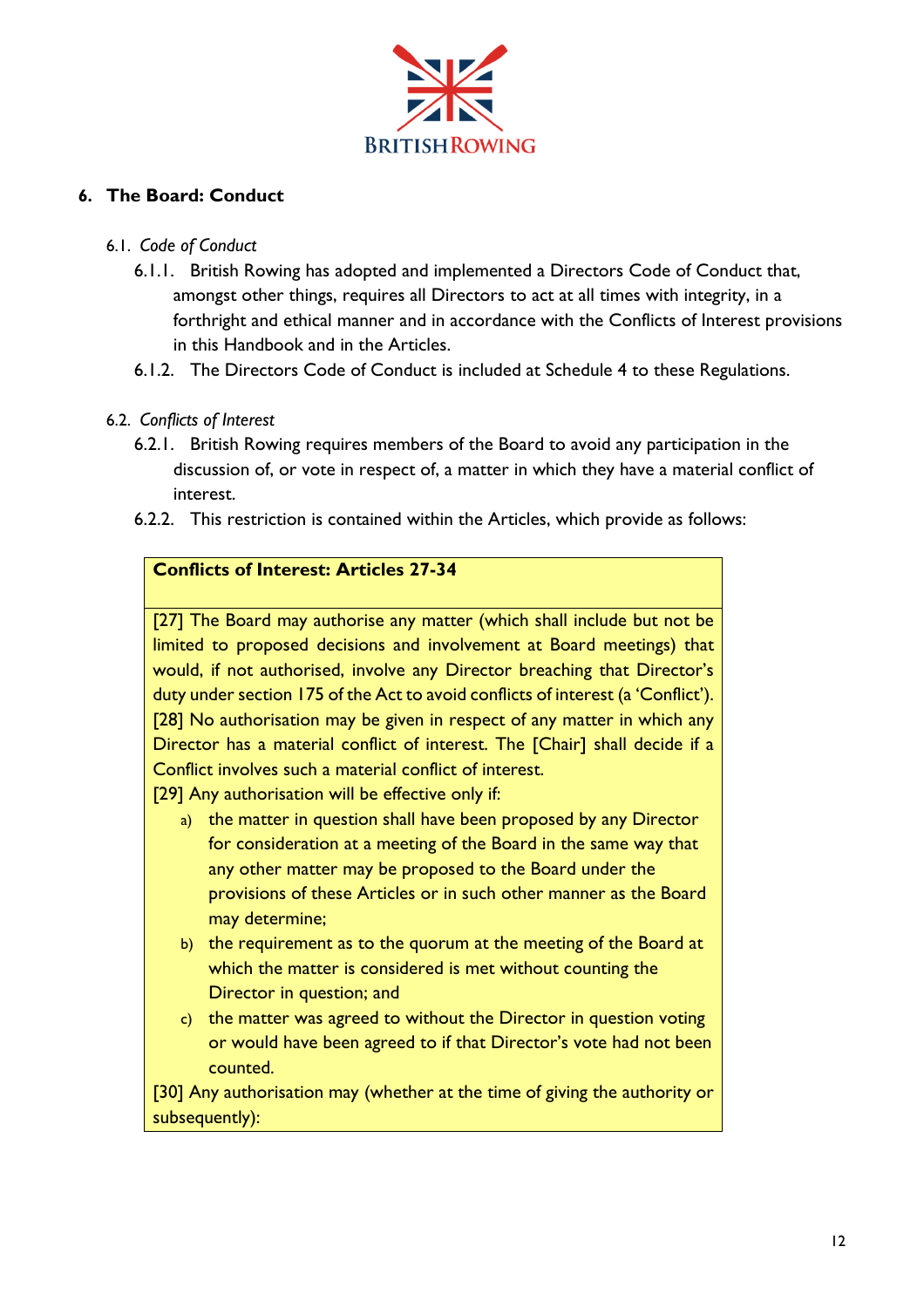

# **6. The Board: Conduct**

# 6.1. *Code of Conduct*

- 6.1.1. British Rowing has adopted and implemented a Directors Code of Conduct that, amongst other things, requires all Directors to act at all times with integrity, in a forthright and ethical manner and in accordance with the Conflicts of Interest provisions in this Handbook and in the Articles.
- 6.1.2. The Directors Code of Conduct is included at Schedule 4 to these Regulations.

# 6.2. *Conflicts of Interest*

- 6.2.1. British Rowing requires members of the Board to avoid any participation in the discussion of, or vote in respect of, a matter in which they have a material conflict of interest.
- 6.2.2. This restriction is contained within the Articles, which provide as follows:

# **Conflicts of Interest: Articles 27-34**

[27] The Board may authorise any matter (which shall include but not be limited to proposed decisions and involvement at Board meetings) that would, if not authorised, involve any Director breaching that Director's duty under section 175 of the Act to avoid conflicts of interest (a 'Conflict'). [28] No authorisation may be given in respect of any matter in which any Director has a material conflict of interest. The [Chair] shall decide if a Conflict involves such a material conflict of interest.

[29] Any authorisation will be effective only if:

- a) the matter in question shall have been proposed by any Director for consideration at a meeting of the Board in the same way that any other matter may be proposed to the Board under the provisions of these Articles or in such other manner as the Board may determine;
- b) the requirement as to the quorum at the meeting of the Board at which the matter is considered is met without counting the Director in question; and
- c) the matter was agreed to without the Director in question voting or would have been agreed to if that Director's vote had not been counted.

[30] Any authorisation may (whether at the time of giving the authority or subsequently):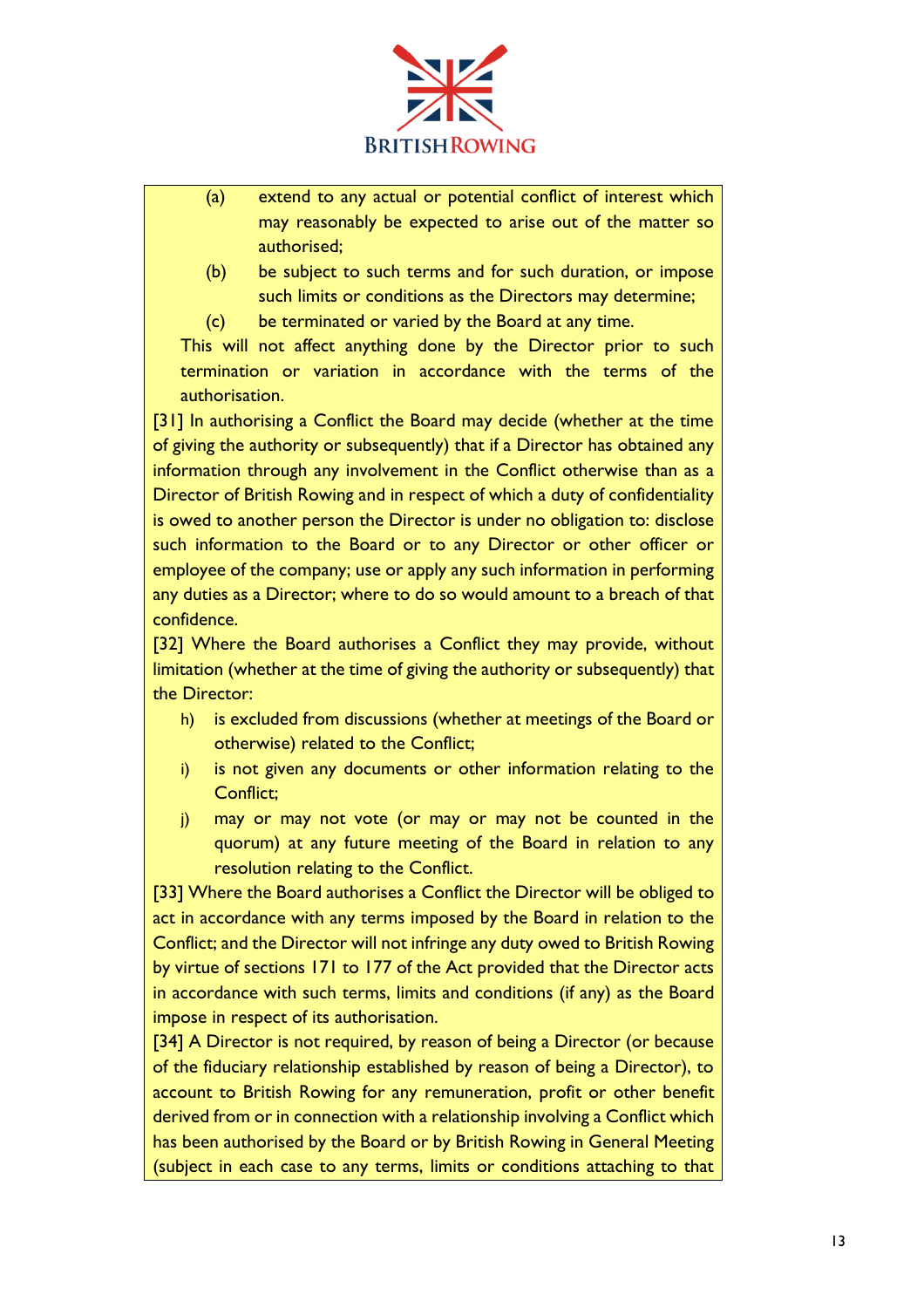

- (a) extend to any actual or potential conflict of interest which may reasonably be expected to arise out of the matter so authorised;
- (b) be subject to such terms and for such duration, or impose such limits or conditions as the Directors may determine;
- (c) be terminated or varied by the Board at any time.

This will not affect anything done by the Director prior to such termination or variation in accordance with the terms of the authorisation.

[31] In authorising a Conflict the Board may decide (whether at the time of giving the authority or subsequently) that if a Director has obtained any information through any involvement in the Conflict otherwise than as a Director of British Rowing and in respect of which a duty of confidentiality is owed to another person the Director is under no obligation to: disclose such information to the Board or to any Director or other officer or employee of the company; use or apply any such information in performing any duties as a Director; where to do so would amount to a breach of that confidence.

[32] Where the Board authorises a Conflict they may provide, without limitation (whether at the time of giving the authority or subsequently) that the Director:

- h) is excluded from discussions (whether at meetings of the Board or otherwise) related to the Conflict;
- i) is not given any documents or other information relating to the Conflict;
- j) may or may not vote (or may or may not be counted in the quorum) at any future meeting of the Board in relation to any resolution relating to the Conflict.

[33] Where the Board authorises a Conflict the Director will be obliged to act in accordance with any terms imposed by the Board in relation to the Conflict; and the Director will not infringe any duty owed to British Rowing by virtue of sections 171 to 177 of the Act provided that the Director acts in accordance with such terms, limits and conditions (if any) as the Board impose in respect of its authorisation.

[34] A Director is not required, by reason of being a Director (or because of the fiduciary relationship established by reason of being a Director), to account to British Rowing for any remuneration, profit or other benefit derived from or in connection with a relationship involving a Conflict which has been authorised by the Board or by British Rowing in General Meeting (subject in each case to any terms, limits or conditions attaching to that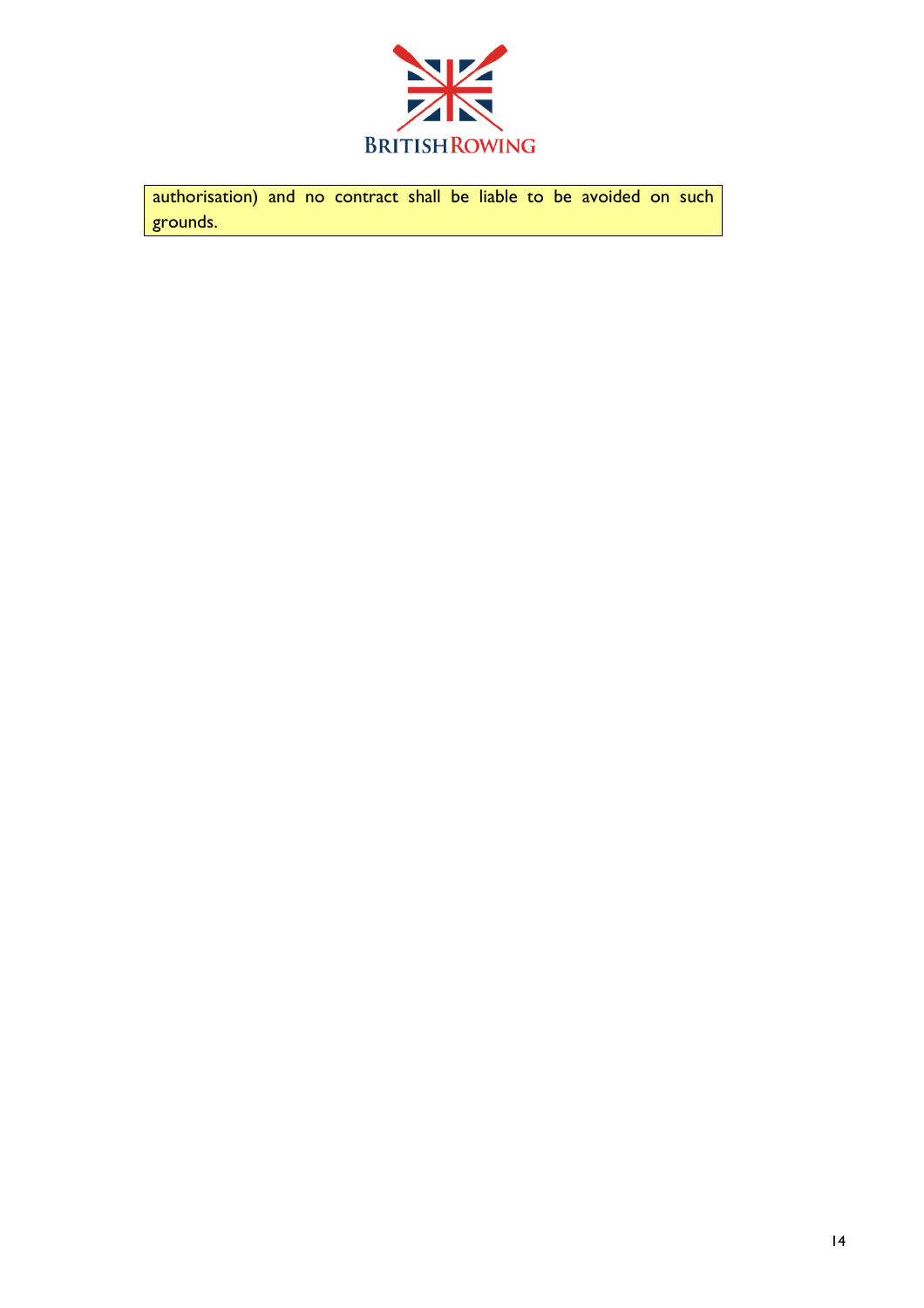

authorisation) and no contract shall be liable to be avoided on such grounds.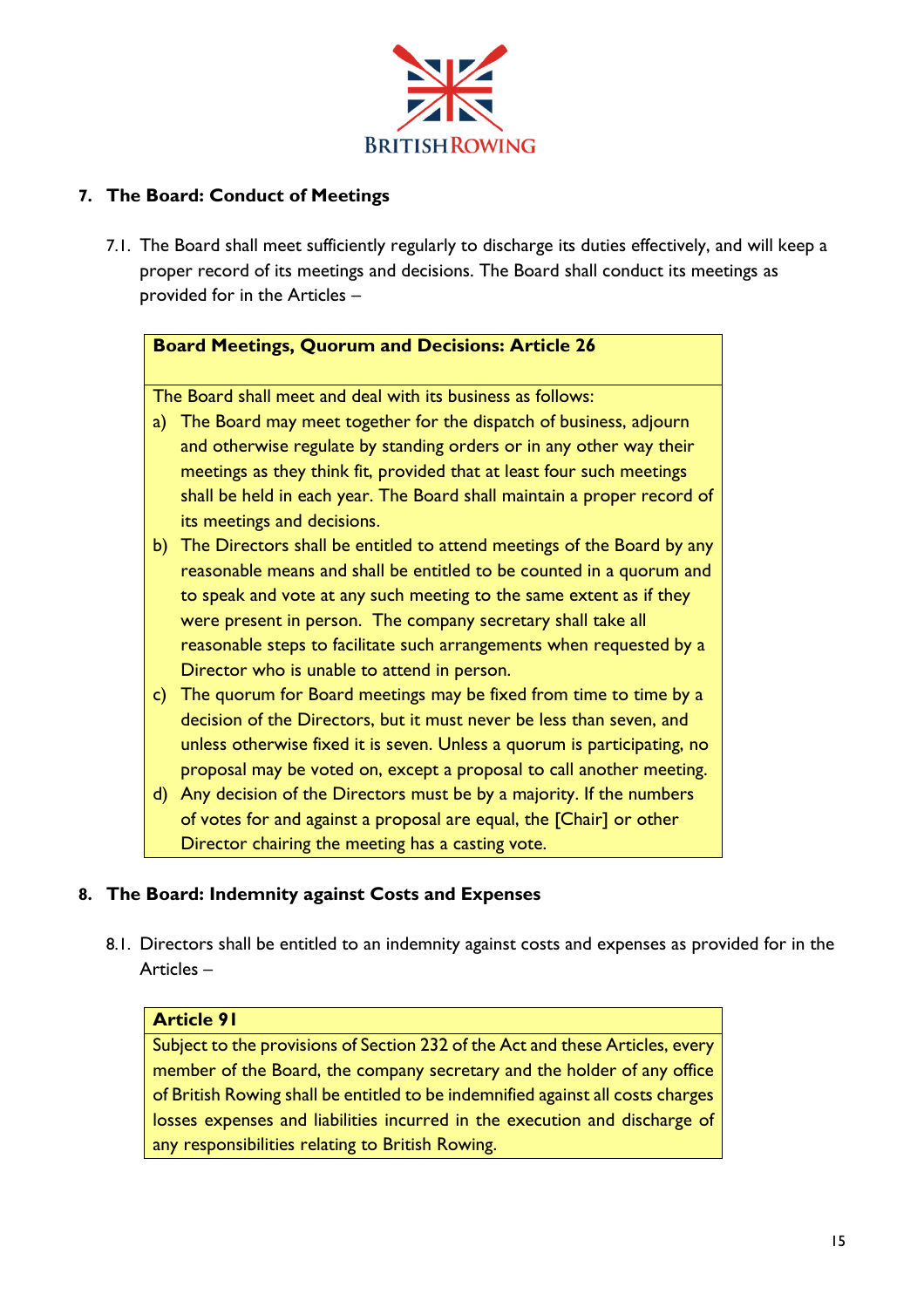

# **7. The Board: Conduct of Meetings**

7.1. The Board shall meet sufficiently regularly to discharge its duties effectively, and will keep a proper record of its meetings and decisions. The Board shall conduct its meetings as provided for in the Articles –

# **Board Meetings, Quorum and Decisions: Article 26**

The Board shall meet and deal with its business as follows:

- a) The Board may meet together for the dispatch of business, adjourn and otherwise regulate by standing orders or in any other way their meetings as they think fit, provided that at least four such meetings shall be held in each year. The Board shall maintain a proper record of its meetings and decisions.
- b) The Directors shall be entitled to attend meetings of the Board by any reasonable means and shall be entitled to be counted in a quorum and to speak and vote at any such meeting to the same extent as if they were present in person. The company secretary shall take all reasonable steps to facilitate such arrangements when requested by a Director who is unable to attend in person.
- c) The quorum for Board meetings may be fixed from time to time by a decision of the Directors, but it must never be less than seven, and unless otherwise fixed it is seven. Unless a quorum is participating, no proposal may be voted on, except a proposal to call another meeting.
- d) Any decision of the Directors must be by a majority. If the numbers of votes for and against a proposal are equal, the [Chair] or other Director chairing the meeting has a casting vote.

# **8. The Board: Indemnity against Costs and Expenses**

8.1. Directors shall be entitled to an indemnity against costs and expenses as provided for in the Articles –

# **Article 91**

Subject to the provisions of Section 232 of the Act and these Articles, every member of the Board, the company secretary and the holder of any office of British Rowing shall be entitled to be indemnified against all costs charges losses expenses and liabilities incurred in the execution and discharge of any responsibilities relating to British Rowing.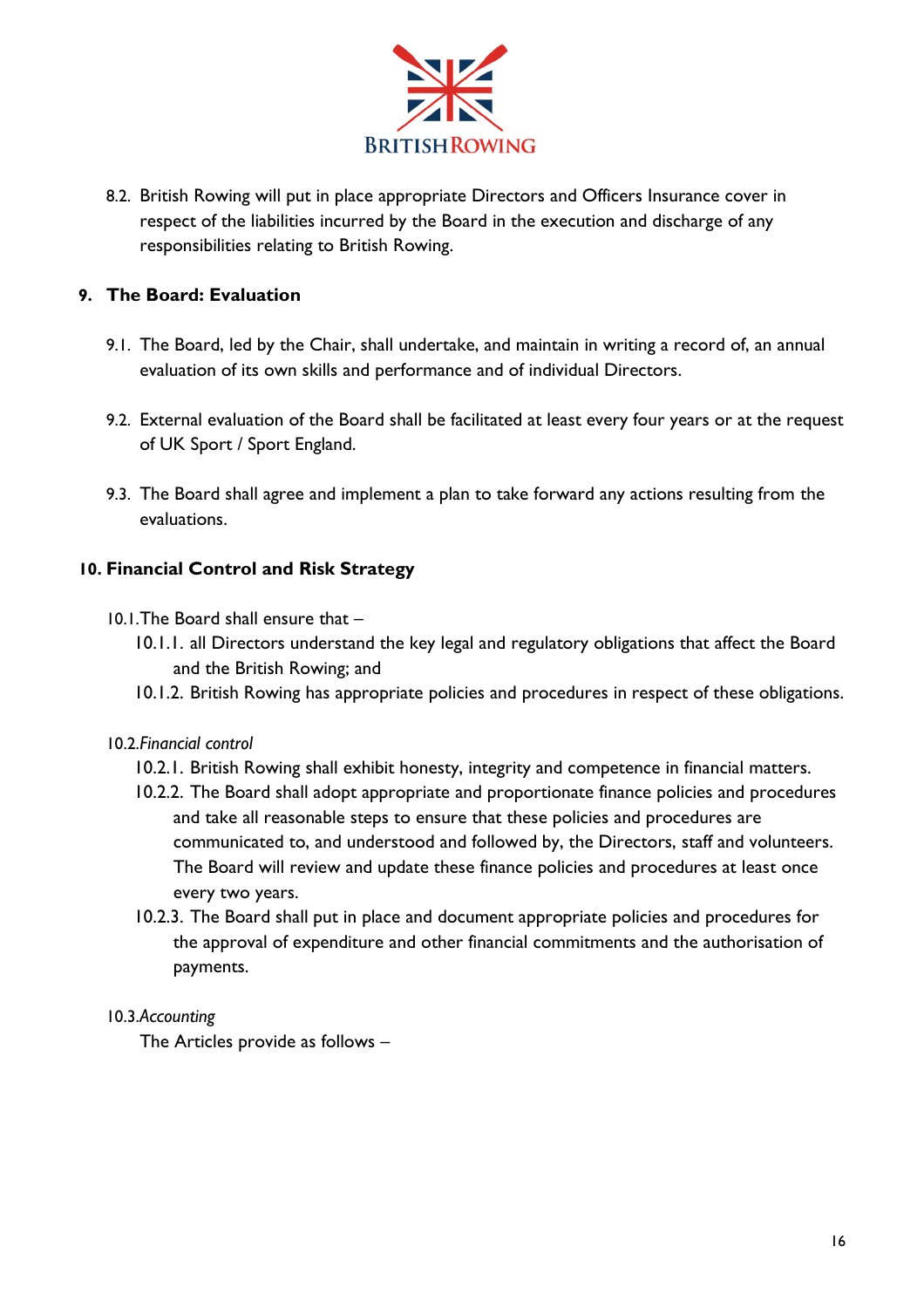

8.2. British Rowing will put in place appropriate Directors and Officers Insurance cover in respect of the liabilities incurred by the Board in the execution and discharge of any responsibilities relating to British Rowing.

# **9. The Board: Evaluation**

- 9.1. The Board, led by the Chair, shall undertake, and maintain in writing a record of, an annual evaluation of its own skills and performance and of individual Directors.
- 9.2. External evaluation of the Board shall be facilitated at least every four years or at the request of UK Sport / Sport England.
- 9.3. The Board shall agree and implement a plan to take forward any actions resulting from the evaluations.

# **10. Financial Control and Risk Strategy**

- 10.1.The Board shall ensure that
	- 10.1.1. all Directors understand the key legal and regulatory obligations that affect the Board and the British Rowing; and
	- 10.1.2. British Rowing has appropriate policies and procedures in respect of these obligations.

# 10.2.*Financial control*

- 10.2.1. British Rowing shall exhibit honesty, integrity and competence in financial matters.
- 10.2.2. The Board shall adopt appropriate and proportionate finance policies and procedures and take all reasonable steps to ensure that these policies and procedures are communicated to, and understood and followed by, the Directors, staff and volunteers. The Board will review and update these finance policies and procedures at least once every two years.
- 10.2.3. The Board shall put in place and document appropriate policies and procedures for the approval of expenditure and other financial commitments and the authorisation of payments.

# 10.3.*Accounting*

The Articles provide as follows –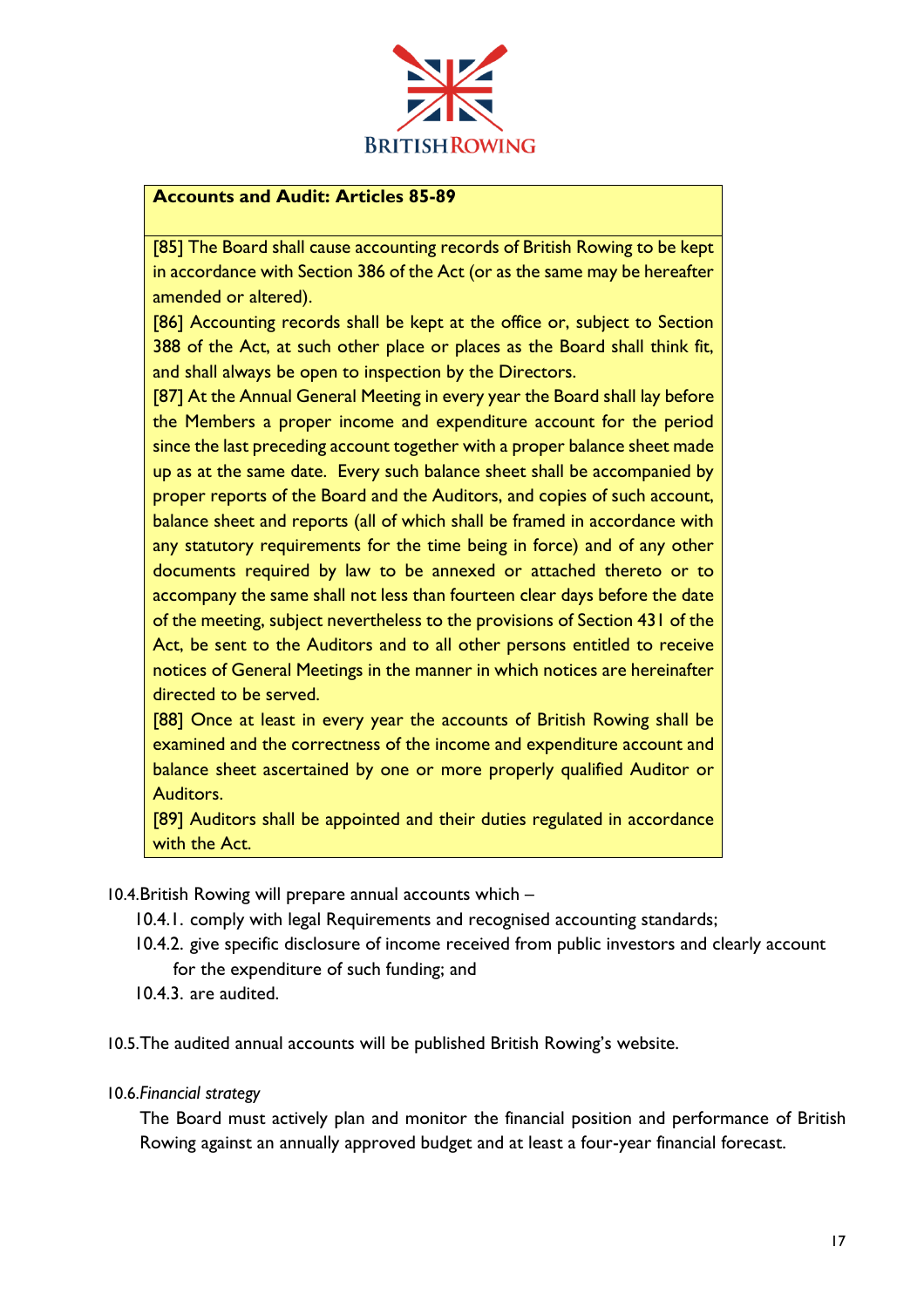

# **Accounts and Audit: Articles 85-89**

[85] The Board shall cause accounting records of British Rowing to be kept in accordance with Section 386 of the Act (or as the same may be hereafter amended or altered).

[86] Accounting records shall be kept at the office or, subject to Section 388 of the Act, at such other place or places as the Board shall think fit, and shall always be open to inspection by the Directors.

[87] At the Annual General Meeting in every year the Board shall lay before the Members a proper income and expenditure account for the period since the last preceding account together with a proper balance sheet made up as at the same date. Every such balance sheet shall be accompanied by proper reports of the Board and the Auditors, and copies of such account, balance sheet and reports (all of which shall be framed in accordance with any statutory requirements for the time being in force) and of any other documents required by law to be annexed or attached thereto or to accompany the same shall not less than fourteen clear days before the date of the meeting, subject nevertheless to the provisions of Section 431 of the Act, be sent to the Auditors and to all other persons entitled to receive notices of General Meetings in the manner in which notices are hereinafter directed to be served.

[88] Once at least in every year the accounts of British Rowing shall be examined and the correctness of the income and expenditure account and balance sheet ascertained by one or more properly qualified Auditor or Auditors.

[89] Auditors shall be appointed and their duties regulated in accordance with the Act.

10.4.British Rowing will prepare annual accounts which –

- 10.4.1. comply with legal Requirements and recognised accounting standards;
- 10.4.2. give specific disclosure of income received from public investors and clearly account for the expenditure of such funding; and
- 10.4.3. are audited.

10.5.The audited annual accounts will be published British Rowing's website.

10.6.*Financial strategy*

The Board must actively plan and monitor the financial position and performance of British Rowing against an annually approved budget and at least a four-year financial forecast.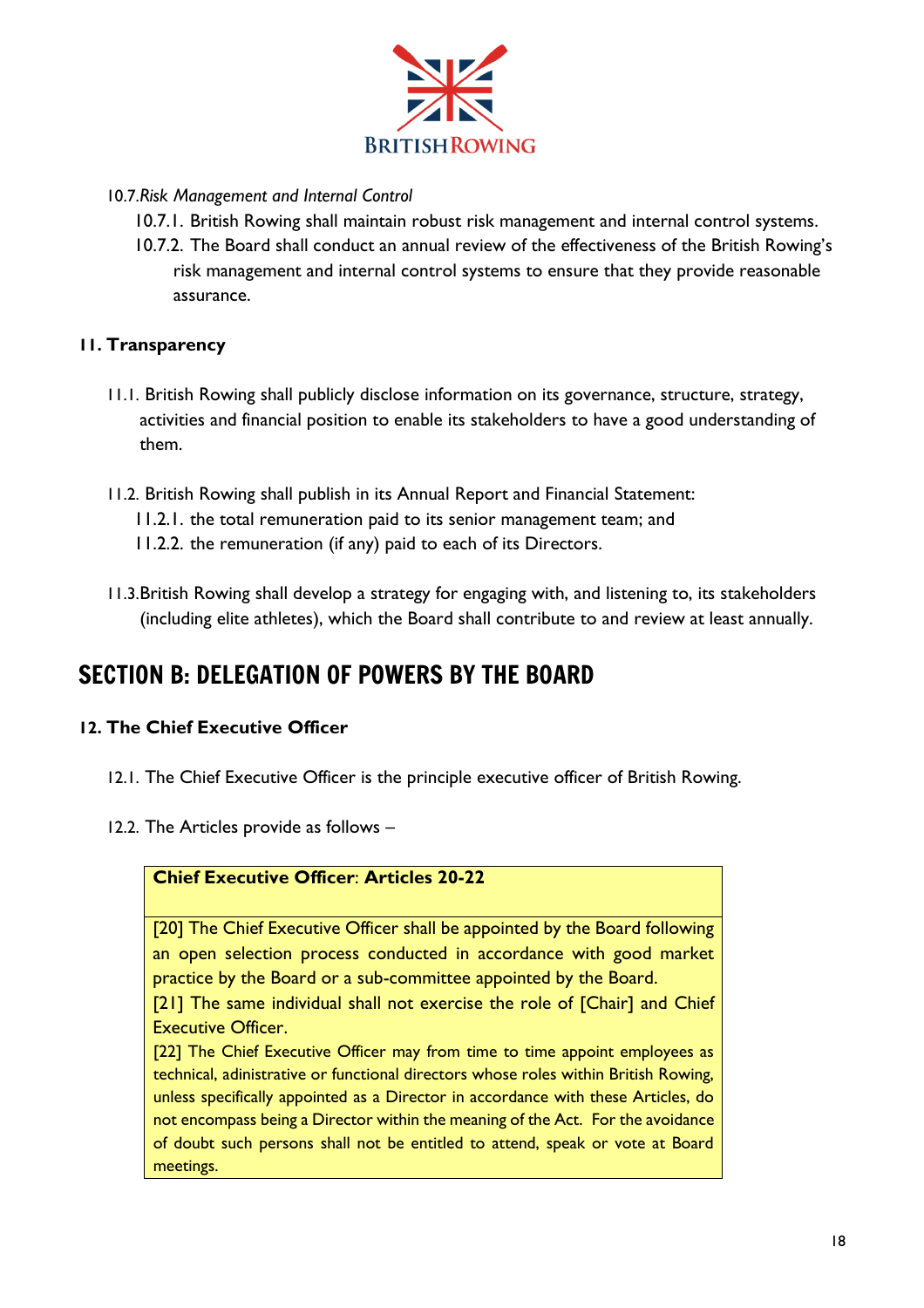

# 10.7.*Risk Management and Internal Control*

- 10.7.1. British Rowing shall maintain robust risk management and internal control systems.
- 10.7.2. The Board shall conduct an annual review of the effectiveness of the British Rowing's risk management and internal control systems to ensure that they provide reasonable assurance.

# **11. Transparency**

- 11.1. British Rowing shall publicly disclose information on its governance, structure, strategy, activities and financial position to enable its stakeholders to have a good understanding of them.
- 11.2. British Rowing shall publish in its Annual Report and Financial Statement:
	- 11.2.1. the total remuneration paid to its senior management team; and
	- 11.2.2. the remuneration (if any) paid to each of its Directors.
- 11.3.British Rowing shall develop a strategy for engaging with, and listening to, its stakeholders (including elite athletes), which the Board shall contribute to and review at least annually.

# <span id="page-18-0"></span>SECTION B: DELEGATION OF POWERS BY THE BOARD

# **12. The Chief Executive Officer**

- 12.1. The Chief Executive Officer is the principle executive officer of British Rowing.
- 12.2. The Articles provide as follows –



[20] The Chief Executive Officer shall be appointed by the Board following an open selection process conducted in accordance with good market practice by the Board or a sub-committee appointed by the Board.

[21] The same individual shall not exercise the role of [Chair] and Chief Executive Officer.

[22] The Chief Executive Officer may from time to time appoint employees as technical, adinistrative or functional directors whose roles within British Rowing, unless specifically appointed as a Director in accordance with these Articles, do not encompass being a Director within the meaning of the Act. For the avoidance of doubt such persons shall not be entitled to attend, speak or vote at Board meetings.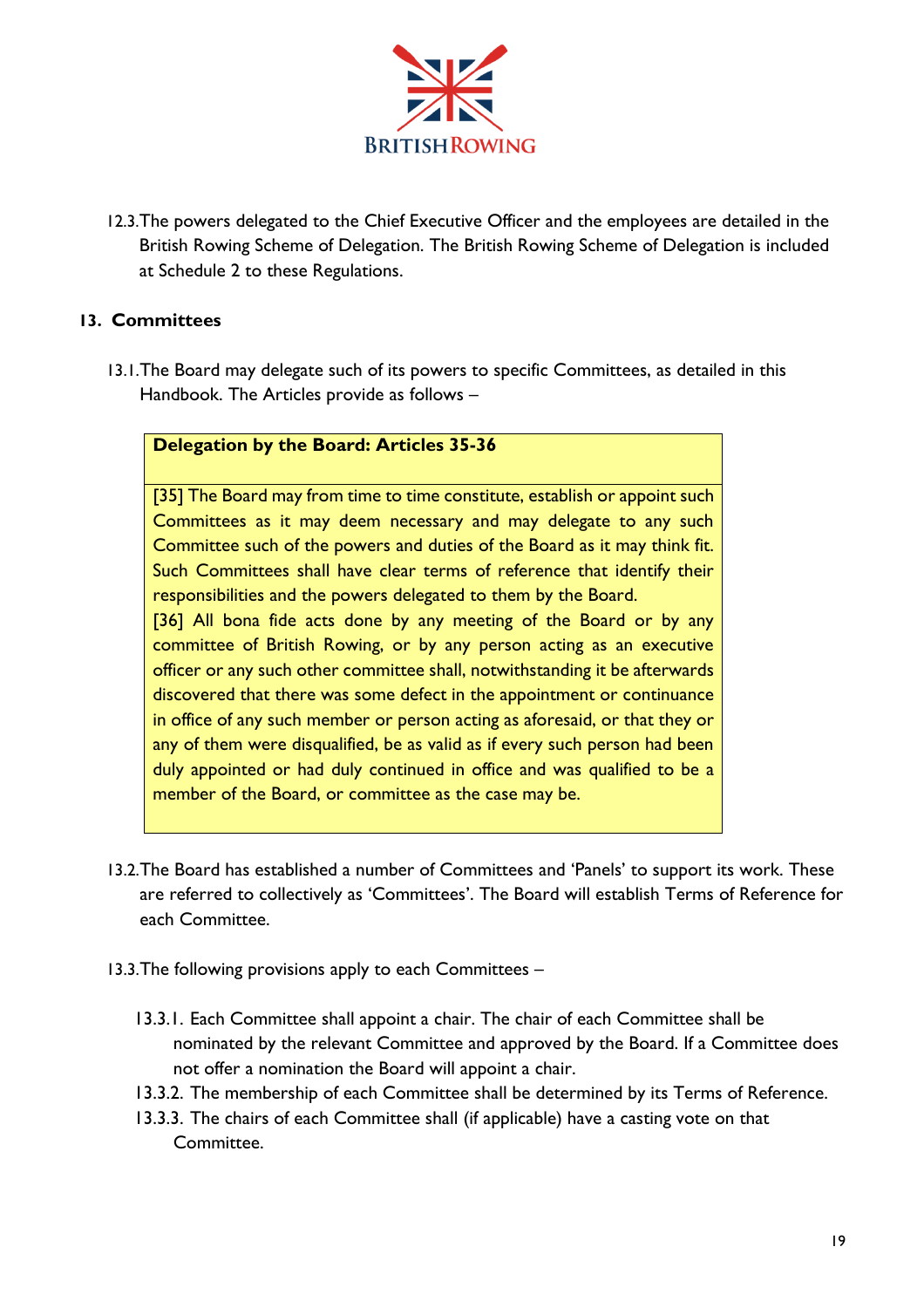

12.3.The powers delegated to the Chief Executive Officer and the employees are detailed in the British Rowing Scheme of Delegation. The British Rowing Scheme of Delegation is included at Schedule 2 to these Regulations.

# **13. Committees**

13.1.The Board may delegate such of its powers to specific Committees, as detailed in this Handbook. The Articles provide as follows –

# **Delegation by the Board: Articles 35-36**

[35] The Board may from time to time constitute, establish or appoint such Committees as it may deem necessary and may delegate to any such Committee such of the powers and duties of the Board as it may think fit. Such Committees shall have clear terms of reference that identify their responsibilities and the powers delegated to them by the Board. [36] All bona fide acts done by any meeting of the Board or by any committee of British Rowing, or by any person acting as an executive officer or any such other committee shall, notwithstanding it be afterwards discovered that there was some defect in the appointment or continuance in office of any such member or person acting as aforesaid, or that they or any of them were disqualified, be as valid as if every such person had been duly appointed or had duly continued in office and was qualified to be a

member of the Board, or committee as the case may be.

- 13.2.The Board has established a number of Committees and 'Panels' to support its work. These are referred to collectively as 'Committees'. The Board will establish Terms of Reference for each Committee.
- 13.3.The following provisions apply to each Committees
	- 13.3.1. Each Committee shall appoint a chair. The chair of each Committee shall be nominated by the relevant Committee and approved by the Board. If a Committee does not offer a nomination the Board will appoint a chair.
	- 13.3.2. The membership of each Committee shall be determined by its Terms of Reference.
	- 13.3.3. The chairs of each Committee shall (if applicable) have a casting vote on that Committee.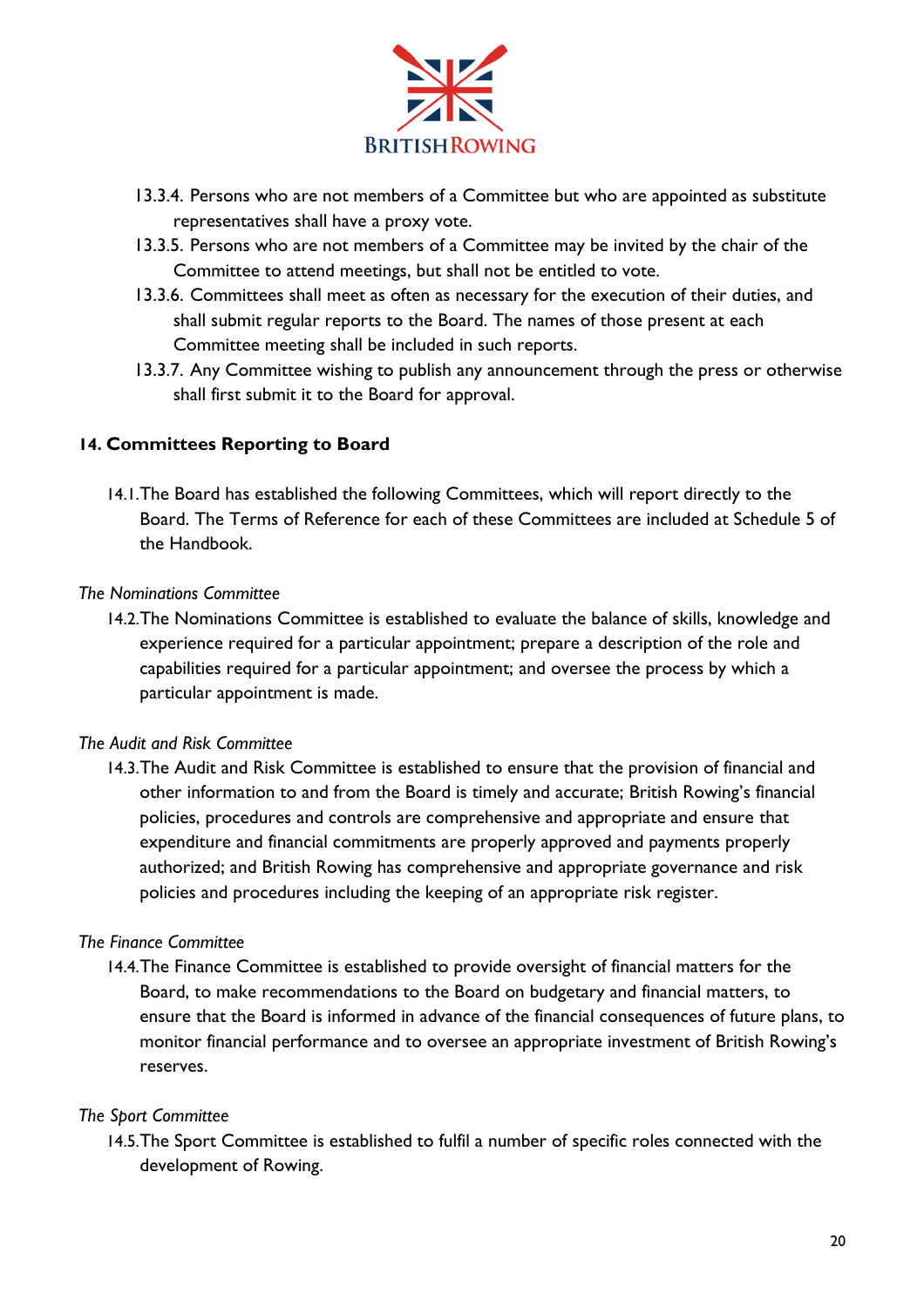

- 13.3.4. Persons who are not members of a Committee but who are appointed as substitute representatives shall have a proxy vote.
- 13.3.5. Persons who are not members of a Committee may be invited by the chair of the Committee to attend meetings, but shall not be entitled to vote.
- 13.3.6. Committees shall meet as often as necessary for the execution of their duties, and shall submit regular reports to the Board. The names of those present at each Committee meeting shall be included in such reports.
- 13.3.7. Any Committee wishing to publish any announcement through the press or otherwise shall first submit it to the Board for approval.

# **14. Committees Reporting to Board**

14.1.The Board has established the following Committees, which will report directly to the Board. The Terms of Reference for each of these Committees are included at Schedule 5 of the Handbook.

#### *The Nominations Committee*

14.2.The Nominations Committee is established to evaluate the balance of skills, knowledge and experience required for a particular appointment; prepare a description of the role and capabilities required for a particular appointment; and oversee the process by which a particular appointment is made.

# *The Audit and Risk Committee*

14.3.The Audit and Risk Committee is established to ensure that the provision of financial and other information to and from the Board is timely and accurate; British Rowing's financial policies, procedures and controls are comprehensive and appropriate and ensure that expenditure and financial commitments are properly approved and payments properly authorized; and British Rowing has comprehensive and appropriate governance and risk policies and procedures including the keeping of an appropriate risk register.

# *The Finance Committee*

14.4.The Finance Committee is established to provide oversight of financial matters for the Board, to make recommendations to the Board on budgetary and financial matters, to ensure that the Board is informed in advance of the financial consequences of future plans, to monitor financial performance and to oversee an appropriate investment of British Rowing's reserves.

# *The Sport Committee*

14.5.The Sport Committee is established to fulfil a number of specific roles connected with the development of Rowing.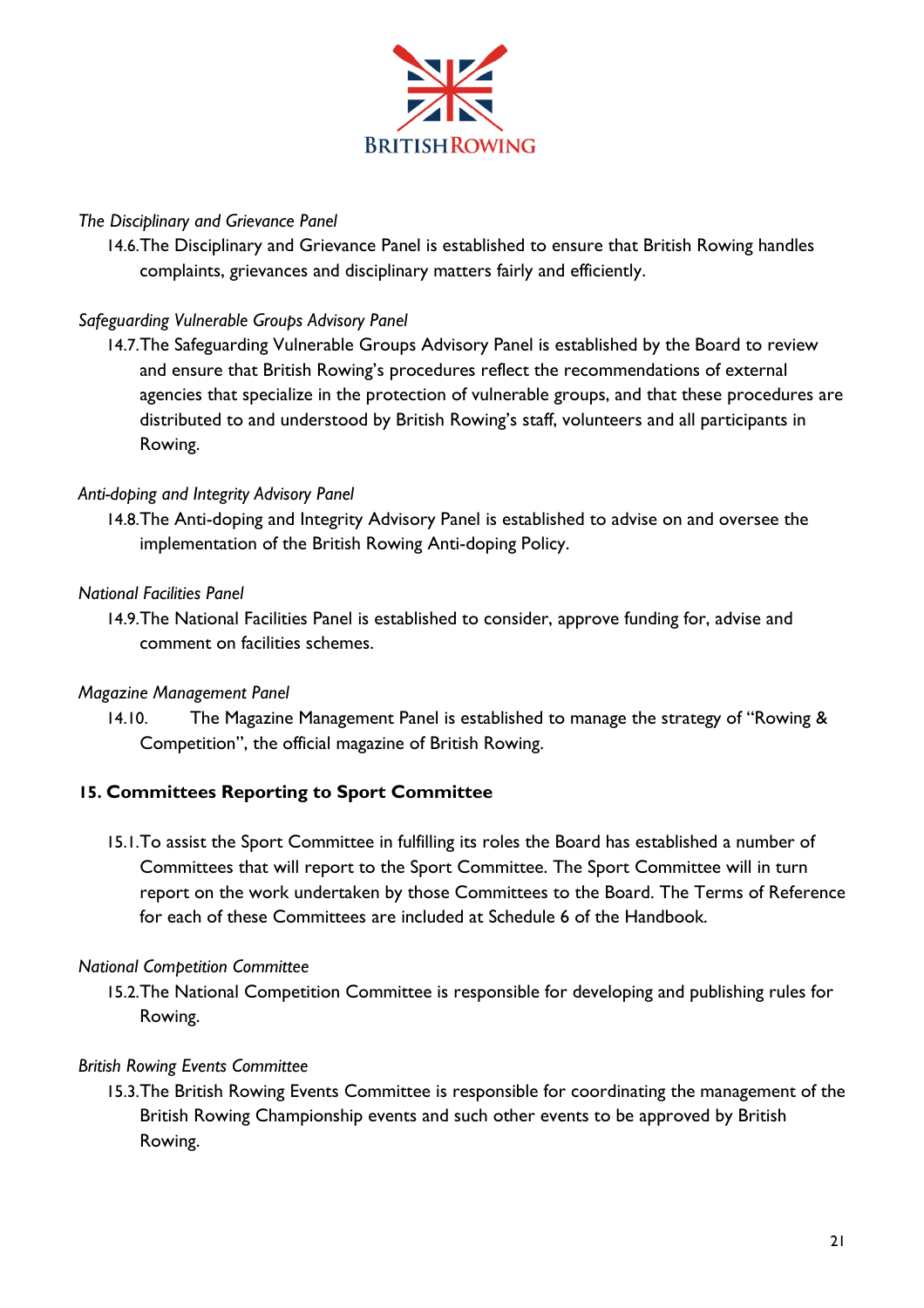

# *The Disciplinary and Grievance Panel*

14.6.The Disciplinary and Grievance Panel is established to ensure that British Rowing handles complaints, grievances and disciplinary matters fairly and efficiently.

# *Safeguarding Vulnerable Groups Advisory Panel*

14.7.The Safeguarding Vulnerable Groups Advisory Panel is established by the Board to review and ensure that British Rowing's procedures reflect the recommendations of external agencies that specialize in the protection of vulnerable groups, and that these procedures are distributed to and understood by British Rowing's staff, volunteers and all participants in Rowing.

#### *Anti-doping and Integrity Advisory Panel*

14.8.The Anti-doping and Integrity Advisory Panel is established to advise on and oversee the implementation of the British Rowing Anti-doping Policy.

#### *National Facilities Panel*

14.9.The National Facilities Panel is established to consider, approve funding for, advise and comment on facilities schemes.

#### *Magazine Management Panel*

14.10. The Magazine Management Panel is established to manage the strategy of "Rowing & Competition", the official magazine of British Rowing.

# **15. Committees Reporting to Sport Committee**

15.1.To assist the Sport Committee in fulfilling its roles the Board has established a number of Committees that will report to the Sport Committee. The Sport Committee will in turn report on the work undertaken by those Committees to the Board. The Terms of Reference for each of these Committees are included at Schedule 6 of the Handbook.

#### *National Competition Committee*

15.2.The National Competition Committee is responsible for developing and publishing rules for Rowing.

#### *British Rowing Events Committee*

15.3.The British Rowing Events Committee is responsible for coordinating the management of the British Rowing Championship events and such other events to be approved by British Rowing.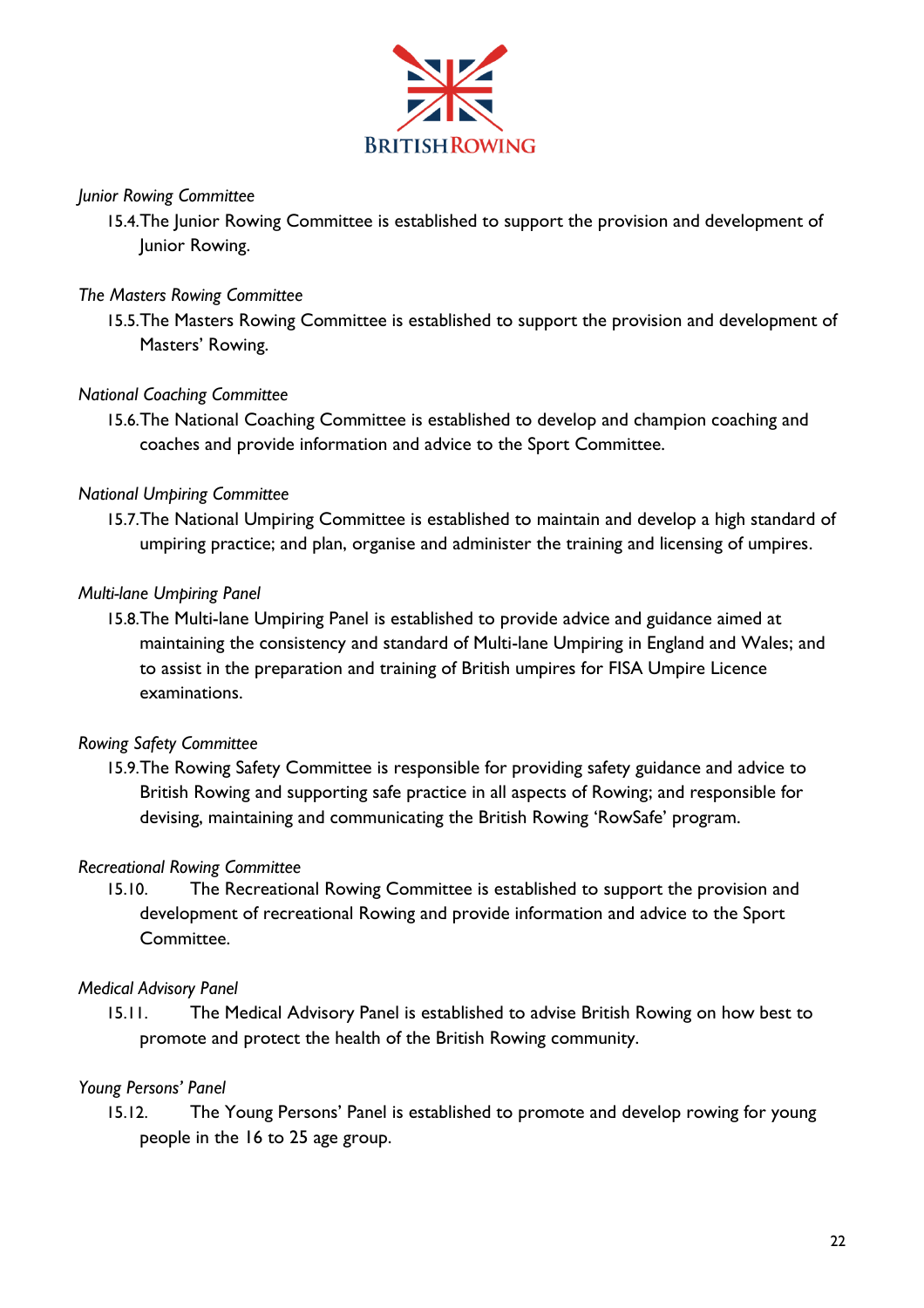

# *Junior Rowing Committee*

15.4.The Junior Rowing Committee is established to support the provision and development of Junior Rowing.

# *The Masters Rowing Committee*

15.5.The Masters Rowing Committee is established to support the provision and development of Masters' Rowing.

#### *National Coaching Committee*

15.6.The National Coaching Committee is established to develop and champion coaching and coaches and provide information and advice to the Sport Committee.

#### *National Umpiring Committee*

15.7.The National Umpiring Committee is established to maintain and develop a high standard of umpiring practice; and plan, organise and administer the training and licensing of umpires.

#### *Multi-lane Umpiring Panel*

15.8.The Multi-lane Umpiring Panel is established to provide advice and guidance aimed at maintaining the consistency and standard of Multi-lane Umpiring in England and Wales; and to assist in the preparation and training of British umpires for FISA Umpire Licence examinations.

# *Rowing Safety Committee*

15.9.The Rowing Safety Committee is responsible for providing safety guidance and advice to British Rowing and supporting safe practice in all aspects of Rowing; and responsible for devising, maintaining and communicating the British Rowing 'RowSafe' program.

#### *Recreational Rowing Committee*

15.10. The Recreational Rowing Committee is established to support the provision and development of recreational Rowing and provide information and advice to the Sport Committee.

#### *Medical Advisory Panel*

15.11. The Medical Advisory Panel is established to advise British Rowing on how best to promote and protect the health of the British Rowing community.

#### *Young Persons' Panel*

15.12. The Young Persons' Panel is established to promote and develop rowing for young people in the 16 to 25 age group.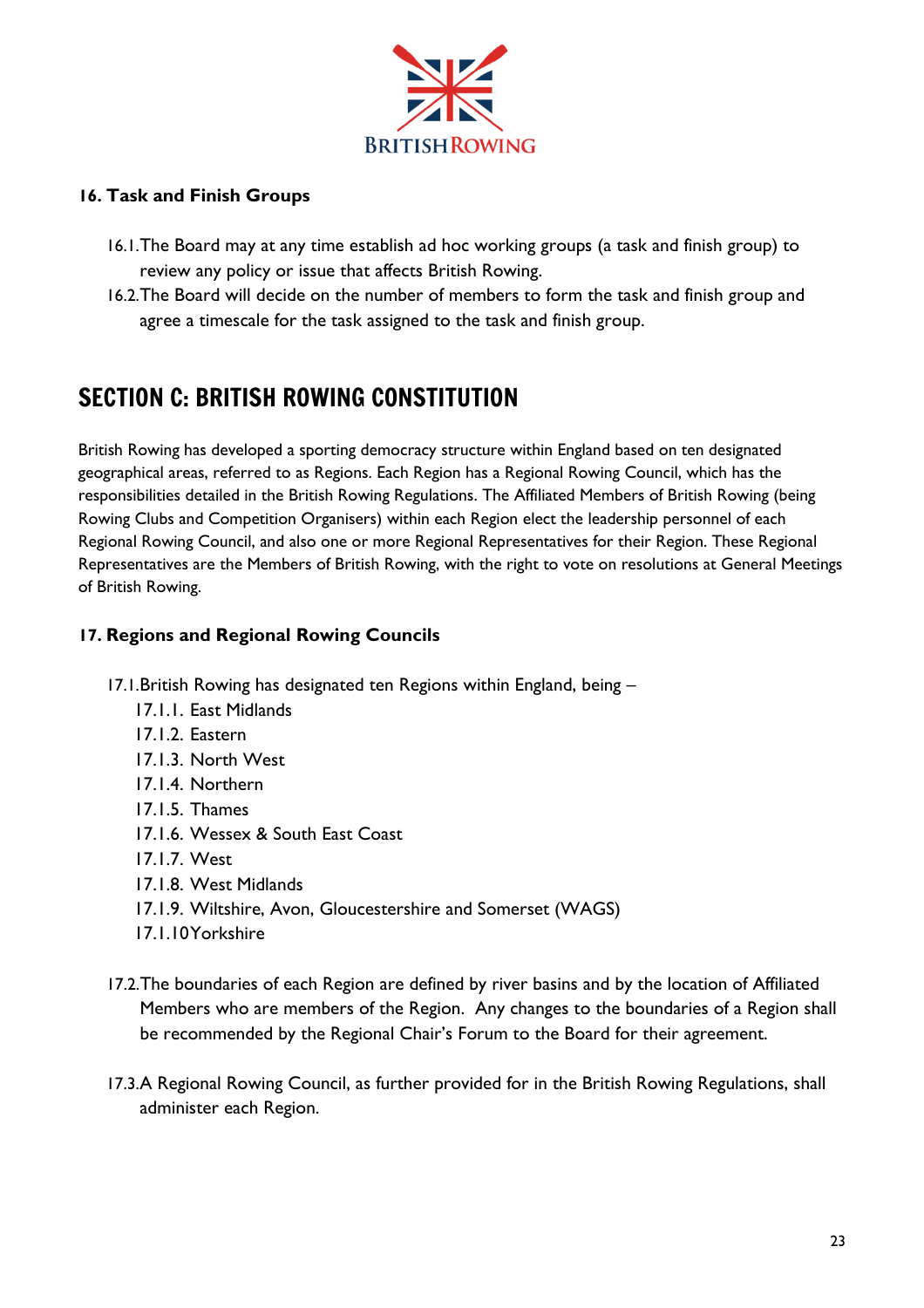

# **16. Task and Finish Groups**

- 16.1.The Board may at any time establish ad hoc working groups (a task and finish group) to review any policy or issue that affects British Rowing.
- 16.2.The Board will decide on the number of members to form the task and finish group and agree a timescale for the task assigned to the task and finish group.

# <span id="page-23-0"></span>SECTION C: BRITISH ROWING CONSTITUTION

British Rowing has developed a sporting democracy structure within England based on ten designated geographical areas, referred to as Regions. Each Region has a Regional Rowing Council, which has the responsibilities detailed in the British Rowing Regulations. The Affiliated Members of British Rowing (being Rowing Clubs and Competition Organisers) within each Region elect the leadership personnel of each Regional Rowing Council, and also one or more Regional Representatives for their Region. These Regional Representatives are the Members of British Rowing, with the right to vote on resolutions at General Meetings of British Rowing.

# **17. Regions and Regional Rowing Councils**

- 17.1.British Rowing has designated ten Regions within England, being
	- 17.1.1. East Midlands
	- 17.1.2. Eastern
	- 17.1.3. North West
	- 17.1.4. Northern
	- 17.1.5. Thames
	- 17.1.6. Wessex & South East Coast
	- 17.1.7. West
	- 17.1.8. West Midlands
	- 17.1.9. Wiltshire, Avon, Gloucestershire and Somerset (WAGS)
	- 17.1.10Yorkshire
- 17.2.The boundaries of each Region are defined by river basins and by the location of Affiliated Members who are members of the Region. Any changes to the boundaries of a Region shall be recommended by the Regional Chair's Forum to the Board for their agreement.
- 17.3.A Regional Rowing Council, as further provided for in the British Rowing Regulations, shall administer each Region.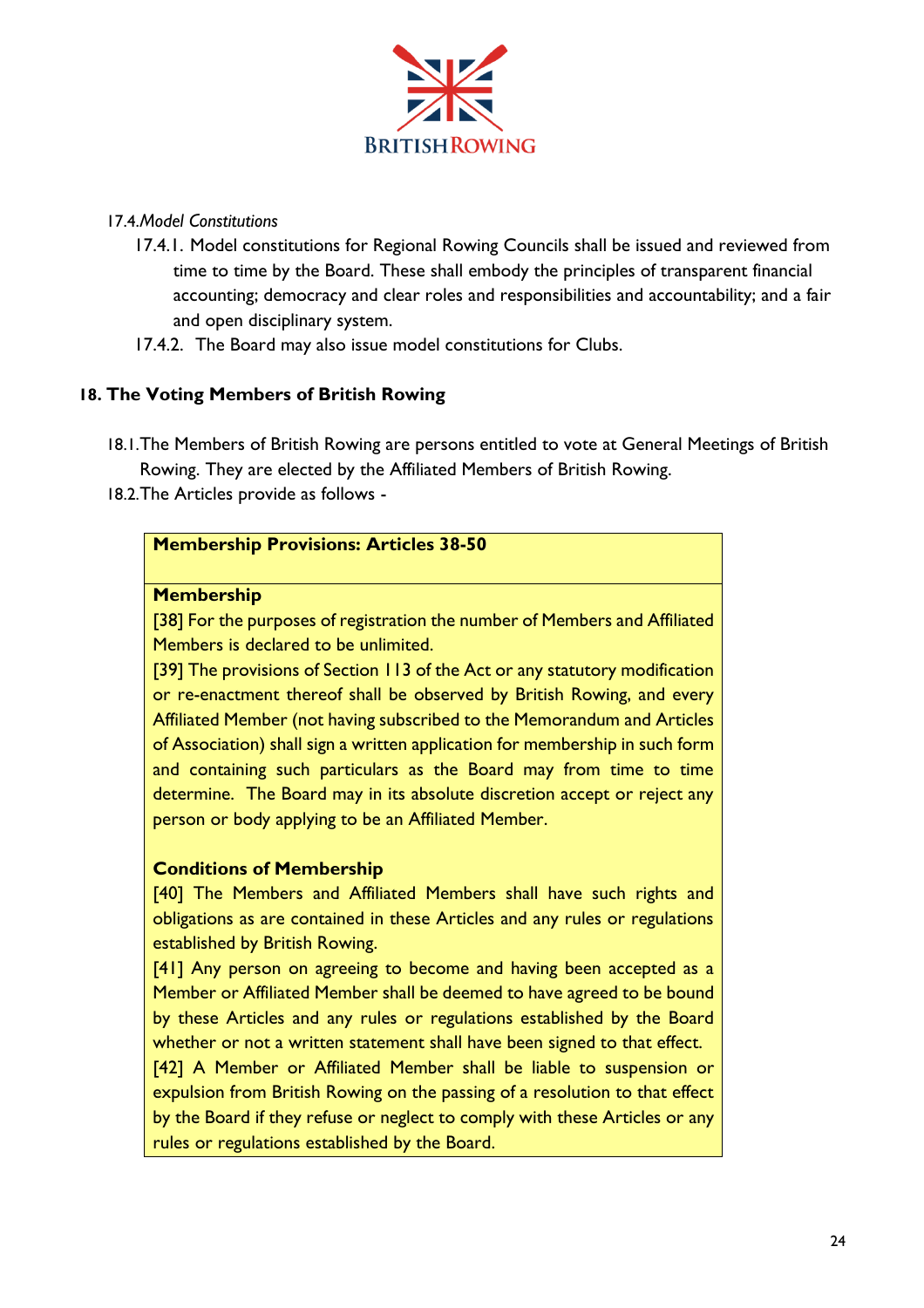

#### 17.4.*Model Constitutions*

- 17.4.1. Model constitutions for Regional Rowing Councils shall be issued and reviewed from time to time by the Board. These shall embody the principles of transparent financial accounting; democracy and clear roles and responsibilities and accountability; and a fair and open disciplinary system.
- 17.4.2. The Board may also issue model constitutions for Clubs.

#### **18. The Voting Members of British Rowing**

- 18.1.The Members of British Rowing are persons entitled to vote at General Meetings of British Rowing. They are elected by the Affiliated Members of British Rowing.
- 18.2.The Articles provide as follows -

#### **Membership Provisions: Articles 38-50**

#### **Membership**

[38] For the purposes of registration the number of Members and Affiliated Members is declared to be unlimited.

[39] The provisions of Section 113 of the Act or any statutory modification or re-enactment thereof shall be observed by British Rowing, and every Affiliated Member (not having subscribed to the Memorandum and Articles of Association) shall sign a written application for membership in such form and containing such particulars as the Board may from time to time determine. The Board may in its absolute discretion accept or reject any person or body applying to be an Affiliated Member.

# **Conditions of Membership**

[40] The Members and Affiliated Members shall have such rights and obligations as are contained in these Articles and any rules or regulations established by British Rowing.

[41] Any person on agreeing to become and having been accepted as a Member or Affiliated Member shall be deemed to have agreed to be bound by these Articles and any rules or regulations established by the Board whether or not a written statement shall have been signed to that effect.

[42] A Member or Affiliated Member shall be liable to suspension or expulsion from British Rowing on the passing of a resolution to that effect by the Board if they refuse or neglect to comply with these Articles or any rules or regulations established by the Board.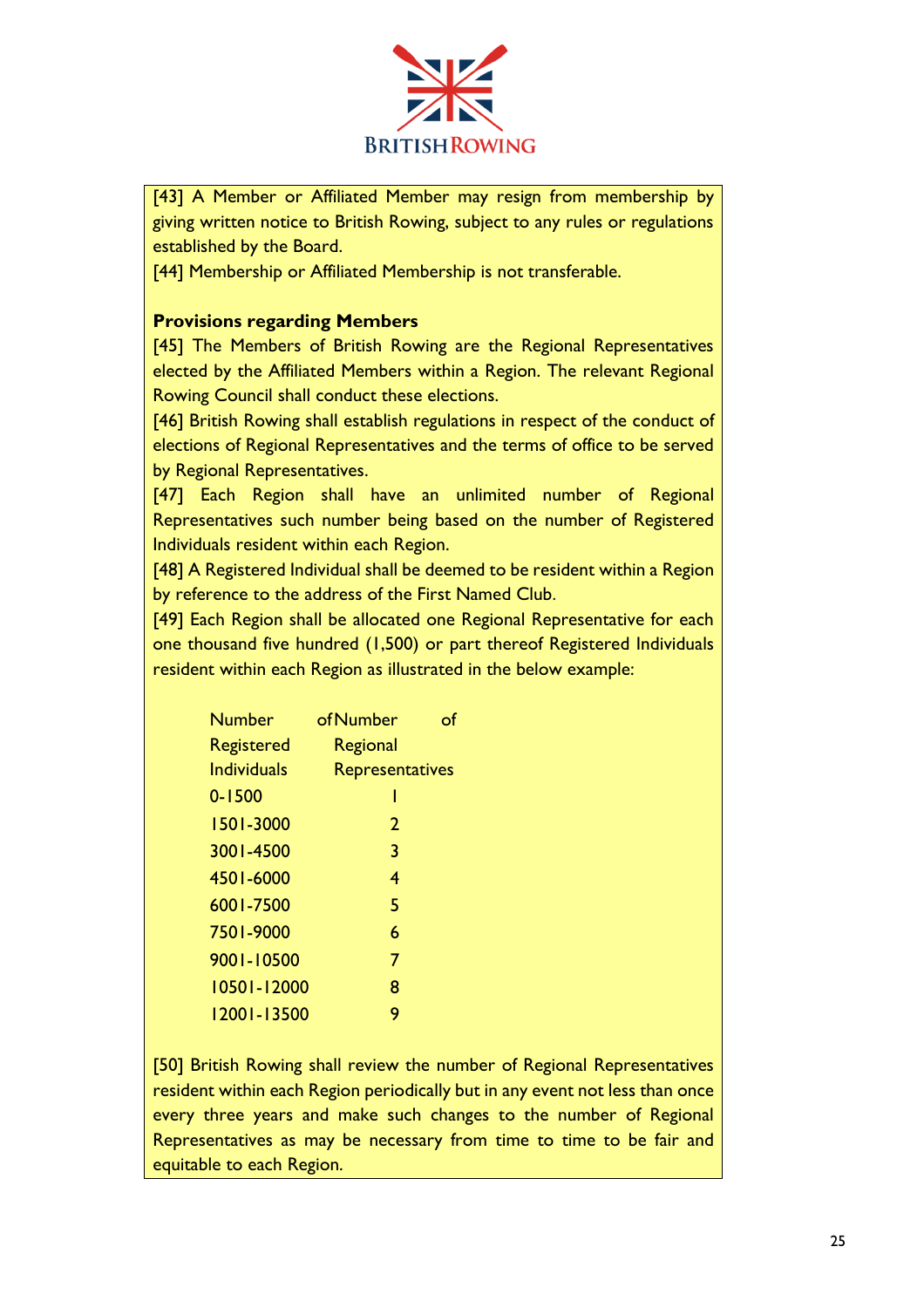

[43] A Member or Affiliated Member may resign from membership by giving written notice to British Rowing, subject to any rules or regulations established by the Board.

[44] Membership or Affiliated Membership is not transferable.

# **Provisions regarding Members**

[45] The Members of British Rowing are the Regional Representatives elected by the Affiliated Members within a Region. The relevant Regional Rowing Council shall conduct these elections.

[46] British Rowing shall establish regulations in respect of the conduct of elections of Regional Representatives and the terms of office to be served by Regional Representatives.

[47] Each Region shall have an unlimited number of Regional Representatives such number being based on the number of Registered Individuals resident within each Region.

[48] A Registered Individual shall be deemed to be resident within a Region by reference to the address of the First Named Club.

[49] Each Region shall be allocated one Regional Representative for each one thousand five hundred (1,500) or part thereof Registered Individuals resident within each Region as illustrated in the below example:

| Number      | of Number       |  |
|-------------|-----------------|--|
| Registered  | Regional        |  |
| Individuals | Representatives |  |
| $0 - 1500$  | ı               |  |
| 1501-3000   | 2               |  |
| 3001-4500   | 3               |  |
| 4501-6000   | 4               |  |
| 6001-7500   | 5               |  |
| 7501-9000   | 6               |  |
| 9001-10500  | 7               |  |
| 10501-12000 | 8               |  |
| 12001-13500 | 9               |  |

[50] British Rowing shall review the number of Regional Representatives resident within each Region periodically but in any event not less than once every three years and make such changes to the number of Regional Representatives as may be necessary from time to time to be fair and equitable to each Region.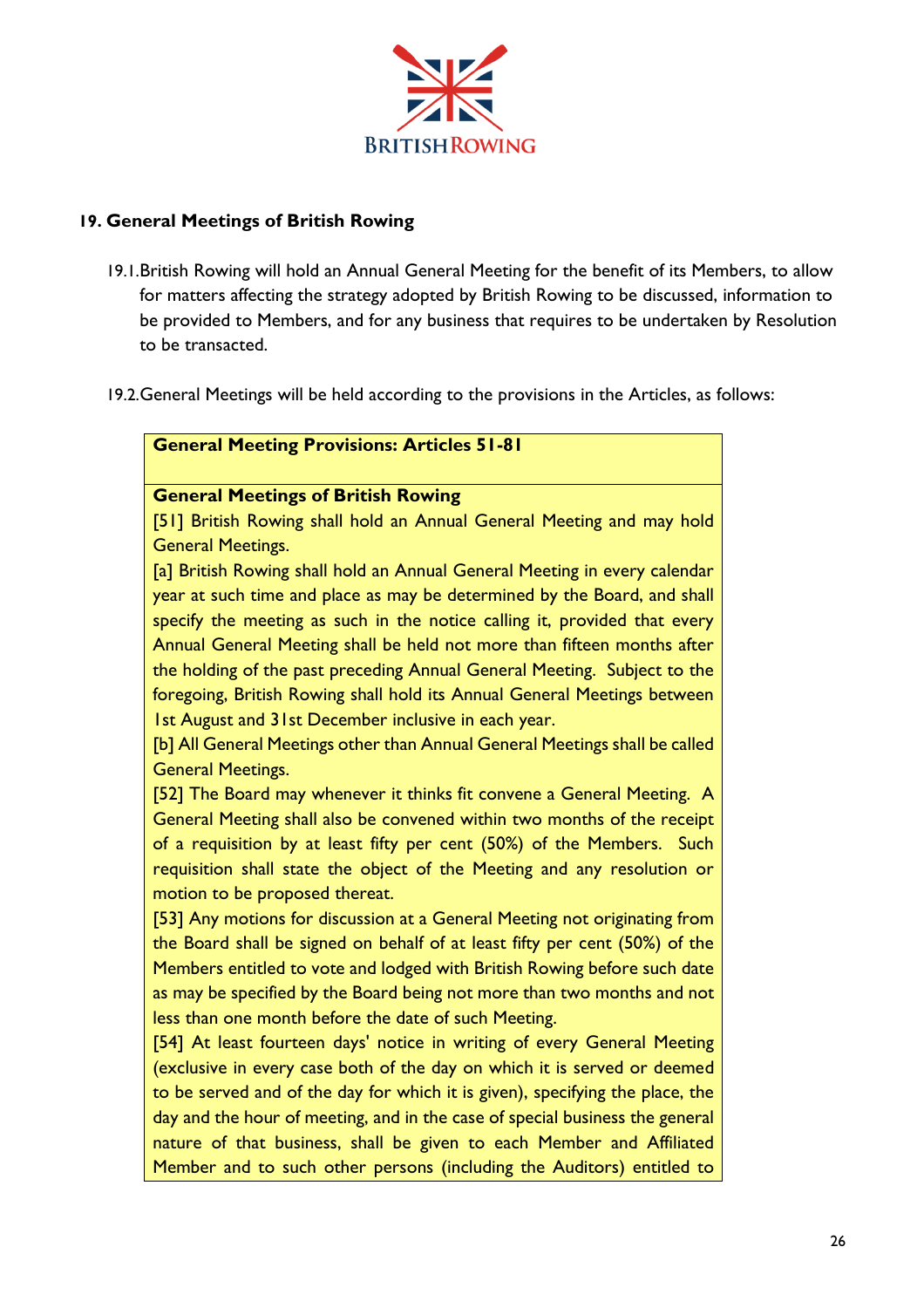

# **19. General Meetings of British Rowing**

- 19.1.British Rowing will hold an Annual General Meeting for the benefit of its Members, to allow for matters affecting the strategy adopted by British Rowing to be discussed, information to be provided to Members, and for any business that requires to be undertaken by Resolution to be transacted.
- 19.2.General Meetings will be held according to the provisions in the Articles, as follows:

# **General Meeting Provisions: Articles 51-81**

# **General Meetings of British Rowing**

[51] British Rowing shall hold an Annual General Meeting and may hold General Meetings.

[a] British Rowing shall hold an Annual General Meeting in every calendar year at such time and place as may be determined by the Board, and shall specify the meeting as such in the notice calling it, provided that every Annual General Meeting shall be held not more than fifteen months after the holding of the past preceding Annual General Meeting. Subject to the foregoing, British Rowing shall hold its Annual General Meetings between 1st August and 31st December inclusive in each year.

[b] All General Meetings other than Annual General Meetings shall be called General Meetings.

[52] The Board may whenever it thinks fit convene a General Meeting. A General Meeting shall also be convened within two months of the receipt of a requisition by at least fifty per cent (50%) of the Members. Such requisition shall state the object of the Meeting and any resolution or motion to be proposed thereat.

[53] Any motions for discussion at a General Meeting not originating from the Board shall be signed on behalf of at least fifty per cent (50%) of the Members entitled to vote and lodged with British Rowing before such date as may be specified by the Board being not more than two months and not less than one month before the date of such Meeting.

[54] At least fourteen days' notice in writing of every General Meeting (exclusive in every case both of the day on which it is served or deemed to be served and of the day for which it is given), specifying the place, the day and the hour of meeting, and in the case of special business the general nature of that business, shall be given to each Member and Affiliated Member and to such other persons (including the Auditors) entitled to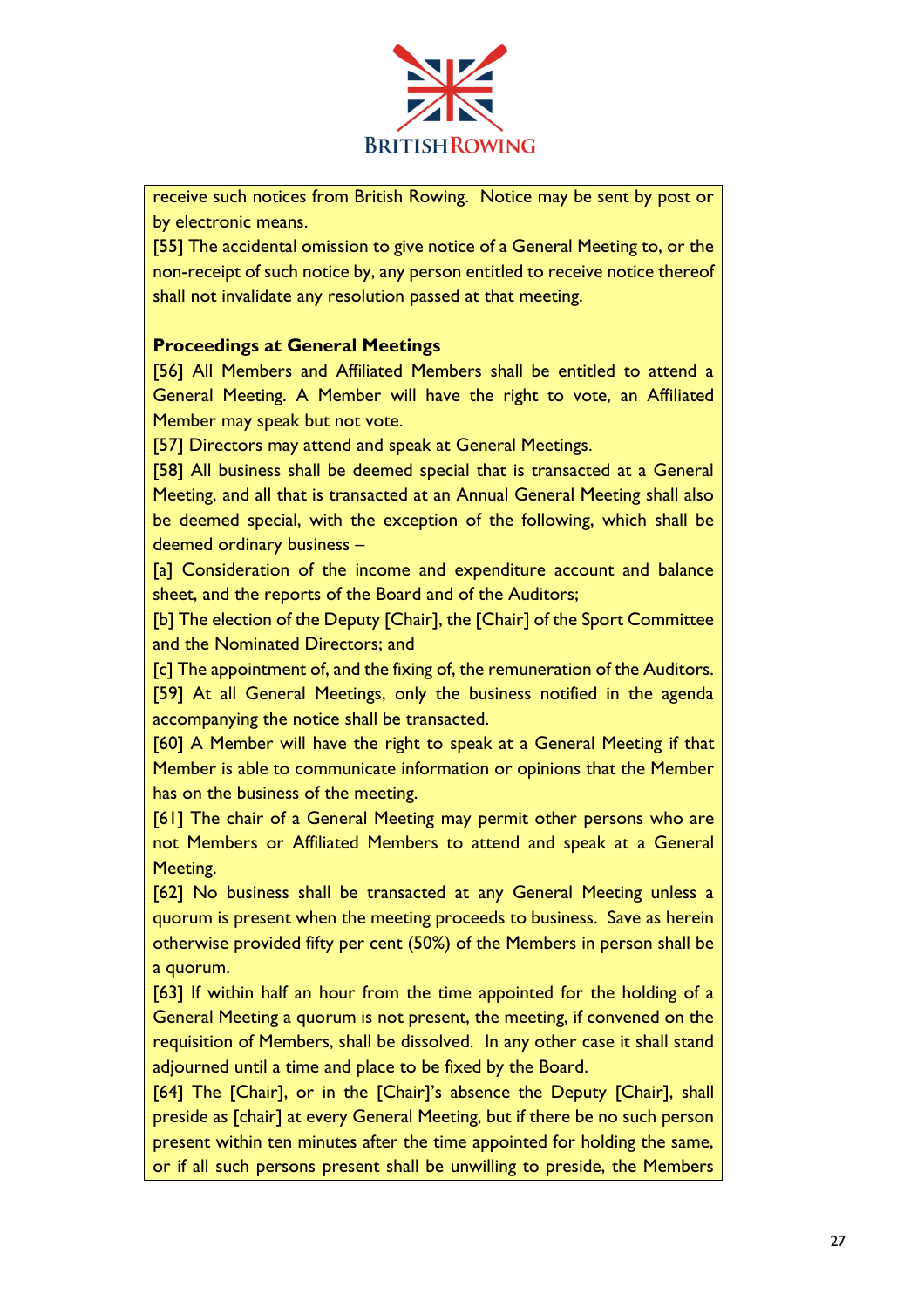

receive such notices from British Rowing. Notice may be sent by post or by electronic means.

[55] The accidental omission to give notice of a General Meeting to, or the non-receipt of such notice by, any person entitled to receive notice thereof shall not invalidate any resolution passed at that meeting.

# **Proceedings at General Meetings**

[56] All Members and Affiliated Members shall be entitled to attend a General Meeting. A Member will have the right to vote, an Affiliated Member may speak but not vote.

[57] Directors may attend and speak at General Meetings.

[58] All business shall be deemed special that is transacted at a General Meeting, and all that is transacted at an Annual General Meeting shall also be deemed special, with the exception of the following, which shall be deemed ordinary business –

[a] Consideration of the income and expenditure account and balance sheet, and the reports of the Board and of the Auditors;

[b] The election of the Deputy [Chair], the [Chair] of the Sport Committee and the Nominated Directors; and

[c] The appointment of, and the fixing of, the remuneration of the Auditors. [59] At all General Meetings, only the business notified in the agenda accompanying the notice shall be transacted.

[60] A Member will have the right to speak at a General Meeting if that Member is able to communicate information or opinions that the Member has on the business of the meeting.

[61] The chair of a General Meeting may permit other persons who are not Members or Affiliated Members to attend and speak at a General Meeting.

[62] No business shall be transacted at any General Meeting unless a quorum is present when the meeting proceeds to business. Save as herein otherwise provided fifty per cent (50%) of the Members in person shall be a quorum.

[63] If within half an hour from the time appointed for the holding of a General Meeting a quorum is not present, the meeting, if convened on the requisition of Members, shall be dissolved. In any other case it shall stand adjourned until a time and place to be fixed by the Board.

[64] The [Chair], or in the [Chair]'s absence the Deputy [Chair], shall preside as [chair] at every General Meeting, but if there be no such person present within ten minutes after the time appointed for holding the same, or if all such persons present shall be unwilling to preside, the Members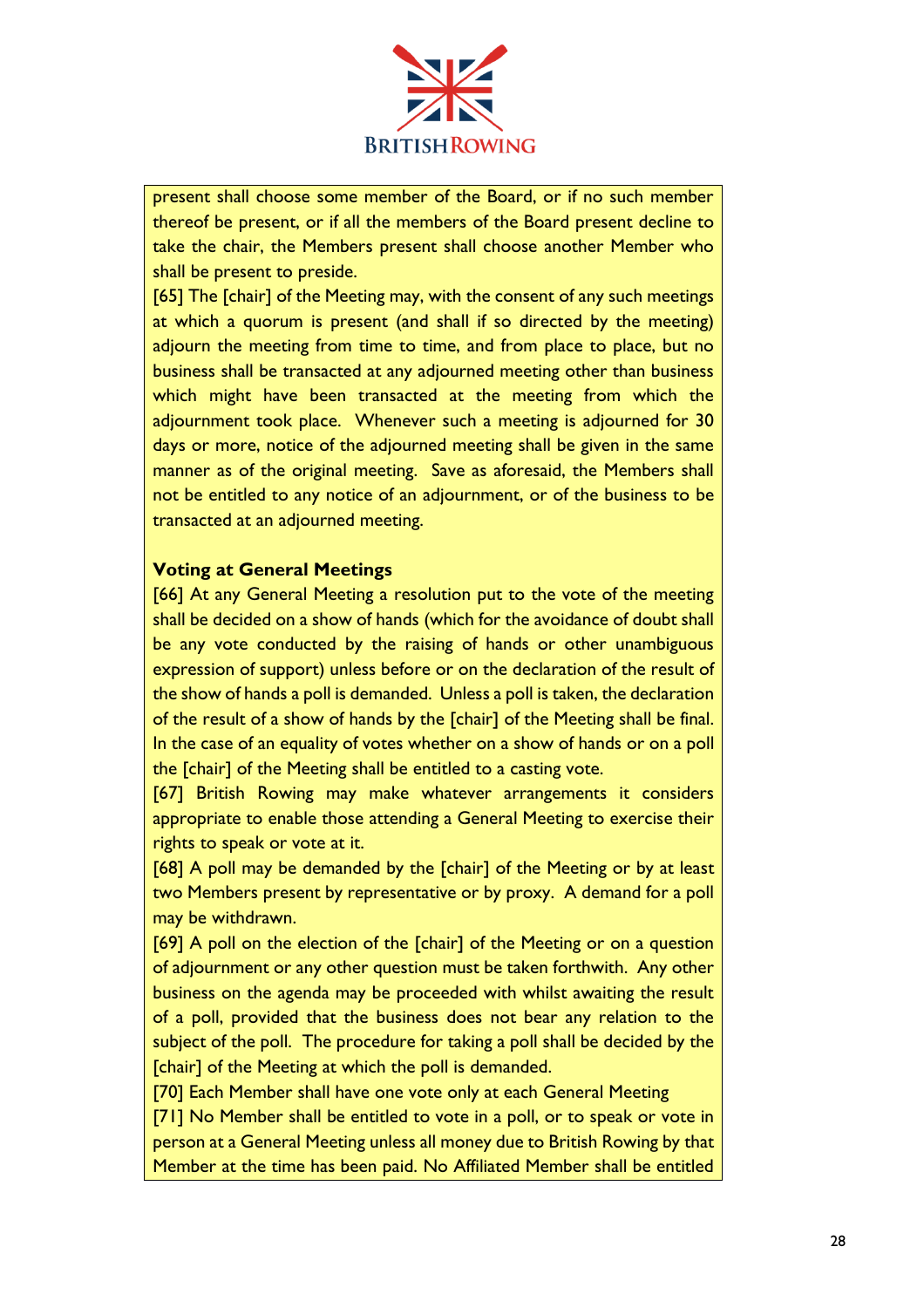

present shall choose some member of the Board, or if no such member thereof be present, or if all the members of the Board present decline to take the chair, the Members present shall choose another Member who shall be present to preside.

[65] The [chair] of the Meeting may, with the consent of any such meetings at which a quorum is present (and shall if so directed by the meeting) adjourn the meeting from time to time, and from place to place, but no business shall be transacted at any adjourned meeting other than business which might have been transacted at the meeting from which the adjournment took place. Whenever such a meeting is adjourned for 30 days or more, notice of the adjourned meeting shall be given in the same manner as of the original meeting. Save as aforesaid, the Members shall not be entitled to any notice of an adjournment, or of the business to be transacted at an adjourned meeting.

# **Voting at General Meetings**

[66] At any General Meeting a resolution put to the vote of the meeting shall be decided on a show of hands (which for the avoidance of doubt shall be any vote conducted by the raising of hands or other unambiguous expression of support) unless before or on the declaration of the result of the show of hands a poll is demanded. Unless a poll is taken, the declaration of the result of a show of hands by the [chair] of the Meeting shall be final. In the case of an equality of votes whether on a show of hands or on a poll the [chair] of the Meeting shall be entitled to a casting vote.

[67] British Rowing may make whatever arrangements it considers appropriate to enable those attending a General Meeting to exercise their rights to speak or vote at it.

[68] A poll may be demanded by the [chair] of the Meeting or by at least two Members present by representative or by proxy. A demand for a poll may be withdrawn.

[69] A poll on the election of the [chair] of the Meeting or on a question of adjournment or any other question must be taken forthwith. Any other business on the agenda may be proceeded with whilst awaiting the result of a poll, provided that the business does not bear any relation to the subject of the poll. The procedure for taking a poll shall be decided by the [chair] of the Meeting at which the poll is demanded.

[70] Each Member shall have one vote only at each General Meeting

[71] No Member shall be entitled to vote in a poll, or to speak or vote in person at a General Meeting unless all money due to British Rowing by that Member at the time has been paid. No Affiliated Member shall be entitled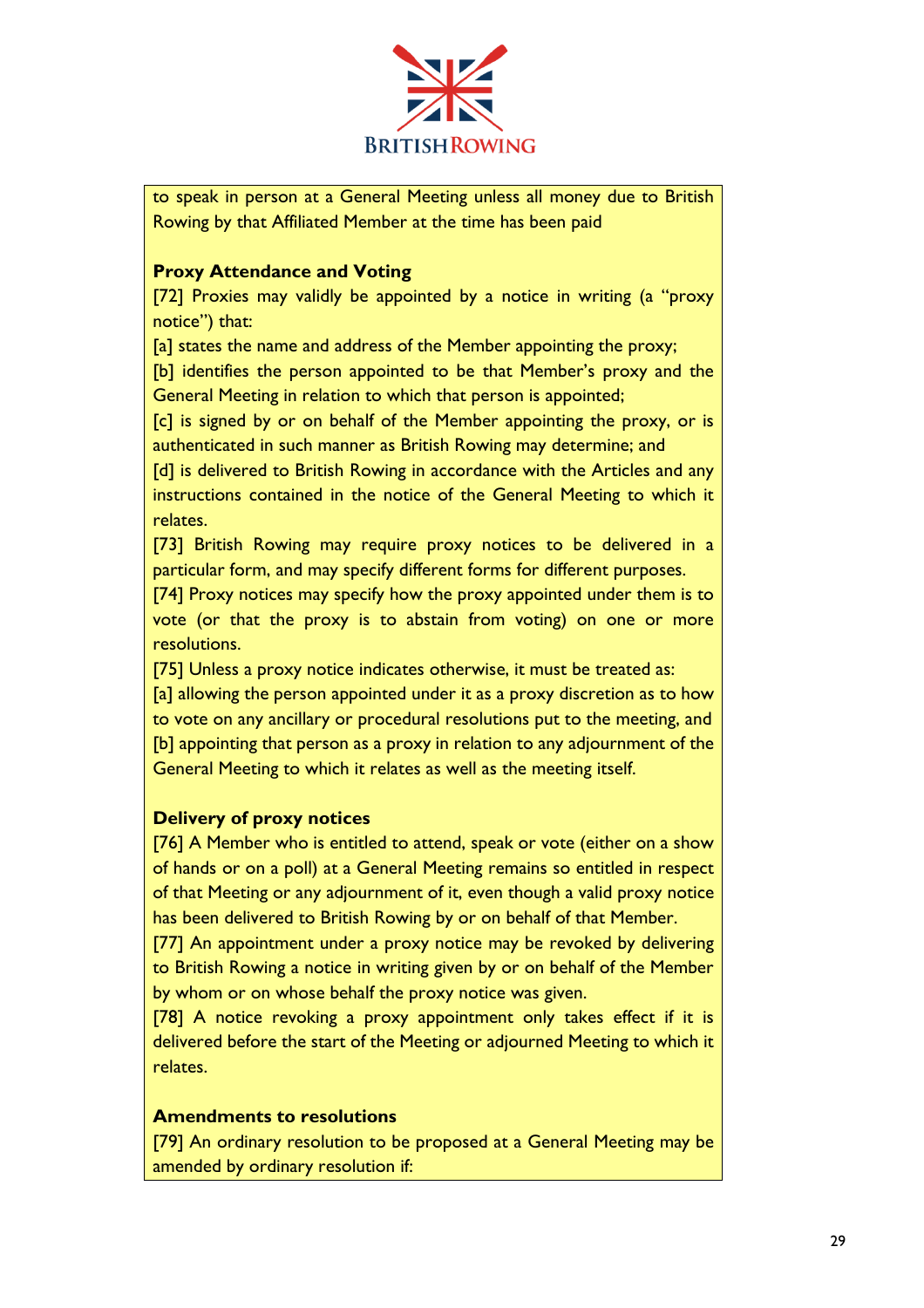

to speak in person at a General Meeting unless all money due to British Rowing by that Affiliated Member at the time has been paid

# **Proxy Attendance and Voting**

[72] Proxies may validly be appointed by a notice in writing (a "proxy notice") that:

[a] states the name and address of the Member appointing the proxy;

[b] identifies the person appointed to be that Member's proxy and the General Meeting in relation to which that person is appointed;

[c] is signed by or on behalf of the Member appointing the proxy, or is authenticated in such manner as British Rowing may determine; and

[d] is delivered to British Rowing in accordance with the Articles and any instructions contained in the notice of the General Meeting to which it relates.

[73] British Rowing may require proxy notices to be delivered in a particular form, and may specify different forms for different purposes.

[74] Proxy notices may specify how the proxy appointed under them is to vote (or that the proxy is to abstain from voting) on one or more resolutions.

[75] Unless a proxy notice indicates otherwise, it must be treated as: [a] allowing the person appointed under it as a proxy discretion as to how to vote on any ancillary or procedural resolutions put to the meeting, and [b] appointing that person as a proxy in relation to any adjournment of the General Meeting to which it relates as well as the meeting itself.

# **Delivery of proxy notices**

[76] A Member who is entitled to attend, speak or vote (either on a show of hands or on a poll) at a General Meeting remains so entitled in respect of that Meeting or any adjournment of it, even though a valid proxy notice has been delivered to British Rowing by or on behalf of that Member.

[77] An appointment under a proxy notice may be revoked by delivering to British Rowing a notice in writing given by or on behalf of the Member by whom or on whose behalf the proxy notice was given.

[78] A notice revoking a proxy appointment only takes effect if it is delivered before the start of the Meeting or adjourned Meeting to which it relates.

# **Amendments to resolutions**

[79] An ordinary resolution to be proposed at a General Meeting may be amended by ordinary resolution if: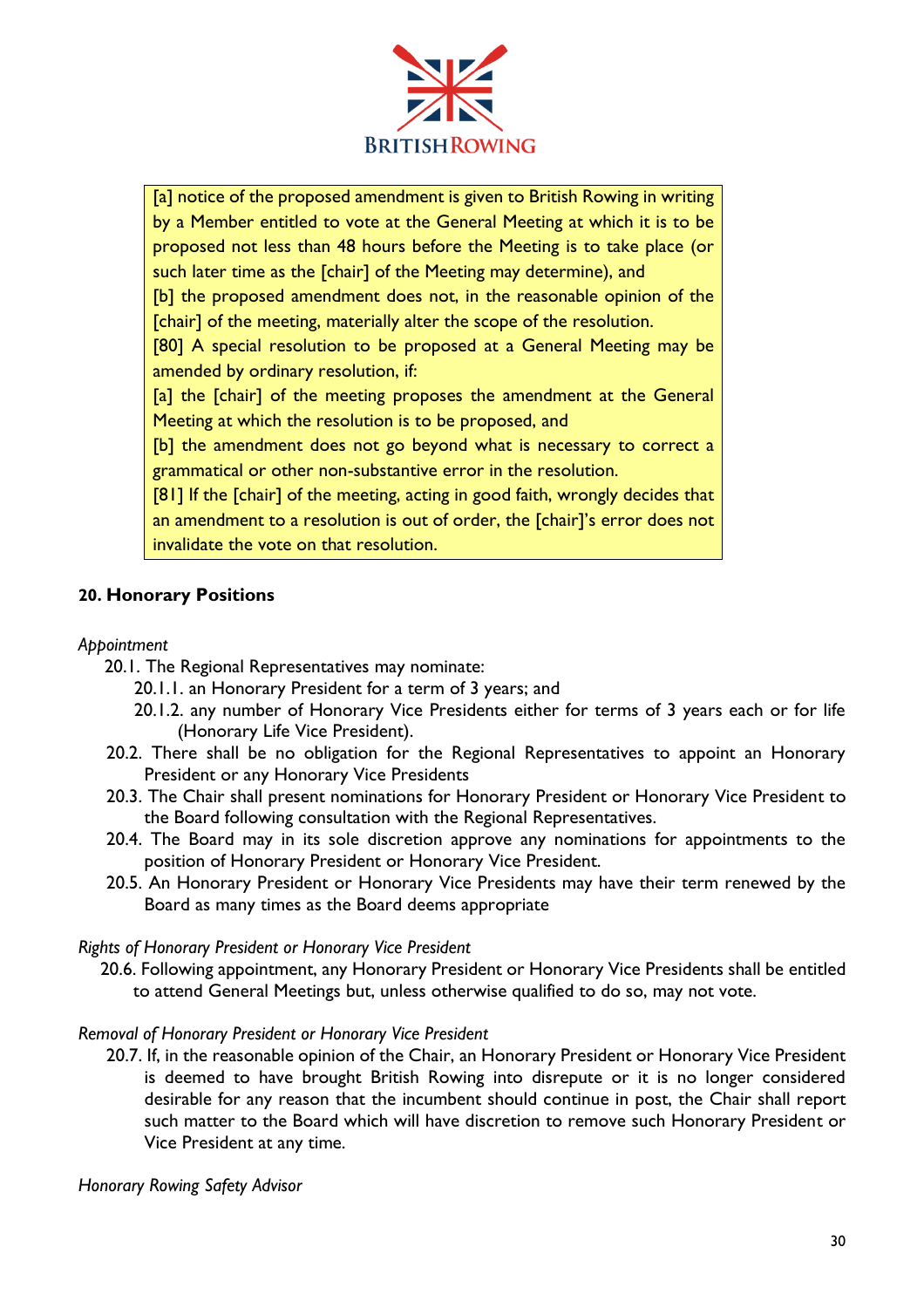

[a] notice of the proposed amendment is given to British Rowing in writing by a Member entitled to vote at the General Meeting at which it is to be proposed not less than 48 hours before the Meeting is to take place (or such later time as the [chair] of the Meeting may determine), and

[b] the proposed amendment does not, in the reasonable opinion of the [chair] of the meeting, materially alter the scope of the resolution.

[80] A special resolution to be proposed at a General Meeting may be amended by ordinary resolution, if:

[a] the [chair] of the meeting proposes the amendment at the General Meeting at which the resolution is to be proposed, and

[b] the amendment does not go beyond what is necessary to correct a grammatical or other non-substantive error in the resolution.

[81] If the [chair] of the meeting, acting in good faith, wrongly decides that an amendment to a resolution is out of order, the [chair]'s error does not invalidate the vote on that resolution.

# **20. Honorary Positions**

# *Appointment*

- 20.1. The Regional Representatives may nominate:
	- 20.1.1. an Honorary President for a term of 3 years; and
	- 20.1.2. any number of Honorary Vice Presidents either for terms of 3 years each or for life (Honorary Life Vice President).
- 20.2. There shall be no obligation for the Regional Representatives to appoint an Honorary President or any Honorary Vice Presidents
- 20.3. The Chair shall present nominations for Honorary President or Honorary Vice President to the Board following consultation with the Regional Representatives.
- 20.4. The Board may in its sole discretion approve any nominations for appointments to the position of Honorary President or Honorary Vice President.
- 20.5. An Honorary President or Honorary Vice Presidents may have their term renewed by the Board as many times as the Board deems appropriate

# *Rights of Honorary President or Honorary Vice President*

20.6. Following appointment, any Honorary President or Honorary Vice Presidents shall be entitled to attend General Meetings but, unless otherwise qualified to do so, may not vote.

# *Removal of Honorary President or Honorary Vice President*

20.7. If, in the reasonable opinion of the Chair, an Honorary President or Honorary Vice President is deemed to have brought British Rowing into disrepute or it is no longer considered desirable for any reason that the incumbent should continue in post, the Chair shall report such matter to the Board which will have discretion to remove such Honorary President or Vice President at any time.

*Honorary Rowing Safety Advisor*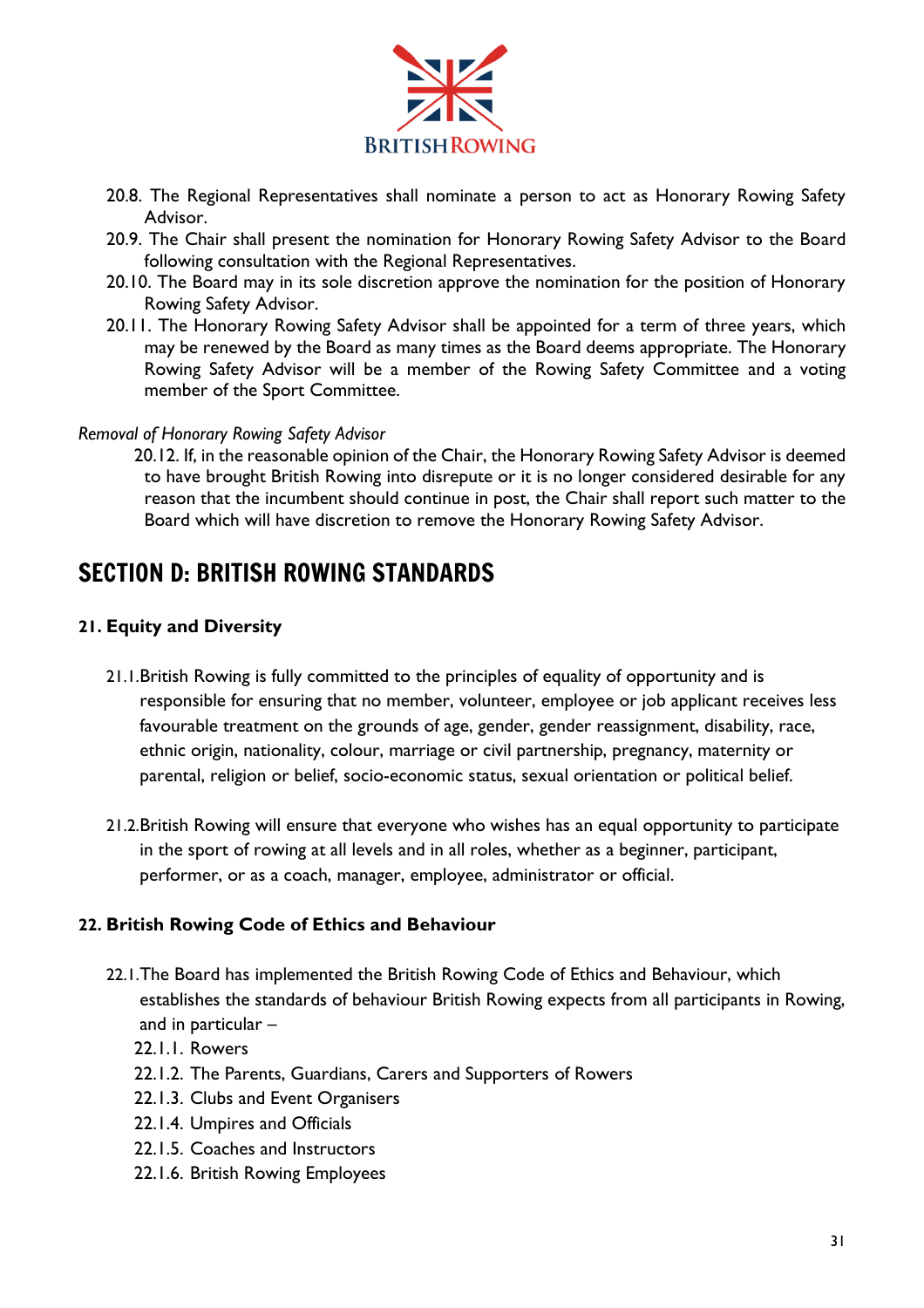

- 20.8. The Regional Representatives shall nominate a person to act as Honorary Rowing Safety Advisor.
- 20.9. The Chair shall present the nomination for Honorary Rowing Safety Advisor to the Board following consultation with the Regional Representatives.
- 20.10. The Board may in its sole discretion approve the nomination for the position of Honorary Rowing Safety Advisor.
- 20.11. The Honorary Rowing Safety Advisor shall be appointed for a term of three years, which may be renewed by the Board as many times as the Board deems appropriate. The Honorary Rowing Safety Advisor will be a member of the Rowing Safety Committee and a voting member of the Sport Committee.

#### *Removal of Honorary Rowing Safety Advisor*

20.12. If, in the reasonable opinion of the Chair, the Honorary Rowing Safety Advisor is deemed to have brought British Rowing into disrepute or it is no longer considered desirable for any reason that the incumbent should continue in post, the Chair shall report such matter to the Board which will have discretion to remove the Honorary Rowing Safety Advisor.

# <span id="page-31-0"></span>SECTION D: BRITISH ROWING STANDARDS

#### **21. Equity and Diversity**

- 21.1.British Rowing is fully committed to the principles of equality of opportunity and is responsible for ensuring that no member, volunteer, employee or job applicant receives less favourable treatment on the grounds of age, gender, gender reassignment, disability, race, ethnic origin, nationality, colour, marriage or civil partnership, pregnancy, maternity or parental, religion or belief, socio-economic status, sexual orientation or political belief.
- 21.2.British Rowing will ensure that everyone who wishes has an equal opportunity to participate in the sport of rowing at all levels and in all roles, whether as a beginner, participant, performer, or as a coach, manager, employee, administrator or official.

#### **22. British Rowing Code of Ethics and Behaviour**

- 22.1.The Board has implemented the British Rowing Code of Ethics and Behaviour, which establishes the standards of behaviour British Rowing expects from all participants in Rowing, and in particular –
	- 22.1.1. Rowers
	- 22.1.2. The Parents, Guardians, Carers and Supporters of Rowers
	- 22.1.3. Clubs and Event Organisers
	- 22.1.4. Umpires and Officials
	- 22.1.5. Coaches and Instructors
	- 22.1.6. British Rowing Employees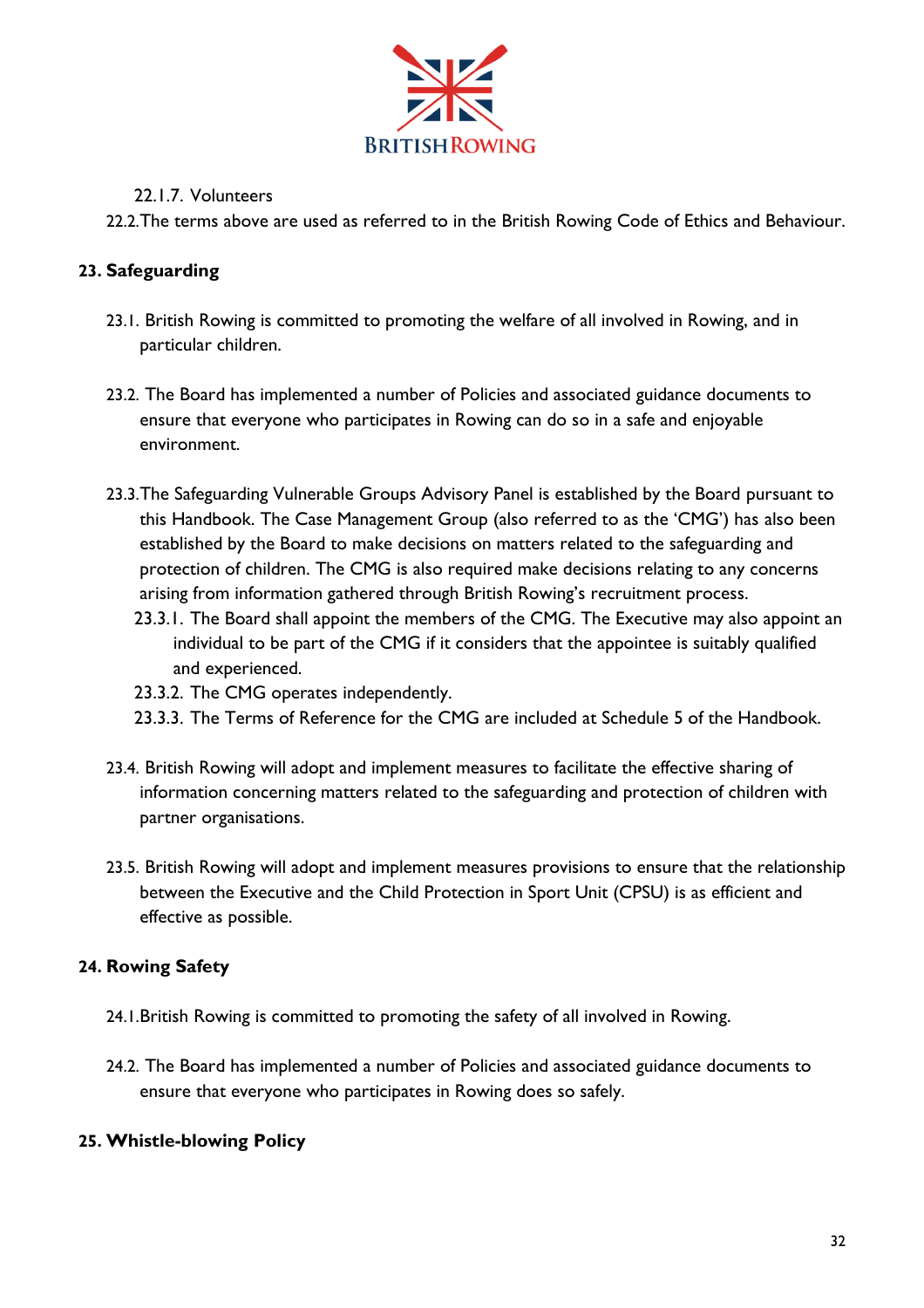

# 22.1.7. Volunteers

22.2.The terms above are used as referred to in the British Rowing Code of Ethics and Behaviour.

# **23. Safeguarding**

- 23.1. British Rowing is committed to promoting the welfare of all involved in Rowing, and in particular children.
- 23.2. The Board has implemented a number of Policies and associated guidance documents to ensure that everyone who participates in Rowing can do so in a safe and enjoyable environment.
- 23.3.The Safeguarding Vulnerable Groups Advisory Panel is established by the Board pursuant to this Handbook. The Case Management Group (also referred to as the 'CMG') has also been established by the Board to make decisions on matters related to the safeguarding and protection of children. The CMG is also required make decisions relating to any concerns arising from information gathered through British Rowing's recruitment process.
	- 23.3.1. The Board shall appoint the members of the CMG. The Executive may also appoint an individual to be part of the CMG if it considers that the appointee is suitably qualified and experienced.
	- 23.3.2. The CMG operates independently.
	- 23.3.3. The Terms of Reference for the CMG are included at Schedule 5 of the Handbook.
- 23.4. British Rowing will adopt and implement measures to facilitate the effective sharing of information concerning matters related to the safeguarding and protection of children with partner organisations.
- 23.5. British Rowing will adopt and implement measures provisions to ensure that the relationship between the Executive and the Child Protection in Sport Unit (CPSU) is as efficient and effective as possible.

# **24. Rowing Safety**

- 24.1.British Rowing is committed to promoting the safety of all involved in Rowing.
- 24.2. The Board has implemented a number of Policies and associated guidance documents to ensure that everyone who participates in Rowing does so safely.

# **25. Whistle-blowing Policy**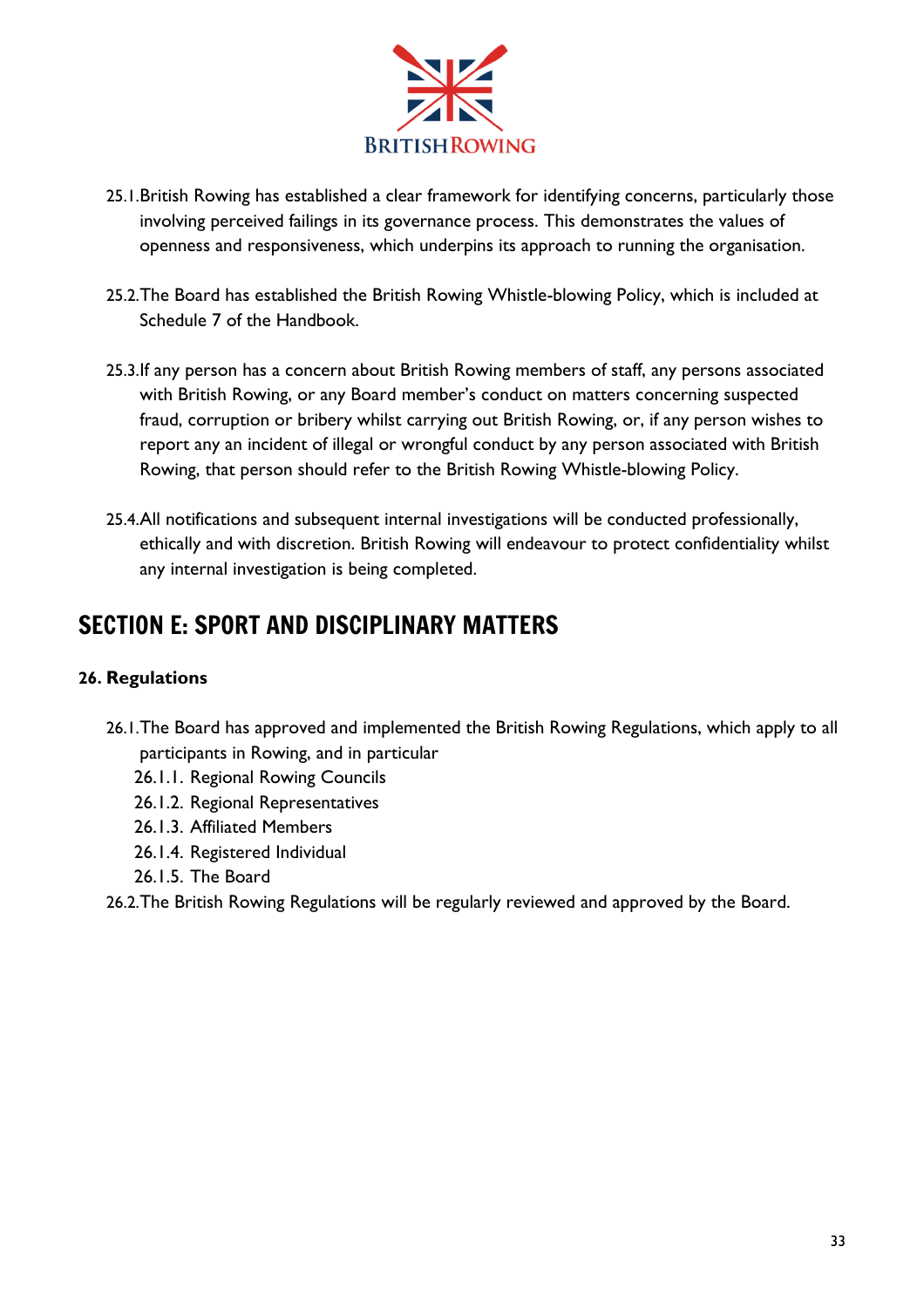

- 25.1.British Rowing has established a clear framework for identifying concerns, particularly those involving perceived failings in its governance process. This demonstrates the values of openness and responsiveness, which underpins its approach to running the organisation.
- 25.2.The Board has established the British Rowing Whistle-blowing Policy, which is included at Schedule 7 of the Handbook.
- 25.3.If any person has a concern about British Rowing members of staff, any persons associated with British Rowing, or any Board member's conduct on matters concerning suspected fraud, corruption or bribery whilst carrying out British Rowing, or, if any person wishes to report any an incident of illegal or wrongful conduct by any person associated with British Rowing, that person should refer to the British Rowing Whistle-blowing Policy.
- 25.4.All notifications and subsequent internal investigations will be conducted professionally, ethically and with discretion. British Rowing will endeavour to protect confidentiality whilst any internal investigation is being completed.

# <span id="page-33-0"></span>SECTION E: SPORT AND DISCIPLINARY MATTERS

# **26. Regulations**

- 26.1.The Board has approved and implemented the British Rowing Regulations, which apply to all participants in Rowing, and in particular
	- 26.1.1. Regional Rowing Councils
	- 26.1.2. Regional Representatives
	- 26.1.3. Affiliated Members
	- 26.1.4. Registered Individual
	- 26.1.5. The Board
- 26.2.The British Rowing Regulations will be regularly reviewed and approved by the Board.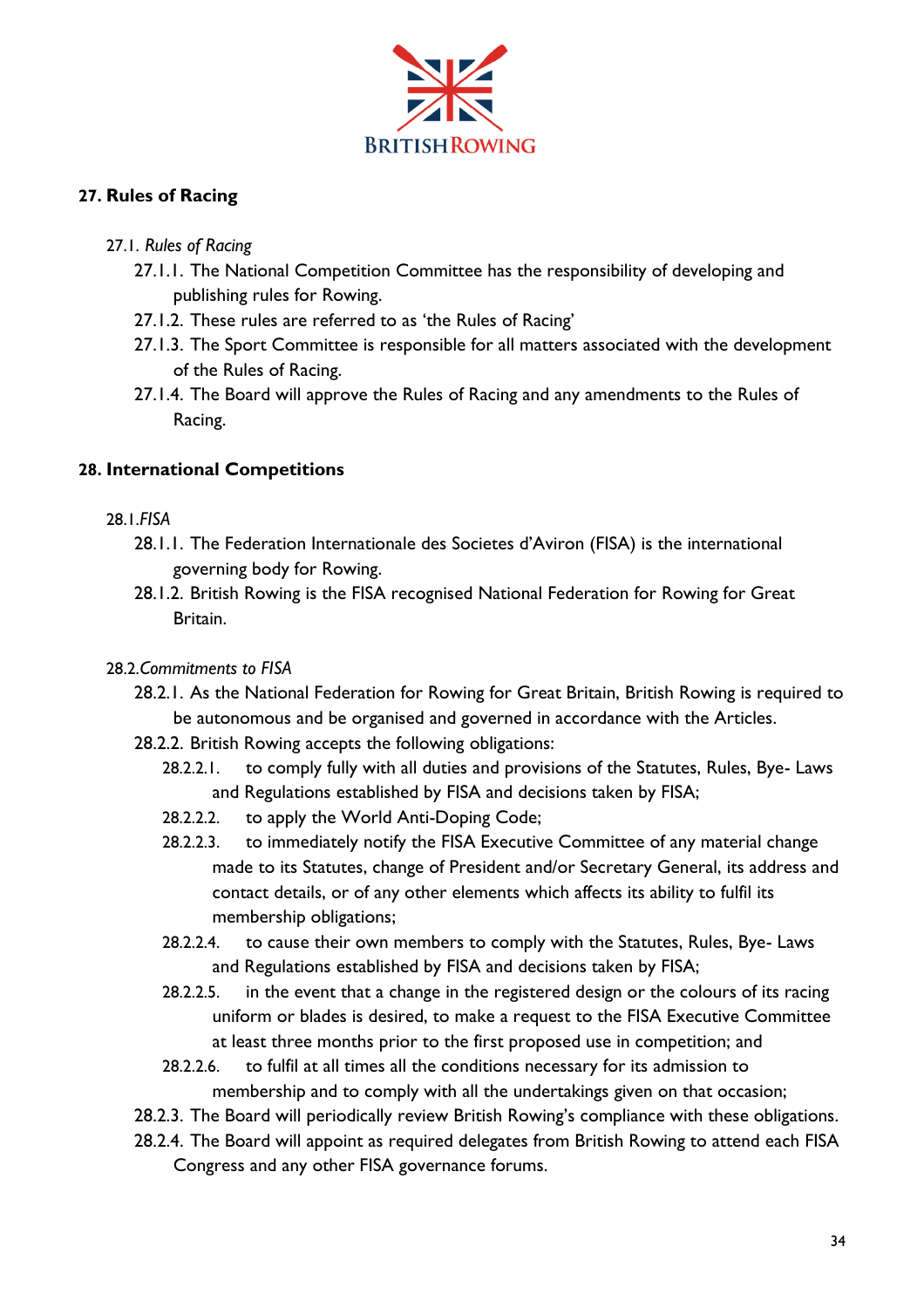

# **27. Rules of Racing**

# 27.1. *Rules of Racing*

- 27.1.1. The National Competition Committee has the responsibility of developing and publishing rules for Rowing.
- 27.1.2. These rules are referred to as 'the Rules of Racing'
- 27.1.3. The Sport Committee is responsible for all matters associated with the development of the Rules of Racing.
- 27.1.4. The Board will approve the Rules of Racing and any amendments to the Rules of Racing.

# **28. International Competitions**

# 28.1.*FISA*

- 28.1.1. The Federation Internationale des Societes d'Aviron (FISA) is the international governing body for Rowing.
- 28.1.2. British Rowing is the FISA recognised National Federation for Rowing for Great Britain.

# 28.2.*Commitments to FISA*

- 28.2.1. As the National Federation for Rowing for Great Britain, British Rowing is required to be autonomous and be organised and governed in accordance with the Articles.
- 28.2.2. British Rowing accepts the following obligations:
	- 28.2.2.1. to comply fully with all duties and provisions of the Statutes, Rules, Bye- Laws and Regulations established by FISA and decisions taken by FISA;
	- 28.2.2.2. to apply the World Anti-Doping Code;
	- 28.2.2.3. to immediately notify the FISA Executive Committee of any material change made to its Statutes, change of President and/or Secretary General, its address and contact details, or of any other elements which affects its ability to fulfil its membership obligations;
	- 28.2.2.4. to cause their own members to comply with the Statutes, Rules, Bye- Laws and Regulations established by FISA and decisions taken by FISA;
	- 28.2.2.5. in the event that a change in the registered design or the colours of its racing uniform or blades is desired, to make a request to the FISA Executive Committee at least three months prior to the first proposed use in competition; and
	- 28.2.2.6. to fulfil at all times all the conditions necessary for its admission to membership and to comply with all the undertakings given on that occasion;
- 28.2.3. The Board will periodically review British Rowing's compliance with these obligations.
- 28.2.4. The Board will appoint as required delegates from British Rowing to attend each FISA Congress and any other FISA governance forums.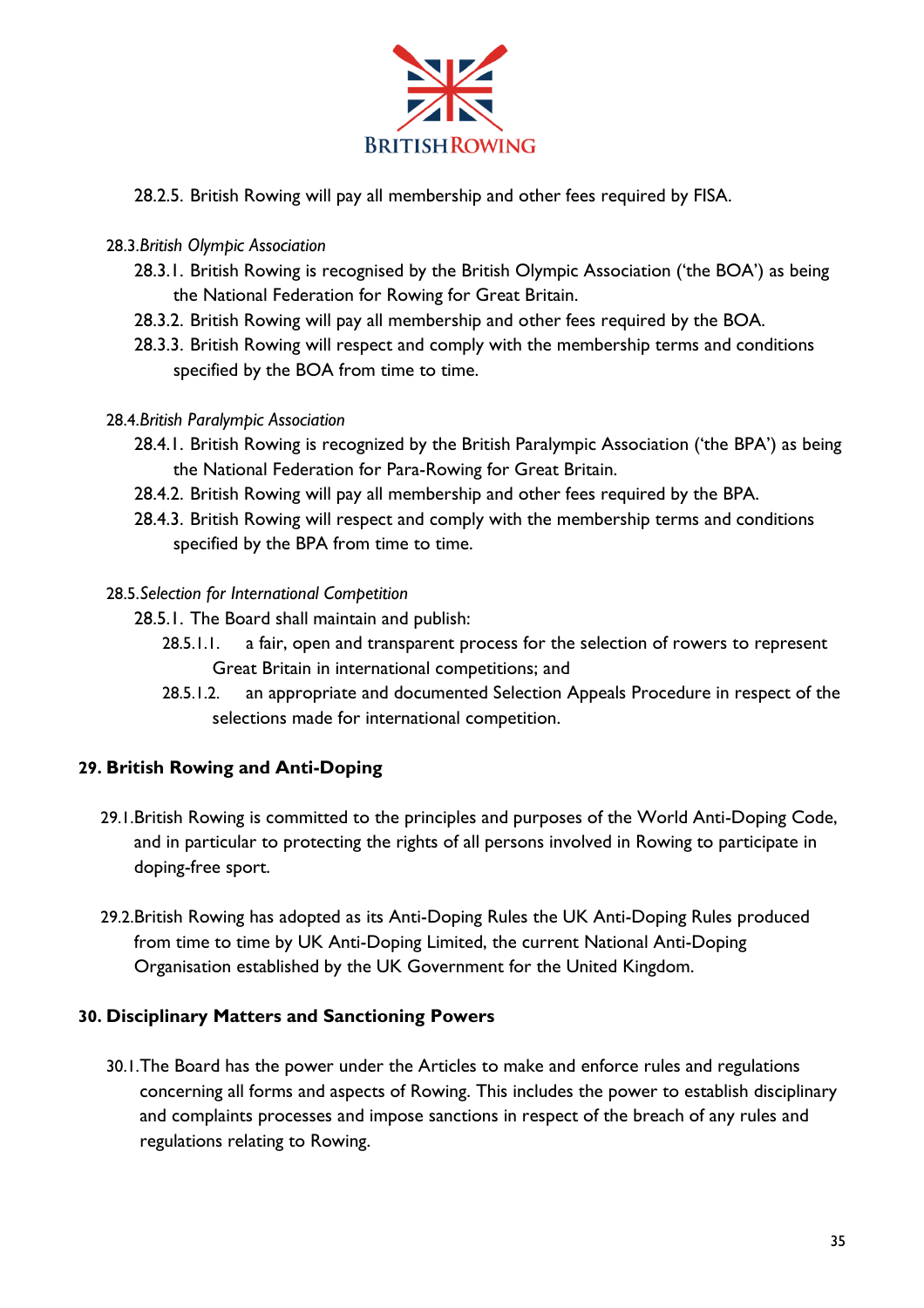

28.2.5. British Rowing will pay all membership and other fees required by FISA.

# 28.3.*British Olympic Association*

- 28.3.1. British Rowing is recognised by the British Olympic Association ('the BOA') as being the National Federation for Rowing for Great Britain.
- 28.3.2. British Rowing will pay all membership and other fees required by the BOA.
- 28.3.3. British Rowing will respect and comply with the membership terms and conditions specified by the BOA from time to time.

# 28.4.*British Paralympic Association*

- 28.4.1. British Rowing is recognized by the British Paralympic Association ('the BPA') as being the National Federation for Para-Rowing for Great Britain.
- 28.4.2. British Rowing will pay all membership and other fees required by the BPA.
- 28.4.3. British Rowing will respect and comply with the membership terms and conditions specified by the BPA from time to time.

# 28.5.*Selection for International Competition*

- 28.5.1. The Board shall maintain and publish:
	- 28.5.1.1. a fair, open and transparent process for the selection of rowers to represent Great Britain in international competitions; and
	- 28.5.1.2. an appropriate and documented Selection Appeals Procedure in respect of the selections made for international competition.

# **29. British Rowing and Anti-Doping**

- 29.1.British Rowing is committed to the principles and purposes of the World Anti-Doping Code, and in particular to protecting the rights of all persons involved in Rowing to participate in doping-free sport.
- 29.2.British Rowing has adopted as its Anti-Doping Rules the UK Anti-Doping Rules produced from time to time by UK Anti-Doping Limited, the current National Anti-Doping Organisation established by the UK Government for the United Kingdom.

# **30. Disciplinary Matters and Sanctioning Powers**

30.1.The Board has the power under the Articles to make and enforce rules and regulations concerning all forms and aspects of Rowing. This includes the power to establish disciplinary and complaints processes and impose sanctions in respect of the breach of any rules and regulations relating to Rowing.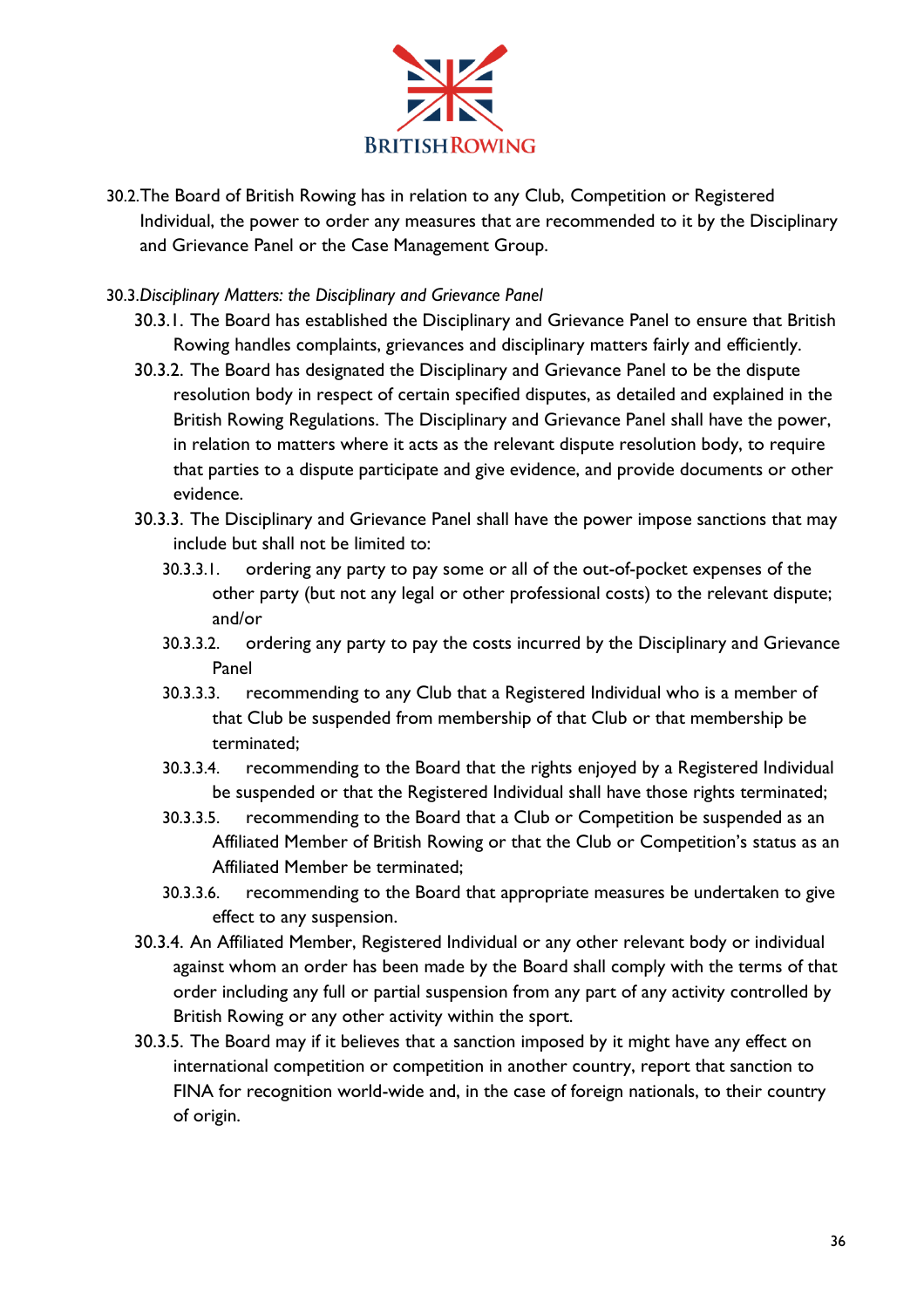

- 30.2.The Board of British Rowing has in relation to any Club, Competition or Registered Individual, the power to order any measures that are recommended to it by the Disciplinary and Grievance Panel or the Case Management Group.
- 30.3.*Disciplinary Matters: the Disciplinary and Grievance Panel* 
	- 30.3.1. The Board has established the Disciplinary and Grievance Panel to ensure that British Rowing handles complaints, grievances and disciplinary matters fairly and efficiently.
	- 30.3.2. The Board has designated the Disciplinary and Grievance Panel to be the dispute resolution body in respect of certain specified disputes, as detailed and explained in the British Rowing Regulations. The Disciplinary and Grievance Panel shall have the power, in relation to matters where it acts as the relevant dispute resolution body, to require that parties to a dispute participate and give evidence, and provide documents or other evidence.
	- 30.3.3. The Disciplinary and Grievance Panel shall have the power impose sanctions that may include but shall not be limited to:
		- 30.3.3.1. ordering any party to pay some or all of the out-of-pocket expenses of the other party (but not any legal or other professional costs) to the relevant dispute; and/or
		- 30.3.3.2. ordering any party to pay the costs incurred by the Disciplinary and Grievance Panel
		- 30.3.3.3. recommending to any Club that a Registered Individual who is a member of that Club be suspended from membership of that Club or that membership be terminated;
		- 30.3.3.4. recommending to the Board that the rights enjoyed by a Registered Individual be suspended or that the Registered Individual shall have those rights terminated;
		- 30.3.3.5. recommending to the Board that a Club or Competition be suspended as an Affiliated Member of British Rowing or that the Club or Competition's status as an Affiliated Member be terminated;
		- 30.3.3.6. recommending to the Board that appropriate measures be undertaken to give effect to any suspension.
	- 30.3.4. An Affiliated Member, Registered Individual or any other relevant body or individual against whom an order has been made by the Board shall comply with the terms of that order including any full or partial suspension from any part of any activity controlled by British Rowing or any other activity within the sport.
	- 30.3.5. The Board may if it believes that a sanction imposed by it might have any effect on international competition or competition in another country, report that sanction to FINA for recognition world-wide and, in the case of foreign nationals, to their country of origin.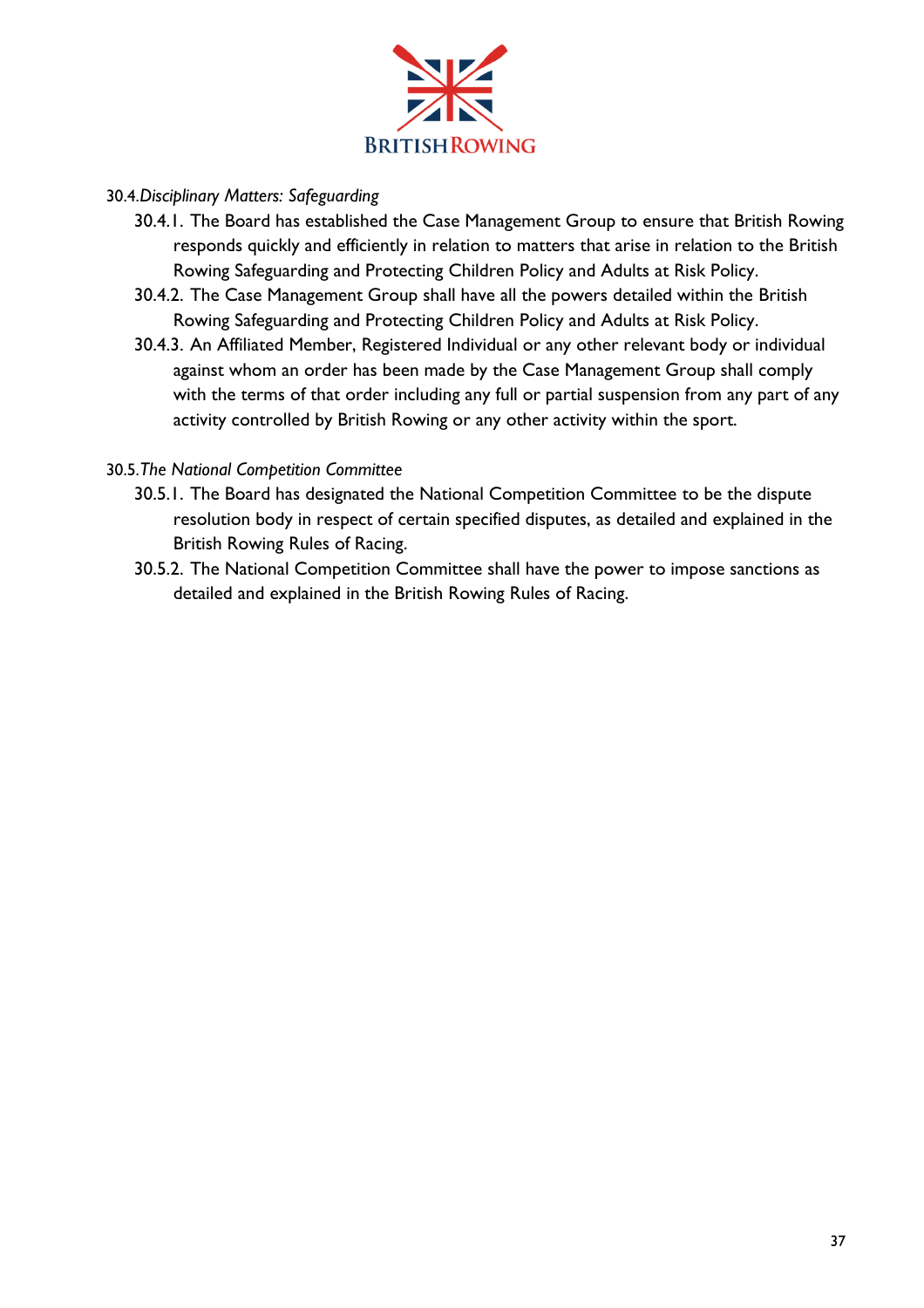

## 30.4.*Disciplinary Matters: Safeguarding*

- 30.4.1. The Board has established the Case Management Group to ensure that British Rowing responds quickly and efficiently in relation to matters that arise in relation to the British Rowing Safeguarding and Protecting Children Policy and Adults at Risk Policy.
- 30.4.2. The Case Management Group shall have all the powers detailed within the British Rowing Safeguarding and Protecting Children Policy and Adults at Risk Policy.
- 30.4.3. An Affiliated Member, Registered Individual or any other relevant body or individual against whom an order has been made by the Case Management Group shall comply with the terms of that order including any full or partial suspension from any part of any activity controlled by British Rowing or any other activity within the sport.

### 30.5.*The National Competition Committee*

- 30.5.1. The Board has designated the National Competition Committee to be the dispute resolution body in respect of certain specified disputes, as detailed and explained in the British Rowing Rules of Racing.
- 30.5.2. The National Competition Committee shall have the power to impose sanctions as detailed and explained in the British Rowing Rules of Racing.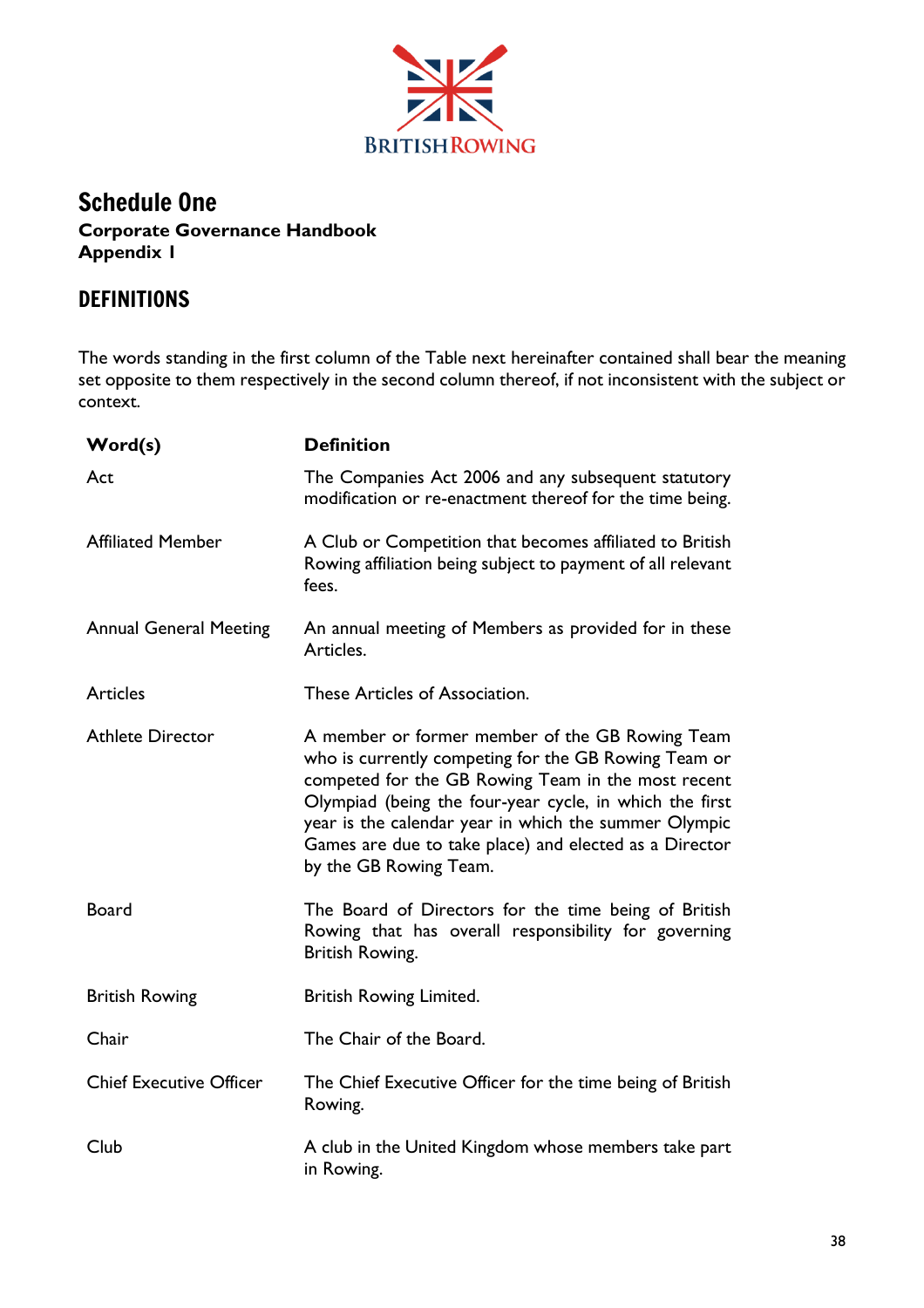

## Schedule One **Corporate Governance Handbook Appendix 1**

# DEFINITIONS

The words standing in the first column of the Table next hereinafter contained shall bear the meaning set opposite to them respectively in the second column thereof, if not inconsistent with the subject or context.

| Word(s)                        | <b>Definition</b>                                                                                                                                                                                                                                                                                                                                                     |  |
|--------------------------------|-----------------------------------------------------------------------------------------------------------------------------------------------------------------------------------------------------------------------------------------------------------------------------------------------------------------------------------------------------------------------|--|
| Act                            | The Companies Act 2006 and any subsequent statutory<br>modification or re-enactment thereof for the time being.                                                                                                                                                                                                                                                       |  |
| <b>Affiliated Member</b>       | A Club or Competition that becomes affiliated to British<br>Rowing affiliation being subject to payment of all relevant<br>fees.                                                                                                                                                                                                                                      |  |
| <b>Annual General Meeting</b>  | An annual meeting of Members as provided for in these<br>Articles.                                                                                                                                                                                                                                                                                                    |  |
| <b>Articles</b>                | These Articles of Association.                                                                                                                                                                                                                                                                                                                                        |  |
| <b>Athlete Director</b>        | A member or former member of the GB Rowing Team<br>who is currently competing for the GB Rowing Team or<br>competed for the GB Rowing Team in the most recent<br>Olympiad (being the four-year cycle, in which the first<br>year is the calendar year in which the summer Olympic<br>Games are due to take place) and elected as a Director<br>by the GB Rowing Team. |  |
| <b>Board</b>                   | The Board of Directors for the time being of British<br>Rowing that has overall responsibility for governing<br>British Rowing.                                                                                                                                                                                                                                       |  |
| <b>British Rowing</b>          | <b>British Rowing Limited.</b>                                                                                                                                                                                                                                                                                                                                        |  |
| Chair                          | The Chair of the Board.                                                                                                                                                                                                                                                                                                                                               |  |
| <b>Chief Executive Officer</b> | The Chief Executive Officer for the time being of British<br>Rowing.                                                                                                                                                                                                                                                                                                  |  |
| Club                           | A club in the United Kingdom whose members take part<br>in Rowing.                                                                                                                                                                                                                                                                                                    |  |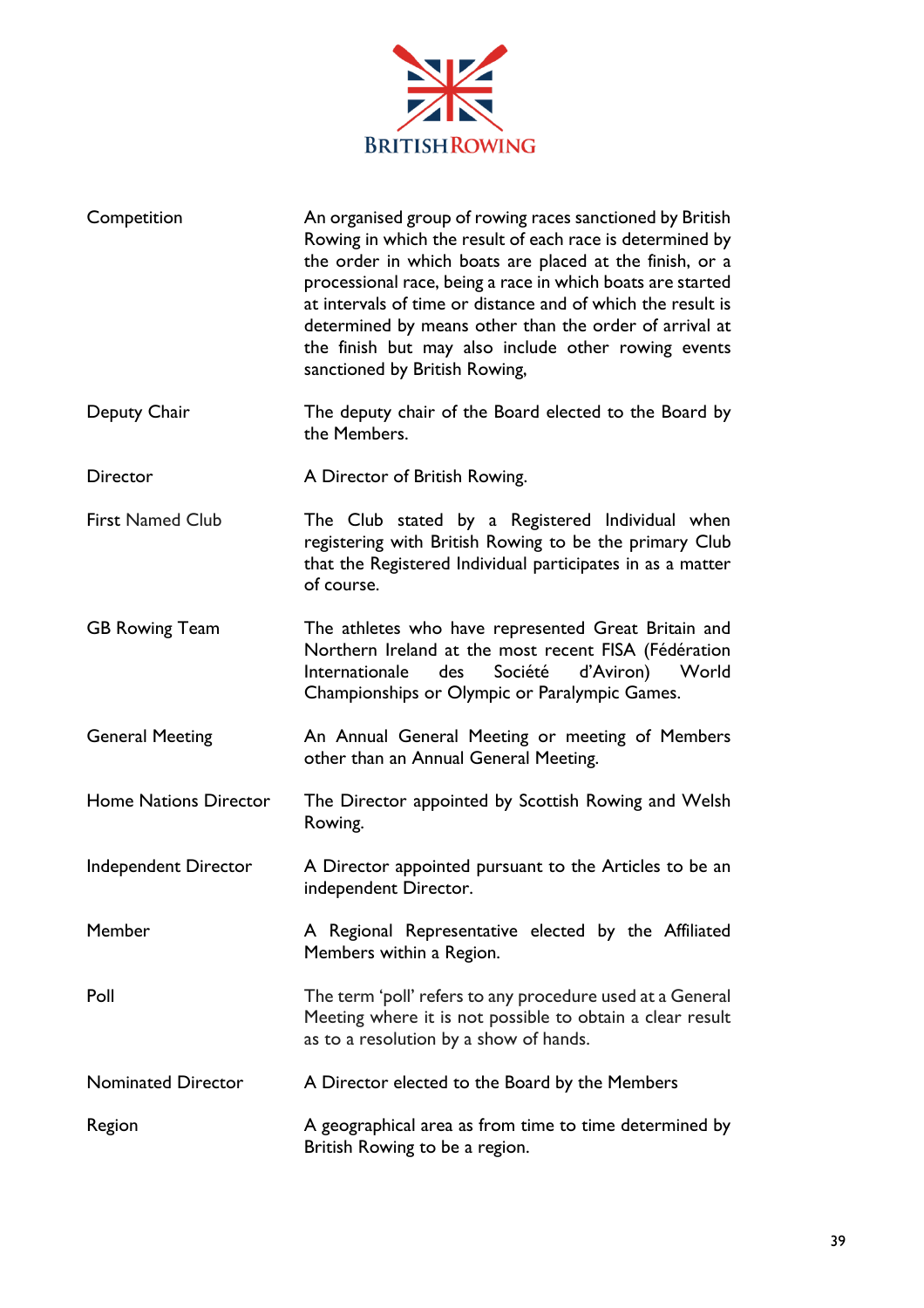

| Competition                  | An organised group of rowing races sanctioned by British<br>Rowing in which the result of each race is determined by<br>the order in which boats are placed at the finish, or a<br>processional race, being a race in which boats are started<br>at intervals of time or distance and of which the result is<br>determined by means other than the order of arrival at<br>the finish but may also include other rowing events<br>sanctioned by British Rowing, |  |
|------------------------------|----------------------------------------------------------------------------------------------------------------------------------------------------------------------------------------------------------------------------------------------------------------------------------------------------------------------------------------------------------------------------------------------------------------------------------------------------------------|--|
| Deputy Chair                 | The deputy chair of the Board elected to the Board by<br>the Members.                                                                                                                                                                                                                                                                                                                                                                                          |  |
| <b>Director</b>              | A Director of British Rowing.                                                                                                                                                                                                                                                                                                                                                                                                                                  |  |
| <b>First Named Club</b>      | The Club stated by a Registered Individual when<br>registering with British Rowing to be the primary Club<br>that the Registered Individual participates in as a matter<br>of course.                                                                                                                                                                                                                                                                          |  |
| <b>GB Rowing Team</b>        | The athletes who have represented Great Britain and<br>Northern Ireland at the most recent FISA (Fédération<br>Internationale<br>Société<br>d'Aviron)<br>des<br>World<br>Championships or Olympic or Paralympic Games.                                                                                                                                                                                                                                         |  |
| <b>General Meeting</b>       | An Annual General Meeting or meeting of Members<br>other than an Annual General Meeting.                                                                                                                                                                                                                                                                                                                                                                       |  |
| <b>Home Nations Director</b> | The Director appointed by Scottish Rowing and Welsh<br>Rowing.                                                                                                                                                                                                                                                                                                                                                                                                 |  |
| Independent Director         | A Director appointed pursuant to the Articles to be an<br>independent Director.                                                                                                                                                                                                                                                                                                                                                                                |  |
| Member                       | A Regional Representative elected by the Affiliated<br>Members within a Region.                                                                                                                                                                                                                                                                                                                                                                                |  |
| Poll                         | The term 'poll' refers to any procedure used at a General<br>Meeting where it is not possible to obtain a clear result<br>as to a resolution by a show of hands.                                                                                                                                                                                                                                                                                               |  |
| <b>Nominated Director</b>    | A Director elected to the Board by the Members                                                                                                                                                                                                                                                                                                                                                                                                                 |  |
| Region                       | A geographical area as from time to time determined by<br>British Rowing to be a region.                                                                                                                                                                                                                                                                                                                                                                       |  |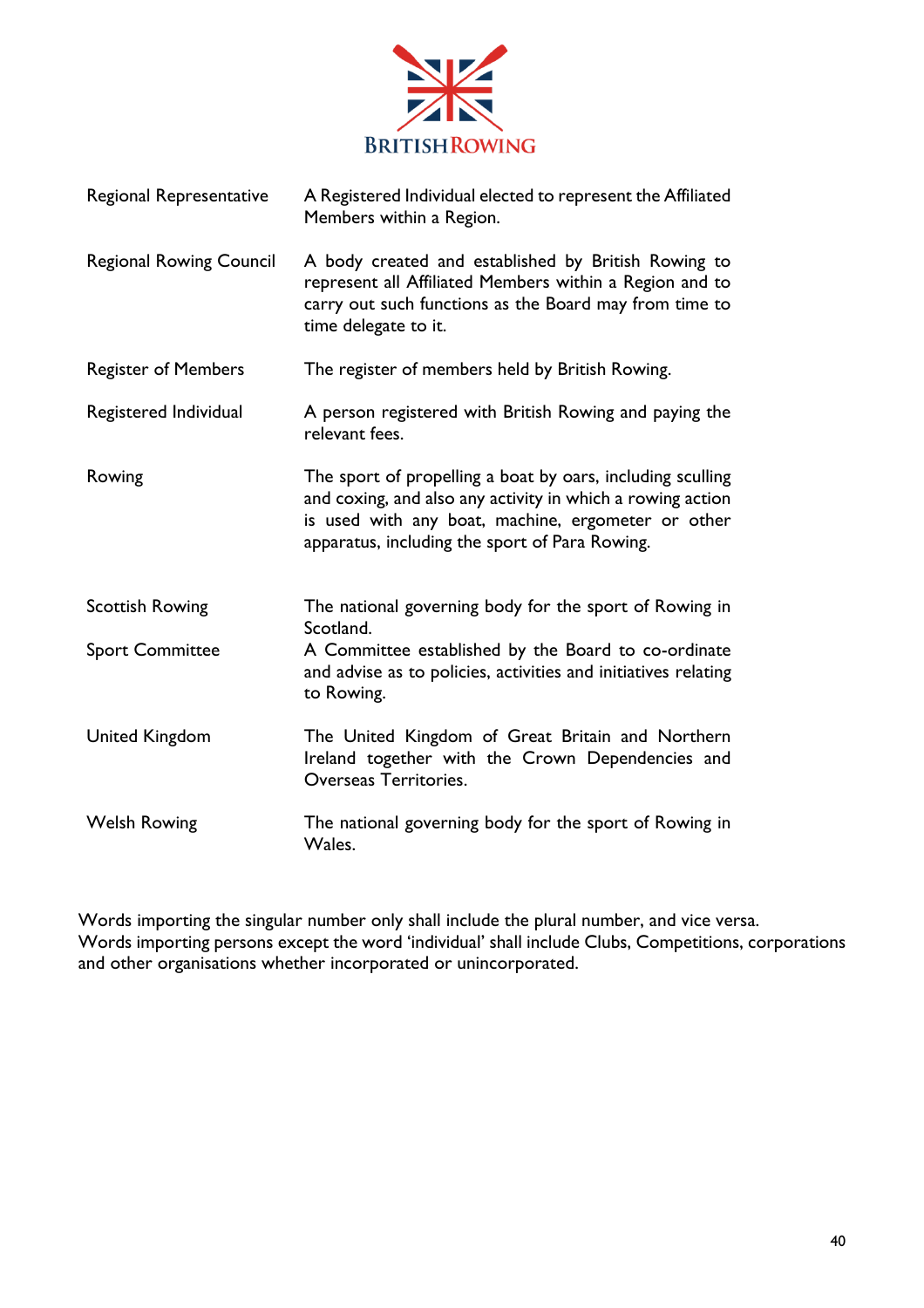

| Regional Representative        | A Registered Individual elected to represent the Affiliated<br>Members within a Region.                                                                                                                                          |  |  |
|--------------------------------|----------------------------------------------------------------------------------------------------------------------------------------------------------------------------------------------------------------------------------|--|--|
| <b>Regional Rowing Council</b> | A body created and established by British Rowing to<br>represent all Affiliated Members within a Region and to<br>carry out such functions as the Board may from time to<br>time delegate to it.                                 |  |  |
| <b>Register of Members</b>     | The register of members held by British Rowing.                                                                                                                                                                                  |  |  |
| Registered Individual          | A person registered with British Rowing and paying the<br>relevant fees.                                                                                                                                                         |  |  |
| Rowing                         | The sport of propelling a boat by oars, including sculling<br>and coxing, and also any activity in which a rowing action<br>is used with any boat, machine, ergometer or other<br>apparatus, including the sport of Para Rowing. |  |  |
| <b>Scottish Rowing</b>         | The national governing body for the sport of Rowing in<br>Scotland.                                                                                                                                                              |  |  |
| <b>Sport Committee</b>         | A Committee established by the Board to co-ordinate<br>and advise as to policies, activities and initiatives relating<br>to Rowing.                                                                                              |  |  |
| <b>United Kingdom</b>          | The United Kingdom of Great Britain and Northern<br>Ireland together with the Crown Dependencies and<br>Overseas Territories.                                                                                                    |  |  |
| <b>Welsh Rowing</b>            | The national governing body for the sport of Rowing in<br>Wales.                                                                                                                                                                 |  |  |

Words importing the singular number only shall include the plural number, and vice versa. Words importing persons except the word 'individual' shall include Clubs, Competitions, corporations and other organisations whether incorporated or unincorporated.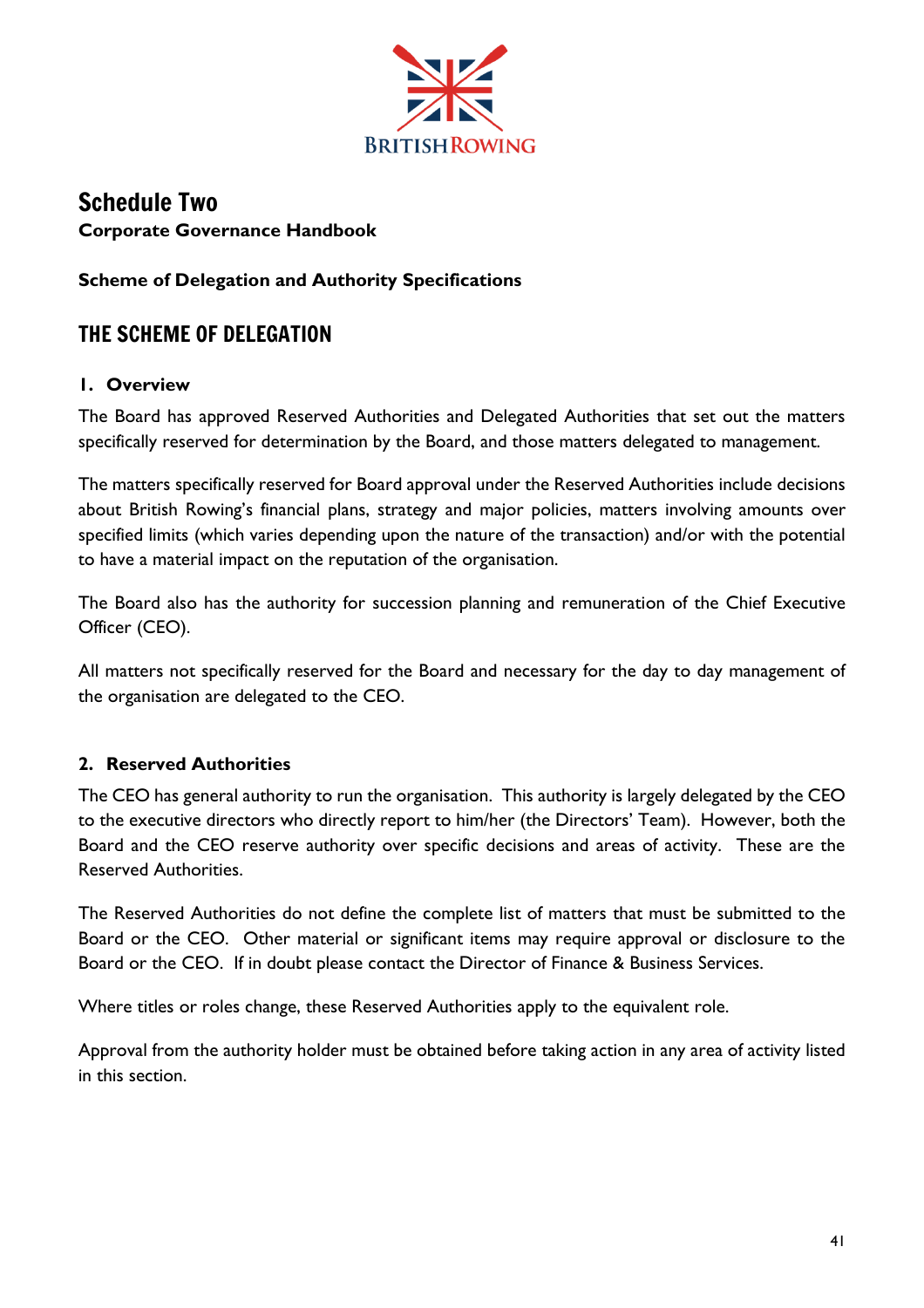

# Schedule Two **Corporate Governance Handbook**

## **Scheme of Delegation and Authority Specifications**

# THE SCHEME OF DELEGATION

## **1. Overview**

The Board has approved Reserved Authorities and Delegated Authorities that set out the matters specifically reserved for determination by the Board, and those matters delegated to management.

The matters specifically reserved for Board approval under the Reserved Authorities include decisions about British Rowing's financial plans, strategy and major policies, matters involving amounts over specified limits (which varies depending upon the nature of the transaction) and/or with the potential to have a material impact on the reputation of the organisation.

The Board also has the authority for succession planning and remuneration of the Chief Executive Officer (CEO).

All matters not specifically reserved for the Board and necessary for the day to day management of the organisation are delegated to the CEO.

## **2. Reserved Authorities**

The CEO has general authority to run the organisation. This authority is largely delegated by the CEO to the executive directors who directly report to him/her (the Directors' Team). However, both the Board and the CEO reserve authority over specific decisions and areas of activity. These are the Reserved Authorities.

The Reserved Authorities do not define the complete list of matters that must be submitted to the Board or the CEO. Other material or significant items may require approval or disclosure to the Board or the CEO. If in doubt please contact the Director of Finance & Business Services.

Where titles or roles change, these Reserved Authorities apply to the equivalent role.

Approval from the authority holder must be obtained before taking action in any area of activity listed in this section.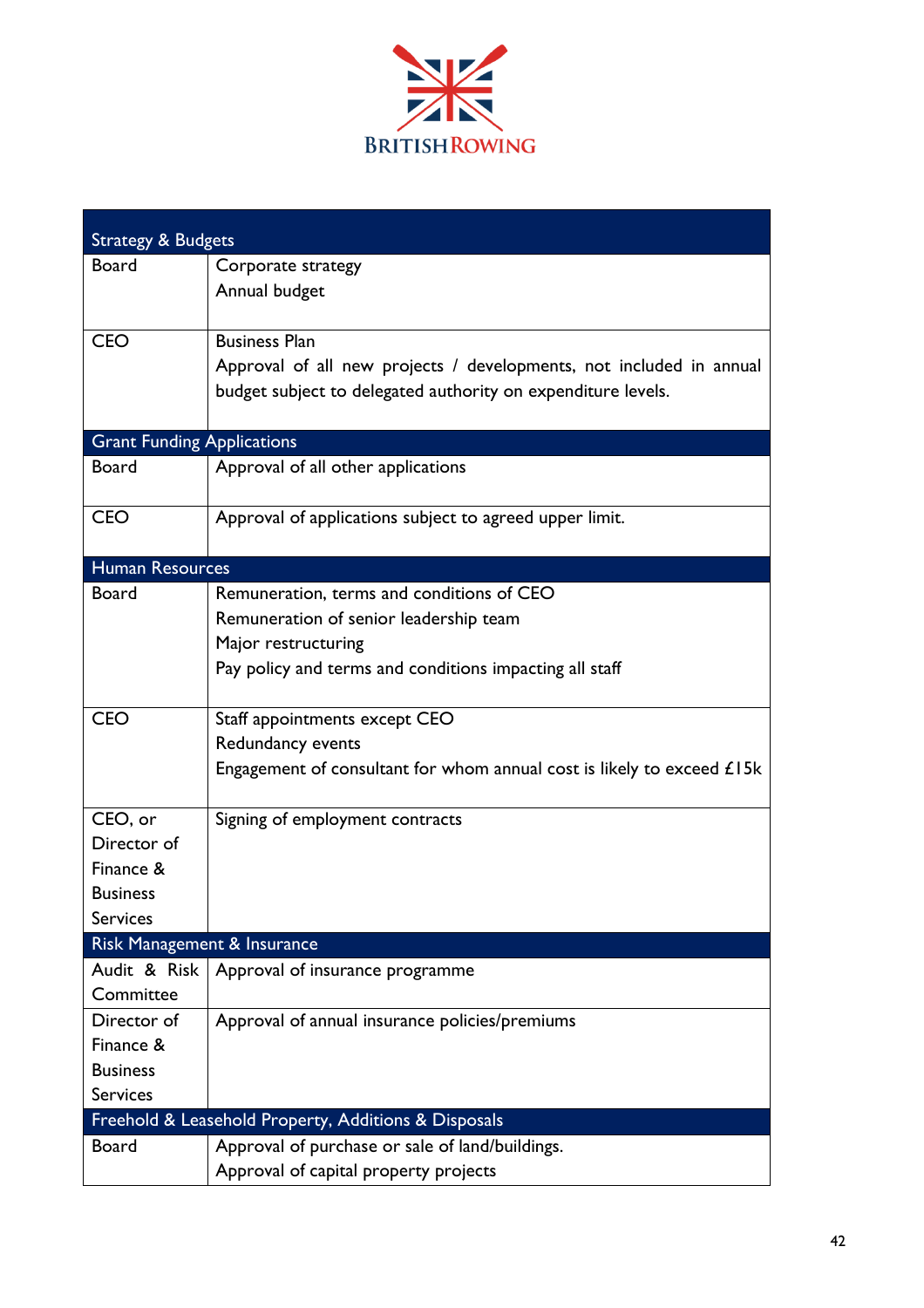

| <b>Strategy &amp; Budgets</b>                        |                                                                          |  |  |  |  |
|------------------------------------------------------|--------------------------------------------------------------------------|--|--|--|--|
| <b>Board</b>                                         | Corporate strategy                                                       |  |  |  |  |
|                                                      | Annual budget                                                            |  |  |  |  |
| <b>CEO</b>                                           | <b>Business Plan</b>                                                     |  |  |  |  |
|                                                      | Approval of all new projects / developments, not included in annual      |  |  |  |  |
|                                                      | budget subject to delegated authority on expenditure levels.             |  |  |  |  |
| <b>Grant Funding Applications</b>                    |                                                                          |  |  |  |  |
| <b>Board</b>                                         | Approval of all other applications                                       |  |  |  |  |
| <b>CEO</b>                                           | Approval of applications subject to agreed upper limit.                  |  |  |  |  |
| <b>Human Resources</b>                               |                                                                          |  |  |  |  |
| Board                                                | Remuneration, terms and conditions of CEO                                |  |  |  |  |
|                                                      | Remuneration of senior leadership team                                   |  |  |  |  |
|                                                      | Major restructuring                                                      |  |  |  |  |
|                                                      | Pay policy and terms and conditions impacting all staff                  |  |  |  |  |
| <b>CEO</b>                                           | Staff appointments except CEO                                            |  |  |  |  |
|                                                      | Redundancy events                                                        |  |  |  |  |
|                                                      | Engagement of consultant for whom annual cost is likely to exceed $£15k$ |  |  |  |  |
| CEO, or                                              | Signing of employment contracts                                          |  |  |  |  |
| Director of                                          |                                                                          |  |  |  |  |
| Finance &                                            |                                                                          |  |  |  |  |
| <b>Business</b>                                      |                                                                          |  |  |  |  |
| <b>Services</b>                                      |                                                                          |  |  |  |  |
| Risk Management & Insurance                          |                                                                          |  |  |  |  |
| Audit & Risk                                         | Approval of insurance programme                                          |  |  |  |  |
| Committee                                            |                                                                          |  |  |  |  |
| Director of                                          | Approval of annual insurance policies/premiums                           |  |  |  |  |
| Finance &                                            |                                                                          |  |  |  |  |
| <b>Business</b>                                      |                                                                          |  |  |  |  |
| <b>Services</b>                                      |                                                                          |  |  |  |  |
| Freehold & Leasehold Property, Additions & Disposals |                                                                          |  |  |  |  |
| <b>Board</b>                                         | Approval of purchase or sale of land/buildings.                          |  |  |  |  |
|                                                      | Approval of capital property projects                                    |  |  |  |  |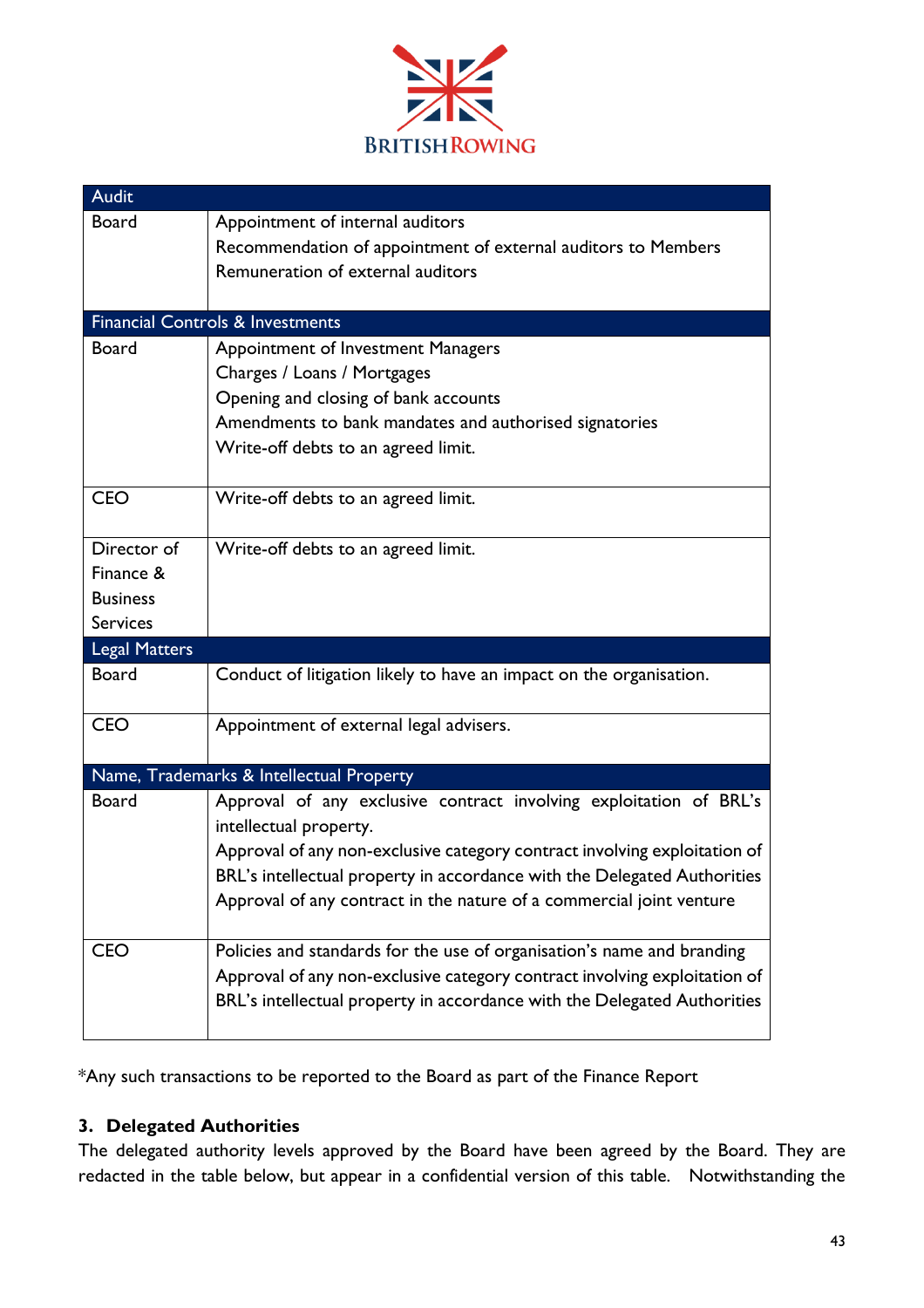

| <b>Audit</b>         |                                                                           |
|----------------------|---------------------------------------------------------------------------|
| <b>Board</b>         | Appointment of internal auditors                                          |
|                      | Recommendation of appointment of external auditors to Members             |
|                      | Remuneration of external auditors                                         |
|                      |                                                                           |
|                      | <b>Financial Controls &amp; Investments</b>                               |
| <b>Board</b>         | Appointment of Investment Managers                                        |
|                      | Charges / Loans / Mortgages                                               |
|                      | Opening and closing of bank accounts                                      |
|                      | Amendments to bank mandates and authorised signatories                    |
|                      | Write-off debts to an agreed limit.                                       |
|                      |                                                                           |
| <b>CEO</b>           | Write-off debts to an agreed limit.                                       |
|                      |                                                                           |
| Director of          | Write-off debts to an agreed limit.                                       |
| Finance &            |                                                                           |
| <b>Business</b>      |                                                                           |
| <b>Services</b>      |                                                                           |
| <b>Legal Matters</b> |                                                                           |
| <b>Board</b>         | Conduct of litigation likely to have an impact on the organisation.       |
| <b>CEO</b>           | Appointment of external legal advisers.                                   |
|                      |                                                                           |
|                      | Name, Trademarks & Intellectual Property                                  |
| <b>Board</b>         | Approval of any exclusive contract involving exploitation of BRL's        |
|                      | intellectual property.                                                    |
|                      | Approval of any non-exclusive category contract involving exploitation of |
|                      | BRL's intellectual property in accordance with the Delegated Authorities  |
|                      | Approval of any contract in the nature of a commercial joint venture      |
| <b>CEO</b>           | Policies and standards for the use of organisation's name and branding    |
|                      | Approval of any non-exclusive category contract involving exploitation of |
|                      | BRL's intellectual property in accordance with the Delegated Authorities  |
|                      |                                                                           |

\*Any such transactions to be reported to the Board as part of the Finance Report

## **3. Delegated Authorities**

The delegated authority levels approved by the Board have been agreed by the Board. They are redacted in the table below, but appear in a confidential version of this table. Notwithstanding the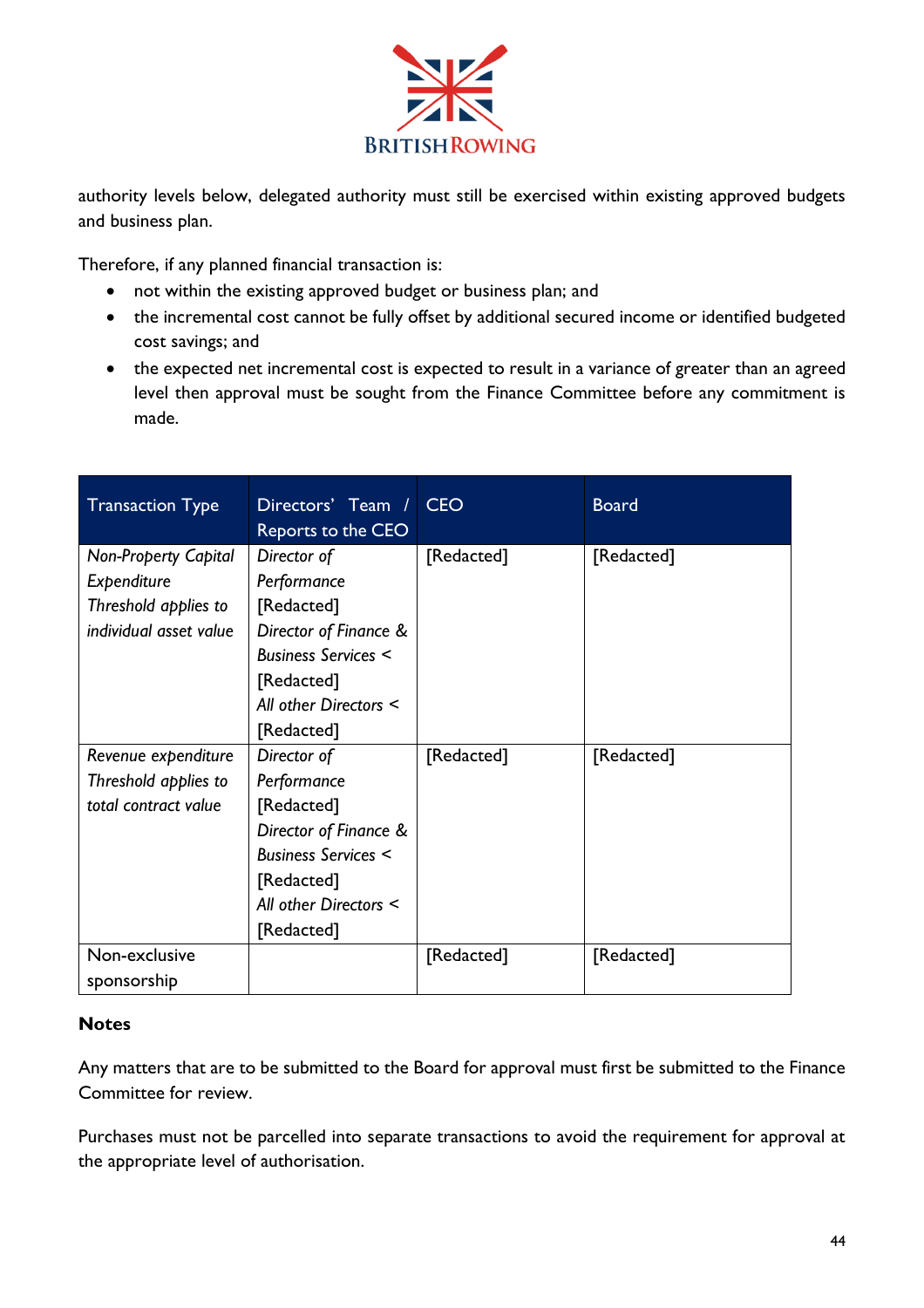

authority levels below, delegated authority must still be exercised within existing approved budgets and business plan.

Therefore, if any planned financial transaction is:

- not within the existing approved budget or business plan; and
- the incremental cost cannot be fully offset by additional secured income or identified budgeted cost savings; and
- the expected net incremental cost is expected to result in a variance of greater than an agreed level then approval must be sought from the Finance Committee before any commitment is made.

| <b>Transaction Type</b>     | Directors' Team /<br>Reports to the CEO | <b>CEO</b> | <b>Board</b> |
|-----------------------------|-----------------------------------------|------------|--------------|
| <b>Non-Property Capital</b> | Director of                             | [Redacted] | [Redacted]   |
| Expenditure                 | Performance                             |            |              |
| Threshold applies to        | [Redacted]                              |            |              |
| individual asset value      | Director of Finance &                   |            |              |
|                             | <b>Business Services &lt;</b>           |            |              |
|                             | [Redacted]                              |            |              |
|                             | All other Directors <                   |            |              |
|                             | [Redacted]                              |            |              |
| Revenue expenditure         | Director of                             | [Redacted] | [Redacted]   |
| Threshold applies to        | Performance                             |            |              |
| total contract value        | [Redacted]                              |            |              |
|                             | Director of Finance &                   |            |              |
|                             | <b>Business Services &lt;</b>           |            |              |
|                             | [Redacted]                              |            |              |
|                             | All other Directors <                   |            |              |
|                             | [Redacted]                              |            |              |
| Non-exclusive               |                                         | [Redacted] | [Redacted]   |
| sponsorship                 |                                         |            |              |

### **Notes**

Any matters that are to be submitted to the Board for approval must first be submitted to the Finance Committee for review.

Purchases must not be parcelled into separate transactions to avoid the requirement for approval at the appropriate level of authorisation.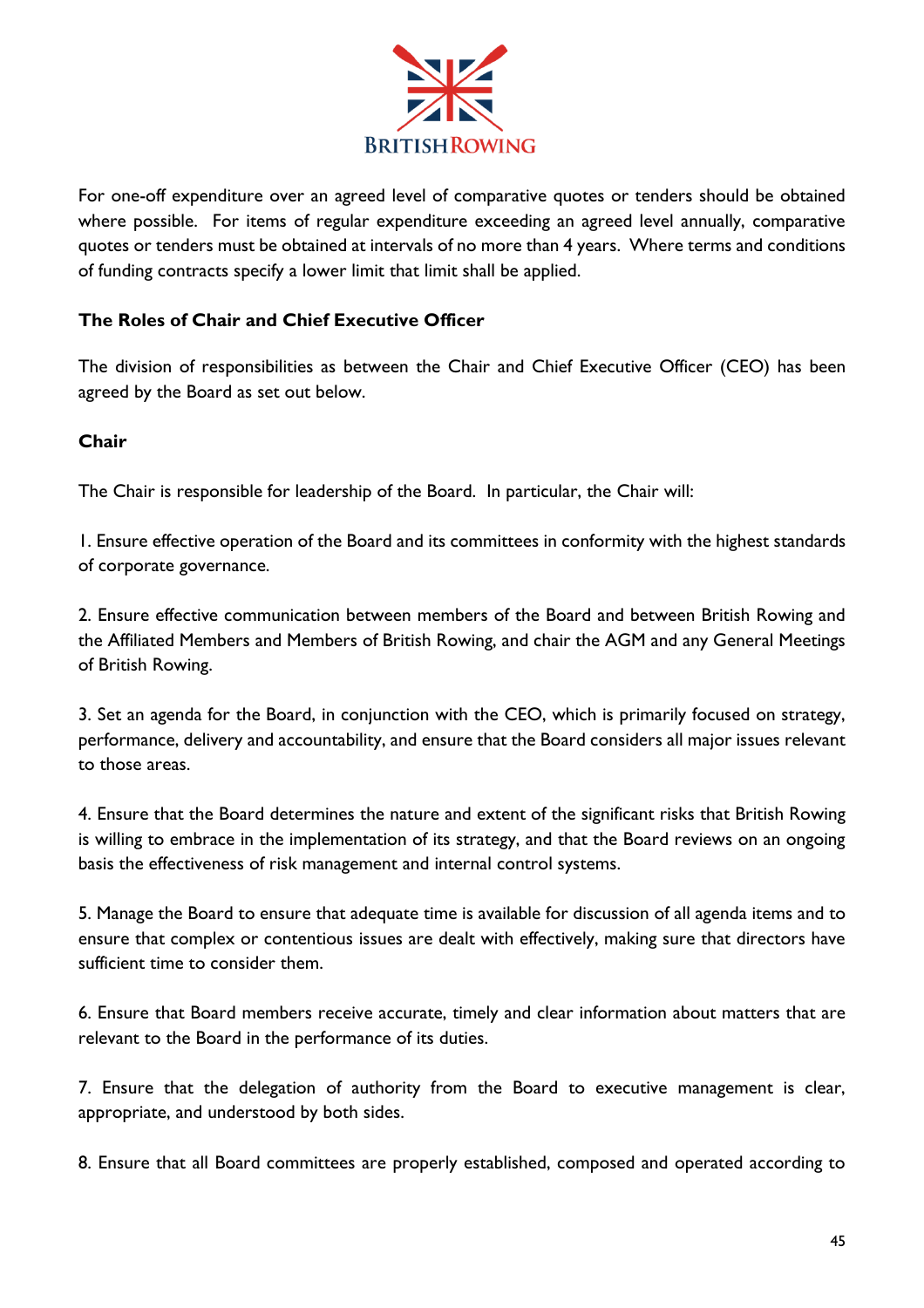

For one-off expenditure over an agreed level of comparative quotes or tenders should be obtained where possible. For items of regular expenditure exceeding an agreed level annually, comparative quotes or tenders must be obtained at intervals of no more than 4 years. Where terms and conditions of funding contracts specify a lower limit that limit shall be applied.

## **The Roles of Chair and Chief Executive Officer**

The division of responsibilities as between the Chair and Chief Executive Officer (CEO) has been agreed by the Board as set out below.

## **Chair**

The Chair is responsible for leadership of the Board. In particular, the Chair will:

1. Ensure effective operation of the Board and its committees in conformity with the highest standards of corporate governance.

2. Ensure effective communication between members of the Board and between British Rowing and the Affiliated Members and Members of British Rowing, and chair the AGM and any General Meetings of British Rowing.

3. Set an agenda for the Board, in conjunction with the CEO, which is primarily focused on strategy, performance, delivery and accountability, and ensure that the Board considers all major issues relevant to those areas.

4. Ensure that the Board determines the nature and extent of the significant risks that British Rowing is willing to embrace in the implementation of its strategy, and that the Board reviews on an ongoing basis the effectiveness of risk management and internal control systems.

5. Manage the Board to ensure that adequate time is available for discussion of all agenda items and to ensure that complex or contentious issues are dealt with effectively, making sure that directors have sufficient time to consider them.

6. Ensure that Board members receive accurate, timely and clear information about matters that are relevant to the Board in the performance of its duties.

7. Ensure that the delegation of authority from the Board to executive management is clear, appropriate, and understood by both sides.

8. Ensure that all Board committees are properly established, composed and operated according to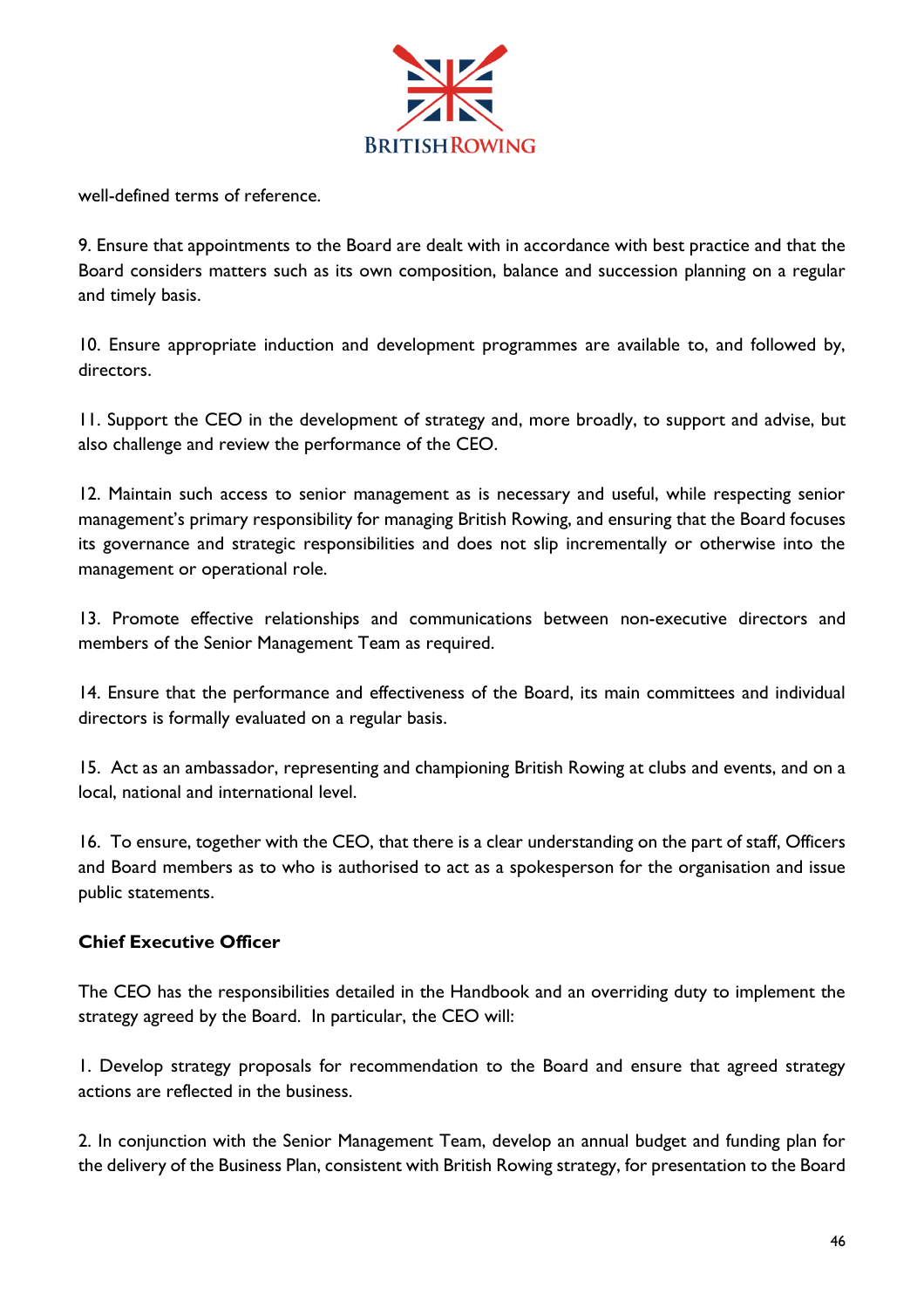

well-defined terms of reference.

9. Ensure that appointments to the Board are dealt with in accordance with best practice and that the Board considers matters such as its own composition, balance and succession planning on a regular and timely basis.

10. Ensure appropriate induction and development programmes are available to, and followed by, directors.

11. Support the CEO in the development of strategy and, more broadly, to support and advise, but also challenge and review the performance of the CEO.

12. Maintain such access to senior management as is necessary and useful, while respecting senior management's primary responsibility for managing British Rowing, and ensuring that the Board focuses its governance and strategic responsibilities and does not slip incrementally or otherwise into the management or operational role.

13. Promote effective relationships and communications between non-executive directors and members of the Senior Management Team as required.

14. Ensure that the performance and effectiveness of the Board, its main committees and individual directors is formally evaluated on a regular basis.

15. Act as an ambassador, representing and championing British Rowing at clubs and events, and on a local, national and international level.

16. To ensure, together with the CEO, that there is a clear understanding on the part of staff, Officers and Board members as to who is authorised to act as a spokesperson for the organisation and issue public statements.

### **Chief Executive Officer**

The CEO has the responsibilities detailed in the Handbook and an overriding duty to implement the strategy agreed by the Board. In particular, the CEO will:

1. Develop strategy proposals for recommendation to the Board and ensure that agreed strategy actions are reflected in the business.

2. In conjunction with the Senior Management Team, develop an annual budget and funding plan for the delivery of the Business Plan, consistent with British Rowing strategy, for presentation to the Board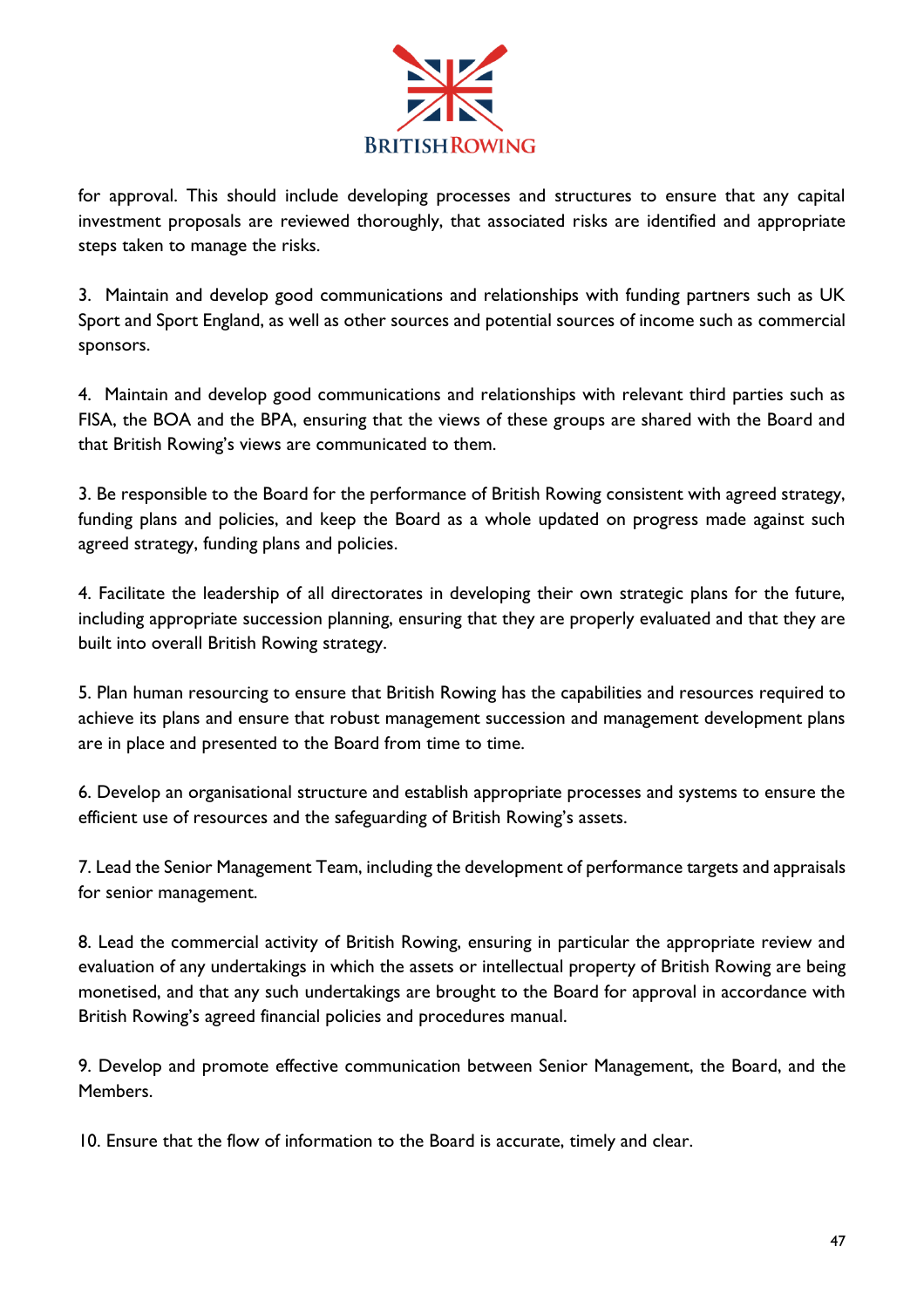

for approval. This should include developing processes and structures to ensure that any capital investment proposals are reviewed thoroughly, that associated risks are identified and appropriate steps taken to manage the risks.

3. Maintain and develop good communications and relationships with funding partners such as UK Sport and Sport England, as well as other sources and potential sources of income such as commercial sponsors.

4. Maintain and develop good communications and relationships with relevant third parties such as FISA, the BOA and the BPA, ensuring that the views of these groups are shared with the Board and that British Rowing's views are communicated to them.

3. Be responsible to the Board for the performance of British Rowing consistent with agreed strategy, funding plans and policies, and keep the Board as a whole updated on progress made against such agreed strategy, funding plans and policies.

4. Facilitate the leadership of all directorates in developing their own strategic plans for the future, including appropriate succession planning, ensuring that they are properly evaluated and that they are built into overall British Rowing strategy.

5. Plan human resourcing to ensure that British Rowing has the capabilities and resources required to achieve its plans and ensure that robust management succession and management development plans are in place and presented to the Board from time to time.

6. Develop an organisational structure and establish appropriate processes and systems to ensure the efficient use of resources and the safeguarding of British Rowing's assets.

7. Lead the Senior Management Team, including the development of performance targets and appraisals for senior management.

8. Lead the commercial activity of British Rowing, ensuring in particular the appropriate review and evaluation of any undertakings in which the assets or intellectual property of British Rowing are being monetised, and that any such undertakings are brought to the Board for approval in accordance with British Rowing's agreed financial policies and procedures manual.

9. Develop and promote effective communication between Senior Management, the Board, and the Members.

10. Ensure that the flow of information to the Board is accurate, timely and clear.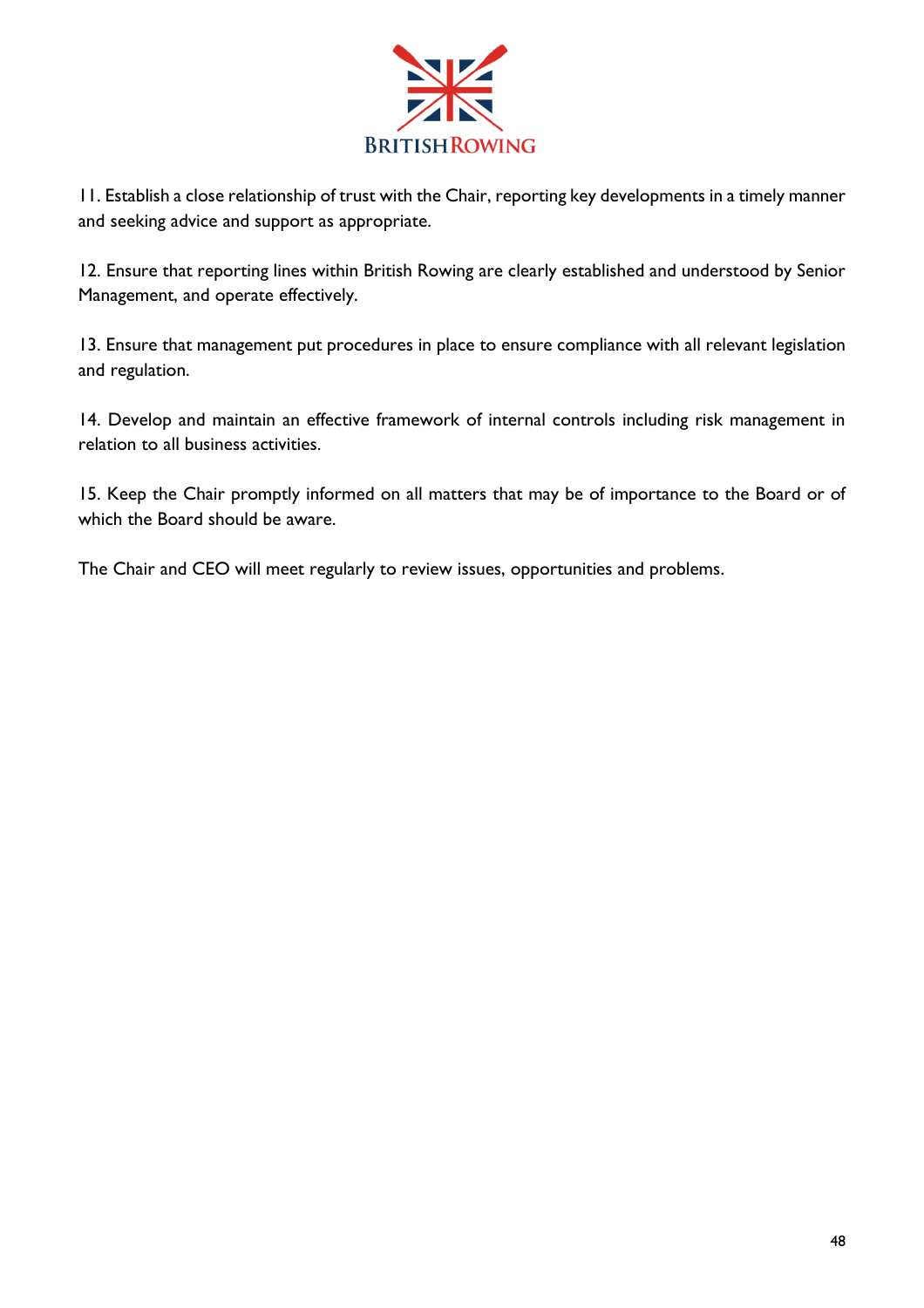

11. Establish a close relationship of trust with the Chair, reporting key developments in a timely manner and seeking advice and support as appropriate.

12. Ensure that reporting lines within British Rowing are clearly established and understood by Senior Management, and operate effectively.

13. Ensure that management put procedures in place to ensure compliance with all relevant legislation and regulation.

14. Develop and maintain an effective framework of internal controls including risk management in relation to all business activities.

15. Keep the Chair promptly informed on all matters that may be of importance to the Board or of which the Board should be aware.

The Chair and CEO will meet regularly to review issues, opportunities and problems.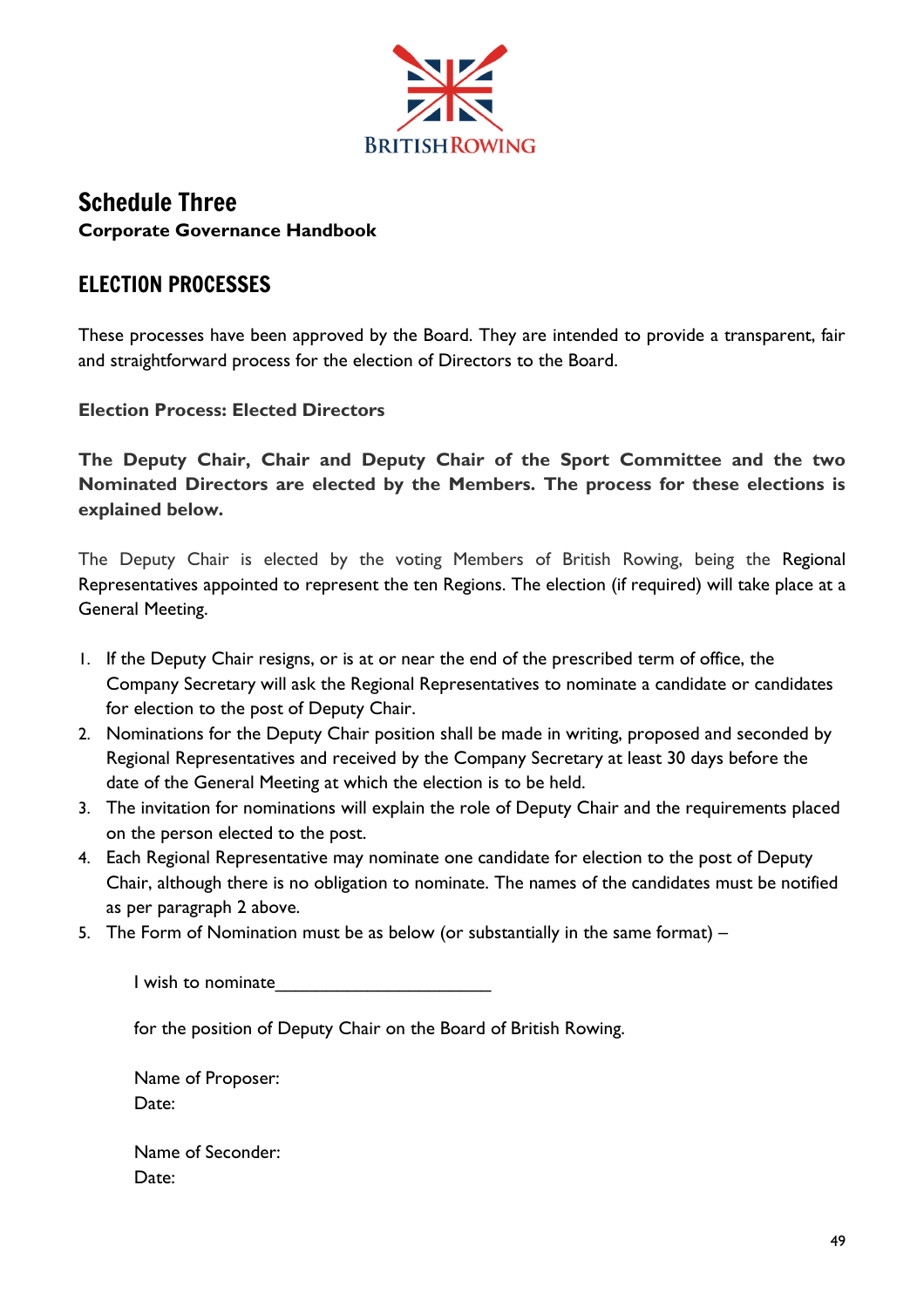

# Schedule Three **Corporate Governance Handbook**

# ELECTION PROCESSES

These processes have been approved by the Board. They are intended to provide a transparent, fair and straightforward process for the election of Directors to the Board.

**Election Process: Elected Directors**

**The Deputy Chair, Chair and Deputy Chair of the Sport Committee and the two Nominated Directors are elected by the Members. The process for these elections is explained below.**

The Deputy Chair is elected by the voting Members of British Rowing, being the Regional Representatives appointed to represent the ten Regions. The election (if required) will take place at a General Meeting.

- 1. If the Deputy Chair resigns, or is at or near the end of the prescribed term of office, the Company Secretary will ask the Regional Representatives to nominate a candidate or candidates for election to the post of Deputy Chair.
- 2. Nominations for the Deputy Chair position shall be made in writing, proposed and seconded by Regional Representatives and received by the Company Secretary at least 30 days before the date of the General Meeting at which the election is to be held.
- 3. The invitation for nominations will explain the role of Deputy Chair and the requirements placed on the person elected to the post.
- 4. Each Regional Representative may nominate one candidate for election to the post of Deputy Chair, although there is no obligation to nominate. The names of the candidates must be notified as per paragraph 2 above.
- 5. The Form of Nomination must be as below (or substantially in the same format) –

I wish to nominate

for the position of Deputy Chair on the Board of British Rowing.

Name of Proposer: Date:

Name of Seconder: Date: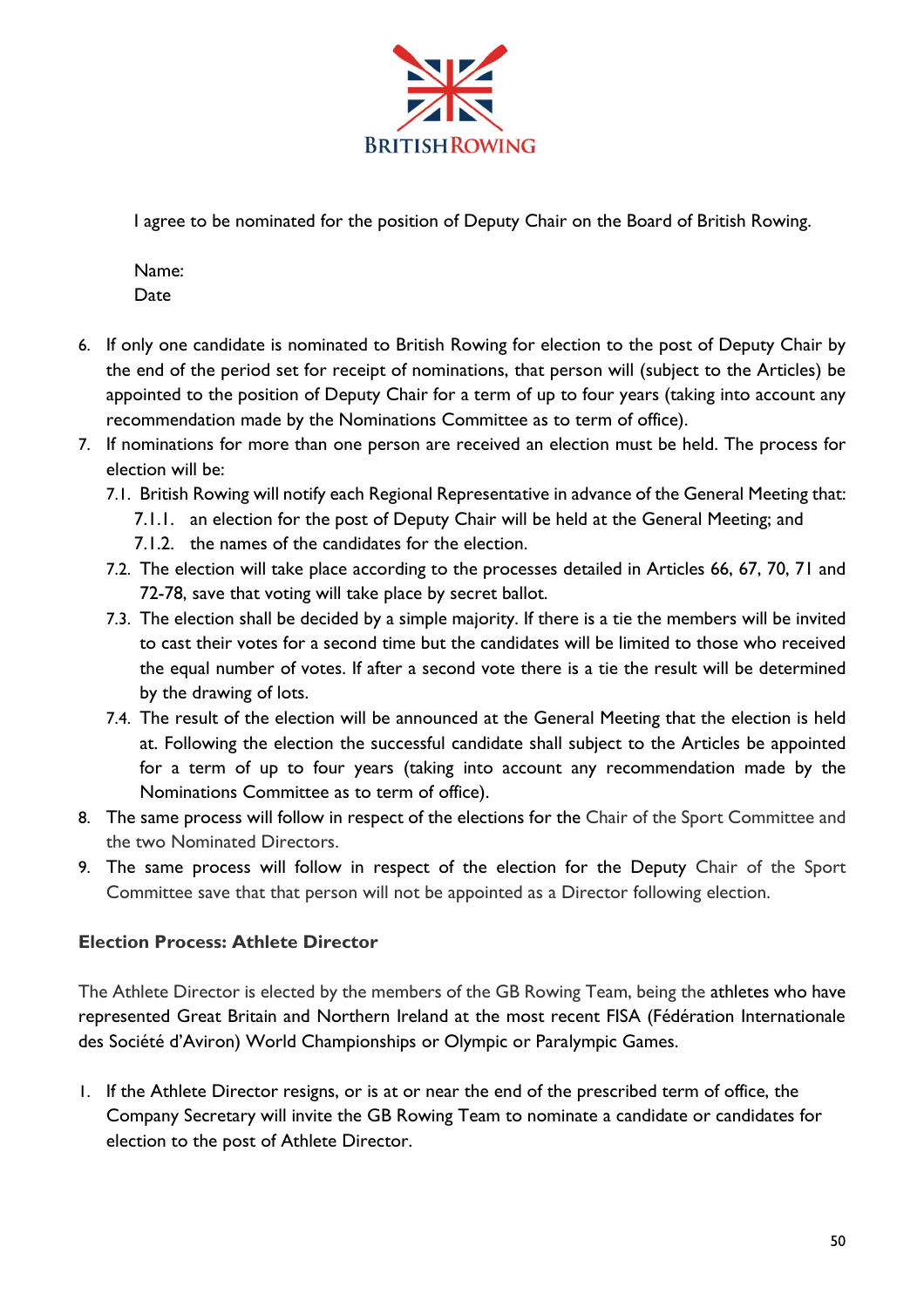

I agree to be nominated for the position of Deputy Chair on the Board of British Rowing.

Name: Date

- 6. If only one candidate is nominated to British Rowing for election to the post of Deputy Chair by the end of the period set for receipt of nominations, that person will (subject to the Articles) be appointed to the position of Deputy Chair for a term of up to four years (taking into account any recommendation made by the Nominations Committee as to term of office).
- 7. If nominations for more than one person are received an election must be held. The process for election will be:
	- 7.1. British Rowing will notify each Regional Representative in advance of the General Meeting that:
		- 7.1.1. an election for the post of Deputy Chair will be held at the General Meeting; and
		- 7.1.2. the names of the candidates for the election.
	- 7.2. The election will take place according to the processes detailed in Articles 66, 67, 70, 71 and 72-78, save that voting will take place by secret ballot.
	- 7.3. The election shall be decided by a simple majority. If there is a tie the members will be invited to cast their votes for a second time but the candidates will be limited to those who received the equal number of votes. If after a second vote there is a tie the result will be determined by the drawing of lots.
	- 7.4. The result of the election will be announced at the General Meeting that the election is held at. Following the election the successful candidate shall subject to the Articles be appointed for a term of up to four years (taking into account any recommendation made by the Nominations Committee as to term of office).
- 8. The same process will follow in respect of the elections for the Chair of the Sport Committee and the two Nominated Directors.
- 9. The same process will follow in respect of the election for the Deputy Chair of the Sport Committee save that that person will not be appointed as a Director following election.

## **Election Process: Athlete Director**

The Athlete Director is elected by the members of the GB Rowing Team, being the athletes who have represented Great Britain and Northern Ireland at the most recent FISA (Fédération Internationale des Société d'Aviron) World Championships or Olympic or Paralympic Games.

1. If the Athlete Director resigns, or is at or near the end of the prescribed term of office, the Company Secretary will invite the GB Rowing Team to nominate a candidate or candidates for election to the post of Athlete Director.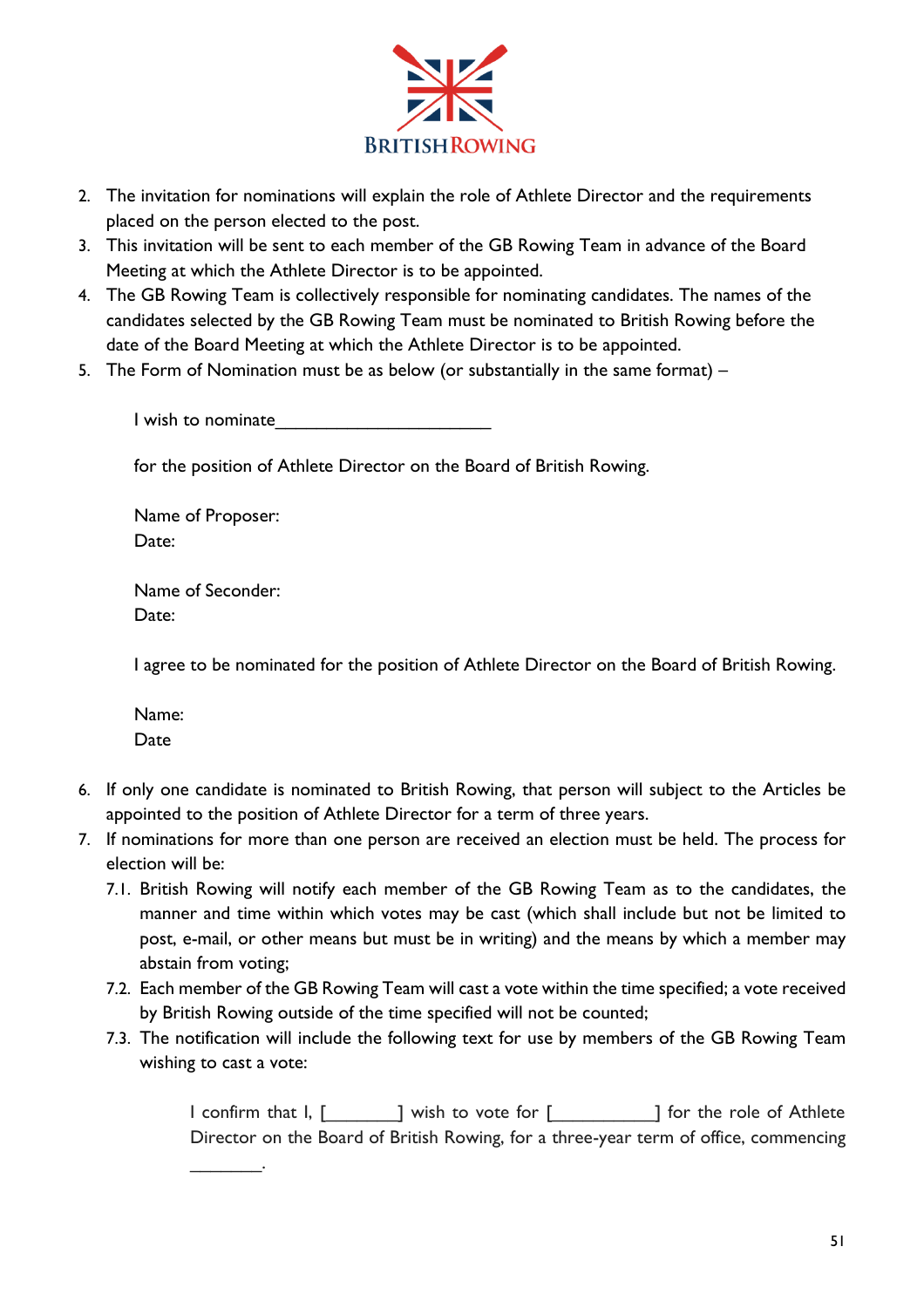

- 2. The invitation for nominations will explain the role of Athlete Director and the requirements placed on the person elected to the post.
- 3. This invitation will be sent to each member of the GB Rowing Team in advance of the Board Meeting at which the Athlete Director is to be appointed.
- 4. The GB Rowing Team is collectively responsible for nominating candidates. The names of the candidates selected by the GB Rowing Team must be nominated to British Rowing before the date of the Board Meeting at which the Athlete Director is to be appointed.
- 5. The Form of Nomination must be as below (or substantially in the same format) –

I wish to nominate

for the position of Athlete Director on the Board of British Rowing.

Name of Proposer: Date:

Name of Seconder: Date:

 $\overline{\phantom{a}}$ 

I agree to be nominated for the position of Athlete Director on the Board of British Rowing.

Name: Date

- 6. If only one candidate is nominated to British Rowing, that person will subject to the Articles be appointed to the position of Athlete Director for a term of three years.
- 7. If nominations for more than one person are received an election must be held. The process for election will be:
	- 7.1. British Rowing will notify each member of the GB Rowing Team as to the candidates, the manner and time within which votes may be cast (which shall include but not be limited to post, e-mail, or other means but must be in writing) and the means by which a member may abstain from voting;
	- 7.2. Each member of the GB Rowing Team will cast a vote within the time specified; a vote received by British Rowing outside of the time specified will not be counted;
	- 7.3. The notification will include the following text for use by members of the GB Rowing Team wishing to cast a vote:

I confirm that I, [ \_\_\_\_\_\_ ] wish to vote for [ \_\_\_\_\_\_\_\_\_ ] for the role of Athlete Director on the Board of British Rowing, for a three-year term of office, commencing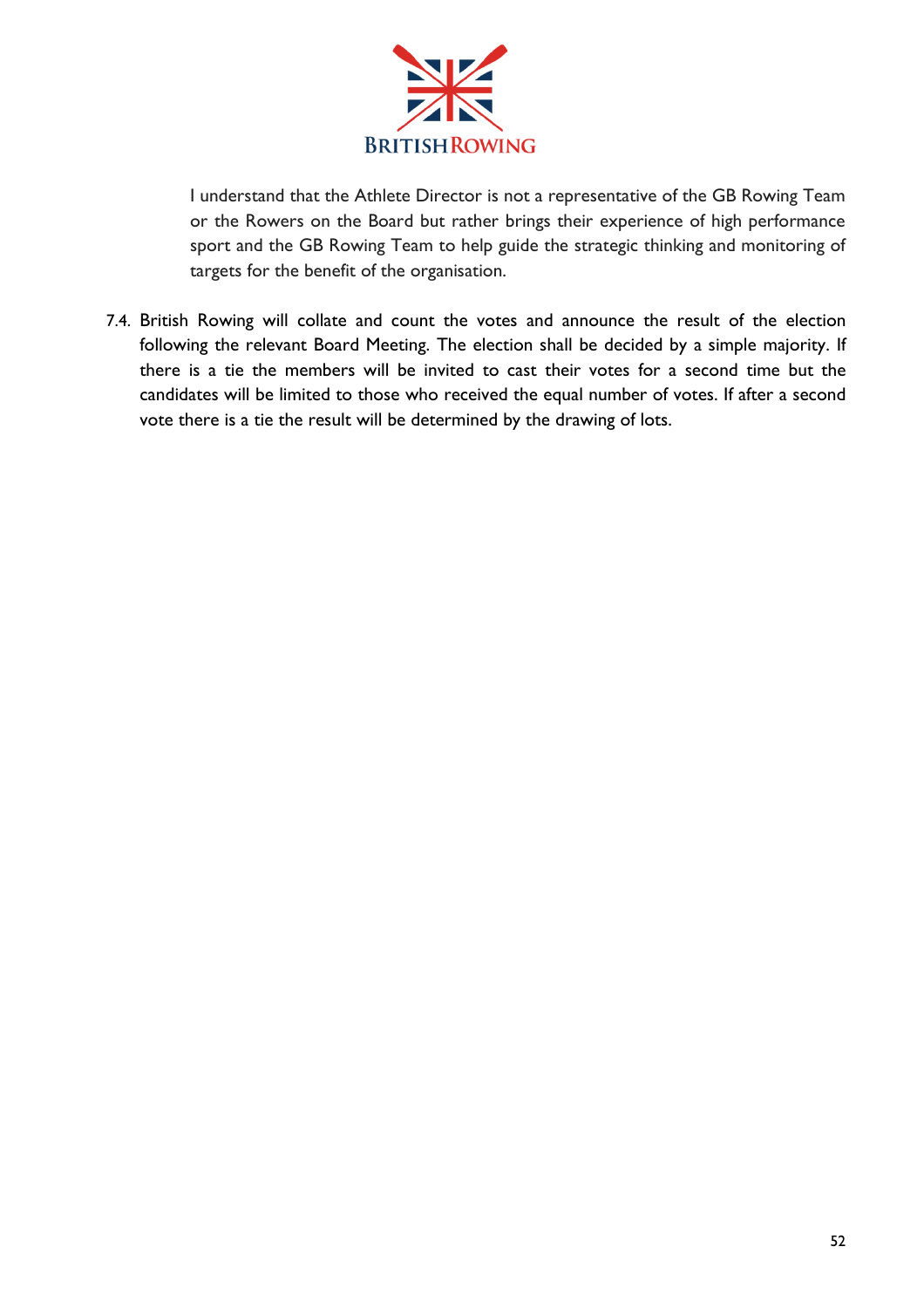

I understand that the Athlete Director is not a representative of the GB Rowing Team or the Rowers on the Board but rather brings their experience of high performance sport and the GB Rowing Team to help guide the strategic thinking and monitoring of targets for the benefit of the organisation.

7.4. British Rowing will collate and count the votes and announce the result of the election following the relevant Board Meeting. The election shall be decided by a simple majority. If there is a tie the members will be invited to cast their votes for a second time but the candidates will be limited to those who received the equal number of votes. If after a second vote there is a tie the result will be determined by the drawing of lots.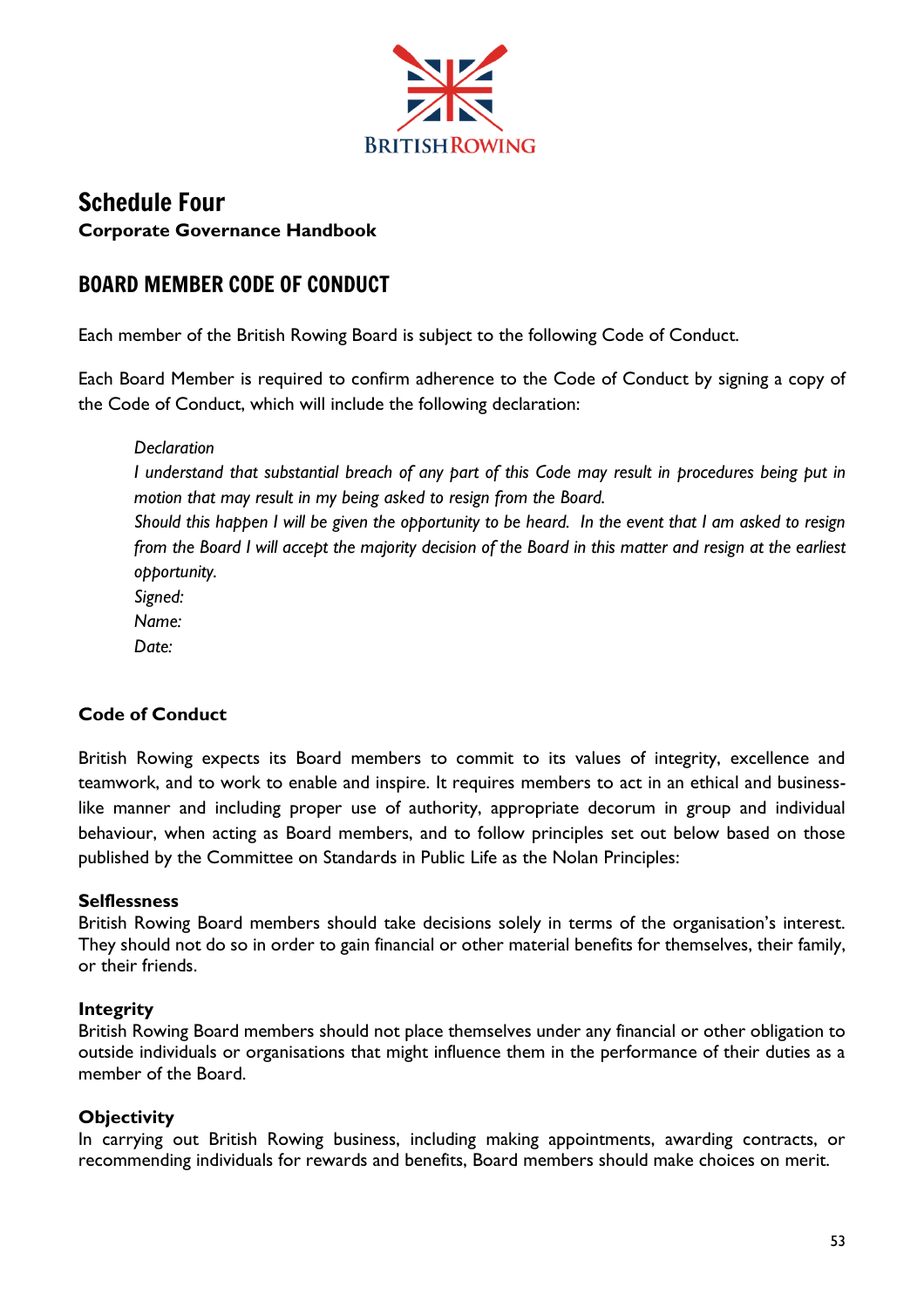

# Schedule Four **Corporate Governance Handbook**

# BOARD MEMBER CODE OF CONDUCT

Each member of the British Rowing Board is subject to the following Code of Conduct.

Each Board Member is required to confirm adherence to the Code of Conduct by signing a copy of the Code of Conduct, which will include the following declaration:

*Declaration I understand that substantial breach of any part of this Code may result in procedures being put in motion that may result in my being asked to resign from the Board. Should this happen I will be given the opportunity to be heard. In the event that I am asked to resign from the Board I will accept the majority decision of the Board in this matter and resign at the earliest opportunity. Signed: Name: Date:*

## **Code of Conduct**

British Rowing expects its Board members to commit to its values of integrity, excellence and teamwork, and to work to enable and inspire. It requires members to act in an ethical and businesslike manner and including proper use of authority, appropriate decorum in group and individual behaviour, when acting as Board members, and to follow principles set out below based on those published by the Committee on Standards in Public Life as the Nolan Principles:

### **Selflessness**

British Rowing Board members should take decisions solely in terms of the organisation's interest. They should not do so in order to gain financial or other material benefits for themselves, their family, or their friends.

### **Integrity**

British Rowing Board members should not place themselves under any financial or other obligation to outside individuals or organisations that might influence them in the performance of their duties as a member of the Board.

## **Objectivity**

In carrying out British Rowing business, including making appointments, awarding contracts, or recommending individuals for rewards and benefits, Board members should make choices on merit.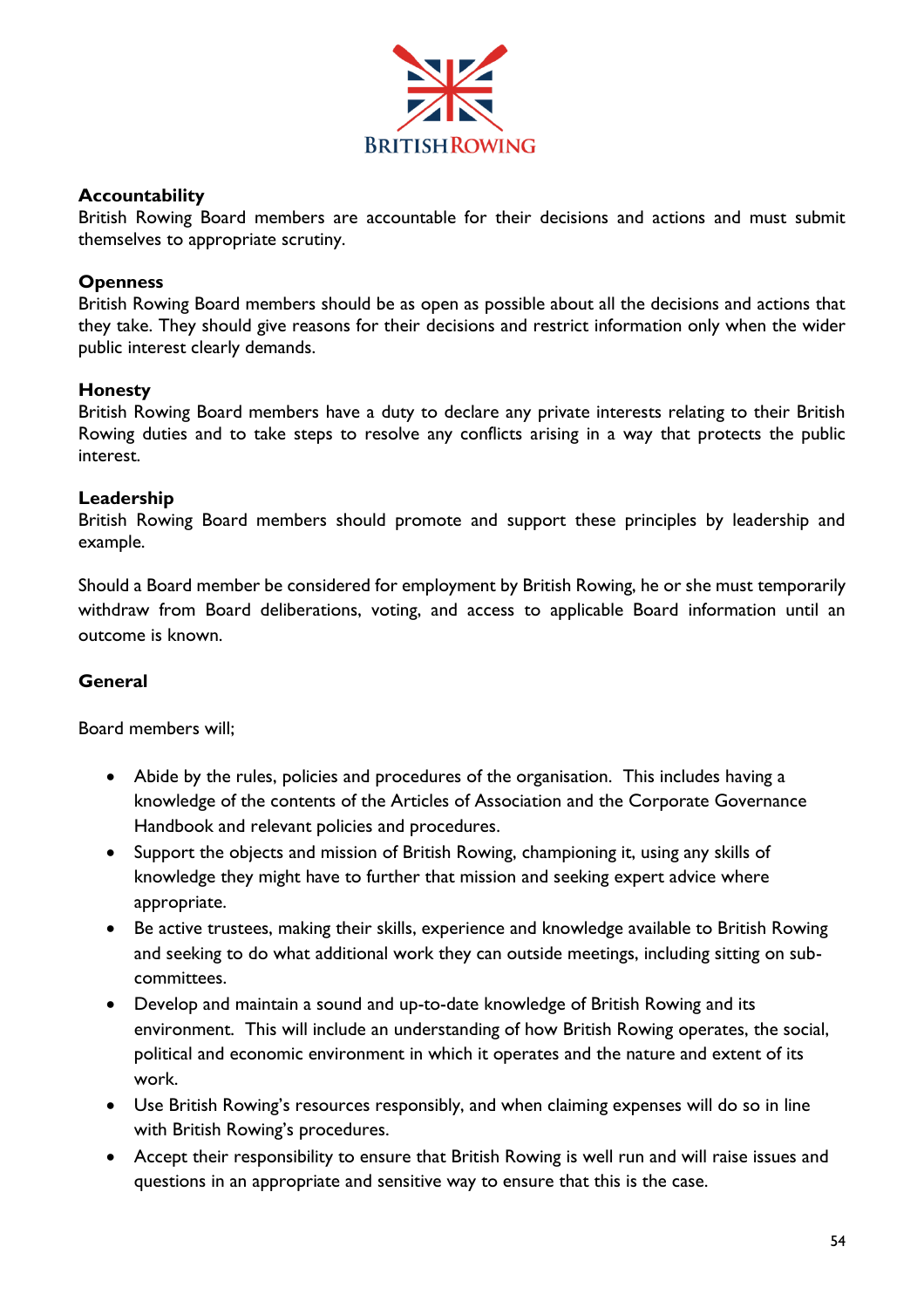

### **Accountability**

British Rowing Board members are accountable for their decisions and actions and must submit themselves to appropriate scrutiny.

#### **Openness**

British Rowing Board members should be as open as possible about all the decisions and actions that they take. They should give reasons for their decisions and restrict information only when the wider public interest clearly demands.

#### **Honesty**

British Rowing Board members have a duty to declare any private interests relating to their British Rowing duties and to take steps to resolve any conflicts arising in a way that protects the public interest.

#### **Leadership**

British Rowing Board members should promote and support these principles by leadership and example.

Should a Board member be considered for employment by British Rowing, he or she must temporarily withdraw from Board deliberations, voting, and access to applicable Board information until an outcome is known.

#### **General**

Board members will;

- Abide by the rules, policies and procedures of the organisation. This includes having a knowledge of the contents of the Articles of Association and the Corporate Governance Handbook and relevant policies and procedures.
- Support the objects and mission of British Rowing, championing it, using any skills of knowledge they might have to further that mission and seeking expert advice where appropriate.
- Be active trustees, making their skills, experience and knowledge available to British Rowing and seeking to do what additional work they can outside meetings, including sitting on subcommittees.
- Develop and maintain a sound and up-to-date knowledge of British Rowing and its environment. This will include an understanding of how British Rowing operates, the social, political and economic environment in which it operates and the nature and extent of its work.
- Use British Rowing's resources responsibly, and when claiming expenses will do so in line with British Rowing's procedures.
- Accept their responsibility to ensure that British Rowing is well run and will raise issues and questions in an appropriate and sensitive way to ensure that this is the case.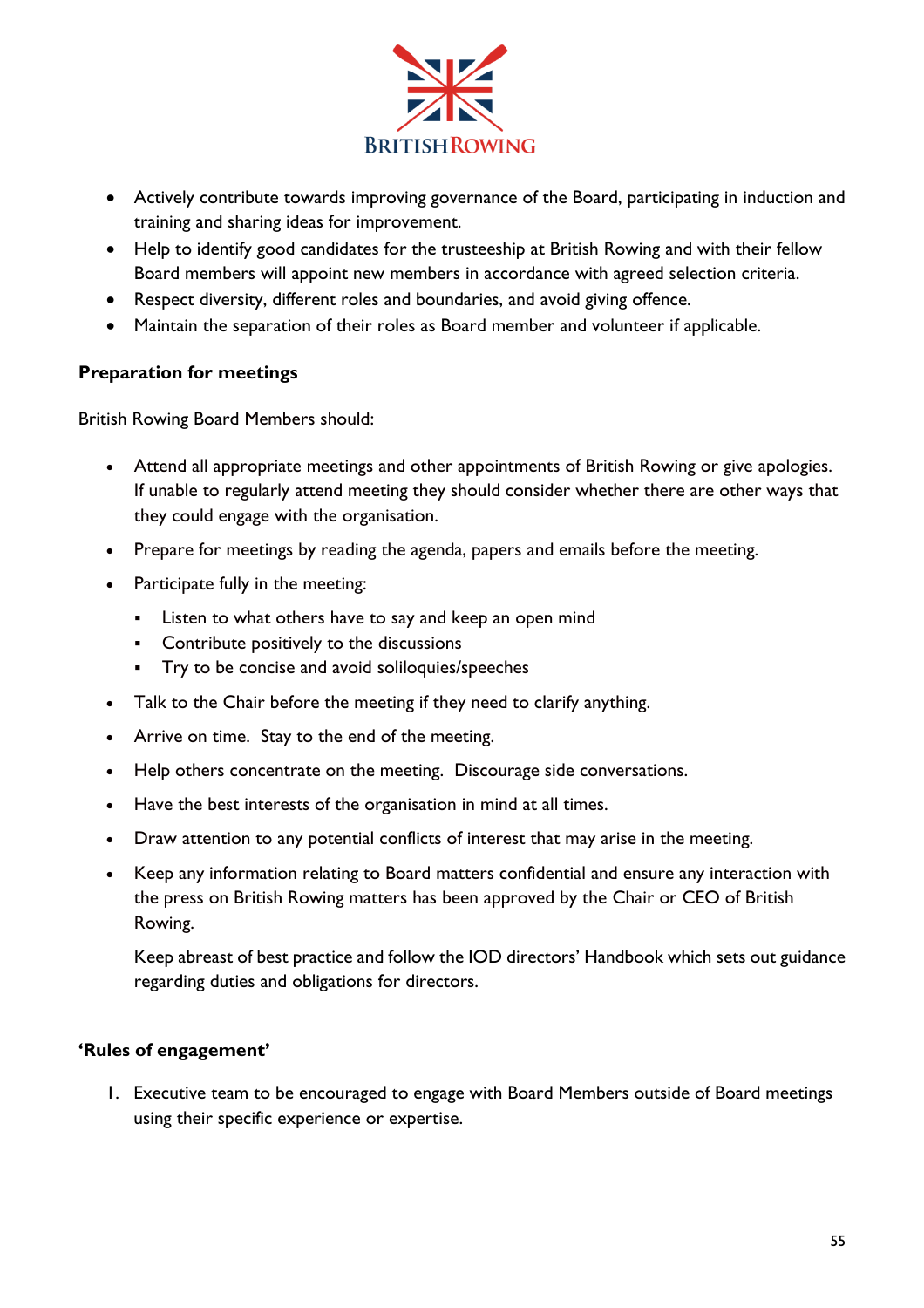

- Actively contribute towards improving governance of the Board, participating in induction and training and sharing ideas for improvement.
- Help to identify good candidates for the trusteeship at British Rowing and with their fellow Board members will appoint new members in accordance with agreed selection criteria.
- Respect diversity, different roles and boundaries, and avoid giving offence.
- Maintain the separation of their roles as Board member and volunteer if applicable.

## **Preparation for meetings**

British Rowing Board Members should:

- Attend all appropriate meetings and other appointments of British Rowing or give apologies. If unable to regularly attend meeting they should consider whether there are other ways that they could engage with the organisation.
- Prepare for meetings by reading the agenda, papers and emails before the meeting.
- Participate fully in the meeting:
	- Listen to what others have to say and keep an open mind
	- Contribute positively to the discussions
	- Try to be concise and avoid soliloquies/speeches
- Talk to the Chair before the meeting if they need to clarify anything.
- Arrive on time. Stay to the end of the meeting.
- Help others concentrate on the meeting. Discourage side conversations.
- Have the best interests of the organisation in mind at all times.
- Draw attention to any potential conflicts of interest that may arise in the meeting.
- Keep any information relating to Board matters confidential and ensure any interaction with the press on British Rowing matters has been approved by the Chair or CEO of British Rowing.

Keep abreast of best practice and follow the IOD directors' Handbook which sets out guidance regarding duties and obligations for directors.

### **'Rules of engagement'**

1. Executive team to be encouraged to engage with Board Members outside of Board meetings using their specific experience or expertise.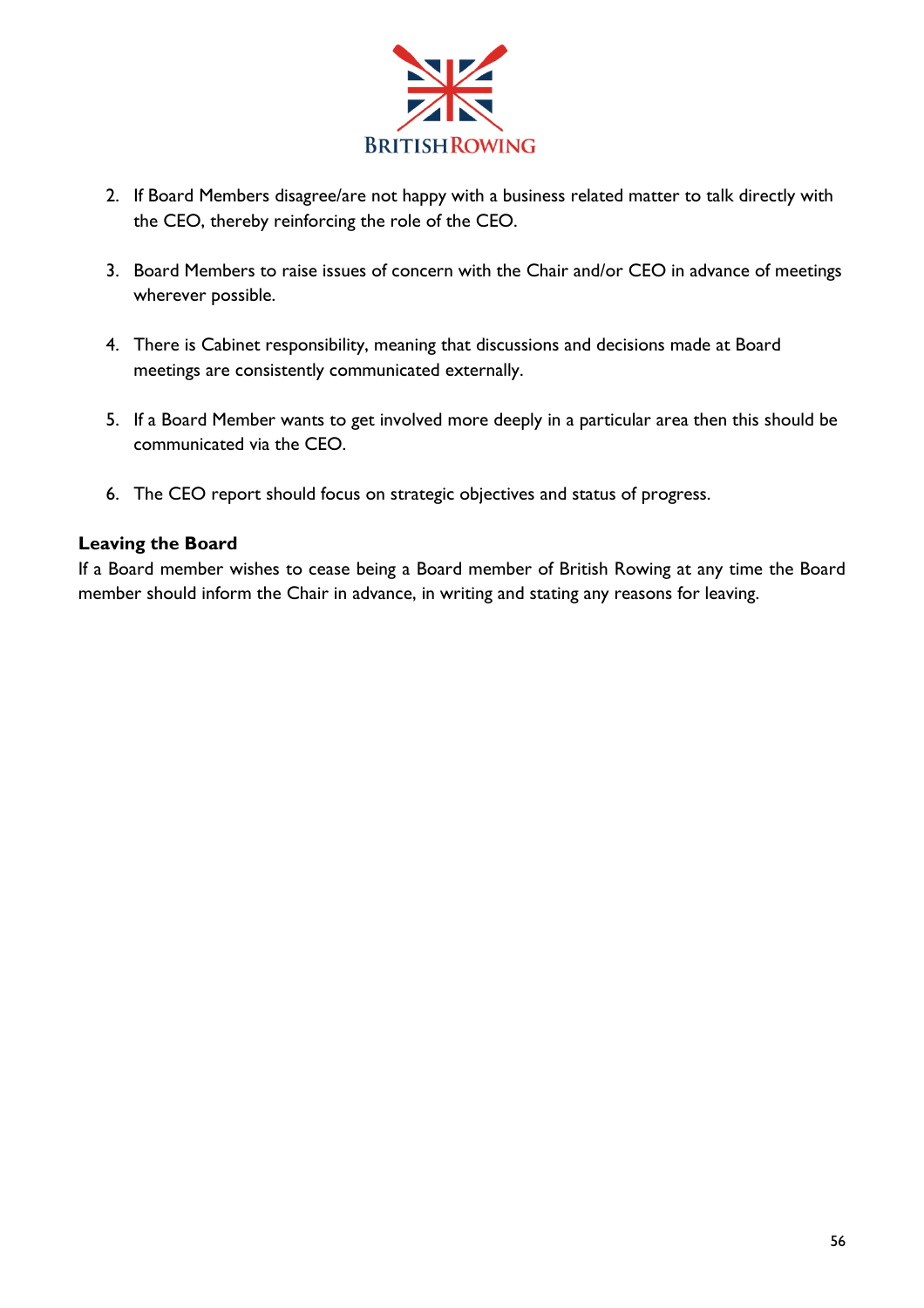

- 2. If Board Members disagree/are not happy with a business related matter to talk directly with the CEO, thereby reinforcing the role of the CEO.
- 3. Board Members to raise issues of concern with the Chair and/or CEO in advance of meetings wherever possible.
- 4. There is Cabinet responsibility, meaning that discussions and decisions made at Board meetings are consistently communicated externally.
- 5. If a Board Member wants to get involved more deeply in a particular area then this should be communicated via the CEO.
- 6. The CEO report should focus on strategic objectives and status of progress.

## **Leaving the Board**

If a Board member wishes to cease being a Board member of British Rowing at any time the Board member should inform the Chair in advance, in writing and stating any reasons for leaving.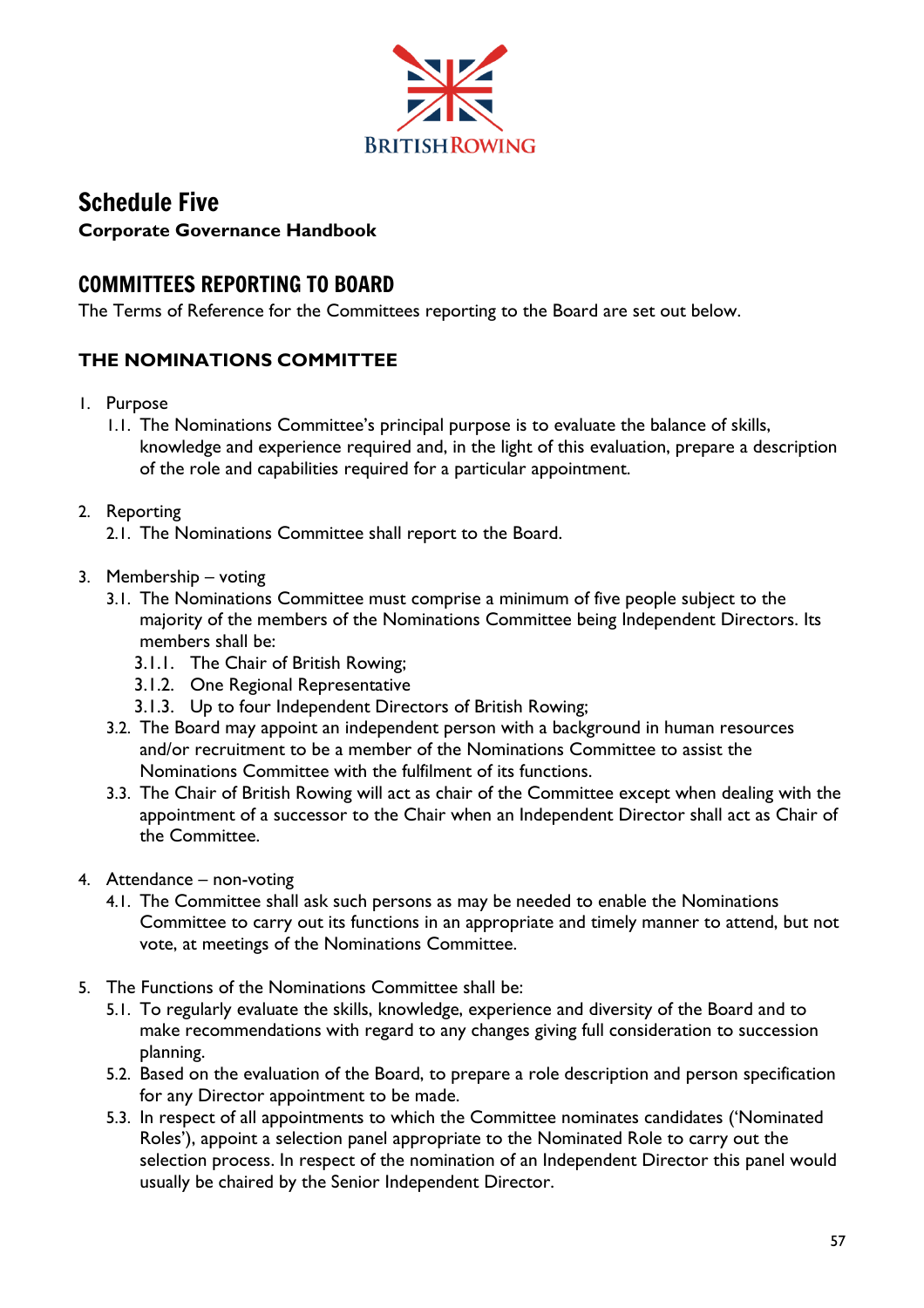

# Schedule Five **Corporate Governance Handbook**

# COMMITTEES REPORTING TO BOARD

The Terms of Reference for the Committees reporting to the Board are set out below.

## **THE NOMINATIONS COMMITTEE**

- 1. Purpose
	- 1.1. The Nominations Committee's principal purpose is to evaluate the balance of skills, knowledge and experience required and, in the light of this evaluation, prepare a description of the role and capabilities required for a particular appointment.
- 2. Reporting
	- 2.1. The Nominations Committee shall report to the Board.
- 3. Membership voting
	- 3.1. The Nominations Committee must comprise a minimum of five people subject to the majority of the members of the Nominations Committee being Independent Directors. Its members shall be:
		- 3.1.1. The Chair of British Rowing;
		- 3.1.2. One Regional Representative
		- 3.1.3. Up to four Independent Directors of British Rowing;
	- 3.2. The Board may appoint an independent person with a background in human resources and/or recruitment to be a member of the Nominations Committee to assist the Nominations Committee with the fulfilment of its functions.
	- 3.3. The Chair of British Rowing will act as chair of the Committee except when dealing with the appointment of a successor to the Chair when an Independent Director shall act as Chair of the Committee.
- 4. Attendance non-voting
	- 4.1. The Committee shall ask such persons as may be needed to enable the Nominations Committee to carry out its functions in an appropriate and timely manner to attend, but not vote, at meetings of the Nominations Committee.
- 5. The Functions of the Nominations Committee shall be:
	- 5.1. To regularly evaluate the skills, knowledge, experience and diversity of the Board and to make recommendations with regard to any changes giving full consideration to succession planning.
	- 5.2. Based on the evaluation of the Board, to prepare a role description and person specification for any Director appointment to be made.
	- 5.3. In respect of all appointments to which the Committee nominates candidates ('Nominated Roles'), appoint a selection panel appropriate to the Nominated Role to carry out the selection process. In respect of the nomination of an Independent Director this panel would usually be chaired by the Senior Independent Director.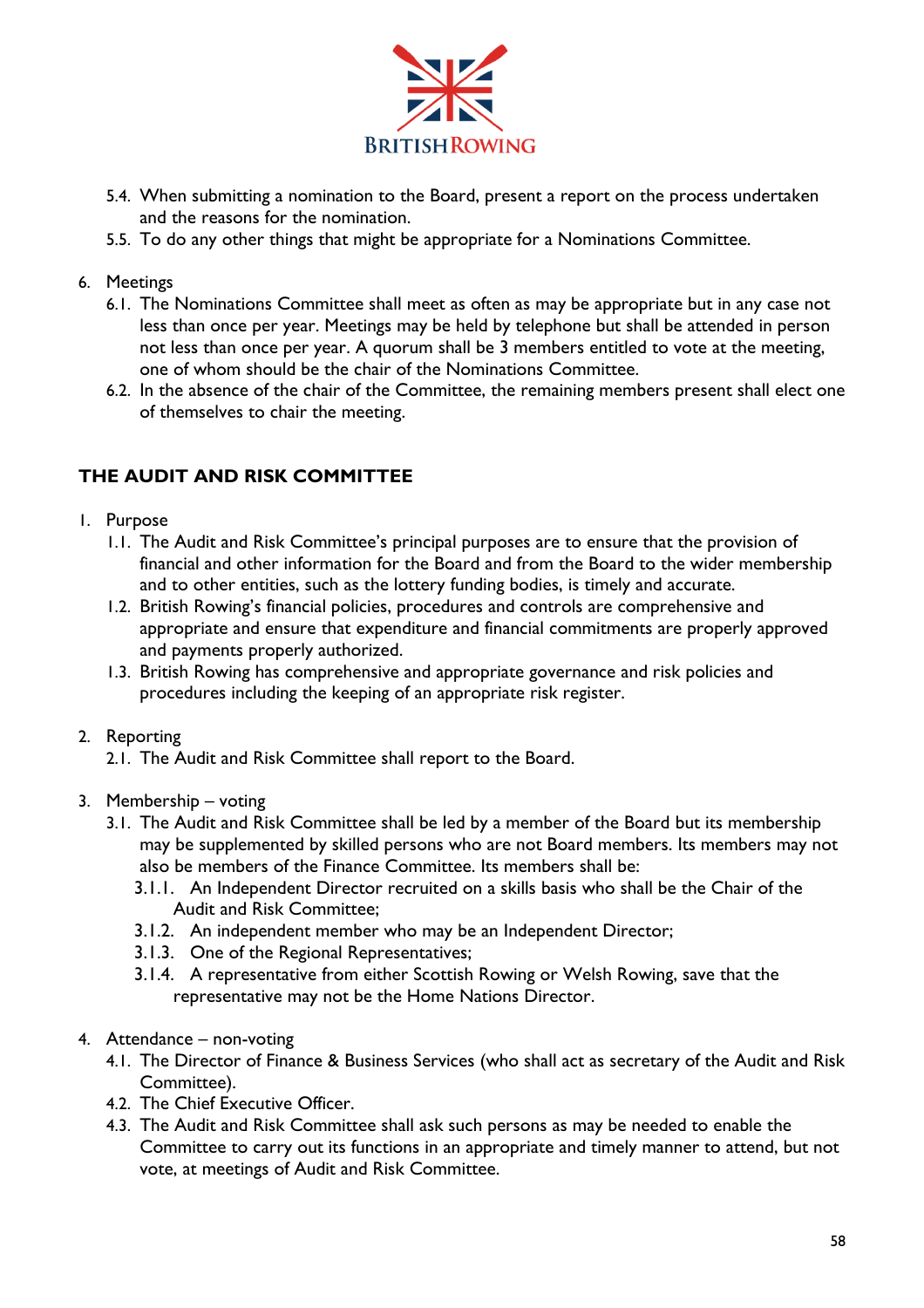

- 5.4. When submitting a nomination to the Board, present a report on the process undertaken and the reasons for the nomination.
- 5.5. To do any other things that might be appropriate for a Nominations Committee.

#### 6. Meetings

- 6.1. The Nominations Committee shall meet as often as may be appropriate but in any case not less than once per year. Meetings may be held by telephone but shall be attended in person not less than once per year. A quorum shall be 3 members entitled to vote at the meeting, one of whom should be the chair of the Nominations Committee.
- 6.2. In the absence of the chair of the Committee, the remaining members present shall elect one of themselves to chair the meeting.

## **THE AUDIT AND RISK COMMITTEE**

- 1. Purpose
	- 1.1. The Audit and Risk Committee's principal purposes are to ensure that the provision of financial and other information for the Board and from the Board to the wider membership and to other entities, such as the lottery funding bodies, is timely and accurate.
	- 1.2. British Rowing's financial policies, procedures and controls are comprehensive and appropriate and ensure that expenditure and financial commitments are properly approved and payments properly authorized.
	- 1.3. British Rowing has comprehensive and appropriate governance and risk policies and procedures including the keeping of an appropriate risk register.

#### 2. Reporting

- 2.1. The Audit and Risk Committee shall report to the Board.
- 3. Membership voting
	- 3.1. The Audit and Risk Committee shall be led by a member of the Board but its membership may be supplemented by skilled persons who are not Board members. Its members may not also be members of the Finance Committee. Its members shall be:
		- 3.1.1. An Independent Director recruited on a skills basis who shall be the Chair of the Audit and Risk Committee;
		- 3.1.2. An independent member who may be an Independent Director;
		- 3.1.3. One of the Regional Representatives;
		- 3.1.4. A representative from either Scottish Rowing or Welsh Rowing, save that the representative may not be the Home Nations Director.
- 4. Attendance non-voting
	- 4.1. The Director of Finance & Business Services (who shall act as secretary of the Audit and Risk Committee).
	- 4.2. The Chief Executive Officer.
	- 4.3. The Audit and Risk Committee shall ask such persons as may be needed to enable the Committee to carry out its functions in an appropriate and timely manner to attend, but not vote, at meetings of Audit and Risk Committee.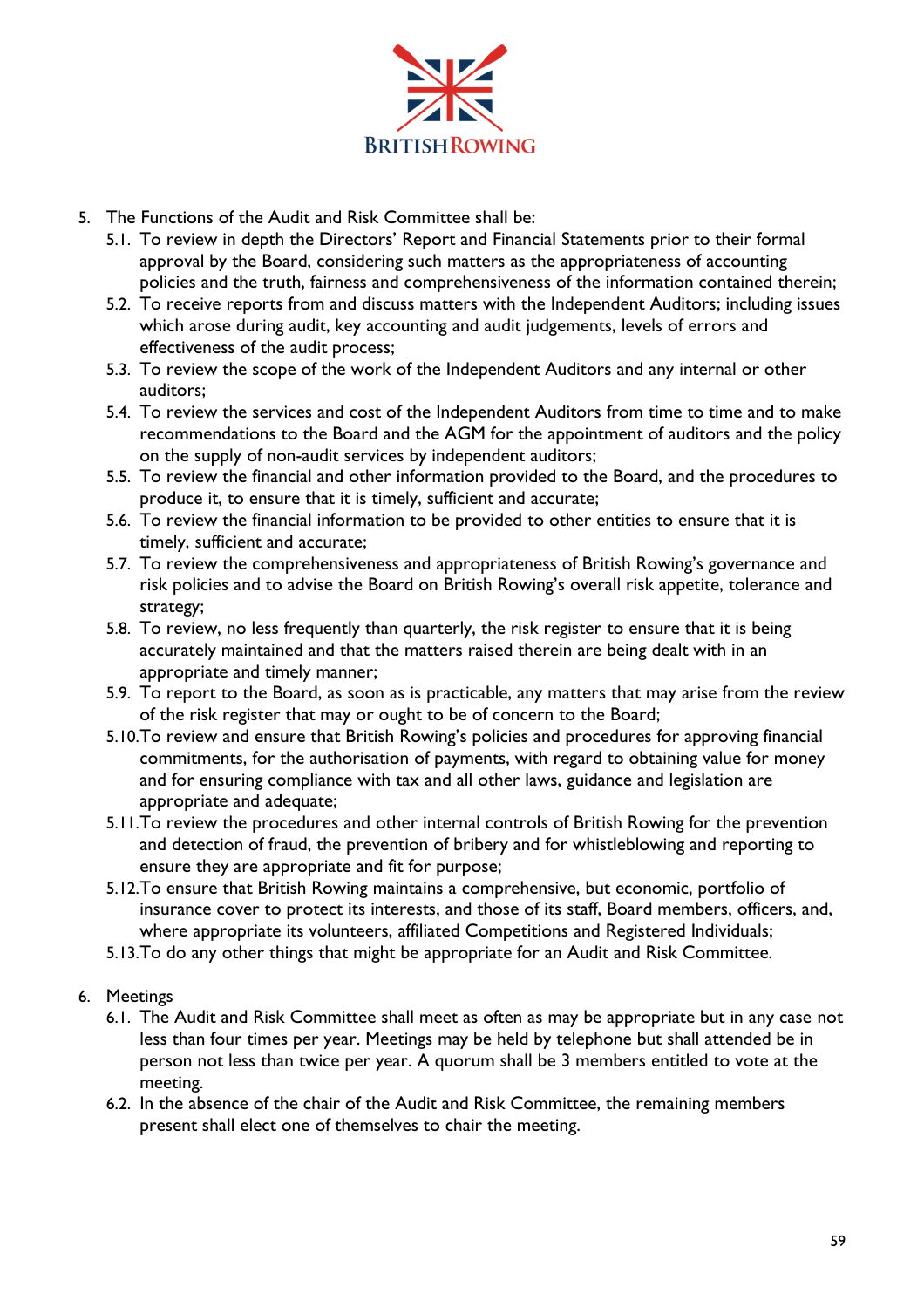

- 5. The Functions of the Audit and Risk Committee shall be:
	- 5.1. To review in depth the Directors' Report and Financial Statements prior to their formal approval by the Board, considering such matters as the appropriateness of accounting policies and the truth, fairness and comprehensiveness of the information contained therein;
	- 5.2. To receive reports from and discuss matters with the Independent Auditors; including issues which arose during audit, key accounting and audit judgements, levels of errors and effectiveness of the audit process;
	- 5.3. To review the scope of the work of the Independent Auditors and any internal or other auditors;
	- 5.4. To review the services and cost of the Independent Auditors from time to time and to make recommendations to the Board and the AGM for the appointment of auditors and the policy on the supply of non-audit services by independent auditors;
	- 5.5. To review the financial and other information provided to the Board, and the procedures to produce it, to ensure that it is timely, sufficient and accurate;
	- 5.6. To review the financial information to be provided to other entities to ensure that it is timely, sufficient and accurate;
	- 5.7. To review the comprehensiveness and appropriateness of British Rowing's governance and risk policies and to advise the Board on British Rowing's overall risk appetite, tolerance and strategy;
	- 5.8. To review, no less frequently than quarterly, the risk register to ensure that it is being accurately maintained and that the matters raised therein are being dealt with in an appropriate and timely manner;
	- 5.9. To report to the Board, as soon as is practicable, any matters that may arise from the review of the risk register that may or ought to be of concern to the Board;
	- 5.10.To review and ensure that British Rowing's policies and procedures for approving financial commitments, for the authorisation of payments, with regard to obtaining value for money and for ensuring compliance with tax and all other laws, guidance and legislation are appropriate and adequate;
	- 5.11.To review the procedures and other internal controls of British Rowing for the prevention and detection of fraud, the prevention of bribery and for whistleblowing and reporting to ensure they are appropriate and fit for purpose;
	- 5.12.To ensure that British Rowing maintains a comprehensive, but economic, portfolio of insurance cover to protect its interests, and those of its staff, Board members, officers, and, where appropriate its volunteers, affiliated Competitions and Registered Individuals;
	- 5.13.To do any other things that might be appropriate for an Audit and Risk Committee.
- 6. Meetings
	- 6.1. The Audit and Risk Committee shall meet as often as may be appropriate but in any case not less than four times per year. Meetings may be held by telephone but shall attended be in person not less than twice per year. A quorum shall be 3 members entitled to vote at the meeting.
	- 6.2. In the absence of the chair of the Audit and Risk Committee, the remaining members present shall elect one of themselves to chair the meeting.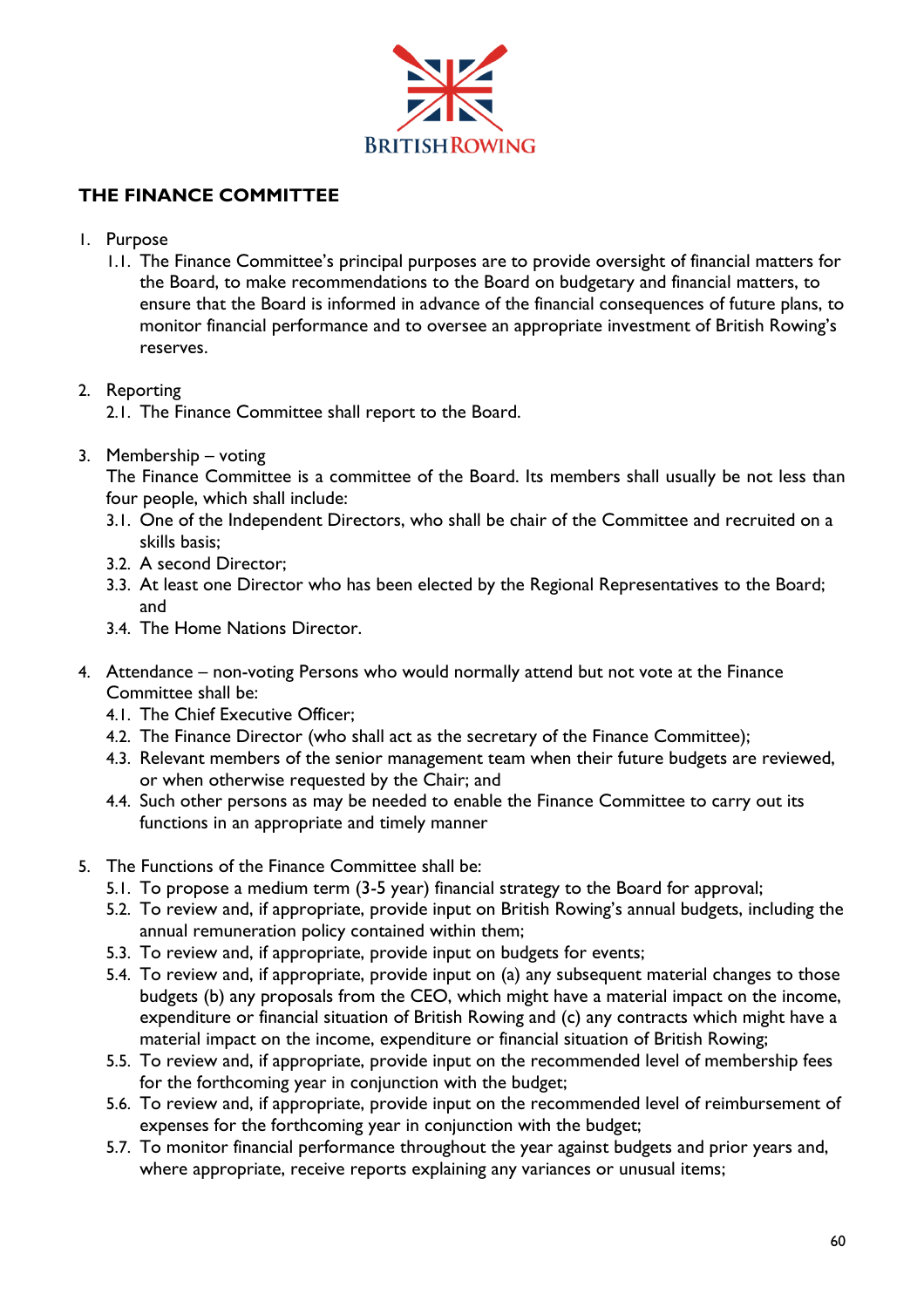

## **THE FINANCE COMMITTEE**

- 1. Purpose
	- 1.1. The Finance Committee's principal purposes are to provide oversight of financial matters for the Board, to make recommendations to the Board on budgetary and financial matters, to ensure that the Board is informed in advance of the financial consequences of future plans, to monitor financial performance and to oversee an appropriate investment of British Rowing's reserves.

### 2. Reporting

- 2.1. The Finance Committee shall report to the Board.
- 3. Membership voting

The Finance Committee is a committee of the Board. Its members shall usually be not less than four people, which shall include:

- 3.1. One of the Independent Directors, who shall be chair of the Committee and recruited on a skills basis;
- 3.2. A second Director;
- 3.3. At least one Director who has been elected by the Regional Representatives to the Board; and
- 3.4. The Home Nations Director.
- 4. Attendance non-voting Persons who would normally attend but not vote at the Finance Committee shall be:
	- 4.1. The Chief Executive Officer;
	- 4.2. The Finance Director (who shall act as the secretary of the Finance Committee);
	- 4.3. Relevant members of the senior management team when their future budgets are reviewed, or when otherwise requested by the Chair; and
	- 4.4. Such other persons as may be needed to enable the Finance Committee to carry out its functions in an appropriate and timely manner
- 5. The Functions of the Finance Committee shall be:
	- 5.1. To propose a medium term (3-5 year) financial strategy to the Board for approval;
	- 5.2. To review and, if appropriate, provide input on British Rowing's annual budgets, including the annual remuneration policy contained within them;
	- 5.3. To review and, if appropriate, provide input on budgets for events;
	- 5.4. To review and, if appropriate, provide input on (a) any subsequent material changes to those budgets (b) any proposals from the CEO, which might have a material impact on the income, expenditure or financial situation of British Rowing and (c) any contracts which might have a material impact on the income, expenditure or financial situation of British Rowing;
	- 5.5. To review and, if appropriate, provide input on the recommended level of membership fees for the forthcoming year in conjunction with the budget;
	- 5.6. To review and, if appropriate, provide input on the recommended level of reimbursement of expenses for the forthcoming year in conjunction with the budget;
	- 5.7. To monitor financial performance throughout the year against budgets and prior years and, where appropriate, receive reports explaining any variances or unusual items;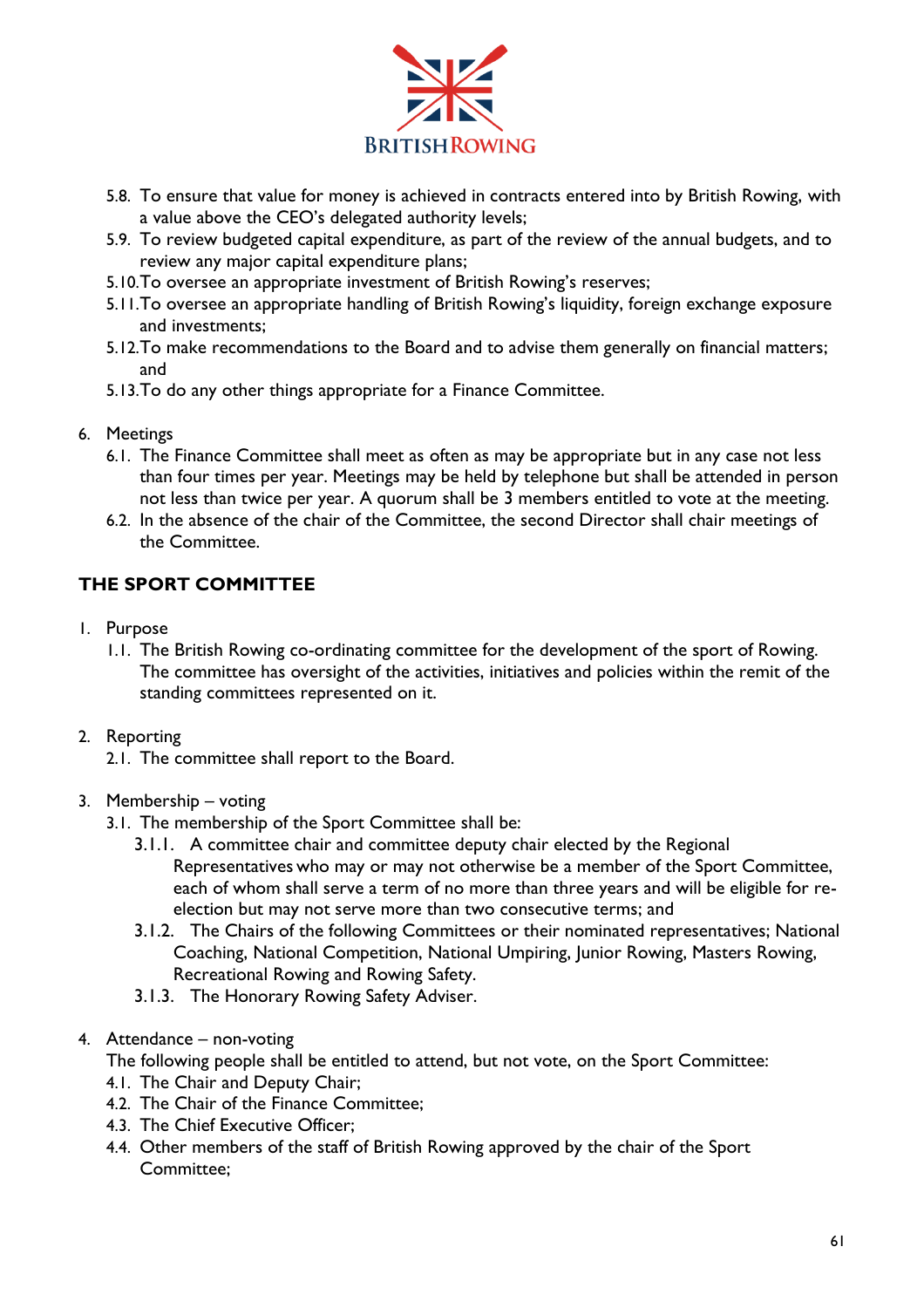

- 5.8. To ensure that value for money is achieved in contracts entered into by British Rowing, with a value above the CEO's delegated authority levels;
- 5.9. To review budgeted capital expenditure, as part of the review of the annual budgets, and to review any major capital expenditure plans;
- 5.10.To oversee an appropriate investment of British Rowing's reserves;
- 5.11.To oversee an appropriate handling of British Rowing's liquidity, foreign exchange exposure and investments;
- 5.12.To make recommendations to the Board and to advise them generally on financial matters; and
- 5.13.To do any other things appropriate for a Finance Committee.
- 6. Meetings
	- 6.1. The Finance Committee shall meet as often as may be appropriate but in any case not less than four times per year. Meetings may be held by telephone but shall be attended in person not less than twice per year. A quorum shall be 3 members entitled to vote at the meeting.
	- 6.2. In the absence of the chair of the Committee, the second Director shall chair meetings of the Committee.

## **THE SPORT COMMITTEE**

- 1. Purpose
	- 1.1. The British Rowing co-ordinating committee for the development of the sport of Rowing. The committee has oversight of the activities, initiatives and policies within the remit of the standing committees represented on it.
- 2. Reporting
	- 2.1. The committee shall report to the Board.
- 3. Membership voting
	- 3.1. The membership of the Sport Committee shall be:
		- 3.1.1. A committee chair and committee deputy chair elected by the Regional Representatives who may or may not otherwise be a member of the Sport Committee, each of whom shall serve a term of no more than three years and will be eligible for reelection but may not serve more than two consecutive terms; and
		- 3.1.2. The Chairs of the following Committees or their nominated representatives; National Coaching, National Competition, National Umpiring, Junior Rowing, Masters Rowing, Recreational Rowing and Rowing Safety.
		- 3.1.3. The Honorary Rowing Safety Adviser.
- 4. Attendance non-voting
	- The following people shall be entitled to attend, but not vote, on the Sport Committee:
	- 4.1. The Chair and Deputy Chair;
	- 4.2. The Chair of the Finance Committee;
	- 4.3. The Chief Executive Officer;
	- 4.4. Other members of the staff of British Rowing approved by the chair of the Sport Committee;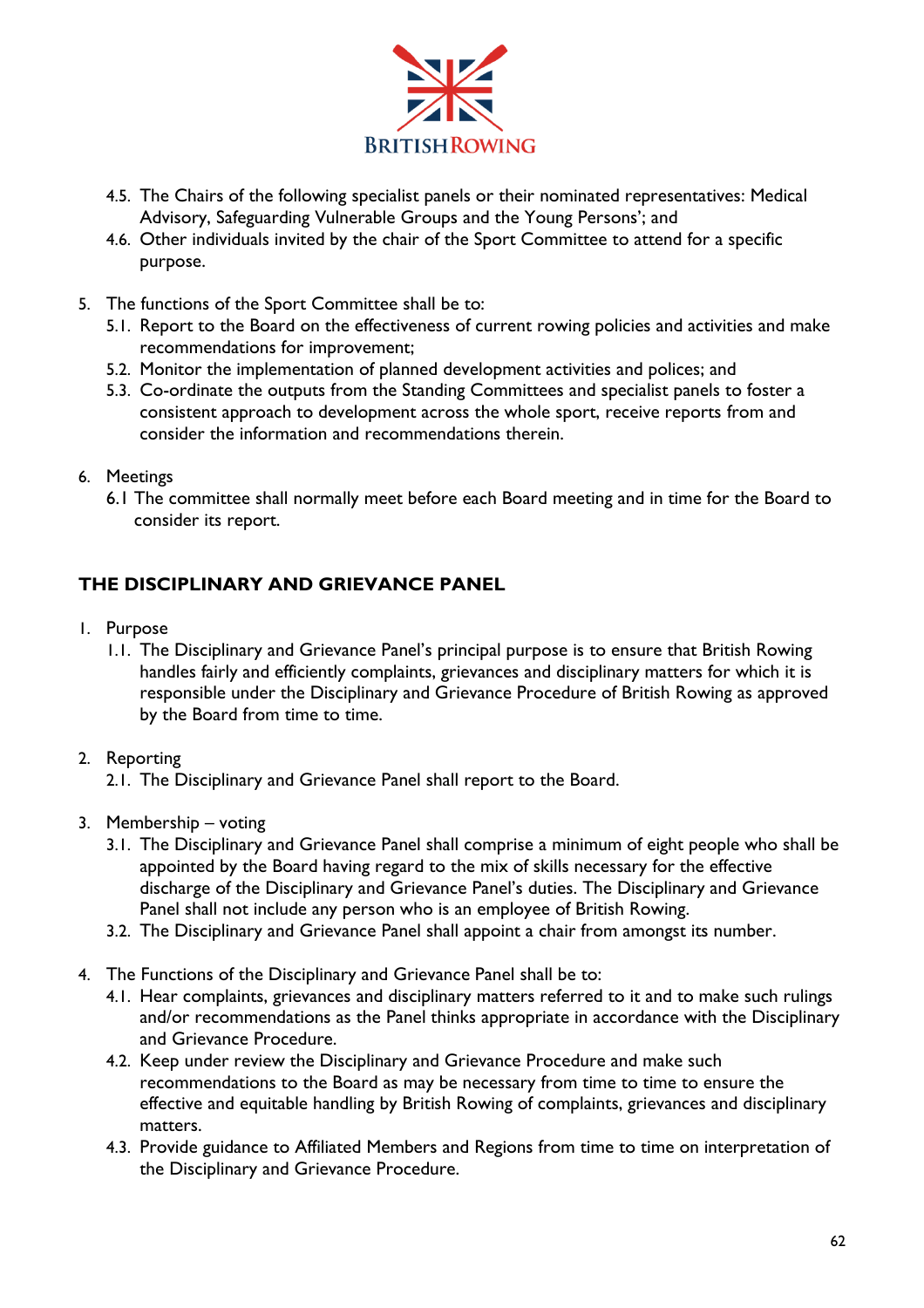

- 4.5. The Chairs of the following specialist panels or their nominated representatives: Medical Advisory, Safeguarding Vulnerable Groups and the Young Persons'; and
- 4.6. Other individuals invited by the chair of the Sport Committee to attend for a specific purpose.
- 5. The functions of the Sport Committee shall be to:
	- 5.1. Report to the Board on the effectiveness of current rowing policies and activities and make recommendations for improvement;
	- 5.2. Monitor the implementation of planned development activities and polices; and
	- 5.3. Co-ordinate the outputs from the Standing Committees and specialist panels to foster a consistent approach to development across the whole sport, receive reports from and consider the information and recommendations therein.
- 6. Meetings
	- 6.1 The committee shall normally meet before each Board meeting and in time for the Board to consider its report.

## **THE DISCIPLINARY AND GRIEVANCE PANEL**

- 1. Purpose
	- 1.1. The Disciplinary and Grievance Panel's principal purpose is to ensure that British Rowing handles fairly and efficiently complaints, grievances and disciplinary matters for which it is responsible under the Disciplinary and Grievance Procedure of British Rowing as approved by the Board from time to time.

### 2. Reporting

- 2.1. The Disciplinary and Grievance Panel shall report to the Board.
- 3. Membership voting
	- 3.1. The Disciplinary and Grievance Panel shall comprise a minimum of eight people who shall be appointed by the Board having regard to the mix of skills necessary for the effective discharge of the Disciplinary and Grievance Panel's duties. The Disciplinary and Grievance Panel shall not include any person who is an employee of British Rowing.
	- 3.2. The Disciplinary and Grievance Panel shall appoint a chair from amongst its number.
- 4. The Functions of the Disciplinary and Grievance Panel shall be to:
	- 4.1. Hear complaints, grievances and disciplinary matters referred to it and to make such rulings and/or recommendations as the Panel thinks appropriate in accordance with the Disciplinary and Grievance Procedure.
	- 4.2. Keep under review the Disciplinary and Grievance Procedure and make such recommendations to the Board as may be necessary from time to time to ensure the effective and equitable handling by British Rowing of complaints, grievances and disciplinary matters.
	- 4.3. Provide guidance to Affiliated Members and Regions from time to time on interpretation of the Disciplinary and Grievance Procedure.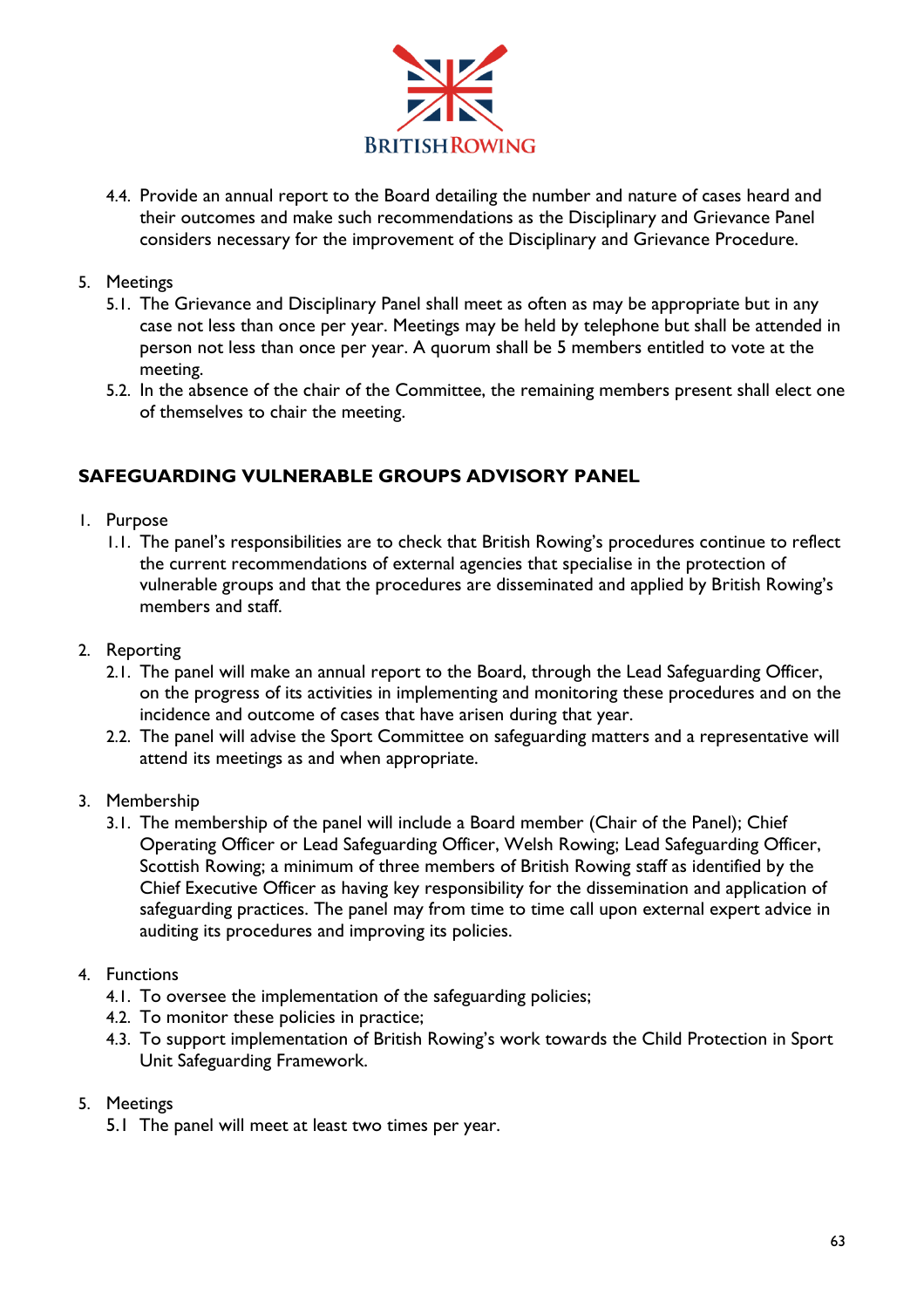

4.4. Provide an annual report to the Board detailing the number and nature of cases heard and their outcomes and make such recommendations as the Disciplinary and Grievance Panel considers necessary for the improvement of the Disciplinary and Grievance Procedure.

### 5. Meetings

- 5.1. The Grievance and Disciplinary Panel shall meet as often as may be appropriate but in any case not less than once per year. Meetings may be held by telephone but shall be attended in person not less than once per year. A quorum shall be 5 members entitled to vote at the meeting.
- 5.2. In the absence of the chair of the Committee, the remaining members present shall elect one of themselves to chair the meeting.

## **SAFEGUARDING VULNERABLE GROUPS ADVISORY PANEL**

- 1. Purpose
	- 1.1. The panel's responsibilities are to check that British Rowing's procedures continue to reflect the current recommendations of external agencies that specialise in the protection of vulnerable groups and that the procedures are disseminated and applied by British Rowing's members and staff.
- 2. Reporting
	- 2.1. The panel will make an annual report to the Board, through the Lead Safeguarding Officer, on the progress of its activities in implementing and monitoring these procedures and on the incidence and outcome of cases that have arisen during that year.
	- 2.2. The panel will advise the Sport Committee on safeguarding matters and a representative will attend its meetings as and when appropriate.
- 3. Membership
	- 3.1. The membership of the panel will include a Board member (Chair of the Panel); Chief Operating Officer or Lead Safeguarding Officer, Welsh Rowing; Lead Safeguarding Officer, Scottish Rowing; a minimum of three members of British Rowing staff as identified by the Chief Executive Officer as having key responsibility for the dissemination and application of safeguarding practices. The panel may from time to time call upon external expert advice in auditing its procedures and improving its policies.
- 4. Functions
	- 4.1. To oversee the implementation of the safeguarding policies;
	- 4.2. To monitor these policies in practice;
	- 4.3. To support implementation of British Rowing's work towards the Child Protection in Sport Unit Safeguarding Framework.
- 5. Meetings
	- 5.1 The panel will meet at least two times per year.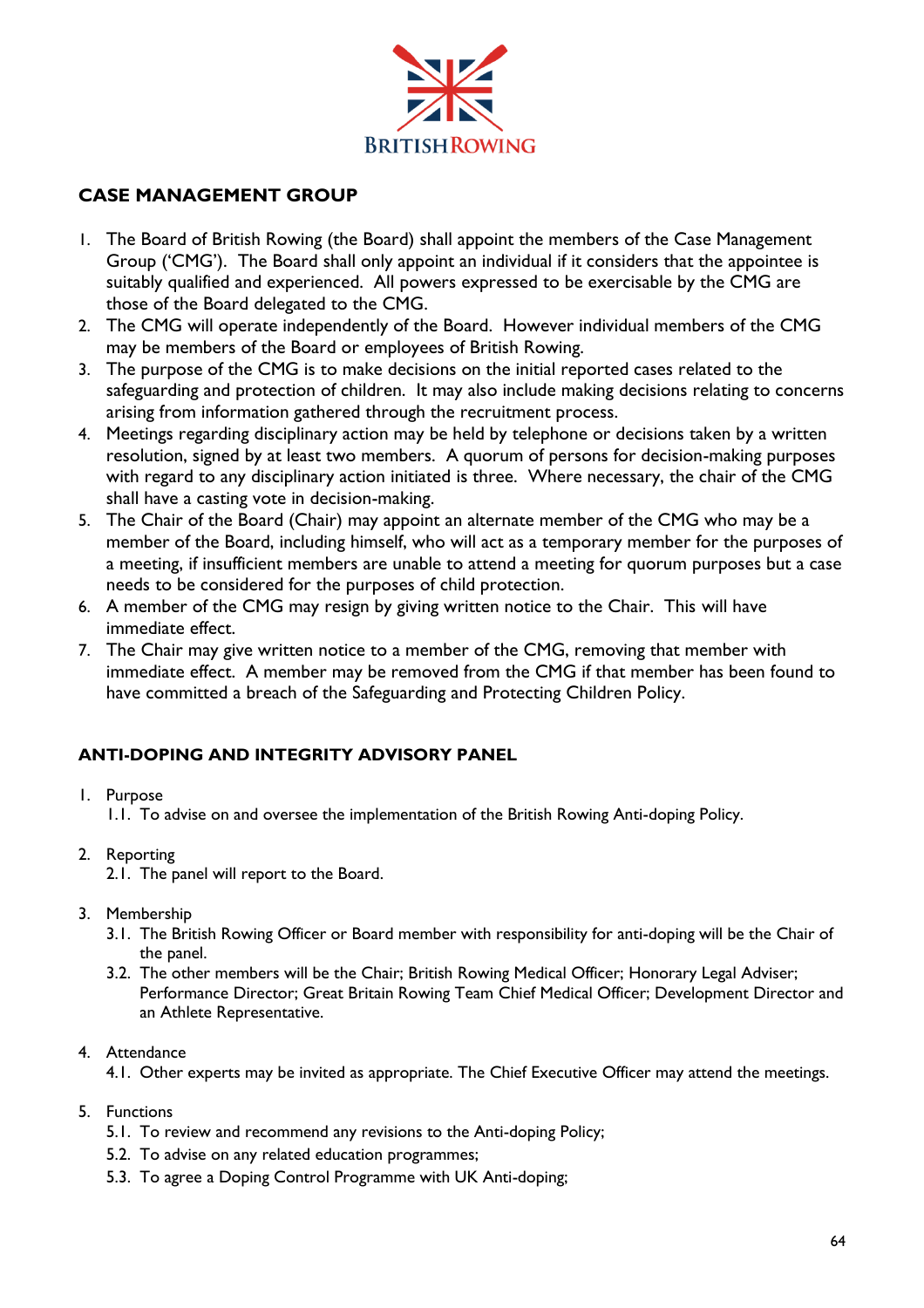

## **CASE MANAGEMENT GROUP**

- 1. The Board of British Rowing (the Board) shall appoint the members of the Case Management Group ('CMG'). The Board shall only appoint an individual if it considers that the appointee is suitably qualified and experienced. All powers expressed to be exercisable by the CMG are those of the Board delegated to the CMG.
- 2. The CMG will operate independently of the Board. However individual members of the CMG may be members of the Board or employees of British Rowing.
- 3. The purpose of the CMG is to make decisions on the initial reported cases related to the safeguarding and protection of children. It may also include making decisions relating to concerns arising from information gathered through the recruitment process.
- 4. Meetings regarding disciplinary action may be held by telephone or decisions taken by a written resolution, signed by at least two members. A quorum of persons for decision-making purposes with regard to any disciplinary action initiated is three. Where necessary, the chair of the CMG shall have a casting vote in decision-making.
- 5. The Chair of the Board (Chair) may appoint an alternate member of the CMG who may be a member of the Board, including himself, who will act as a temporary member for the purposes of a meeting, if insufficient members are unable to attend a meeting for quorum purposes but a case needs to be considered for the purposes of child protection.
- 6. A member of the CMG may resign by giving written notice to the Chair. This will have immediate effect.
- 7. The Chair may give written notice to a member of the CMG, removing that member with immediate effect. A member may be removed from the CMG if that member has been found to have committed a breach of the Safeguarding and Protecting Children Policy.

### **ANTI-DOPING AND INTEGRITY ADVISORY PANEL**

- 1. Purpose
	- 1.1. To advise on and oversee the implementation of the British Rowing Anti-doping Policy.
- 2. Reporting
	- 2.1. The panel will report to the Board.
- 3. Membership
	- 3.1. The British Rowing Officer or Board member with responsibility for anti-doping will be the Chair of the panel.
	- 3.2. The other members will be the Chair; British Rowing Medical Officer; Honorary Legal Adviser; Performance Director; Great Britain Rowing Team Chief Medical Officer; Development Director and an Athlete Representative.
- 4. Attendance
	- 4.1. Other experts may be invited as appropriate. The Chief Executive Officer may attend the meetings.
- 5. Functions
	- 5.1. To review and recommend any revisions to the Anti-doping Policy;
	- 5.2. To advise on any related education programmes;
	- 5.3. To agree a Doping Control Programme with UK Anti-doping;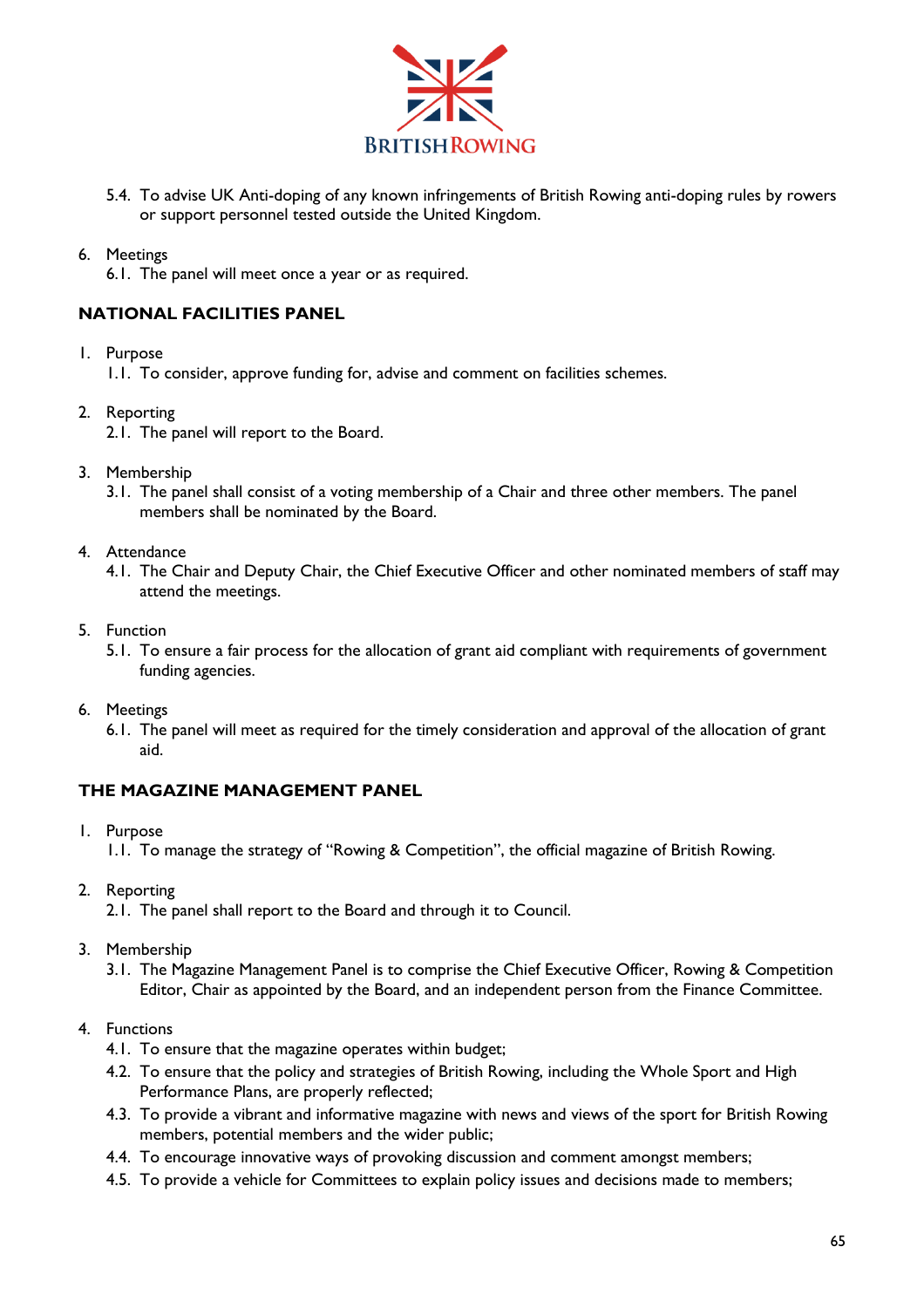

5.4. To advise UK Anti-doping of any known infringements of British Rowing anti-doping rules by rowers or support personnel tested outside the United Kingdom.

#### 6. Meetings

6.1. The panel will meet once a year or as required.

#### **NATIONAL FACILITIES PANEL**

1. Purpose

1.1. To consider, approve funding for, advise and comment on facilities schemes.

- 2. Reporting
	- 2.1. The panel will report to the Board.
- 3. Membership
	- 3.1. The panel shall consist of a voting membership of a Chair and three other members. The panel members shall be nominated by the Board.
- 4. Attendance
	- 4.1. The Chair and Deputy Chair, the Chief Executive Officer and other nominated members of staff may attend the meetings.
- 5. Function
	- 5.1. To ensure a fair process for the allocation of grant aid compliant with requirements of government funding agencies.
- 6. Meetings
	- 6.1. The panel will meet as required for the timely consideration and approval of the allocation of grant aid.

#### **THE MAGAZINE MANAGEMENT PANEL**

- 1. Purpose
	- 1.1. To manage the strategy of "Rowing & Competition", the official magazine of British Rowing.
- 2. Reporting
	- 2.1. The panel shall report to the Board and through it to Council.
- 3. Membership
	- 3.1. The Magazine Management Panel is to comprise the Chief Executive Officer, Rowing & Competition Editor, Chair as appointed by the Board, and an independent person from the Finance Committee.
- 4. Functions
	- 4.1. To ensure that the magazine operates within budget;
	- 4.2. To ensure that the policy and strategies of British Rowing, including the Whole Sport and High Performance Plans, are properly reflected;
	- 4.3. To provide a vibrant and informative magazine with news and views of the sport for British Rowing members, potential members and the wider public;
	- 4.4. To encourage innovative ways of provoking discussion and comment amongst members;
	- 4.5. To provide a vehicle for Committees to explain policy issues and decisions made to members;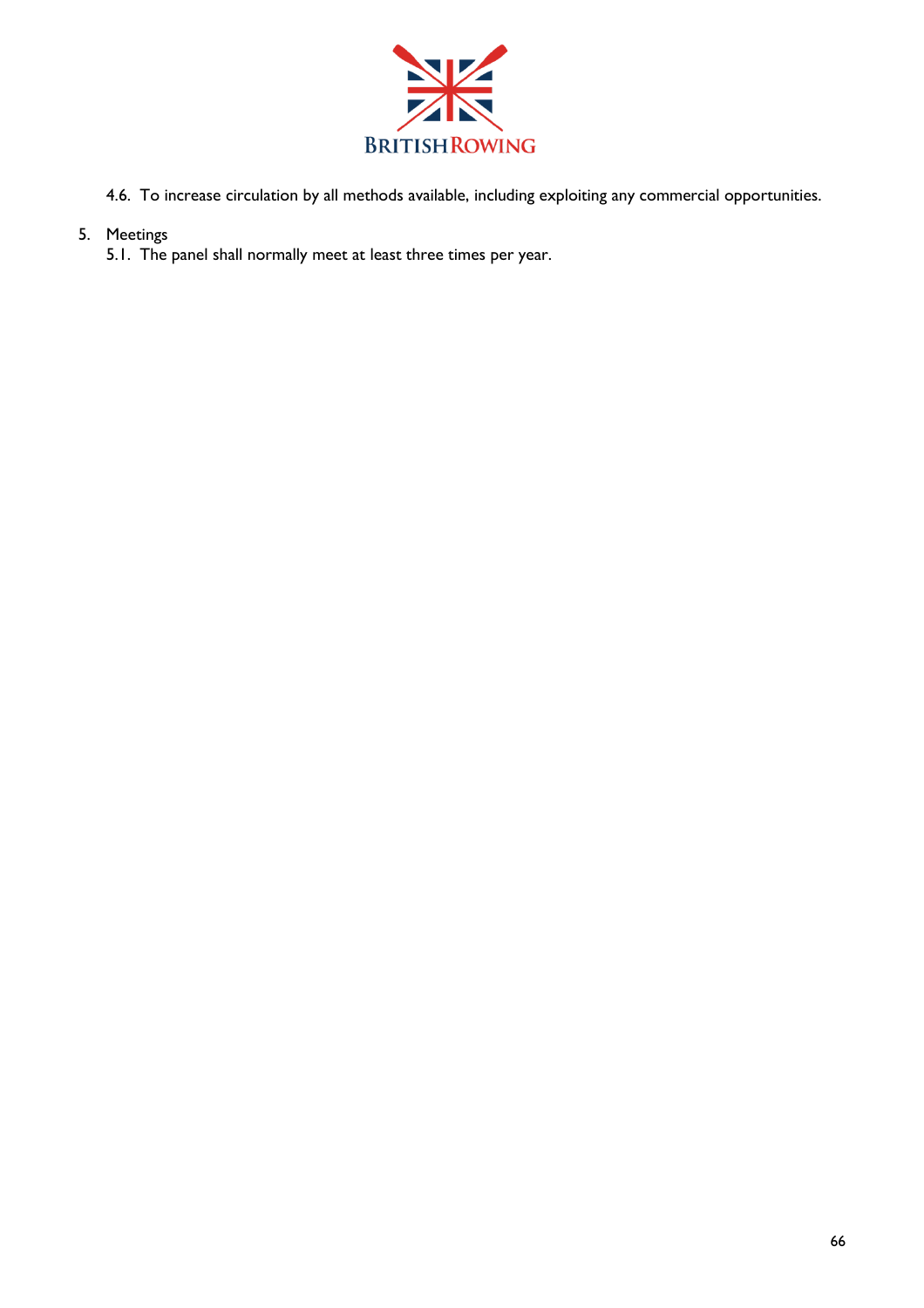

4.6. To increase circulation by all methods available, including exploiting any commercial opportunities.

## 5. Meetings

5.1. The panel shall normally meet at least three times per year.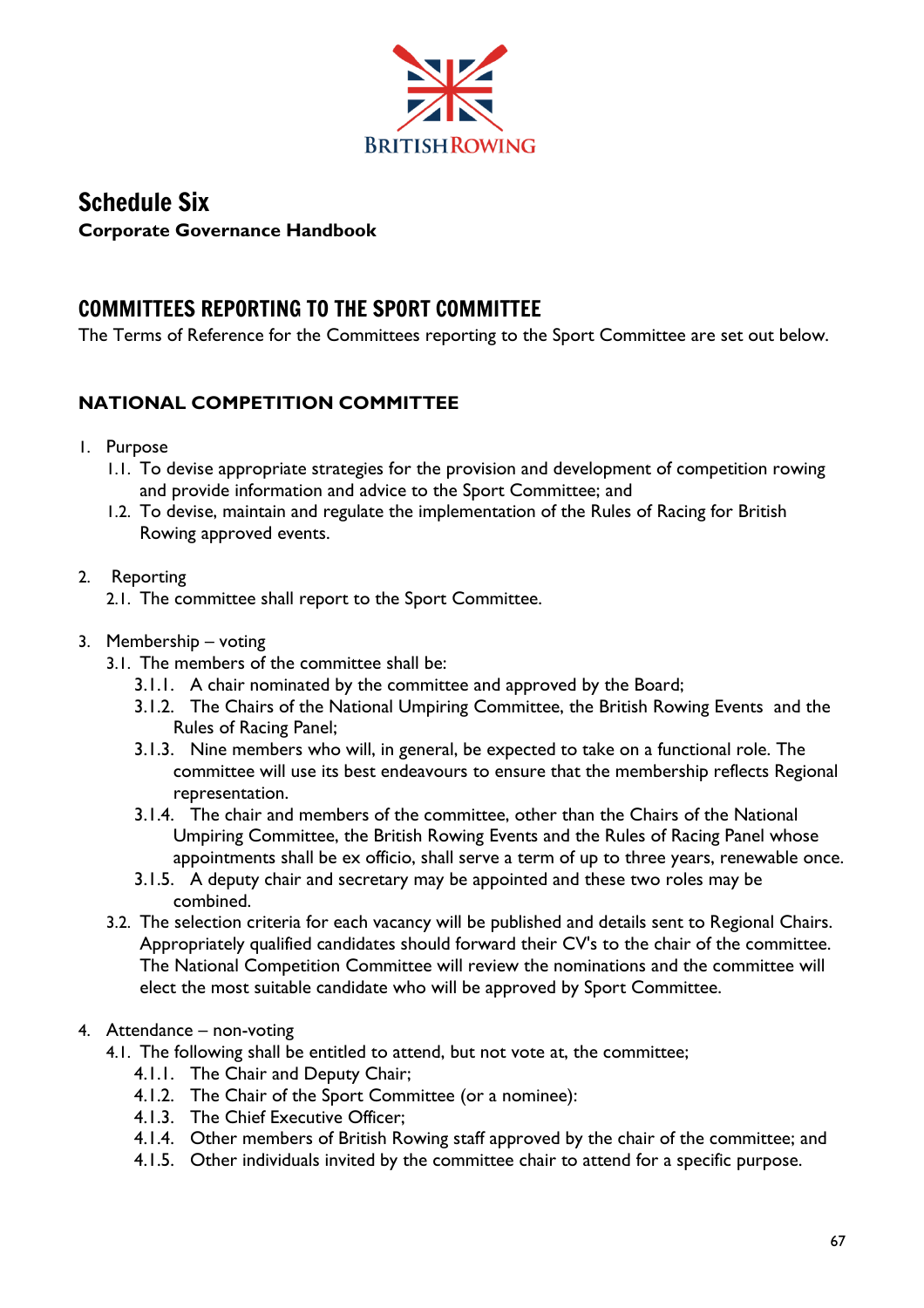

# Schedule Six **Corporate Governance Handbook**

# COMMITTEES REPORTING TO THE SPORT COMMITTEE

The Terms of Reference for the Committees reporting to the Sport Committee are set out below.

## **NATIONAL COMPETITION COMMITTEE**

- 1. Purpose
	- 1.1. To devise appropriate strategies for the provision and development of competition rowing and provide information and advice to the Sport Committee; and
	- 1.2. To devise, maintain and regulate the implementation of the Rules of Racing for British Rowing approved events.

## 2. Reporting

- 2.1. The committee shall report to the Sport Committee.
- 3. Membership voting
	- 3.1. The members of the committee shall be:
		- 3.1.1. A chair nominated by the committee and approved by the Board;
		- 3.1.2. The Chairs of the National Umpiring Committee, the British Rowing Events and the Rules of Racing Panel;
		- 3.1.3. Nine members who will, in general, be expected to take on a functional role. The committee will use its best endeavours to ensure that the membership reflects Regional representation.
		- 3.1.4. The chair and members of the committee, other than the Chairs of the National Umpiring Committee, the British Rowing Events and the Rules of Racing Panel whose appointments shall be ex officio, shall serve a term of up to three years, renewable once.
		- 3.1.5. A deputy chair and secretary may be appointed and these two roles may be combined.
	- 3.2. The selection criteria for each vacancy will be published and details sent to Regional Chairs. Appropriately qualified candidates should forward their CV's to the chair of the committee. The National Competition Committee will review the nominations and the committee will elect the most suitable candidate who will be approved by Sport Committee.

### 4. Attendance – non-voting

- 4.1. The following shall be entitled to attend, but not vote at, the committee;
	- 4.1.1. The Chair and Deputy Chair;
	- 4.1.2. The Chair of the Sport Committee (or a nominee):
	- 4.1.3. The Chief Executive Officer;
	- 4.1.4. Other members of British Rowing staff approved by the chair of the committee; and
	- 4.1.5. Other individuals invited by the committee chair to attend for a specific purpose.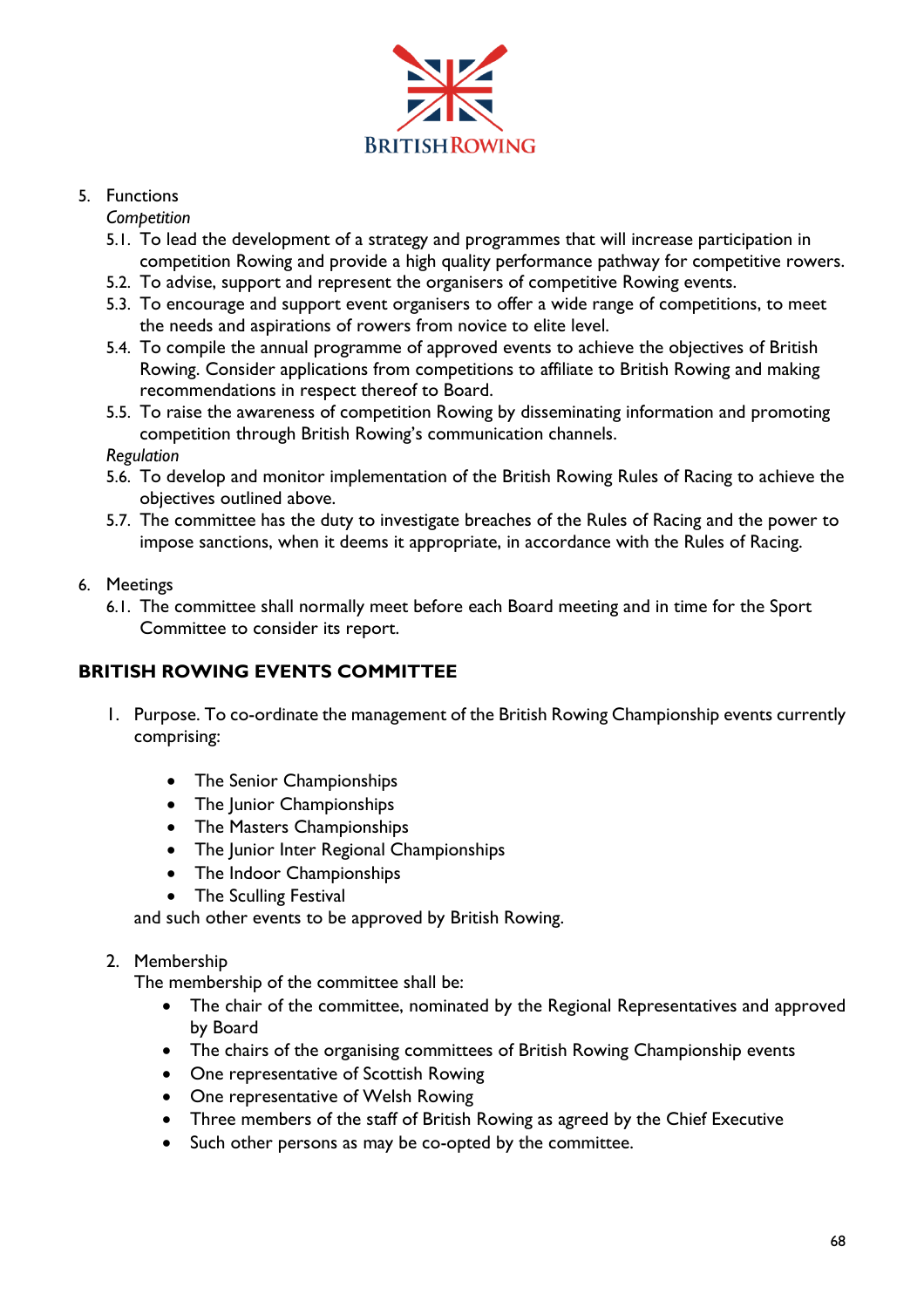

## 5. Functions

*Competition* 

- 5.1. To lead the development of a strategy and programmes that will increase participation in competition Rowing and provide a high quality performance pathway for competitive rowers.
- 5.2. To advise, support and represent the organisers of competitive Rowing events.
- 5.3. To encourage and support event organisers to offer a wide range of competitions, to meet the needs and aspirations of rowers from novice to elite level.
- 5.4. To compile the annual programme of approved events to achieve the objectives of British Rowing. Consider applications from competitions to affiliate to British Rowing and making recommendations in respect thereof to Board.
- 5.5. To raise the awareness of competition Rowing by disseminating information and promoting competition through British Rowing's communication channels.

*Regulation* 

- 5.6. To develop and monitor implementation of the British Rowing Rules of Racing to achieve the objectives outlined above.
- 5.7. The committee has the duty to investigate breaches of the Rules of Racing and the power to impose sanctions, when it deems it appropriate, in accordance with the Rules of Racing.
- 6. Meetings
	- 6.1. The committee shall normally meet before each Board meeting and in time for the Sport Committee to consider its report.

## **BRITISH ROWING EVENTS COMMITTEE**

- 1. Purpose. To co-ordinate the management of the British Rowing Championship events currently comprising:
	- The Senior Championships
	- The Junior Championships
	- The Masters Championships
	- The Junior Inter Regional Championships
	- The Indoor Championships
	- The Sculling Festival

and such other events to be approved by British Rowing.

### 2. Membership

The membership of the committee shall be:

- The chair of the committee, nominated by the Regional Representatives and approved by Board
- The chairs of the organising committees of British Rowing Championship events
- One representative of Scottish Rowing
- One representative of Welsh Rowing
- Three members of the staff of British Rowing as agreed by the Chief Executive
- Such other persons as may be co-opted by the committee.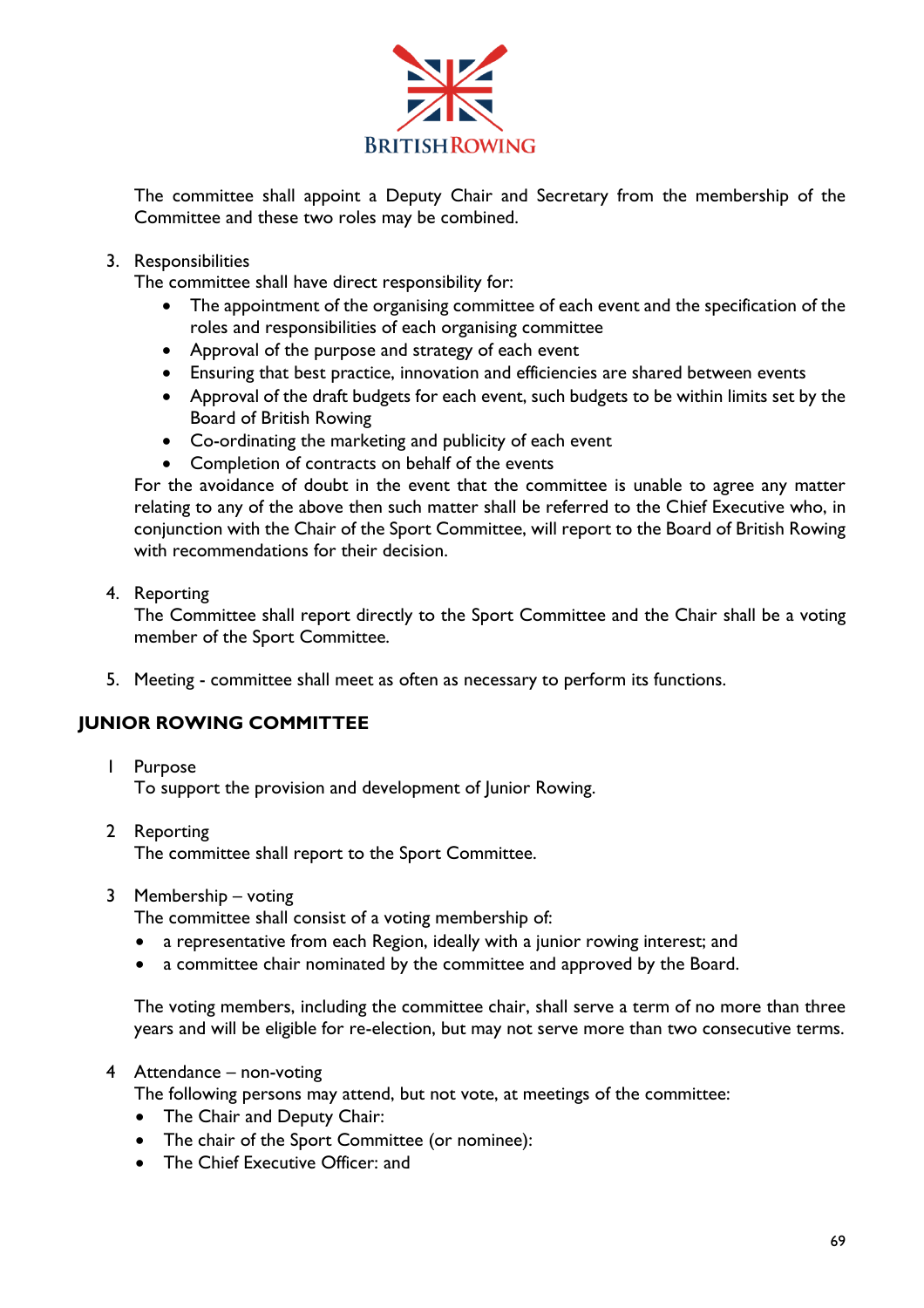

The committee shall appoint a Deputy Chair and Secretary from the membership of the Committee and these two roles may be combined.

#### 3. Responsibilities

The committee shall have direct responsibility for:

- The appointment of the organising committee of each event and the specification of the roles and responsibilities of each organising committee
- Approval of the purpose and strategy of each event
- Ensuring that best practice, innovation and efficiencies are shared between events
- Approval of the draft budgets for each event, such budgets to be within limits set by the Board of British Rowing
- Co-ordinating the marketing and publicity of each event
- Completion of contracts on behalf of the events

For the avoidance of doubt in the event that the committee is unable to agree any matter relating to any of the above then such matter shall be referred to the Chief Executive who, in conjunction with the Chair of the Sport Committee, will report to the Board of British Rowing with recommendations for their decision.

4. Reporting

The Committee shall report directly to the Sport Committee and the Chair shall be a voting member of the Sport Committee.

5. Meeting - committee shall meet as often as necessary to perform its functions.

### **JUNIOR ROWING COMMITTEE**

1 Purpose

To support the provision and development of Junior Rowing.

- 2 Reporting The committee shall report to the Sport Committee.
- 3 Membership voting

The committee shall consist of a voting membership of:

- a representative from each Region, ideally with a junior rowing interest; and
- a committee chair nominated by the committee and approved by the Board.

The voting members, including the committee chair, shall serve a term of no more than three years and will be eligible for re-election, but may not serve more than two consecutive terms.

#### 4 Attendance – non-voting

The following persons may attend, but not vote, at meetings of the committee:

- The Chair and Deputy Chair:
- The chair of the Sport Committee (or nominee):
- The Chief Executive Officer: and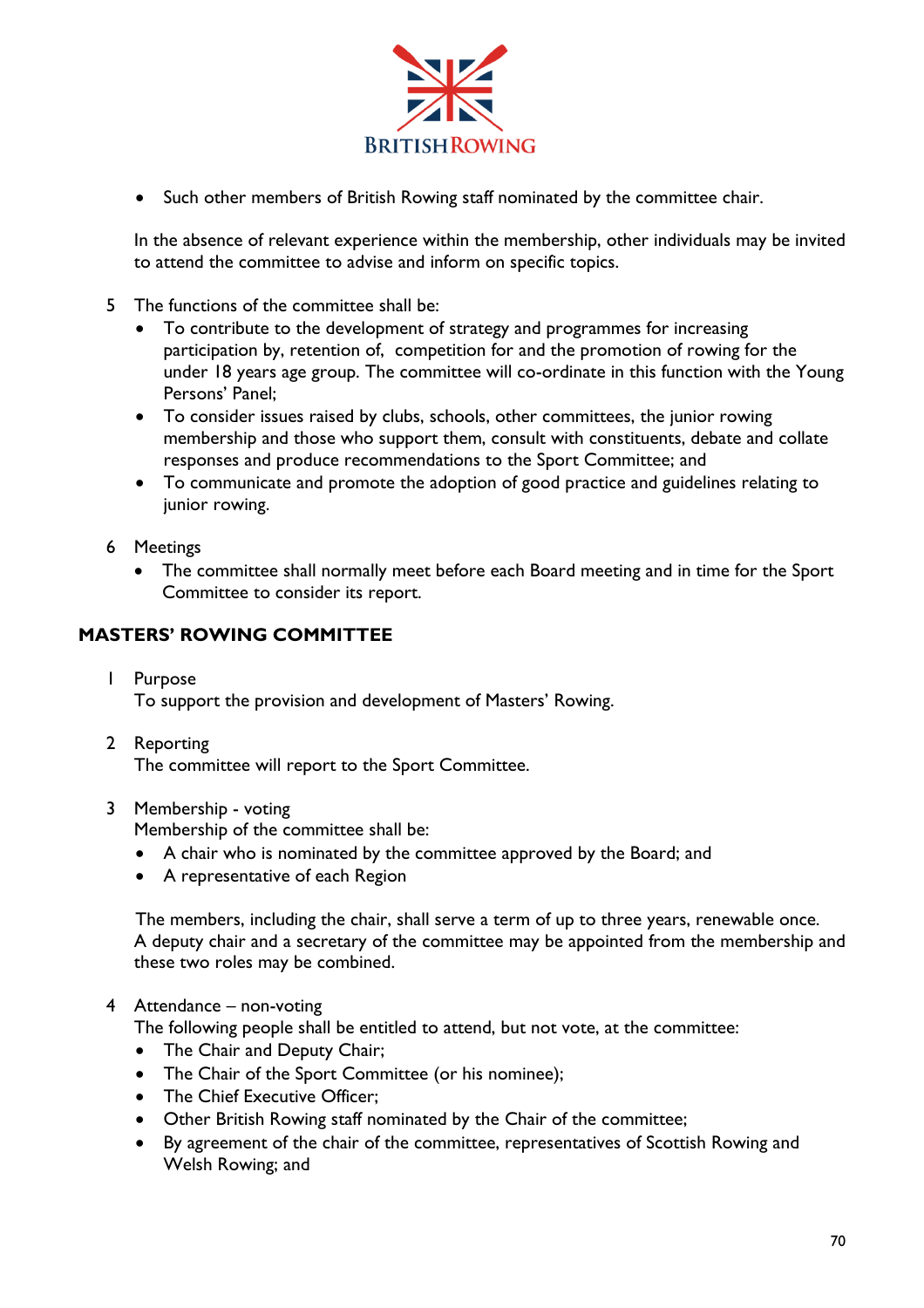

• Such other members of British Rowing staff nominated by the committee chair.

In the absence of relevant experience within the membership, other individuals may be invited to attend the committee to advise and inform on specific topics.

- 5 The functions of the committee shall be:
	- To contribute to the development of strategy and programmes for increasing participation by, retention of, competition for and the promotion of rowing for the under 18 years age group. The committee will co-ordinate in this function with the Young Persons' Panel;
	- To consider issues raised by clubs, schools, other committees, the junior rowing membership and those who support them, consult with constituents, debate and collate responses and produce recommendations to the Sport Committee; and
	- To communicate and promote the adoption of good practice and guidelines relating to junior rowing.
- 6 Meetings
	- The committee shall normally meet before each Board meeting and in time for the Sport Committee to consider its report.

## **MASTERS' ROWING COMMITTEE**

- 1 Purpose To support the provision and development of Masters' Rowing.
- 2 Reporting

The committee will report to the Sport Committee.

#### 3 Membership - voting

Membership of the committee shall be:

- A chair who is nominated by the committee approved by the Board; and
- A representative of each Region

The members, including the chair, shall serve a term of up to three years, renewable once. A deputy chair and a secretary of the committee may be appointed from the membership and these two roles may be combined.

#### 4 Attendance – non-voting

The following people shall be entitled to attend, but not vote, at the committee:

- The Chair and Deputy Chair;
- The Chair of the Sport Committee (or his nominee);
- The Chief Executive Officer:
- Other British Rowing staff nominated by the Chair of the committee;
- By agreement of the chair of the committee, representatives of Scottish Rowing and Welsh Rowing; and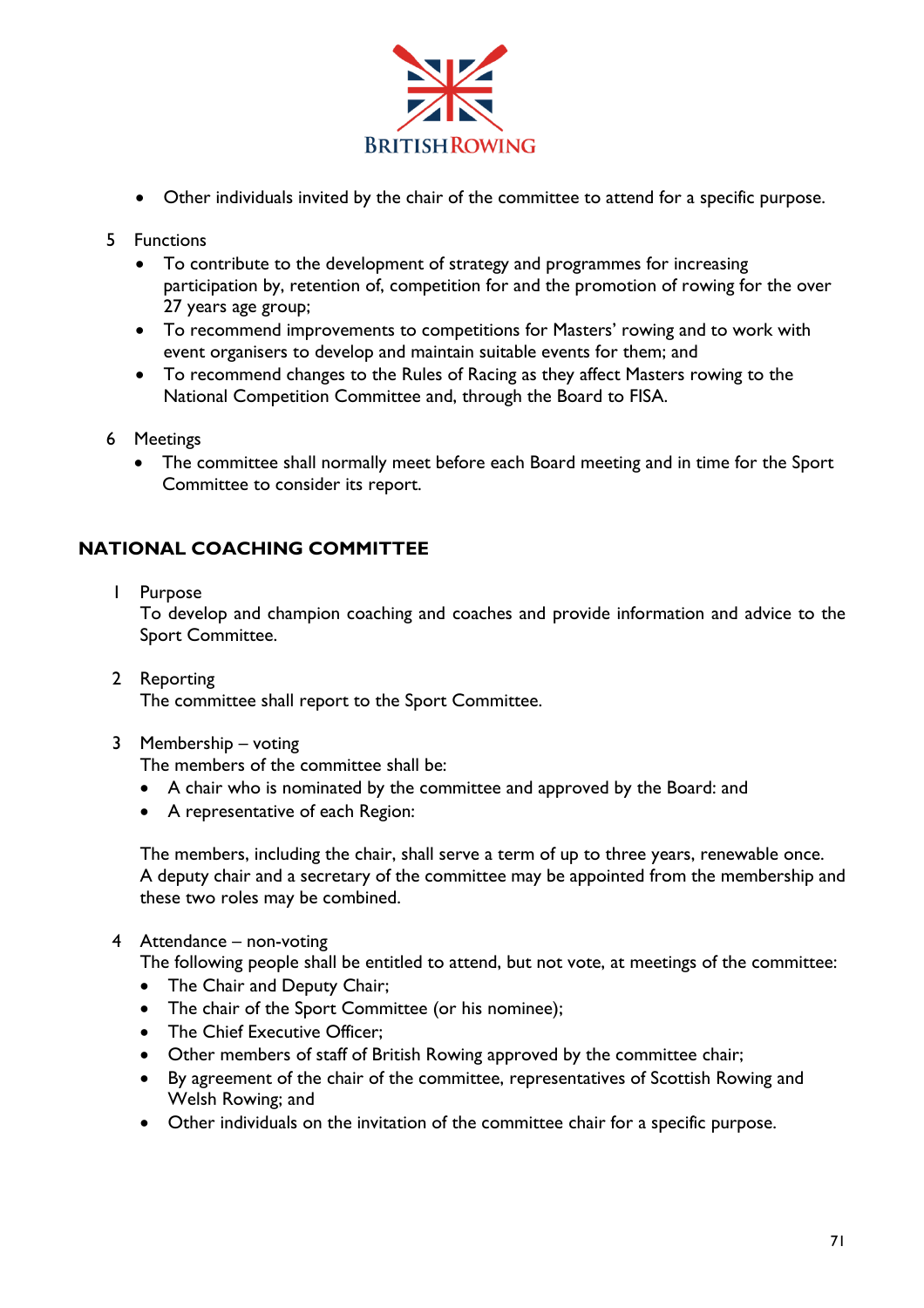

- Other individuals invited by the chair of the committee to attend for a specific purpose.
- 5 Functions
	- To contribute to the development of strategy and programmes for increasing participation by, retention of, competition for and the promotion of rowing for the over 27 years age group;
	- To recommend improvements to competitions for Masters' rowing and to work with event organisers to develop and maintain suitable events for them; and
	- To recommend changes to the Rules of Racing as they affect Masters rowing to the National Competition Committee and, through the Board to FISA.
- 6 Meetings
	- The committee shall normally meet before each Board meeting and in time for the Sport Committee to consider its report.

## **NATIONAL COACHING COMMITTEE**

1 Purpose

To develop and champion coaching and coaches and provide information and advice to the Sport Committee.

- 2 Reporting The committee shall report to the Sport Committee.
- 3 Membership voting

The members of the committee shall be:

- A chair who is nominated by the committee and approved by the Board: and
- A representative of each Region:

The members, including the chair, shall serve a term of up to three years, renewable once. A deputy chair and a secretary of the committee may be appointed from the membership and these two roles may be combined.

4 Attendance – non-voting

The following people shall be entitled to attend, but not vote, at meetings of the committee:

- The Chair and Deputy Chair;
- The chair of the Sport Committee (or his nominee);
- The Chief Executive Officer:
- Other members of staff of British Rowing approved by the committee chair;
- By agreement of the chair of the committee, representatives of Scottish Rowing and Welsh Rowing; and
- Other individuals on the invitation of the committee chair for a specific purpose.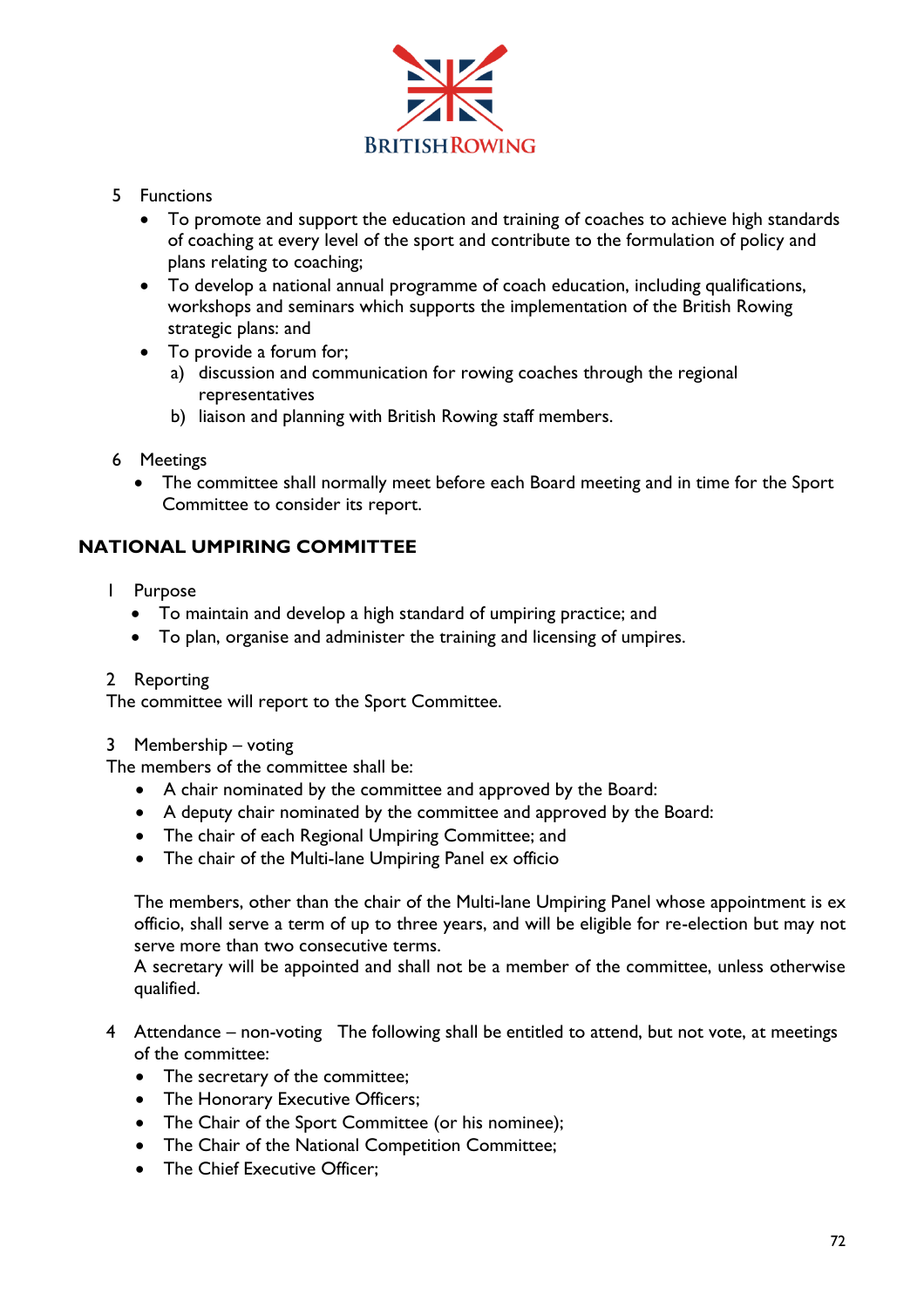

- 5 Functions
	- To promote and support the education and training of coaches to achieve high standards of coaching at every level of the sport and contribute to the formulation of policy and plans relating to coaching;
	- To develop a national annual programme of coach education, including qualifications, workshops and seminars which supports the implementation of the British Rowing strategic plans: and
	- To provide a forum for;
		- a) discussion and communication for rowing coaches through the regional representatives
		- b) liaison and planning with British Rowing staff members.
- 6 Meetings
	- The committee shall normally meet before each Board meeting and in time for the Sport Committee to consider its report.

# **NATIONAL UMPIRING COMMITTEE**

- 1 Purpose
	- To maintain and develop a high standard of umpiring practice; and
	- To plan, organise and administer the training and licensing of umpires.
- 2 Reporting

The committee will report to the Sport Committee.

3 Membership – voting

The members of the committee shall be:

- A chair nominated by the committee and approved by the Board:
- A deputy chair nominated by the committee and approved by the Board:
- The chair of each Regional Umpiring Committee; and
- The chair of the Multi-lane Umpiring Panel ex officio

The members, other than the chair of the Multi-lane Umpiring Panel whose appointment is ex officio, shall serve a term of up to three years, and will be eligible for re-election but may not serve more than two consecutive terms.

A secretary will be appointed and shall not be a member of the committee, unless otherwise qualified.

- 4 Attendance non-voting The following shall be entitled to attend, but not vote, at meetings of the committee:
	- The secretary of the committee;
	- The Honorary Executive Officers;
	- The Chair of the Sport Committee (or his nominee);
	- The Chair of the National Competition Committee;
	- The Chief Executive Officer: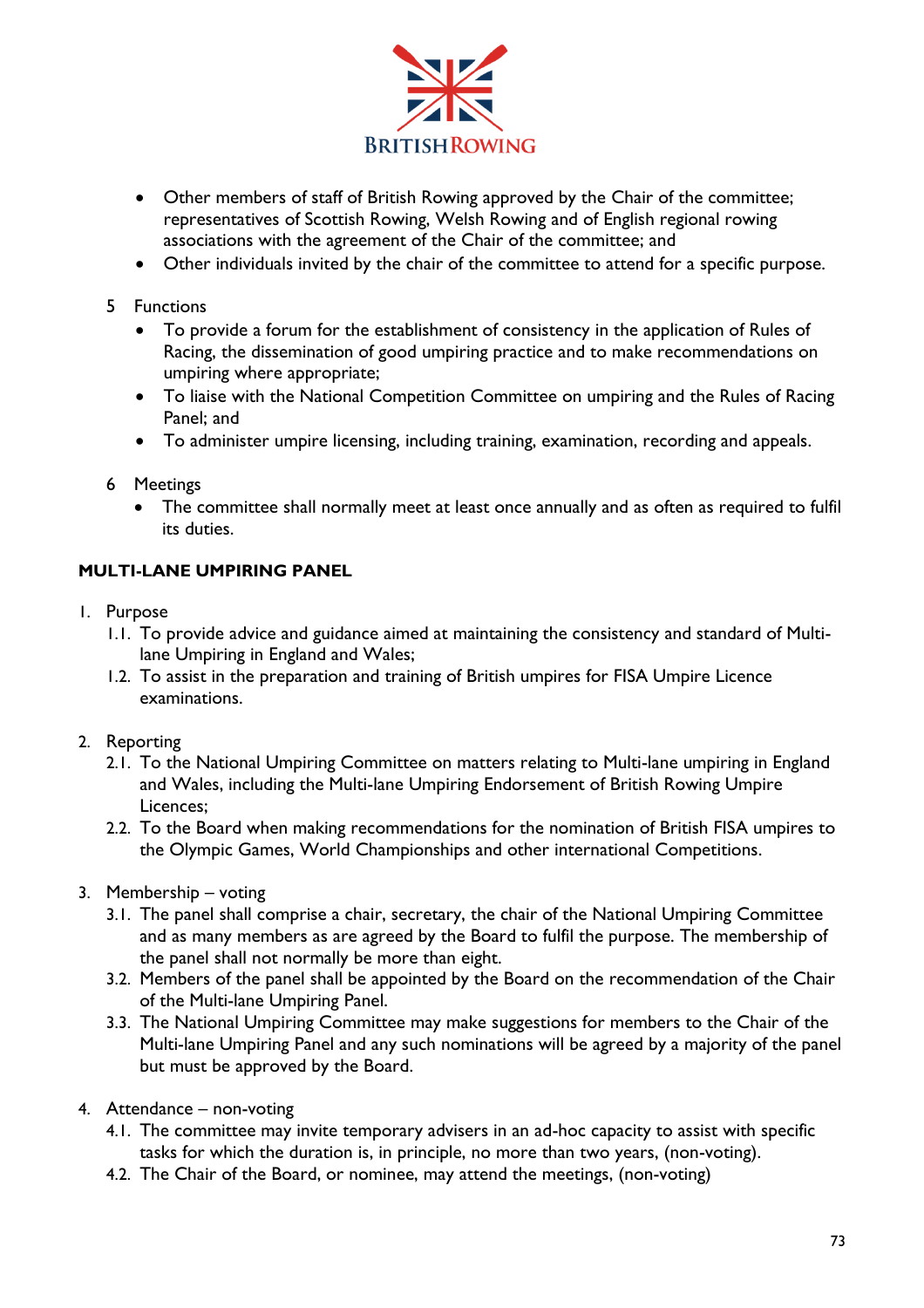

- Other members of staff of British Rowing approved by the Chair of the committee; representatives of Scottish Rowing, Welsh Rowing and of English regional rowing associations with the agreement of the Chair of the committee; and
- Other individuals invited by the chair of the committee to attend for a specific purpose.
- 5 Functions
	- To provide a forum for the establishment of consistency in the application of Rules of Racing, the dissemination of good umpiring practice and to make recommendations on umpiring where appropriate;
	- To liaise with the National Competition Committee on umpiring and the Rules of Racing Panel; and
	- To administer umpire licensing, including training, examination, recording and appeals.
- 6 Meetings
	- The committee shall normally meet at least once annually and as often as required to fulfil its duties.

#### **MULTI-LANE UMPIRING PANEL**

- 1. Purpose
	- 1.1. To provide advice and guidance aimed at maintaining the consistency and standard of Multilane Umpiring in England and Wales;
	- 1.2. To assist in the preparation and training of British umpires for FISA Umpire Licence examinations.
- 2. Reporting
	- 2.1. To the National Umpiring Committee on matters relating to Multi-lane umpiring in England and Wales, including the Multi-lane Umpiring Endorsement of British Rowing Umpire Licences;
	- 2.2. To the Board when making recommendations for the nomination of British FISA umpires to the Olympic Games, World Championships and other international Competitions.
- 3. Membership voting
	- 3.1. The panel shall comprise a chair, secretary, the chair of the National Umpiring Committee and as many members as are agreed by the Board to fulfil the purpose. The membership of the panel shall not normally be more than eight.
	- 3.2. Members of the panel shall be appointed by the Board on the recommendation of the Chair of the Multi-lane Umpiring Panel.
	- 3.3. The National Umpiring Committee may make suggestions for members to the Chair of the Multi-lane Umpiring Panel and any such nominations will be agreed by a majority of the panel but must be approved by the Board.
- 4. Attendance non-voting
	- 4.1. The committee may invite temporary advisers in an ad-hoc capacity to assist with specific tasks for which the duration is, in principle, no more than two years, (non-voting).
	- 4.2. The Chair of the Board, or nominee, may attend the meetings, (non-voting)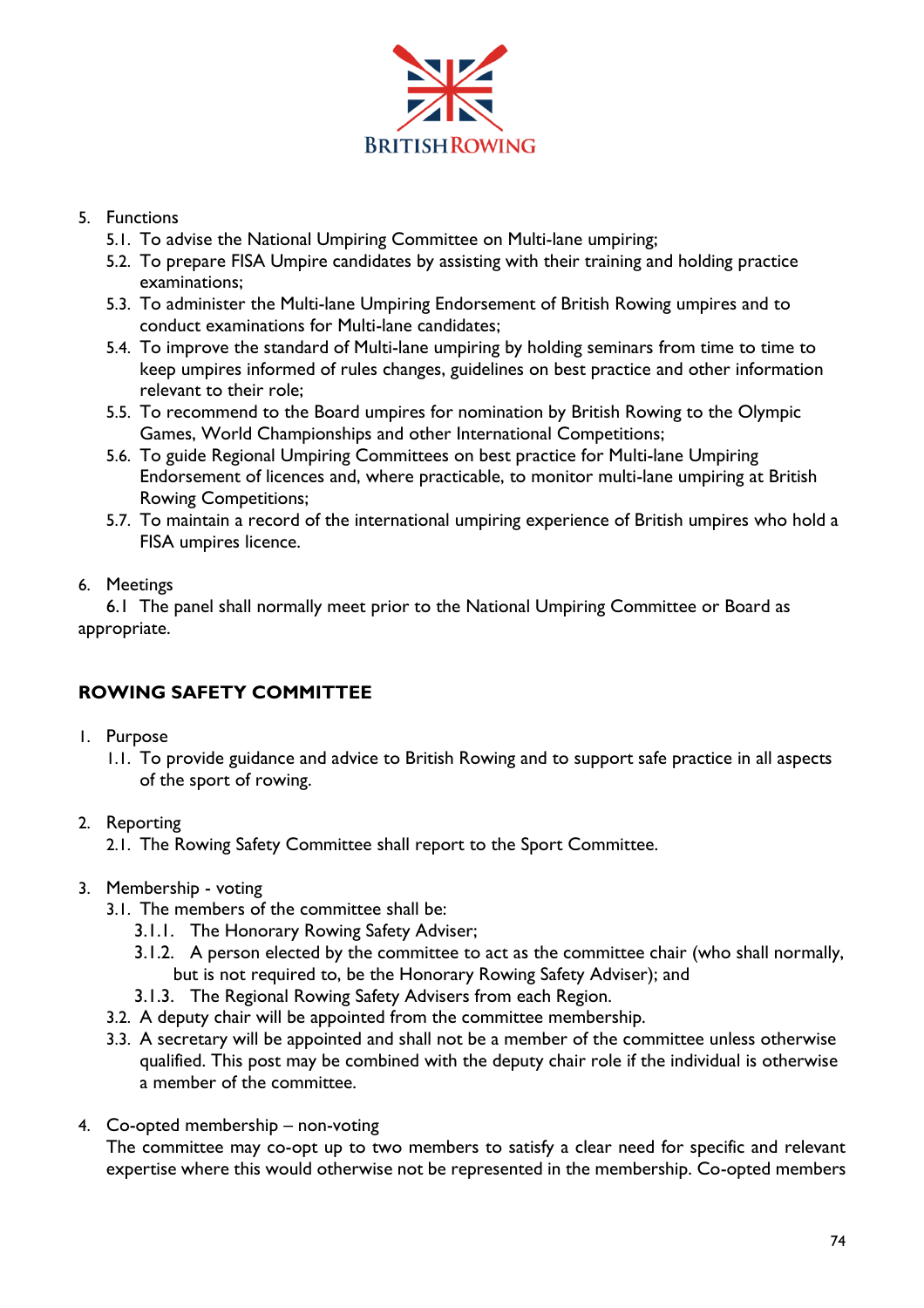

#### 5. Functions

- 5.1. To advise the National Umpiring Committee on Multi-lane umpiring;
- 5.2. To prepare FISA Umpire candidates by assisting with their training and holding practice examinations;
- 5.3. To administer the Multi-lane Umpiring Endorsement of British Rowing umpires and to conduct examinations for Multi-lane candidates;
- 5.4. To improve the standard of Multi-lane umpiring by holding seminars from time to time to keep umpires informed of rules changes, guidelines on best practice and other information relevant to their role;
- 5.5. To recommend to the Board umpires for nomination by British Rowing to the Olympic Games, World Championships and other International Competitions;
- 5.6. To guide Regional Umpiring Committees on best practice for Multi-lane Umpiring Endorsement of licences and, where practicable, to monitor multi-lane umpiring at British Rowing Competitions;
- 5.7. To maintain a record of the international umpiring experience of British umpires who hold a FISA umpires licence.

#### 6. Meetings

6.1 The panel shall normally meet prior to the National Umpiring Committee or Board as appropriate.

# **ROWING SAFETY COMMITTEE**

- 1. Purpose
	- 1.1. To provide guidance and advice to British Rowing and to support safe practice in all aspects of the sport of rowing.

# 2. Reporting

- 2.1. The Rowing Safety Committee shall report to the Sport Committee.
- 3. Membership voting
	- 3.1. The members of the committee shall be:
		- 3.1.1. The Honorary Rowing Safety Adviser;
		- 3.1.2. A person elected by the committee to act as the committee chair (who shall normally, but is not required to, be the Honorary Rowing Safety Adviser); and
		- 3.1.3. The Regional Rowing Safety Advisers from each Region.
	- 3.2. A deputy chair will be appointed from the committee membership.
	- 3.3. A secretary will be appointed and shall not be a member of the committee unless otherwise qualified. This post may be combined with the deputy chair role if the individual is otherwise a member of the committee.
- 4. Co-opted membership non-voting

The committee may co-opt up to two members to satisfy a clear need for specific and relevant expertise where this would otherwise not be represented in the membership. Co-opted members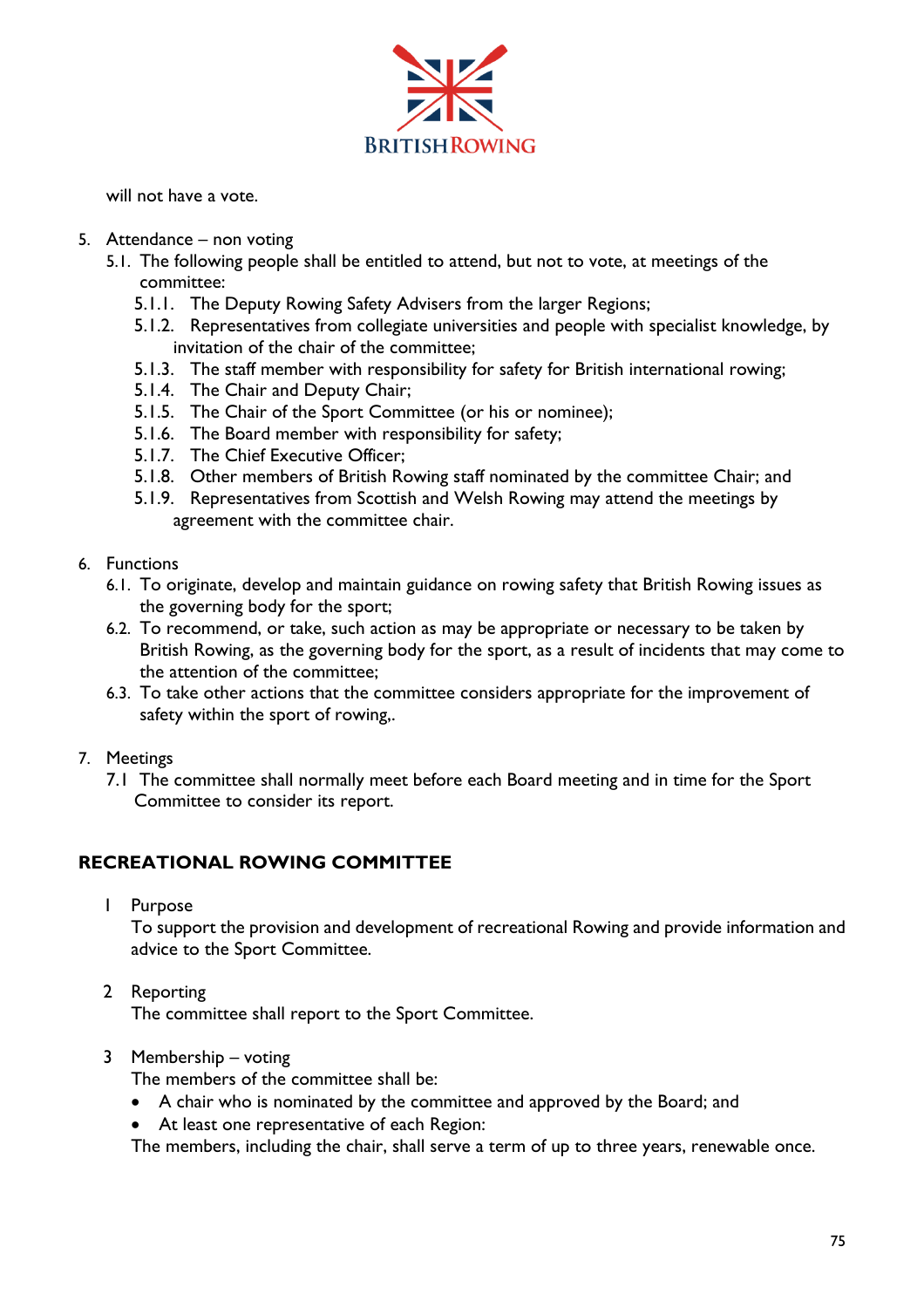

will not have a vote.

- 5. Attendance non voting
	- 5.1. The following people shall be entitled to attend, but not to vote, at meetings of the committee:
		- 5.1.1. The Deputy Rowing Safety Advisers from the larger Regions;
		- 5.1.2. Representatives from collegiate universities and people with specialist knowledge, by invitation of the chair of the committee;
		- 5.1.3. The staff member with responsibility for safety for British international rowing;
		- 5.1.4. The Chair and Deputy Chair;
		- 5.1.5. The Chair of the Sport Committee (or his or nominee);
		- 5.1.6. The Board member with responsibility for safety;
		- 5.1.7. The Chief Executive Officer;
		- 5.1.8. Other members of British Rowing staff nominated by the committee Chair; and
		- 5.1.9. Representatives from Scottish and Welsh Rowing may attend the meetings by agreement with the committee chair.
- 6. Functions
	- 6.1. To originate, develop and maintain guidance on rowing safety that British Rowing issues as the governing body for the sport;
	- 6.2. To recommend, or take, such action as may be appropriate or necessary to be taken by British Rowing, as the governing body for the sport, as a result of incidents that may come to the attention of the committee;
	- 6.3. To take other actions that the committee considers appropriate for the improvement of safety within the sport of rowing,.
- 7. Meetings
	- 7.1 The committee shall normally meet before each Board meeting and in time for the Sport Committee to consider its report.

#### **RECREATIONAL ROWING COMMITTEE**

1 Purpose

To support the provision and development of recreational Rowing and provide information and advice to the Sport Committee.

2 Reporting

The committee shall report to the Sport Committee.

3 Membership – voting

The members of the committee shall be:

- A chair who is nominated by the committee and approved by the Board; and
- At least one representative of each Region:

The members, including the chair, shall serve a term of up to three years, renewable once.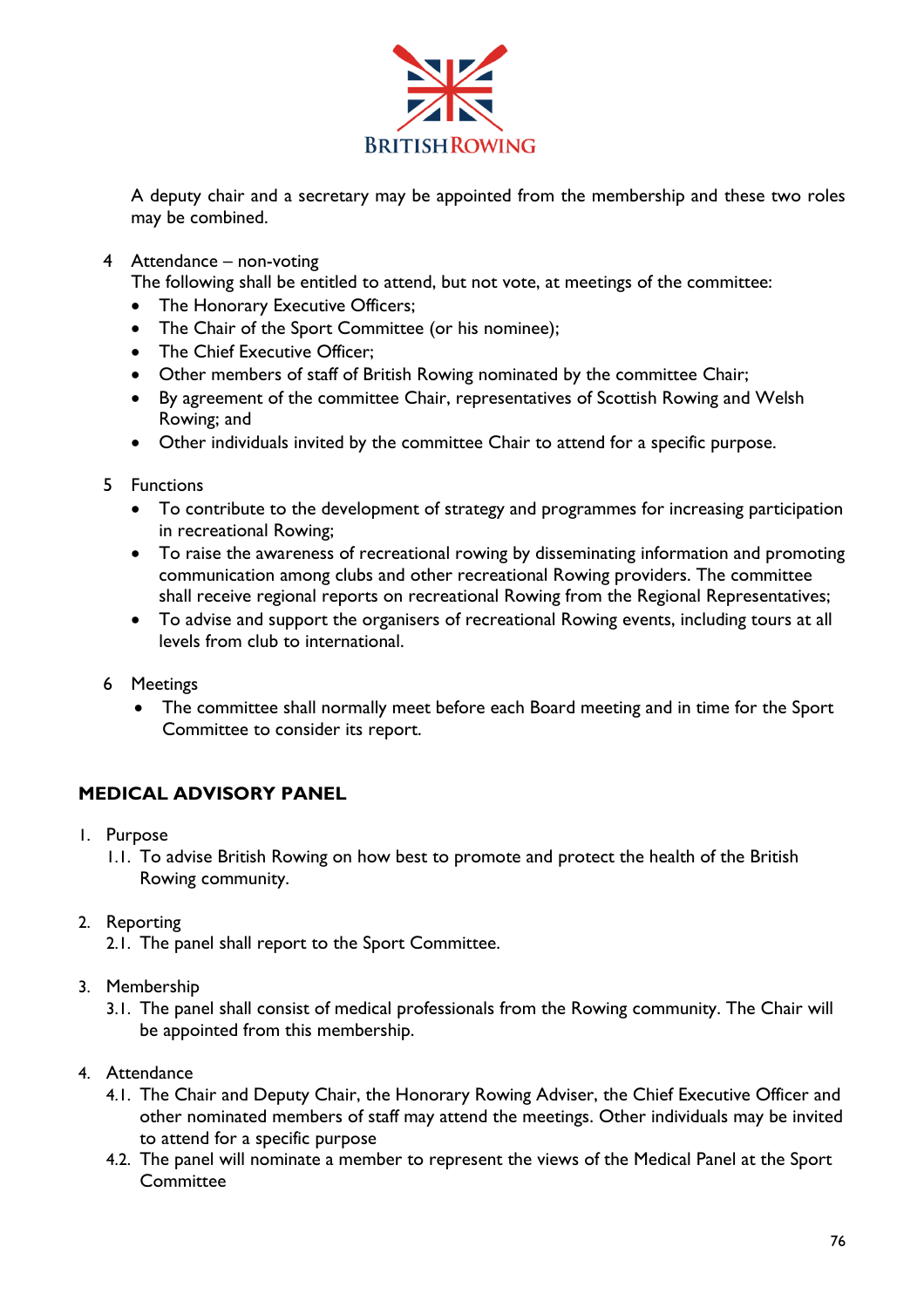

A deputy chair and a secretary may be appointed from the membership and these two roles may be combined.

4 Attendance – non-voting

The following shall be entitled to attend, but not vote, at meetings of the committee:

- The Honorary Executive Officers;
- The Chair of the Sport Committee (or his nominee);
- The Chief Executive Officer:
- Other members of staff of British Rowing nominated by the committee Chair;
- By agreement of the committee Chair, representatives of Scottish Rowing and Welsh Rowing; and
- Other individuals invited by the committee Chair to attend for a specific purpose.
- 5 Functions
	- To contribute to the development of strategy and programmes for increasing participation in recreational Rowing;
	- To raise the awareness of recreational rowing by disseminating information and promoting communication among clubs and other recreational Rowing providers. The committee shall receive regional reports on recreational Rowing from the Regional Representatives;
	- To advise and support the organisers of recreational Rowing events, including tours at all levels from club to international.
- 6 Meetings
	- The committee shall normally meet before each Board meeting and in time for the Sport Committee to consider its report.

# **MEDICAL ADVISORY PANEL**

- 1. Purpose
	- 1.1. To advise British Rowing on how best to promote and protect the health of the British Rowing community.
- 2. Reporting
	- 2.1. The panel shall report to the Sport Committee.
- 3. Membership
	- 3.1. The panel shall consist of medical professionals from the Rowing community. The Chair will be appointed from this membership.
- 4. Attendance
	- 4.1. The Chair and Deputy Chair, the Honorary Rowing Adviser, the Chief Executive Officer and other nominated members of staff may attend the meetings. Other individuals may be invited to attend for a specific purpose
	- 4.2. The panel will nominate a member to represent the views of the Medical Panel at the Sport **Committee**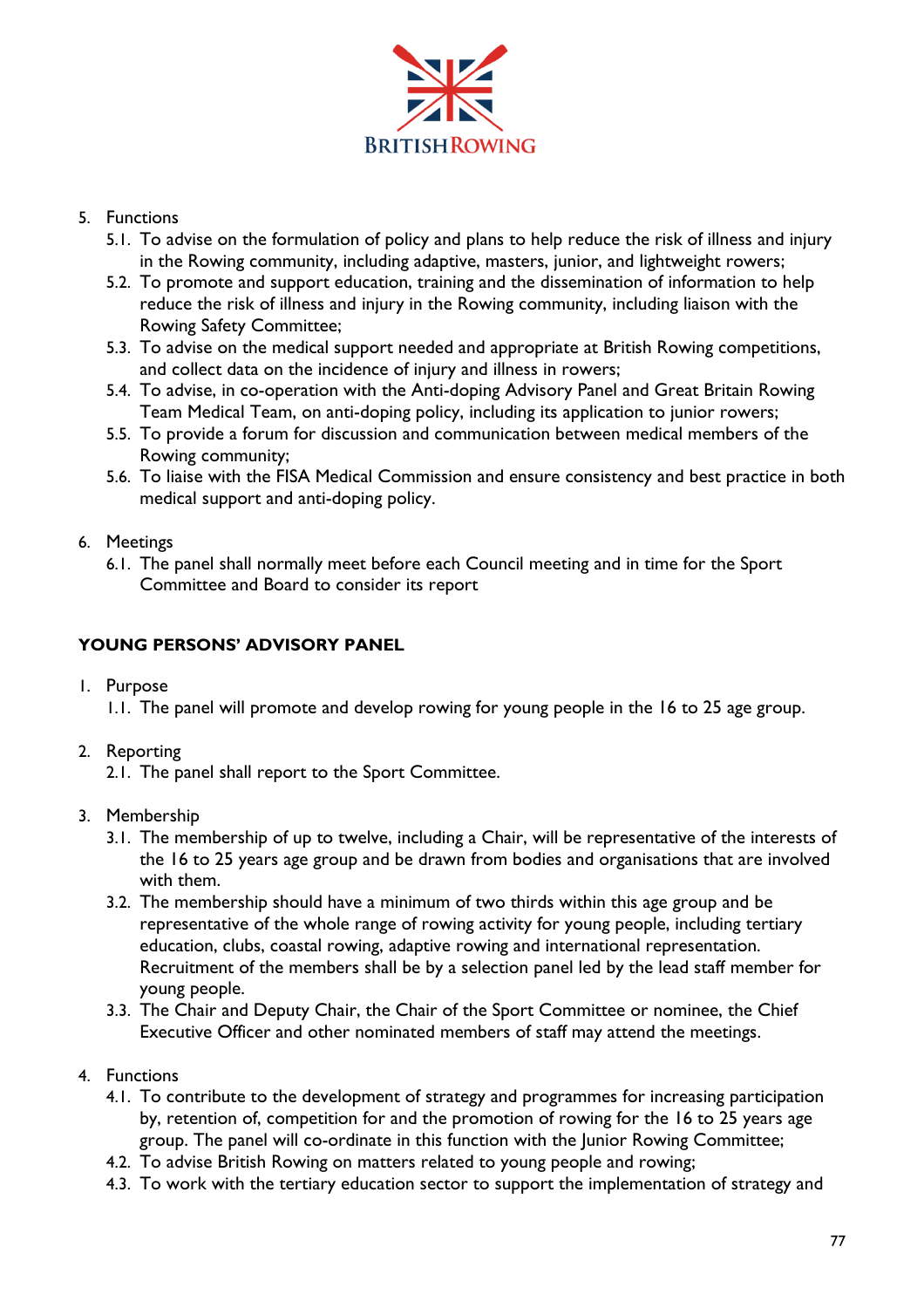

### 5. Functions

- 5.1. To advise on the formulation of policy and plans to help reduce the risk of illness and injury in the Rowing community, including adaptive, masters, junior, and lightweight rowers;
- 5.2. To promote and support education, training and the dissemination of information to help reduce the risk of illness and injury in the Rowing community, including liaison with the Rowing Safety Committee;
- 5.3. To advise on the medical support needed and appropriate at British Rowing competitions, and collect data on the incidence of injury and illness in rowers;
- 5.4. To advise, in co-operation with the Anti-doping Advisory Panel and Great Britain Rowing Team Medical Team, on anti-doping policy, including its application to junior rowers;
- 5.5. To provide a forum for discussion and communication between medical members of the Rowing community;
- 5.6. To liaise with the FISA Medical Commission and ensure consistency and best practice in both medical support and anti-doping policy.

## 6. Meetings

6.1. The panel shall normally meet before each Council meeting and in time for the Sport Committee and Board to consider its report

## **YOUNG PERSONS' ADVISORY PANEL**

1. Purpose

1.1. The panel will promote and develop rowing for young people in the 16 to 25 age group.

- 2. Reporting
	- 2.1. The panel shall report to the Sport Committee.
- 3. Membership
	- 3.1. The membership of up to twelve, including a Chair, will be representative of the interests of the 16 to 25 years age group and be drawn from bodies and organisations that are involved with them.
	- 3.2. The membership should have a minimum of two thirds within this age group and be representative of the whole range of rowing activity for young people, including tertiary education, clubs, coastal rowing, adaptive rowing and international representation. Recruitment of the members shall be by a selection panel led by the lead staff member for young people.
	- 3.3. The Chair and Deputy Chair, the Chair of the Sport Committee or nominee, the Chief Executive Officer and other nominated members of staff may attend the meetings.
- 4. Functions
	- 4.1. To contribute to the development of strategy and programmes for increasing participation by, retention of, competition for and the promotion of rowing for the 16 to 25 years age group. The panel will co-ordinate in this function with the Junior Rowing Committee;
	- 4.2. To advise British Rowing on matters related to young people and rowing;
	- 4.3. To work with the tertiary education sector to support the implementation of strategy and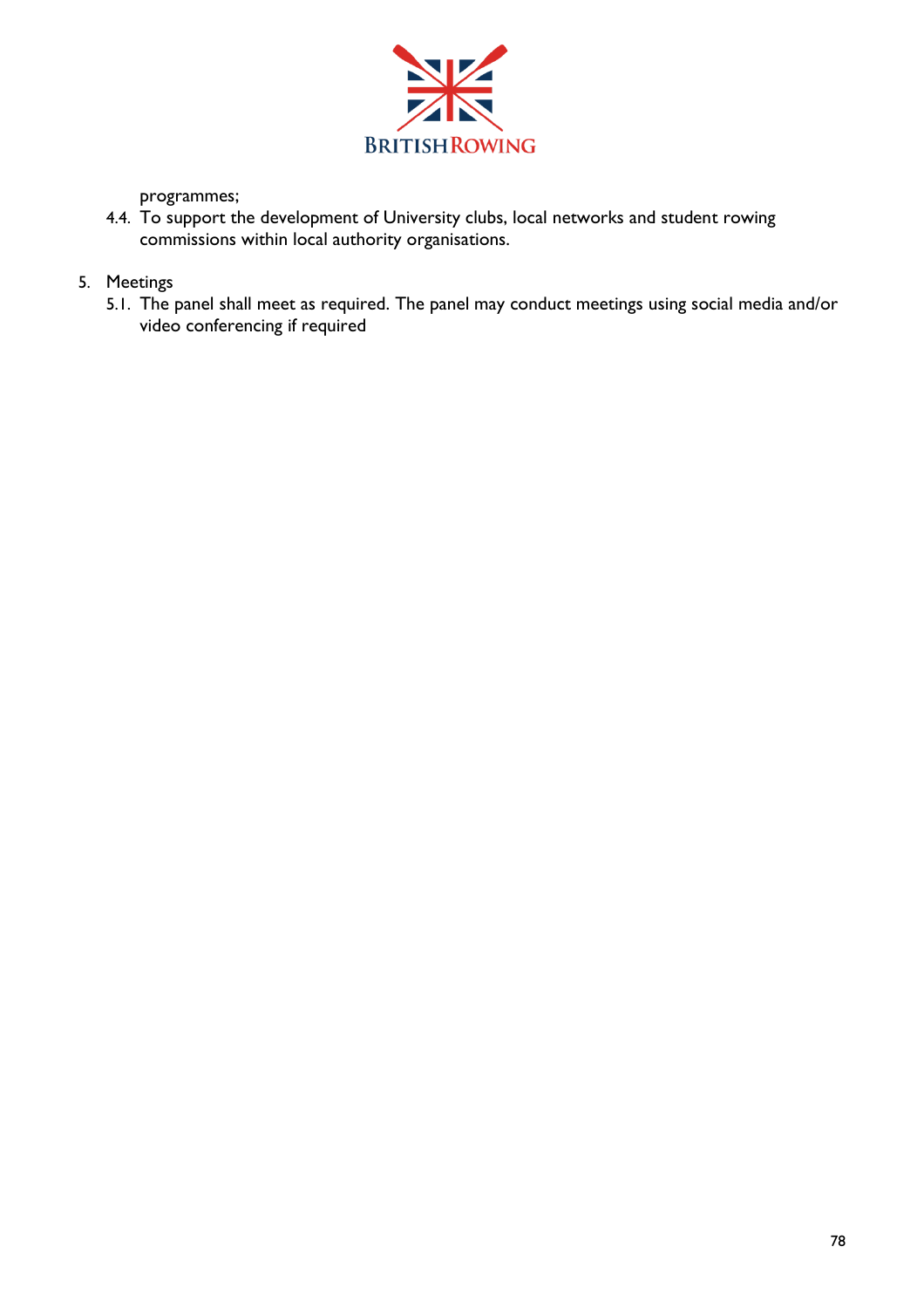

programmes;

4.4. To support the development of University clubs, local networks and student rowing commissions within local authority organisations.

# 5. Meetings

5.1. The panel shall meet as required. The panel may conduct meetings using social media and/or video conferencing if required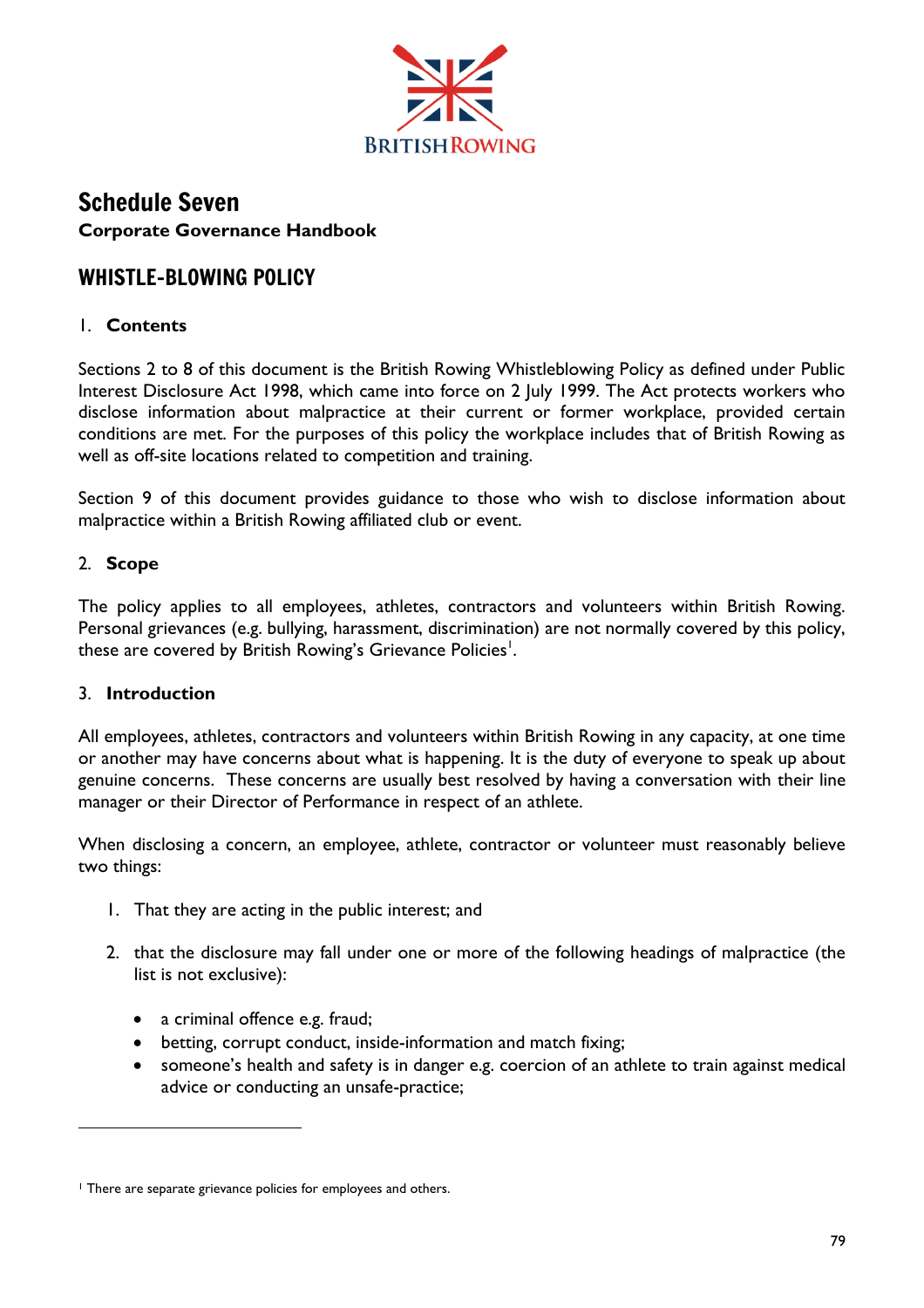

# Schedule Seven **Corporate Governance Handbook**

# WHISTLE-BLOWING POLICY

# 1. **Contents**

Sections 2 to 8 of this document is the British Rowing Whistleblowing Policy as defined under Public Interest Disclosure Act 1998, which came into force on 2 July 1999. The Act protects workers who disclose information about malpractice at their current or former workplace, provided certain conditions are met. For the purposes of this policy the workplace includes that of British Rowing as well as off-site locations related to competition and training.

Section 9 of this document provides guidance to those who wish to disclose information about malpractice within a British Rowing affiliated club or event.

# 2. **Scope**

The policy applies to all employees, athletes, contractors and volunteers within British Rowing. Personal grievances (e.g. bullying, harassment, discrimination) are not normally covered by this policy, these are covered by British Rowing's Grievance Policies $^{\mathsf{l}}.$ 

# 3. **Introduction**

All employees, athletes, contractors and volunteers within British Rowing in any capacity, at one time or another may have concerns about what is happening. It is the duty of everyone to speak up about genuine concerns. These concerns are usually best resolved by having a conversation with their line manager or their Director of Performance in respect of an athlete.

When disclosing a concern, an employee, athlete, contractor or volunteer must reasonably believe two things:

- 1. That they are acting in the public interest; and
- 2. that the disclosure may fall under one or more of the following headings of malpractice (the list is not exclusive):
	- a criminal offence e.g. fraud;
	- betting, corrupt conduct, inside-information and match fixing;
	- someone's health and safety is in danger e.g. coercion of an athlete to train against medical advice or conducting an unsafe-practice;

<sup>&</sup>lt;sup>1</sup> There are separate grievance policies for employees and others.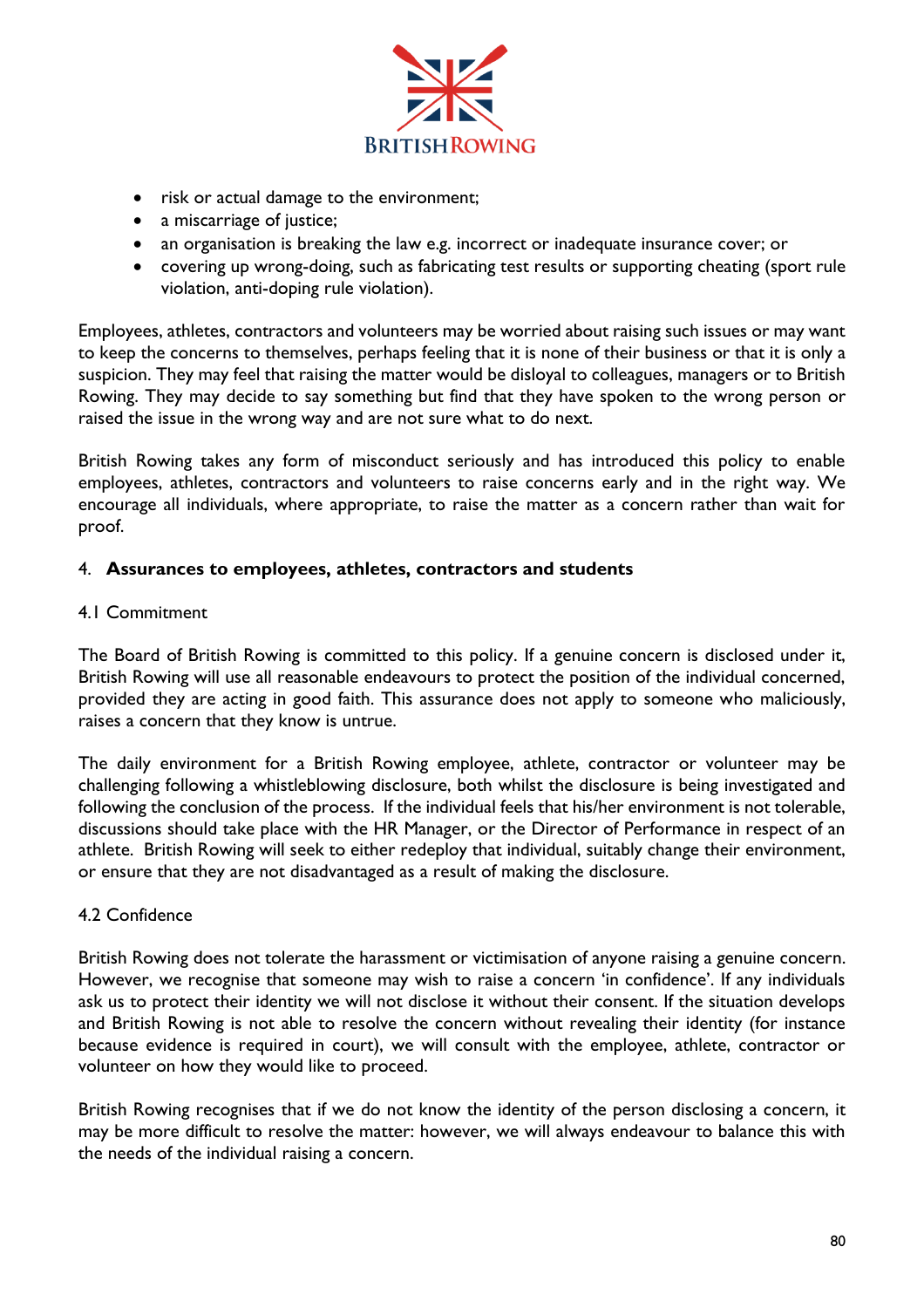

- risk or actual damage to the environment;
- a miscarriage of justice;
- an organisation is breaking the law e.g. incorrect or inadequate insurance cover; or
- covering up wrong-doing, such as fabricating test results or supporting cheating (sport rule violation, anti-doping rule violation).

Employees, athletes, contractors and volunteers may be worried about raising such issues or may want to keep the concerns to themselves, perhaps feeling that it is none of their business or that it is only a suspicion. They may feel that raising the matter would be disloyal to colleagues, managers or to British Rowing. They may decide to say something but find that they have spoken to the wrong person or raised the issue in the wrong way and are not sure what to do next.

British Rowing takes any form of misconduct seriously and has introduced this policy to enable employees, athletes, contractors and volunteers to raise concerns early and in the right way. We encourage all individuals, where appropriate, to raise the matter as a concern rather than wait for proof.

#### 4. **Assurances to employees, athletes, contractors and students**

#### 4.1 Commitment

The Board of British Rowing is committed to this policy. If a genuine concern is disclosed under it, British Rowing will use all reasonable endeavours to protect the position of the individual concerned, provided they are acting in good faith. This assurance does not apply to someone who maliciously, raises a concern that they know is untrue.

The daily environment for a British Rowing employee, athlete, contractor or volunteer may be challenging following a whistleblowing disclosure, both whilst the disclosure is being investigated and following the conclusion of the process. If the individual feels that his/her environment is not tolerable, discussions should take place with the HR Manager, or the Director of Performance in respect of an athlete. British Rowing will seek to either redeploy that individual, suitably change their environment, or ensure that they are not disadvantaged as a result of making the disclosure.

#### 4.2 Confidence

British Rowing does not tolerate the harassment or victimisation of anyone raising a genuine concern. However, we recognise that someone may wish to raise a concern 'in confidence'. If any individuals ask us to protect their identity we will not disclose it without their consent. If the situation develops and British Rowing is not able to resolve the concern without revealing their identity (for instance because evidence is required in court), we will consult with the employee, athlete, contractor or volunteer on how they would like to proceed.

British Rowing recognises that if we do not know the identity of the person disclosing a concern, it may be more difficult to resolve the matter: however, we will always endeavour to balance this with the needs of the individual raising a concern.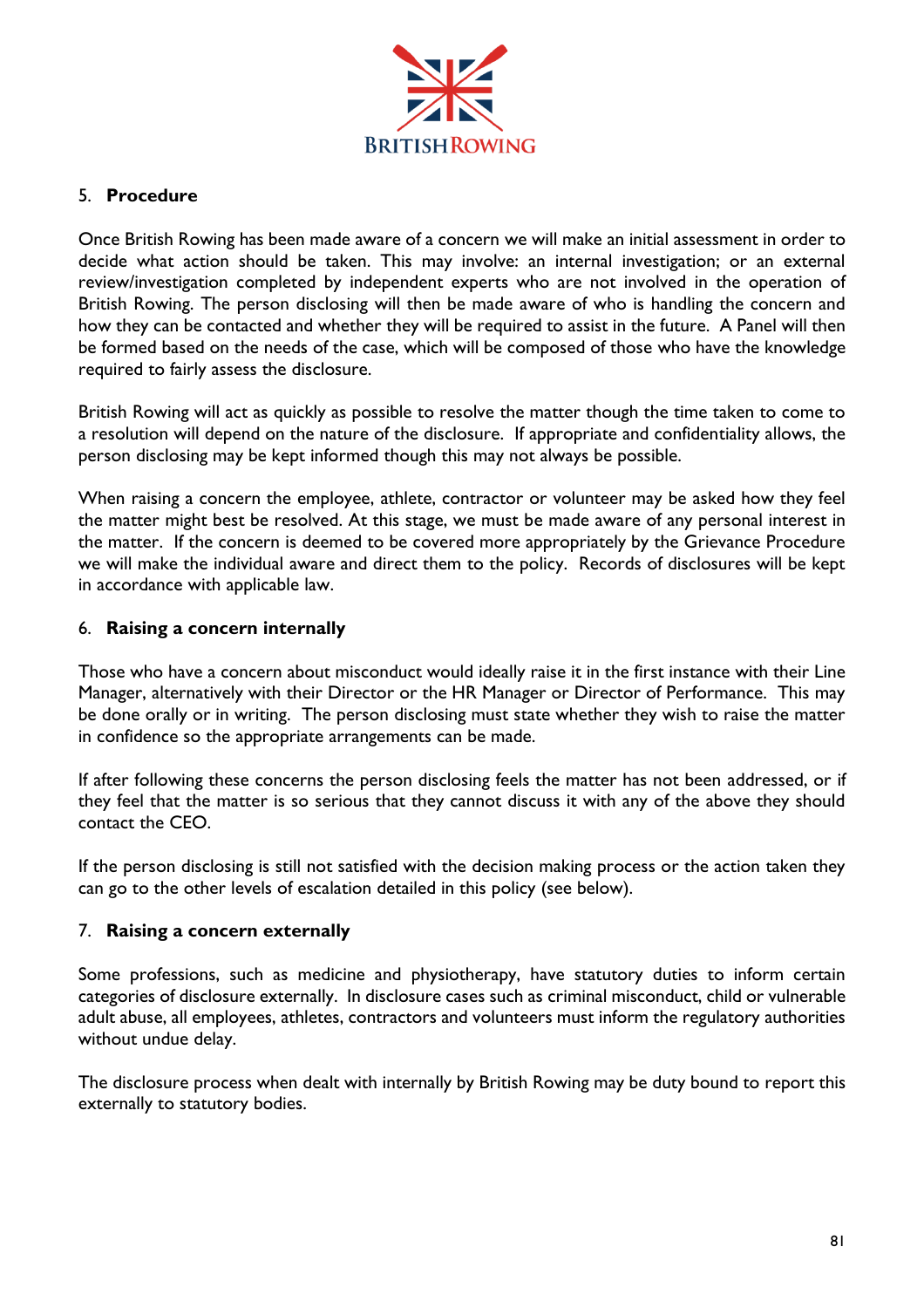

### 5. **Procedure**

Once British Rowing has been made aware of a concern we will make an initial assessment in order to decide what action should be taken. This may involve: an internal investigation; or an external review/investigation completed by independent experts who are not involved in the operation of British Rowing. The person disclosing will then be made aware of who is handling the concern and how they can be contacted and whether they will be required to assist in the future. A Panel will then be formed based on the needs of the case, which will be composed of those who have the knowledge required to fairly assess the disclosure.

British Rowing will act as quickly as possible to resolve the matter though the time taken to come to a resolution will depend on the nature of the disclosure. If appropriate and confidentiality allows, the person disclosing may be kept informed though this may not always be possible.

When raising a concern the employee, athlete, contractor or volunteer may be asked how they feel the matter might best be resolved. At this stage, we must be made aware of any personal interest in the matter. If the concern is deemed to be covered more appropriately by the Grievance Procedure we will make the individual aware and direct them to the policy. Records of disclosures will be kept in accordance with applicable law.

## 6. **Raising a concern internally**

Those who have a concern about misconduct would ideally raise it in the first instance with their Line Manager, alternatively with their Director or the HR Manager or Director of Performance. This may be done orally or in writing. The person disclosing must state whether they wish to raise the matter in confidence so the appropriate arrangements can be made.

If after following these concerns the person disclosing feels the matter has not been addressed, or if they feel that the matter is so serious that they cannot discuss it with any of the above they should contact the CEO.

If the person disclosing is still not satisfied with the decision making process or the action taken they can go to the other levels of escalation detailed in this policy (see below).

#### 7. **Raising a concern externally**

Some professions, such as medicine and physiotherapy, have statutory duties to inform certain categories of disclosure externally. In disclosure cases such as criminal misconduct, child or vulnerable adult abuse, all employees, athletes, contractors and volunteers must inform the regulatory authorities without undue delay.

The disclosure process when dealt with internally by British Rowing may be duty bound to report this externally to statutory bodies.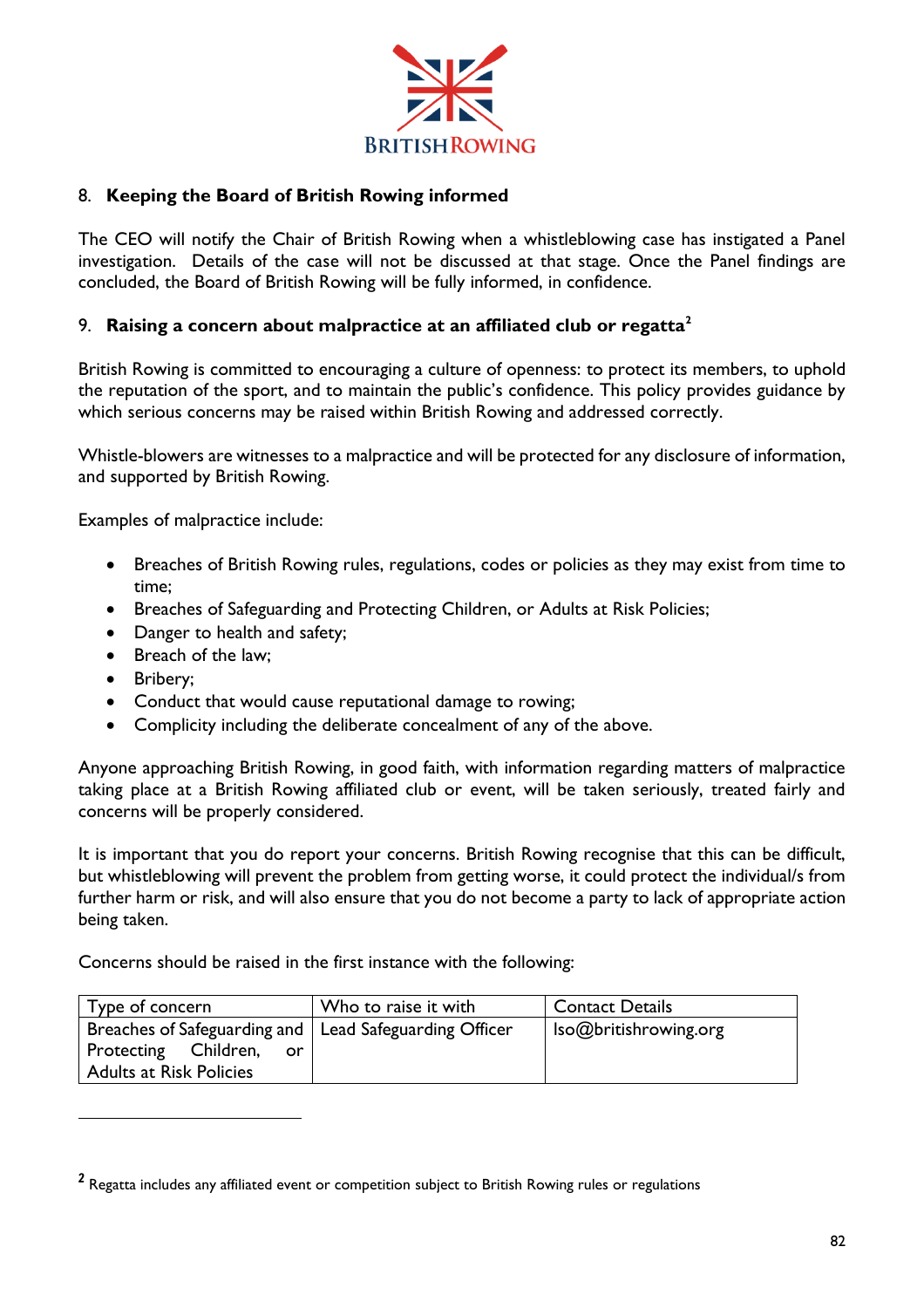

## 8. **Keeping the Board of British Rowing informed**

The CEO will notify the Chair of British Rowing when a whistleblowing case has instigated a Panel investigation. Details of the case will not be discussed at that stage. Once the Panel findings are concluded, the Board of British Rowing will be fully informed, in confidence.

#### 9. **Raising a concern about malpractice at an affiliated club or regatta<sup>2</sup>**

British Rowing is committed to encouraging a culture of openness: to protect its members, to uphold the reputation of the sport, and to maintain the public's confidence. This policy provides guidance by which serious concerns may be raised within British Rowing and addressed correctly.

Whistle-blowers are witnesses to a malpractice and will be protected for any disclosure of information, and supported by British Rowing.

Examples of malpractice include:

- Breaches of British Rowing rules, regulations, codes or policies as they may exist from time to time;
- Breaches of Safeguarding and Protecting Children, or Adults at Risk Policies;
- Danger to health and safety;
- Breach of the law:
- Bribery;
- Conduct that would cause reputational damage to rowing;
- Complicity including the deliberate concealment of any of the above.

Anyone approaching British Rowing, in good faith, with information regarding matters of malpractice taking place at a British Rowing affiliated club or event, will be taken seriously, treated fairly and concerns will be properly considered.

It is important that you do report your concerns. British Rowing recognise that this can be difficult, but whistleblowing will prevent the problem from getting worse, it could protect the individual/s from further harm or risk, and will also ensure that you do not become a party to lack of appropriate action being taken.

Concerns should be raised in the first instance with the following:

| Type of concern                                          | Who to raise it with | <b>Contact Details</b> |
|----------------------------------------------------------|----------------------|------------------------|
| Breaches of Safeguarding and   Lead Safeguarding Officer |                      | Iso@britishrowing.org  |
| Protecting Children,<br>or                               |                      |                        |
| Adults at Risk Policies                                  |                      |                        |

 $^{\sf 2}$  Regatta includes any affiliated event or competition subject to British Rowing rules or regulations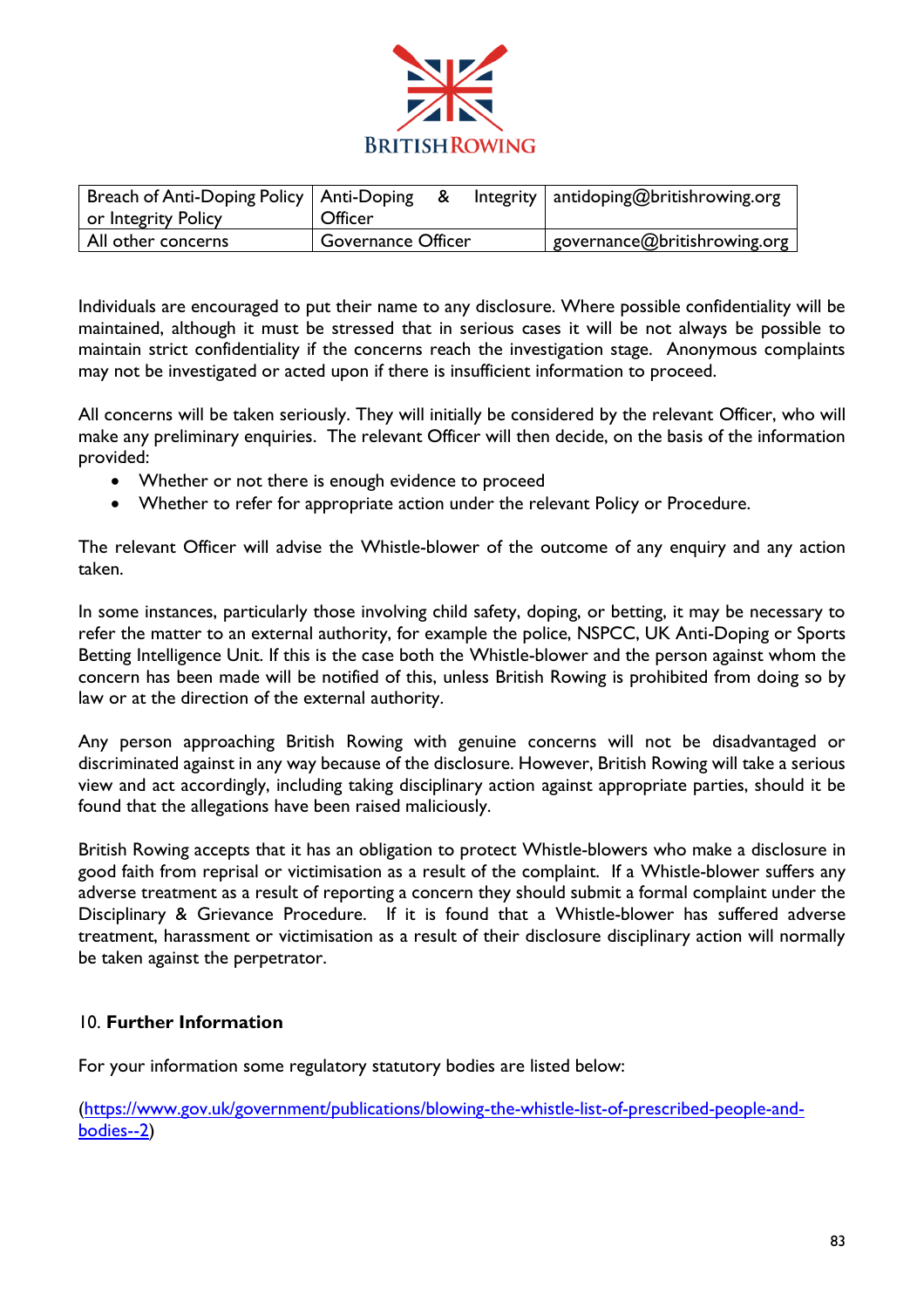

| Breach of Anti-Doping Policy   Anti-Doping<br>or Integrity Policy | Officer            |  | Integrity   antidoping@britishrowing.org   |
|-------------------------------------------------------------------|--------------------|--|--------------------------------------------|
| All other concerns                                                | Governance Officer |  | $\mid$ governance@britishrowing.org $\mid$ |

Individuals are encouraged to put their name to any disclosure. Where possible confidentiality will be maintained, although it must be stressed that in serious cases it will be not always be possible to maintain strict confidentiality if the concerns reach the investigation stage. Anonymous complaints may not be investigated or acted upon if there is insufficient information to proceed.

All concerns will be taken seriously. They will initially be considered by the relevant Officer, who will make any preliminary enquiries. The relevant Officer will then decide, on the basis of the information provided:

- Whether or not there is enough evidence to proceed
- Whether to refer for appropriate action under the relevant Policy or Procedure.

The relevant Officer will advise the Whistle-blower of the outcome of any enquiry and any action taken.

In some instances, particularly those involving child safety, doping, or betting, it may be necessary to refer the matter to an external authority, for example the police, NSPCC, UK Anti-Doping or Sports Betting Intelligence Unit. If this is the case both the Whistle-blower and the person against whom the concern has been made will be notified of this, unless British Rowing is prohibited from doing so by law or at the direction of the external authority.

Any person approaching British Rowing with genuine concerns will not be disadvantaged or discriminated against in any way because of the disclosure. However, British Rowing will take a serious view and act accordingly, including taking disciplinary action against appropriate parties, should it be found that the allegations have been raised maliciously.

British Rowing accepts that it has an obligation to protect Whistle-blowers who make a disclosure in good faith from reprisal or victimisation as a result of the complaint. If a Whistle-blower suffers any adverse treatment as a result of reporting a concern they should submit a formal complaint under the Disciplinary & Grievance Procedure. If it is found that a Whistle-blower has suffered adverse treatment, harassment or victimisation as a result of their disclosure disciplinary action will normally be taken against the perpetrator.

#### 10. **Further Information**

For your information some regulatory statutory bodies are listed below:

[\(https://www.gov.uk/government/publications/blowing-the-whistle-list-of-prescribed-people-and](https://www.gov.uk/government/publications/blowing-the-whistle-list-of-prescribed-people-and-bodies--2)[bodies--2\)](https://www.gov.uk/government/publications/blowing-the-whistle-list-of-prescribed-people-and-bodies--2)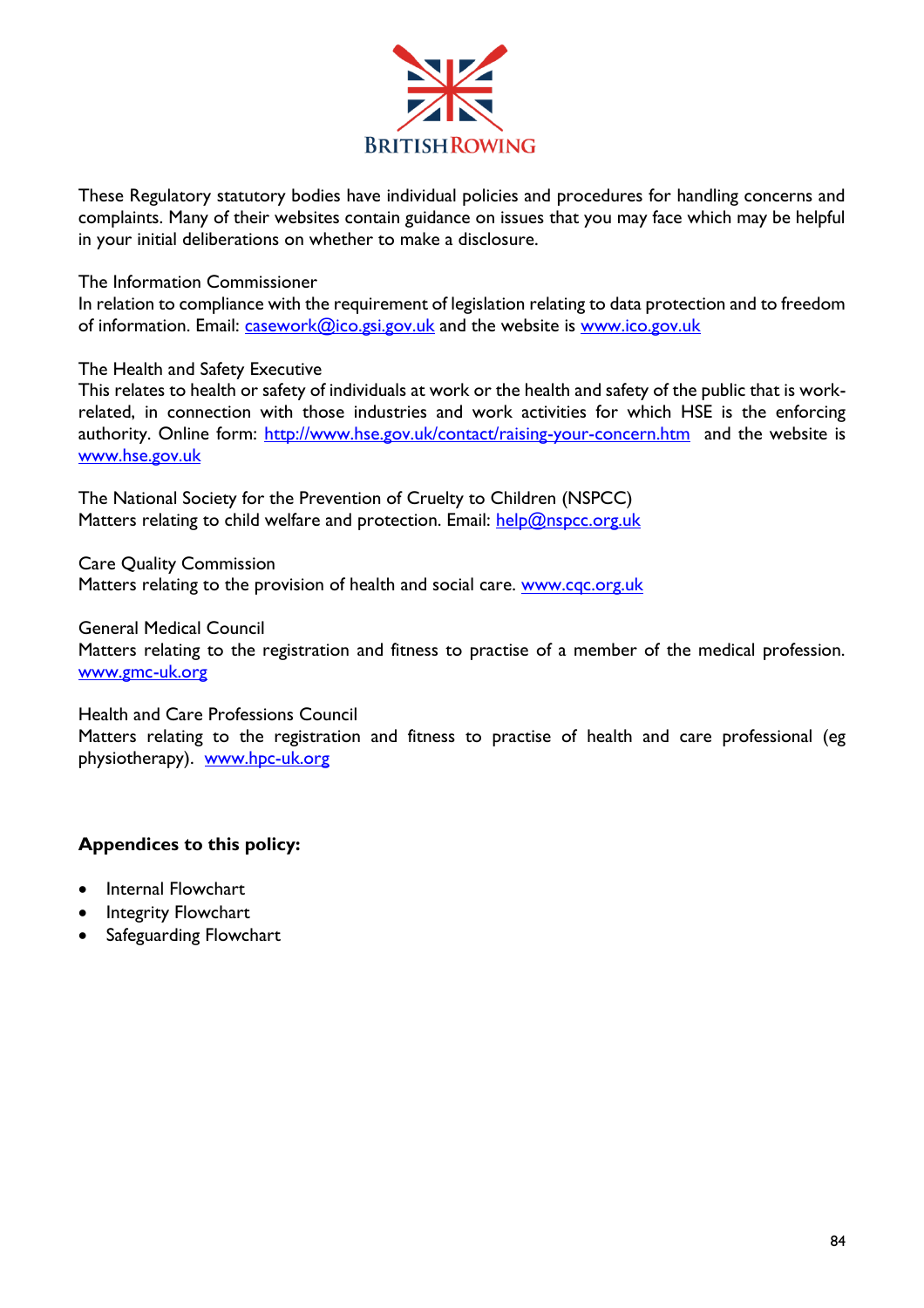

These Regulatory statutory bodies have individual policies and procedures for handling concerns and complaints. Many of their websites contain guidance on issues that you may face which may be helpful in your initial deliberations on whether to make a disclosure.

#### The Information Commissioner

In relation to compliance with the requirement of legislation relating to data protection and to freedom of information. Email: *casework@ico.gsi.gov.uk* and the website is [www.ico.gov.uk](http://www.ico.gov.uk/)

#### The Health and Safety Executive

This relates to health or safety of individuals at work or the health and safety of the public that is workrelated, in connection with those industries and work activities for which HSE is the enforcing authority. Online form:<http://www.hse.gov.uk/contact/raising-your-concern.htm>and the website is [www.hse.gov.uk](http://www.hse.gov.uk/) 

The National Society for the Prevention of Cruelty to Children (NSPCC) Matters relating to child welfare and protection. Email:  $\frac{h}{h}$  [help@nspcc.org.uk](mailto:help@nspcc.org.uk)

Care Quality Commission Matters relating to the provision of health and social care. [www.cqc.org.uk](http://www.cqc.org.uk/)

General Medical Council Matters relating to the registration and fitness to practise of a member of the medical profession.

#### [www.gmc-uk.org](http://www.gmc-uk.org/)

#### Health and Care Professions Council

Matters relating to the registration and fitness to practise of health and care professional (eg physiotherapy). [www.hpc-uk.org](http://www.hpc-uk.org/)

#### **Appendices to this policy:**

- Internal Flowchart
- Integrity Flowchart
- Safeguarding Flowchart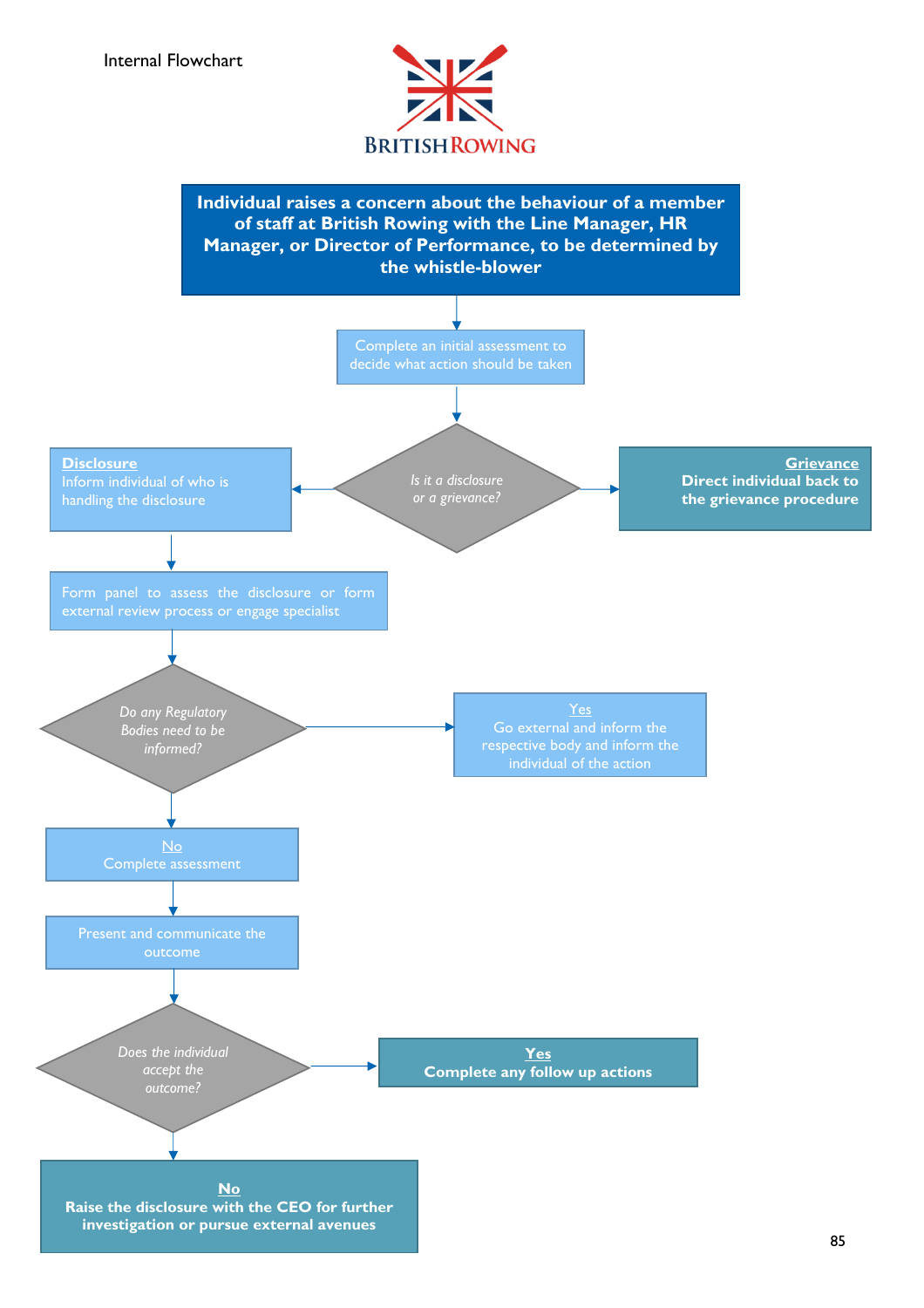

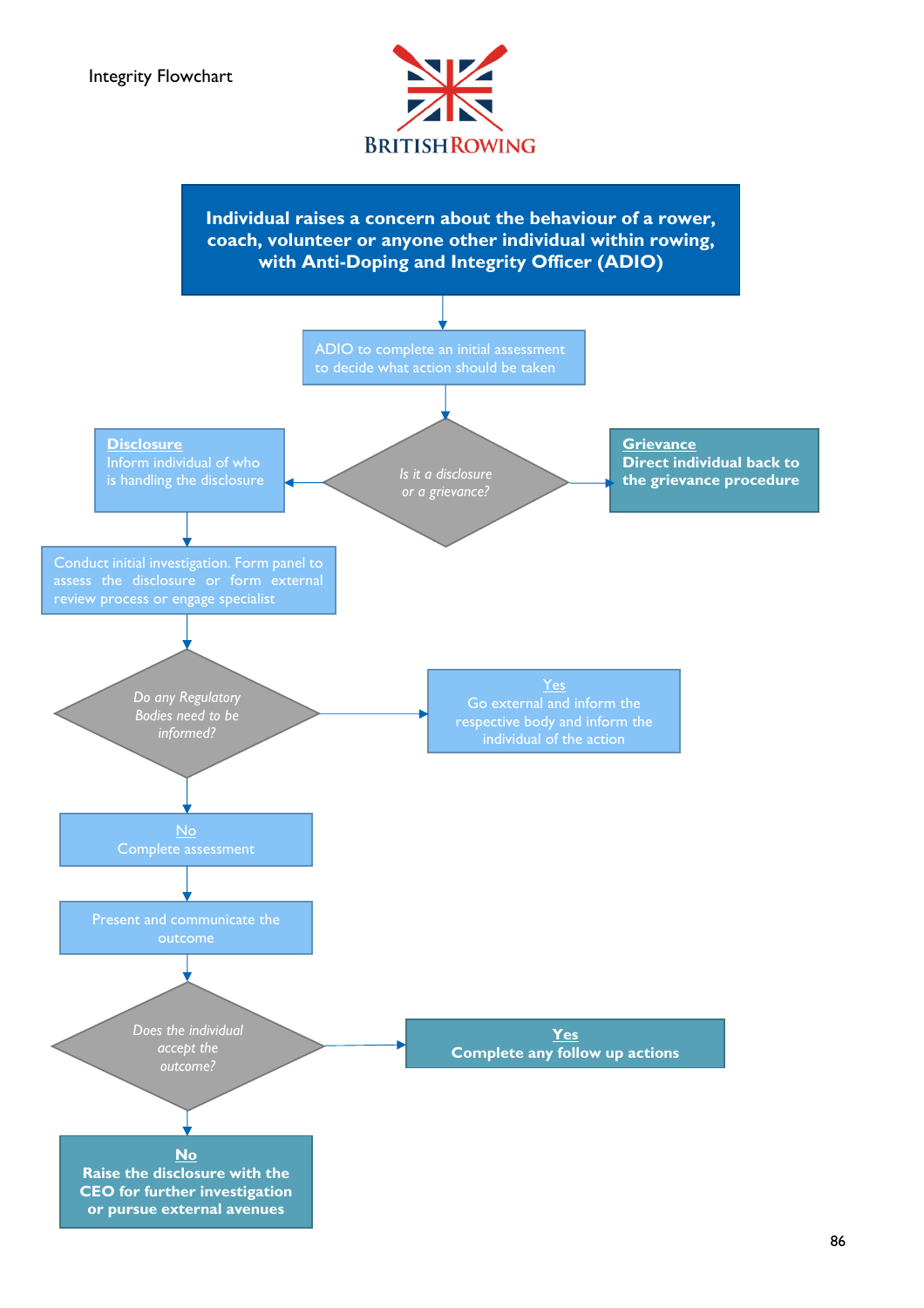